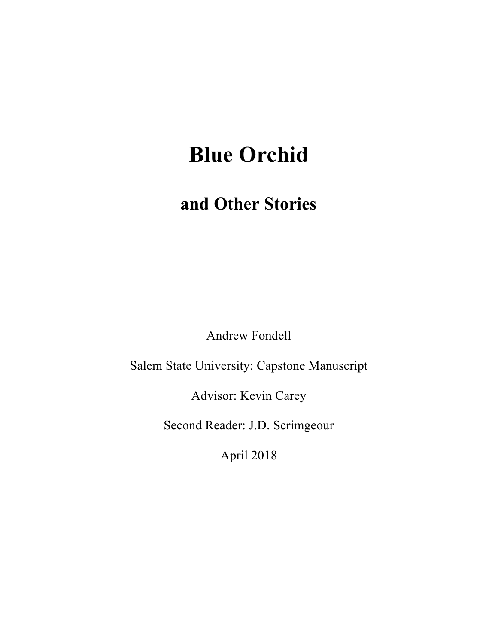## **Blue Orchid**

## **and Other Stories**

Andrew Fondell

Salem State University: Capstone Manuscript

Advisor: Kevin Carey

Second Reader: J.D. Scrimgeour

April 2018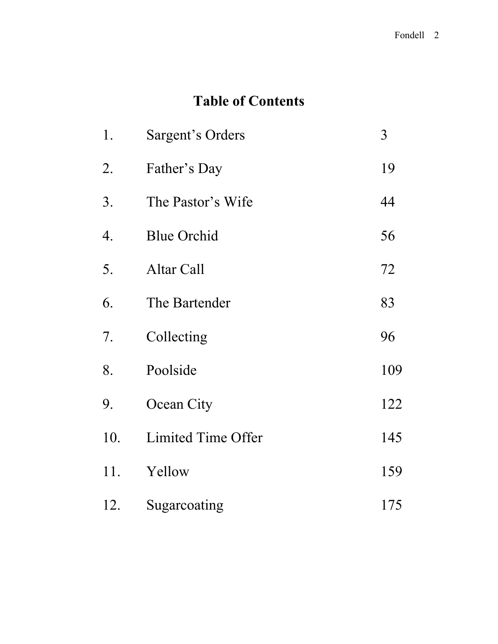## **Table of Contents**

| 1.  | Sargent's Orders   | 3   |
|-----|--------------------|-----|
| 2.  | Father's Day       | 19  |
| 3.  | The Pastor's Wife  | 44  |
| 4.  | <b>Blue Orchid</b> | 56  |
| 5.  | Altar Call         | 72  |
| 6.  | The Bartender      | 83  |
| 7.  | Collecting         | 96  |
| 8.  | Poolside           | 109 |
| 9.  | Ocean City         | 122 |
| 10. | Limited Time Offer | 145 |
| 11. | Yellow             | 159 |
| 12. | Sugarcoating       | 175 |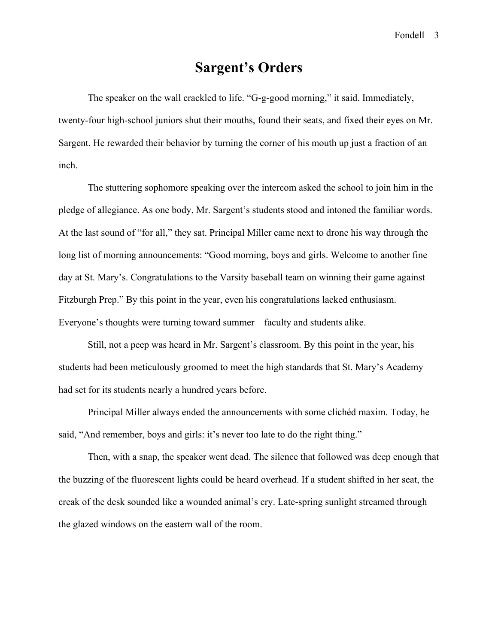**Sargent's Orders**

The speaker on the wall crackled to life. "G-g-good morning," it said. Immediately, twenty-four high-school juniors shut their mouths, found their seats, and fixed their eyes on Mr. Sargent. He rewarded their behavior by turning the corner of his mouth up just a fraction of an inch.

The stuttering sophomore speaking over the intercom asked the school to join him in the pledge of allegiance. As one body, Mr. Sargent's students stood and intoned the familiar words. At the last sound of "for all," they sat. Principal Miller came next to drone his way through the long list of morning announcements: "Good morning, boys and girls. Welcome to another fine day at St. Mary's. Congratulations to the Varsity baseball team on winning their game against Fitzburgh Prep." By this point in the year, even his congratulations lacked enthusiasm. Everyone's thoughts were turning toward summer—faculty and students alike.

Still, not a peep was heard in Mr. Sargent's classroom. By this point in the year, his students had been meticulously groomed to meet the high standards that St. Mary's Academy had set for its students nearly a hundred years before.

Principal Miller always ended the announcements with some clichéd maxim. Today, he said, "And remember, boys and girls: it's never too late to do the right thing."

Then, with a snap, the speaker went dead. The silence that followed was deep enough that the buzzing of the fluorescent lights could be heard overhead. If a student shifted in her seat, the creak of the desk sounded like a wounded animal's cry. Late-spring sunlight streamed through the glazed windows on the eastern wall of the room.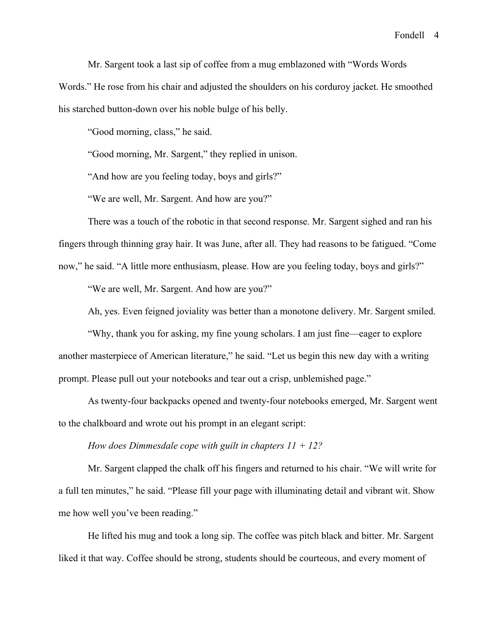Mr. Sargent took a last sip of coffee from a mug emblazoned with "Words Words

Words." He rose from his chair and adjusted the shoulders on his corduroy jacket. He smoothed his starched button-down over his noble bulge of his belly.

"Good morning, class," he said.

"Good morning, Mr. Sargent," they replied in unison.

"And how are you feeling today, boys and girls?"

"We are well, Mr. Sargent. And how are you?"

There was a touch of the robotic in that second response. Mr. Sargent sighed and ran his fingers through thinning gray hair. It was June, after all. They had reasons to be fatigued. "Come now," he said. "A little more enthusiasm, please. How are you feeling today, boys and girls?"

"We are well, Mr. Sargent. And how are you?"

Ah, yes. Even feigned joviality was better than a monotone delivery. Mr. Sargent smiled.

"Why, thank you for asking, my fine young scholars. I am just fine—eager to explore another masterpiece of American literature," he said. "Let us begin this new day with a writing prompt. Please pull out your notebooks and tear out a crisp, unblemished page."

As twenty-four backpacks opened and twenty-four notebooks emerged, Mr. Sargent went to the chalkboard and wrote out his prompt in an elegant script:

*How does Dimmesdale cope with guilt in chapters 11 + 12?* 

Mr. Sargent clapped the chalk off his fingers and returned to his chair. "We will write for a full ten minutes," he said. "Please fill your page with illuminating detail and vibrant wit. Show me how well you've been reading."

He lifted his mug and took a long sip. The coffee was pitch black and bitter. Mr. Sargent liked it that way. Coffee should be strong, students should be courteous, and every moment of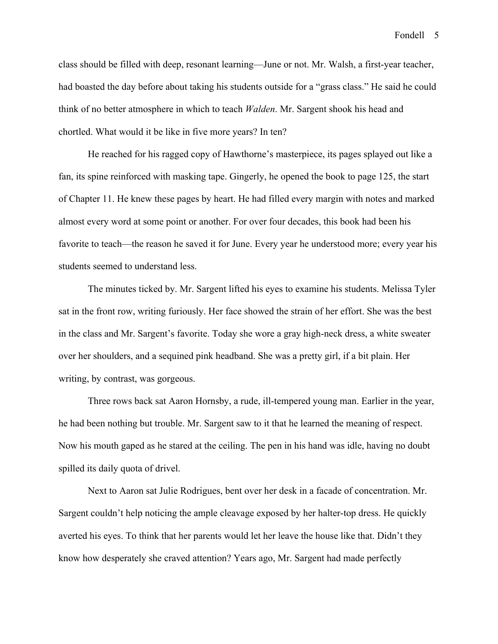class should be filled with deep, resonant learning—June or not. Mr. Walsh, a first-year teacher, had boasted the day before about taking his students outside for a "grass class." He said he could think of no better atmosphere in which to teach *Walden*. Mr. Sargent shook his head and chortled. What would it be like in five more years? In ten?

He reached for his ragged copy of Hawthorne's masterpiece, its pages splayed out like a fan, its spine reinforced with masking tape. Gingerly, he opened the book to page 125, the start of Chapter 11. He knew these pages by heart. He had filled every margin with notes and marked almost every word at some point or another. For over four decades, this book had been his favorite to teach—the reason he saved it for June. Every year he understood more; every year his students seemed to understand less.

The minutes ticked by. Mr. Sargent lifted his eyes to examine his students. Melissa Tyler sat in the front row, writing furiously. Her face showed the strain of her effort. She was the best in the class and Mr. Sargent's favorite. Today she wore a gray high-neck dress, a white sweater over her shoulders, and a sequined pink headband. She was a pretty girl, if a bit plain. Her writing, by contrast, was gorgeous.

Three rows back sat Aaron Hornsby, a rude, ill-tempered young man. Earlier in the year, he had been nothing but trouble. Mr. Sargent saw to it that he learned the meaning of respect. Now his mouth gaped as he stared at the ceiling. The pen in his hand was idle, having no doubt spilled its daily quota of drivel.

Next to Aaron sat Julie Rodrigues, bent over her desk in a facade of concentration. Mr. Sargent couldn't help noticing the ample cleavage exposed by her halter-top dress. He quickly averted his eyes. To think that her parents would let her leave the house like that. Didn't they know how desperately she craved attention? Years ago, Mr. Sargent had made perfectly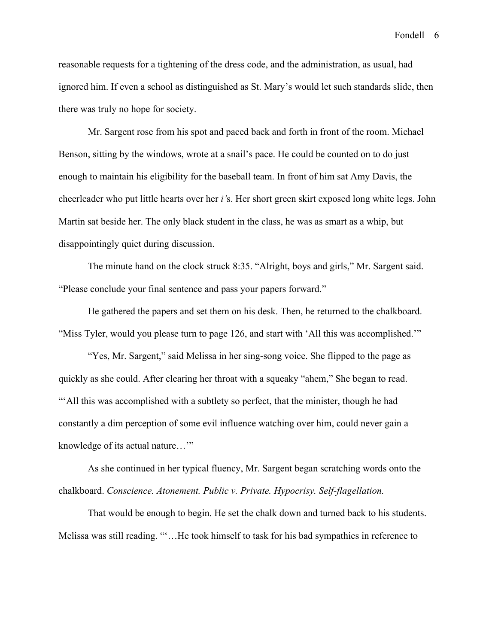reasonable requests for a tightening of the dress code, and the administration, as usual, had ignored him. If even a school as distinguished as St. Mary's would let such standards slide, then there was truly no hope for society.

Mr. Sargent rose from his spot and paced back and forth in front of the room. Michael Benson, sitting by the windows, wrote at a snail's pace. He could be counted on to do just enough to maintain his eligibility for the baseball team. In front of him sat Amy Davis, the cheerleader who put little hearts over her *i'*s. Her short green skirt exposed long white legs. John Martin sat beside her. The only black student in the class, he was as smart as a whip, but disappointingly quiet during discussion.

The minute hand on the clock struck 8:35. "Alright, boys and girls," Mr. Sargent said. "Please conclude your final sentence and pass your papers forward."

He gathered the papers and set them on his desk. Then, he returned to the chalkboard. "Miss Tyler, would you please turn to page 126, and start with 'All this was accomplished.'"

"Yes, Mr. Sargent," said Melissa in her sing-song voice. She flipped to the page as quickly as she could. After clearing her throat with a squeaky "ahem," She began to read. "'All this was accomplished with a subtlety so perfect, that the minister, though he had constantly a dim perception of some evil influence watching over him, could never gain a knowledge of its actual nature…'"

As she continued in her typical fluency, Mr. Sargent began scratching words onto the chalkboard. *Conscience. Atonement. Public v. Private. Hypocrisy. Self-flagellation.*

That would be enough to begin. He set the chalk down and turned back to his students. Melissa was still reading. "'…He took himself to task for his bad sympathies in reference to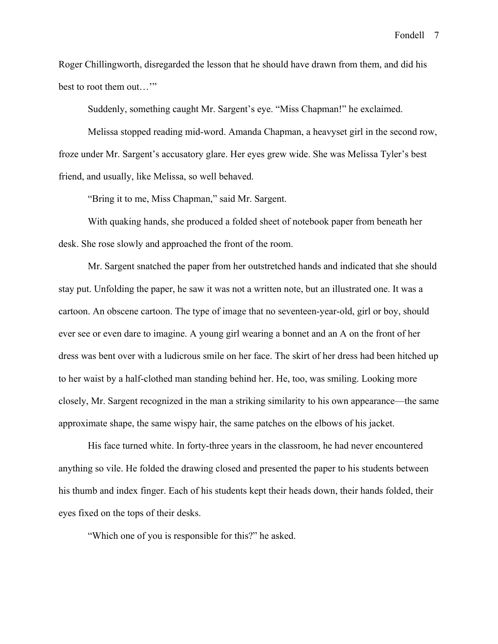Roger Chillingworth, disregarded the lesson that he should have drawn from them, and did his best to root them out…'"

Suddenly, something caught Mr. Sargent's eye. "Miss Chapman!" he exclaimed.

Melissa stopped reading mid-word. Amanda Chapman, a heavyset girl in the second row, froze under Mr. Sargent's accusatory glare. Her eyes grew wide. She was Melissa Tyler's best friend, and usually, like Melissa, so well behaved.

"Bring it to me, Miss Chapman," said Mr. Sargent.

With quaking hands, she produced a folded sheet of notebook paper from beneath her desk. She rose slowly and approached the front of the room.

Mr. Sargent snatched the paper from her outstretched hands and indicated that she should stay put. Unfolding the paper, he saw it was not a written note, but an illustrated one. It was a cartoon. An obscene cartoon. The type of image that no seventeen-year-old, girl or boy, should ever see or even dare to imagine. A young girl wearing a bonnet and an A on the front of her dress was bent over with a ludicrous smile on her face. The skirt of her dress had been hitched up to her waist by a half-clothed man standing behind her. He, too, was smiling. Looking more closely, Mr. Sargent recognized in the man a striking similarity to his own appearance—the same approximate shape, the same wispy hair, the same patches on the elbows of his jacket.

His face turned white. In forty-three years in the classroom, he had never encountered anything so vile. He folded the drawing closed and presented the paper to his students between his thumb and index finger. Each of his students kept their heads down, their hands folded, their eyes fixed on the tops of their desks.

"Which one of you is responsible for this?" he asked.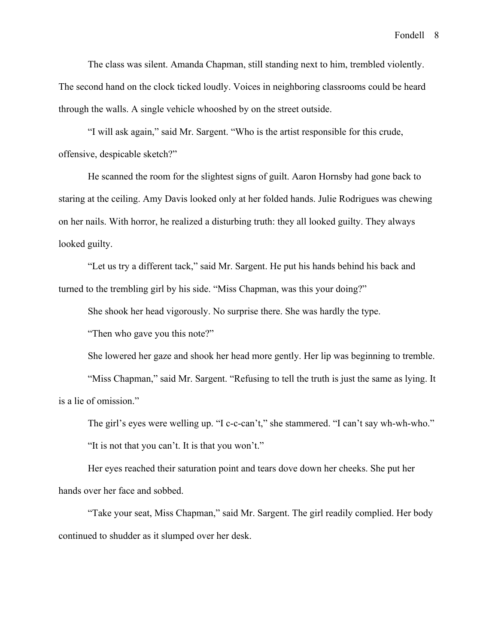The class was silent. Amanda Chapman, still standing next to him, trembled violently. The second hand on the clock ticked loudly. Voices in neighboring classrooms could be heard through the walls. A single vehicle whooshed by on the street outside.

"I will ask again," said Mr. Sargent. "Who is the artist responsible for this crude, offensive, despicable sketch?"

He scanned the room for the slightest signs of guilt. Aaron Hornsby had gone back to staring at the ceiling. Amy Davis looked only at her folded hands. Julie Rodrigues was chewing on her nails. With horror, he realized a disturbing truth: they all looked guilty. They always looked guilty.

"Let us try a different tack," said Mr. Sargent. He put his hands behind his back and turned to the trembling girl by his side. "Miss Chapman, was this your doing?"

She shook her head vigorously. No surprise there. She was hardly the type.

"Then who gave you this note?"

She lowered her gaze and shook her head more gently. Her lip was beginning to tremble.

"Miss Chapman," said Mr. Sargent. "Refusing to tell the truth is just the same as lying. It is a lie of omission."

The girl's eyes were welling up. "I c-c-can't," she stammered. "I can't say wh-wh-who." "It is not that you can't. It is that you won't."

Her eyes reached their saturation point and tears dove down her cheeks. She put her hands over her face and sobbed.

"Take your seat, Miss Chapman," said Mr. Sargent. The girl readily complied. Her body continued to shudder as it slumped over her desk.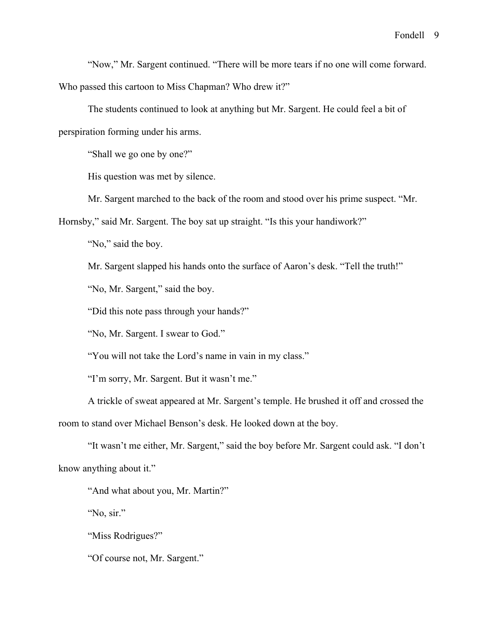"Now," Mr. Sargent continued. "There will be more tears if no one will come forward. Who passed this cartoon to Miss Chapman? Who drew it?"

The students continued to look at anything but Mr. Sargent. He could feel a bit of perspiration forming under his arms.

"Shall we go one by one?"

His question was met by silence.

Mr. Sargent marched to the back of the room and stood over his prime suspect. "Mr.

Hornsby," said Mr. Sargent. The boy sat up straight. "Is this your handiwork?"

"No," said the boy.

Mr. Sargent slapped his hands onto the surface of Aaron's desk. "Tell the truth!"

"No, Mr. Sargent," said the boy.

"Did this note pass through your hands?"

"No, Mr. Sargent. I swear to God."

"You will not take the Lord's name in vain in my class."

"I'm sorry, Mr. Sargent. But it wasn't me."

A trickle of sweat appeared at Mr. Sargent's temple. He brushed it off and crossed the room to stand over Michael Benson's desk. He looked down at the boy.

"It wasn't me either, Mr. Sargent," said the boy before Mr. Sargent could ask. "I don't know anything about it."

"And what about you, Mr. Martin?"

"No, sir."

"Miss Rodrigues?"

"Of course not, Mr. Sargent."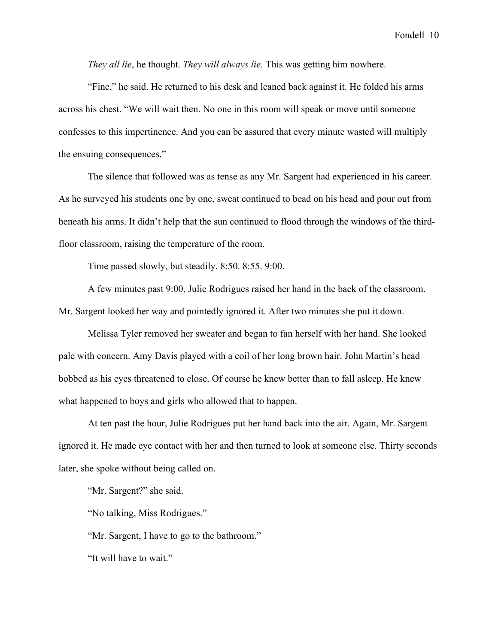*They all lie*, he thought. *They will always lie.* This was getting him nowhere.

"Fine," he said. He returned to his desk and leaned back against it. He folded his arms across his chest. "We will wait then. No one in this room will speak or move until someone confesses to this impertinence. And you can be assured that every minute wasted will multiply the ensuing consequences."

The silence that followed was as tense as any Mr. Sargent had experienced in his career. As he surveyed his students one by one, sweat continued to bead on his head and pour out from beneath his arms. It didn't help that the sun continued to flood through the windows of the thirdfloor classroom, raising the temperature of the room.

Time passed slowly, but steadily. 8:50. 8:55. 9:00.

A few minutes past 9:00, Julie Rodrigues raised her hand in the back of the classroom. Mr. Sargent looked her way and pointedly ignored it. After two minutes she put it down.

Melissa Tyler removed her sweater and began to fan herself with her hand. She looked pale with concern. Amy Davis played with a coil of her long brown hair. John Martin's head bobbed as his eyes threatened to close. Of course he knew better than to fall asleep. He knew what happened to boys and girls who allowed that to happen.

At ten past the hour, Julie Rodrigues put her hand back into the air. Again, Mr. Sargent ignored it. He made eye contact with her and then turned to look at someone else. Thirty seconds later, she spoke without being called on.

"Mr. Sargent?" she said.

"No talking, Miss Rodrigues."

"Mr. Sargent, I have to go to the bathroom."

"It will have to wait."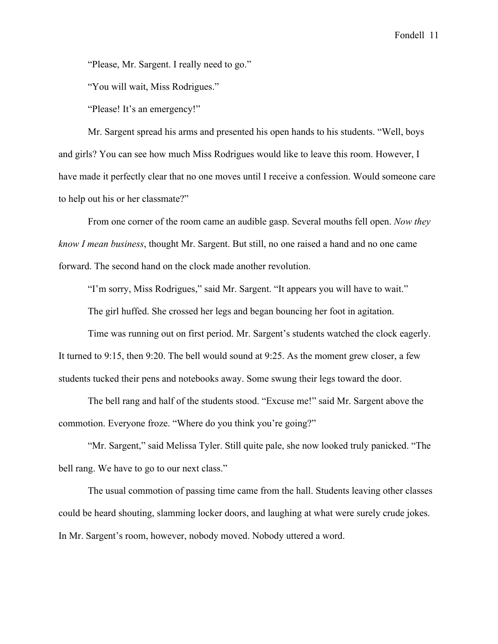"Please, Mr. Sargent. I really need to go."

"You will wait, Miss Rodrigues."

"Please! It's an emergency!"

Mr. Sargent spread his arms and presented his open hands to his students. "Well, boys and girls? You can see how much Miss Rodrigues would like to leave this room. However, I have made it perfectly clear that no one moves until I receive a confession. Would someone care to help out his or her classmate?"

From one corner of the room came an audible gasp. Several mouths fell open. *Now they know I mean business*, thought Mr. Sargent. But still, no one raised a hand and no one came forward. The second hand on the clock made another revolution.

"I'm sorry, Miss Rodrigues," said Mr. Sargent. "It appears you will have to wait."

The girl huffed. She crossed her legs and began bouncing her foot in agitation.

Time was running out on first period. Mr. Sargent's students watched the clock eagerly. It turned to 9:15, then 9:20. The bell would sound at 9:25. As the moment grew closer, a few students tucked their pens and notebooks away. Some swung their legs toward the door.

The bell rang and half of the students stood. "Excuse me!" said Mr. Sargent above the commotion. Everyone froze. "Where do you think you're going?"

"Mr. Sargent," said Melissa Tyler. Still quite pale, she now looked truly panicked. "The bell rang. We have to go to our next class."

The usual commotion of passing time came from the hall. Students leaving other classes could be heard shouting, slamming locker doors, and laughing at what were surely crude jokes. In Mr. Sargent's room, however, nobody moved. Nobody uttered a word.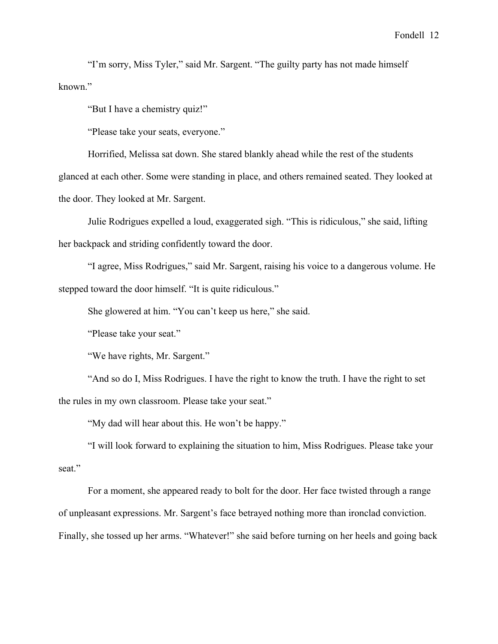"I'm sorry, Miss Tyler," said Mr. Sargent. "The guilty party has not made himself known."

"But I have a chemistry quiz!"

"Please take your seats, everyone."

Horrified, Melissa sat down. She stared blankly ahead while the rest of the students glanced at each other. Some were standing in place, and others remained seated. They looked at the door. They looked at Mr. Sargent.

Julie Rodrigues expelled a loud, exaggerated sigh. "This is ridiculous," she said, lifting her backpack and striding confidently toward the door.

"I agree, Miss Rodrigues," said Mr. Sargent, raising his voice to a dangerous volume. He stepped toward the door himself. "It is quite ridiculous."

She glowered at him. "You can't keep us here," she said.

"Please take your seat."

"We have rights, Mr. Sargent."

"And so do I, Miss Rodrigues. I have the right to know the truth. I have the right to set the rules in my own classroom. Please take your seat."

"My dad will hear about this. He won't be happy."

"I will look forward to explaining the situation to him, Miss Rodrigues. Please take your seat."

For a moment, she appeared ready to bolt for the door. Her face twisted through a range of unpleasant expressions. Mr. Sargent's face betrayed nothing more than ironclad conviction. Finally, she tossed up her arms. "Whatever!" she said before turning on her heels and going back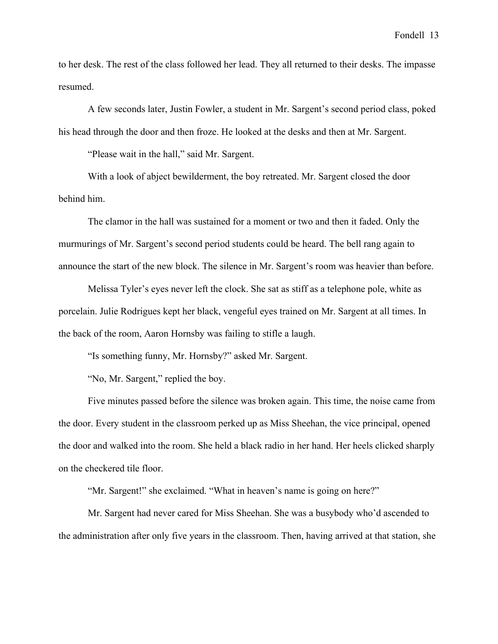to her desk. The rest of the class followed her lead. They all returned to their desks. The impasse resumed.

A few seconds later, Justin Fowler, a student in Mr. Sargent's second period class, poked his head through the door and then froze. He looked at the desks and then at Mr. Sargent.

"Please wait in the hall," said Mr. Sargent.

With a look of abject bewilderment, the boy retreated. Mr. Sargent closed the door behind him.

The clamor in the hall was sustained for a moment or two and then it faded. Only the murmurings of Mr. Sargent's second period students could be heard. The bell rang again to announce the start of the new block. The silence in Mr. Sargent's room was heavier than before.

Melissa Tyler's eyes never left the clock. She sat as stiff as a telephone pole, white as porcelain. Julie Rodrigues kept her black, vengeful eyes trained on Mr. Sargent at all times. In the back of the room, Aaron Hornsby was failing to stifle a laugh.

"Is something funny, Mr. Hornsby?" asked Mr. Sargent.

"No, Mr. Sargent," replied the boy.

Five minutes passed before the silence was broken again. This time, the noise came from the door. Every student in the classroom perked up as Miss Sheehan, the vice principal, opened the door and walked into the room. She held a black radio in her hand. Her heels clicked sharply on the checkered tile floor.

"Mr. Sargent!" she exclaimed. "What in heaven's name is going on here?"

Mr. Sargent had never cared for Miss Sheehan. She was a busybody who'd ascended to the administration after only five years in the classroom. Then, having arrived at that station, she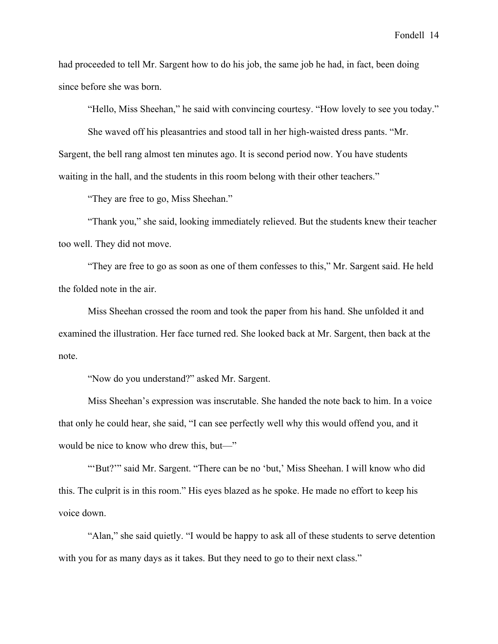had proceeded to tell Mr. Sargent how to do his job, the same job he had, in fact, been doing since before she was born.

"Hello, Miss Sheehan," he said with convincing courtesy. "How lovely to see you today."

She waved off his pleasantries and stood tall in her high-waisted dress pants. "Mr. Sargent, the bell rang almost ten minutes ago. It is second period now. You have students waiting in the hall, and the students in this room belong with their other teachers."

"They are free to go, Miss Sheehan."

"Thank you," she said, looking immediately relieved. But the students knew their teacher too well. They did not move.

"They are free to go as soon as one of them confesses to this," Mr. Sargent said. He held the folded note in the air.

Miss Sheehan crossed the room and took the paper from his hand. She unfolded it and examined the illustration. Her face turned red. She looked back at Mr. Sargent, then back at the note.

"Now do you understand?" asked Mr. Sargent.

Miss Sheehan's expression was inscrutable. She handed the note back to him. In a voice that only he could hear, she said, "I can see perfectly well why this would offend you, and it would be nice to know who drew this, but—"

"'But?"' said Mr. Sargent. "There can be no 'but,' Miss Sheehan. I will know who did this. The culprit is in this room." His eyes blazed as he spoke. He made no effort to keep his voice down.

"Alan," she said quietly. "I would be happy to ask all of these students to serve detention with you for as many days as it takes. But they need to go to their next class."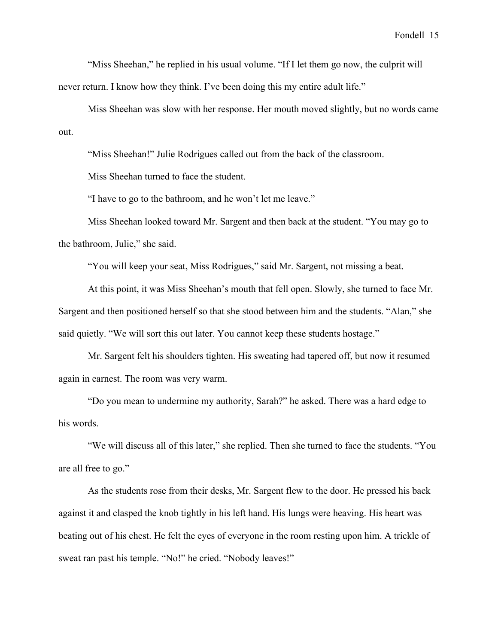"Miss Sheehan," he replied in his usual volume. "If I let them go now, the culprit will never return. I know how they think. I've been doing this my entire adult life."

Miss Sheehan was slow with her response. Her mouth moved slightly, but no words came out.

"Miss Sheehan!" Julie Rodrigues called out from the back of the classroom.

Miss Sheehan turned to face the student.

"I have to go to the bathroom, and he won't let me leave."

Miss Sheehan looked toward Mr. Sargent and then back at the student. "You may go to the bathroom, Julie," she said.

"You will keep your seat, Miss Rodrigues," said Mr. Sargent, not missing a beat.

At this point, it was Miss Sheehan's mouth that fell open. Slowly, she turned to face Mr. Sargent and then positioned herself so that she stood between him and the students. "Alan," she said quietly. "We will sort this out later. You cannot keep these students hostage."

Mr. Sargent felt his shoulders tighten. His sweating had tapered off, but now it resumed again in earnest. The room was very warm.

"Do you mean to undermine my authority, Sarah?" he asked. There was a hard edge to his words.

"We will discuss all of this later," she replied. Then she turned to face the students. "You are all free to go."

As the students rose from their desks, Mr. Sargent flew to the door. He pressed his back against it and clasped the knob tightly in his left hand. His lungs were heaving. His heart was beating out of his chest. He felt the eyes of everyone in the room resting upon him. A trickle of sweat ran past his temple. "No!" he cried. "Nobody leaves!"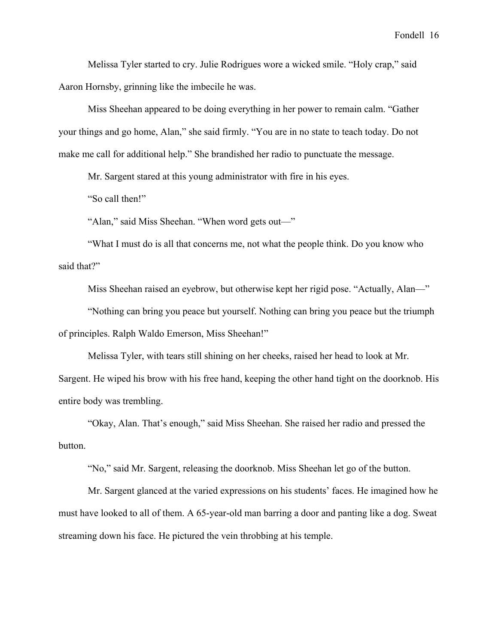Melissa Tyler started to cry. Julie Rodrigues wore a wicked smile. "Holy crap," said Aaron Hornsby, grinning like the imbecile he was.

Miss Sheehan appeared to be doing everything in her power to remain calm. "Gather your things and go home, Alan," she said firmly. "You are in no state to teach today. Do not make me call for additional help." She brandished her radio to punctuate the message.

Mr. Sargent stared at this young administrator with fire in his eyes.

"So call then!"

"Alan," said Miss Sheehan. "When word gets out—"

"What I must do is all that concerns me, not what the people think. Do you know who said that?"

Miss Sheehan raised an eyebrow, but otherwise kept her rigid pose. "Actually, Alan—"

"Nothing can bring you peace but yourself. Nothing can bring you peace but the triumph of principles. Ralph Waldo Emerson, Miss Sheehan!"

Melissa Tyler, with tears still shining on her cheeks, raised her head to look at Mr. Sargent. He wiped his brow with his free hand, keeping the other hand tight on the doorknob. His entire body was trembling.

"Okay, Alan. That's enough," said Miss Sheehan. She raised her radio and pressed the button.

"No," said Mr. Sargent, releasing the doorknob. Miss Sheehan let go of the button.

Mr. Sargent glanced at the varied expressions on his students' faces. He imagined how he must have looked to all of them. A 65-year-old man barring a door and panting like a dog. Sweat streaming down his face. He pictured the vein throbbing at his temple.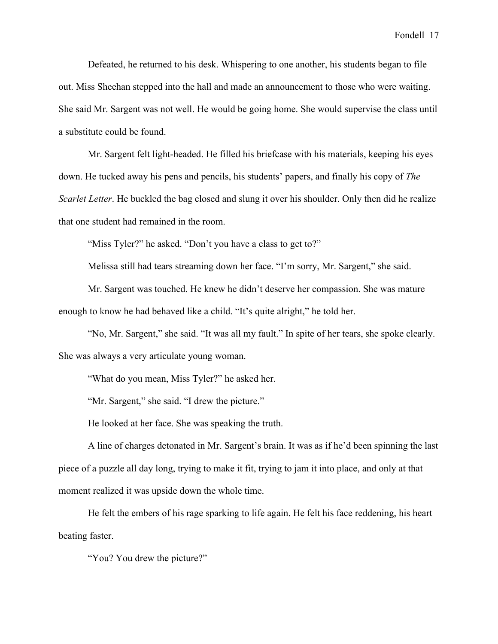Defeated, he returned to his desk. Whispering to one another, his students began to file out. Miss Sheehan stepped into the hall and made an announcement to those who were waiting. She said Mr. Sargent was not well. He would be going home. She would supervise the class until a substitute could be found.

Mr. Sargent felt light-headed. He filled his briefcase with his materials, keeping his eyes down. He tucked away his pens and pencils, his students' papers, and finally his copy of *The Scarlet Letter*. He buckled the bag closed and slung it over his shoulder. Only then did he realize that one student had remained in the room.

"Miss Tyler?" he asked. "Don't you have a class to get to?"

Melissa still had tears streaming down her face. "I'm sorry, Mr. Sargent," she said.

Mr. Sargent was touched. He knew he didn't deserve her compassion. She was mature enough to know he had behaved like a child. "It's quite alright," he told her.

"No, Mr. Sargent," she said. "It was all my fault." In spite of her tears, she spoke clearly. She was always a very articulate young woman.

"What do you mean, Miss Tyler?" he asked her.

"Mr. Sargent," she said. "I drew the picture."

He looked at her face. She was speaking the truth.

A line of charges detonated in Mr. Sargent's brain. It was as if he'd been spinning the last piece of a puzzle all day long, trying to make it fit, trying to jam it into place, and only at that moment realized it was upside down the whole time.

He felt the embers of his rage sparking to life again. He felt his face reddening, his heart beating faster.

"You? You drew the picture?"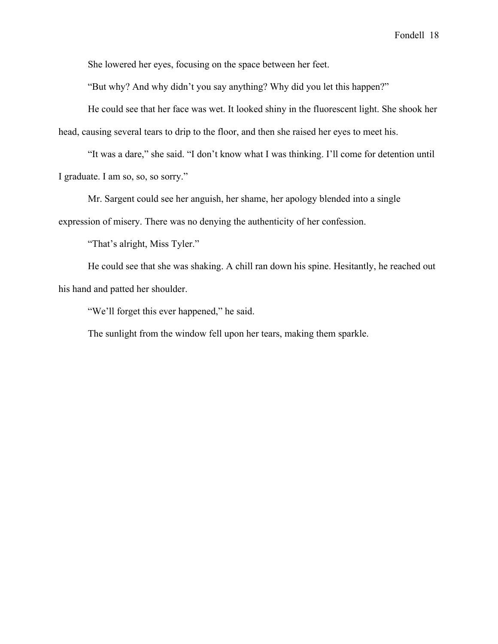She lowered her eyes, focusing on the space between her feet.

"But why? And why didn't you say anything? Why did you let this happen?"

He could see that her face was wet. It looked shiny in the fluorescent light. She shook her head, causing several tears to drip to the floor, and then she raised her eyes to meet his.

"It was a dare," she said. "I don't know what I was thinking. I'll come for detention until I graduate. I am so, so, so sorry."

Mr. Sargent could see her anguish, her shame, her apology blended into a single expression of misery. There was no denying the authenticity of her confession.

"That's alright, Miss Tyler."

He could see that she was shaking. A chill ran down his spine. Hesitantly, he reached out his hand and patted her shoulder.

"We'll forget this ever happened," he said.

The sunlight from the window fell upon her tears, making them sparkle.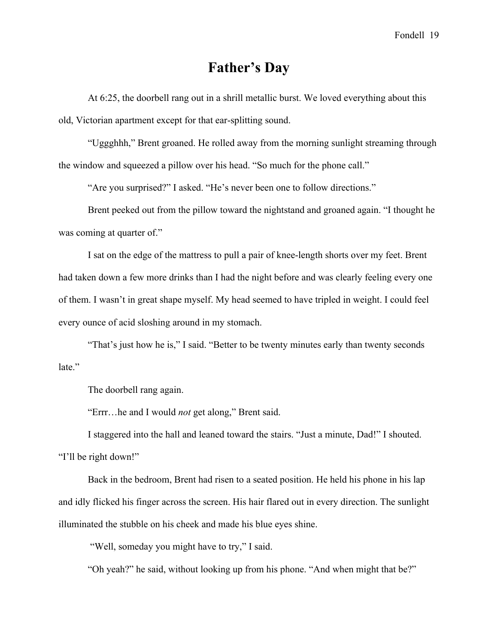## **Father's Day**

At 6:25, the doorbell rang out in a shrill metallic burst. We loved everything about this old, Victorian apartment except for that ear-splitting sound.

"Uggghhh," Brent groaned. He rolled away from the morning sunlight streaming through the window and squeezed a pillow over his head. "So much for the phone call."

"Are you surprised?" I asked. "He's never been one to follow directions."

Brent peeked out from the pillow toward the nightstand and groaned again. "I thought he was coming at quarter of."

I sat on the edge of the mattress to pull a pair of knee-length shorts over my feet. Brent had taken down a few more drinks than I had the night before and was clearly feeling every one of them. I wasn't in great shape myself. My head seemed to have tripled in weight. I could feel every ounce of acid sloshing around in my stomach.

"That's just how he is," I said. "Better to be twenty minutes early than twenty seconds late."

The doorbell rang again.

"Errr…he and I would *not* get along," Brent said.

I staggered into the hall and leaned toward the stairs. "Just a minute, Dad!" I shouted. "I'll be right down!"

Back in the bedroom, Brent had risen to a seated position. He held his phone in his lap and idly flicked his finger across the screen. His hair flared out in every direction. The sunlight illuminated the stubble on his cheek and made his blue eyes shine.

"Well, someday you might have to try," I said.

"Oh yeah?" he said, without looking up from his phone. "And when might that be?"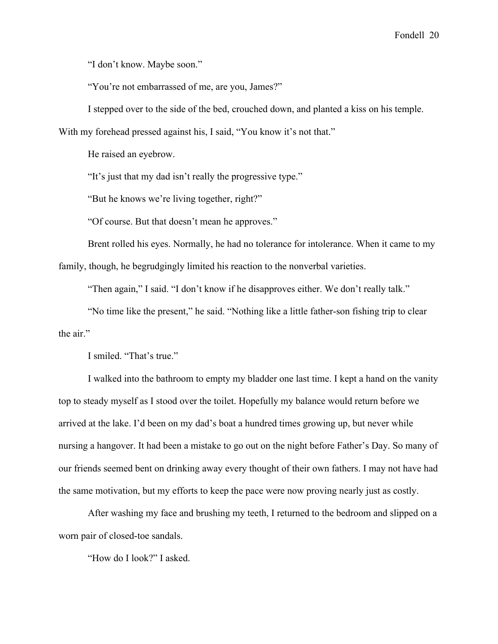"I don't know. Maybe soon."

"You're not embarrassed of me, are you, James?"

I stepped over to the side of the bed, crouched down, and planted a kiss on his temple.

With my forehead pressed against his, I said, "You know it's not that."

He raised an eyebrow.

"It's just that my dad isn't really the progressive type."

"But he knows we're living together, right?"

"Of course. But that doesn't mean he approves."

Brent rolled his eyes. Normally, he had no tolerance for intolerance. When it came to my family, though, he begrudgingly limited his reaction to the nonverbal varieties.

"Then again," I said. "I don't know if he disapproves either. We don't really talk."

"No time like the present," he said. "Nothing like a little father-son fishing trip to clear the air."

I smiled. "That's true."

I walked into the bathroom to empty my bladder one last time. I kept a hand on the vanity top to steady myself as I stood over the toilet. Hopefully my balance would return before we arrived at the lake. I'd been on my dad's boat a hundred times growing up, but never while nursing a hangover. It had been a mistake to go out on the night before Father's Day. So many of our friends seemed bent on drinking away every thought of their own fathers. I may not have had the same motivation, but my efforts to keep the pace were now proving nearly just as costly.

After washing my face and brushing my teeth, I returned to the bedroom and slipped on a worn pair of closed-toe sandals.

"How do I look?" I asked.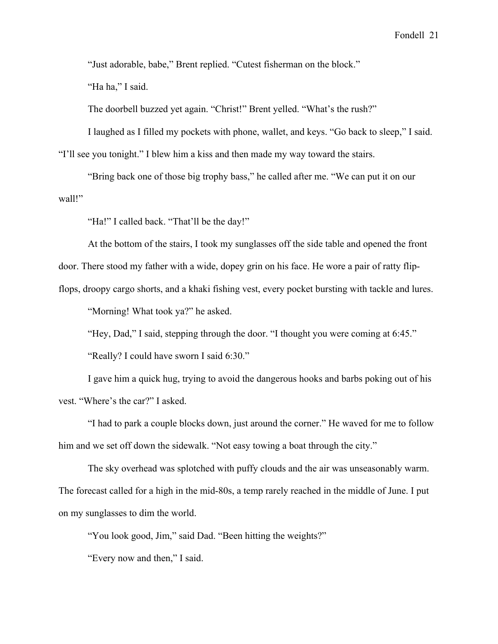"Just adorable, babe," Brent replied. "Cutest fisherman on the block."

"Ha ha," I said.

The doorbell buzzed yet again. "Christ!" Brent yelled. "What's the rush?"

I laughed as I filled my pockets with phone, wallet, and keys. "Go back to sleep," I said.

"I'll see you tonight." I blew him a kiss and then made my way toward the stairs.

"Bring back one of those big trophy bass," he called after me. "We can put it on our wall!"

"Ha!" I called back. "That'll be the day!"

At the bottom of the stairs, I took my sunglasses off the side table and opened the front door. There stood my father with a wide, dopey grin on his face. He wore a pair of ratty flipflops, droopy cargo shorts, and a khaki fishing vest, every pocket bursting with tackle and lures.

"Morning! What took ya?" he asked.

"Hey, Dad," I said, stepping through the door. "I thought you were coming at 6:45."

"Really? I could have sworn I said 6:30."

I gave him a quick hug, trying to avoid the dangerous hooks and barbs poking out of his vest. "Where's the car?" I asked.

"I had to park a couple blocks down, just around the corner." He waved for me to follow him and we set off down the sidewalk. "Not easy towing a boat through the city."

The sky overhead was splotched with puffy clouds and the air was unseasonably warm. The forecast called for a high in the mid-80s, a temp rarely reached in the middle of June. I put on my sunglasses to dim the world.

"You look good, Jim," said Dad. "Been hitting the weights?"

"Every now and then," I said.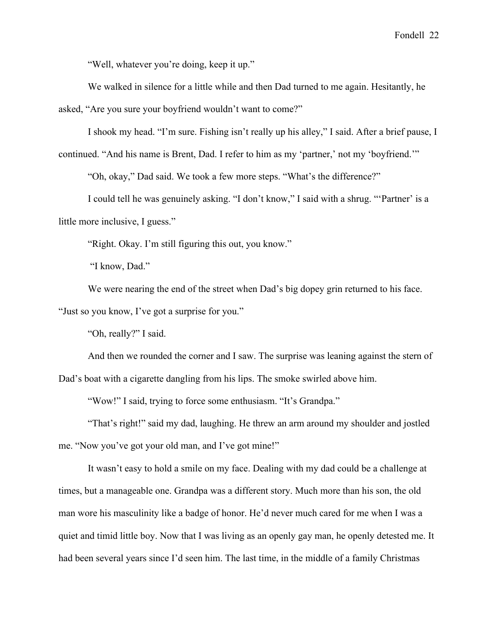"Well, whatever you're doing, keep it up."

We walked in silence for a little while and then Dad turned to me again. Hesitantly, he

asked, "Are you sure your boyfriend wouldn't want to come?"

I shook my head. "I'm sure. Fishing isn't really up his alley," I said. After a brief pause, I

continued. "And his name is Brent, Dad. I refer to him as my 'partner,' not my 'boyfriend.'"

"Oh, okay," Dad said. We took a few more steps. "What's the difference?"

I could tell he was genuinely asking. "I don't know," I said with a shrug. "'Partner' is a little more inclusive, I guess."

"Right. Okay. I'm still figuring this out, you know."

"I know, Dad."

We were nearing the end of the street when Dad's big dopey grin returned to his face. "Just so you know, I've got a surprise for you."

"Oh, really?" I said.

And then we rounded the corner and I saw. The surprise was leaning against the stern of Dad's boat with a cigarette dangling from his lips. The smoke swirled above him.

"Wow!" I said, trying to force some enthusiasm. "It's Grandpa."

"That's right!" said my dad, laughing. He threw an arm around my shoulder and jostled me. "Now you've got your old man, and I've got mine!"

It wasn't easy to hold a smile on my face. Dealing with my dad could be a challenge at times, but a manageable one. Grandpa was a different story. Much more than his son, the old man wore his masculinity like a badge of honor. He'd never much cared for me when I was a quiet and timid little boy. Now that I was living as an openly gay man, he openly detested me. It had been several years since I'd seen him. The last time, in the middle of a family Christmas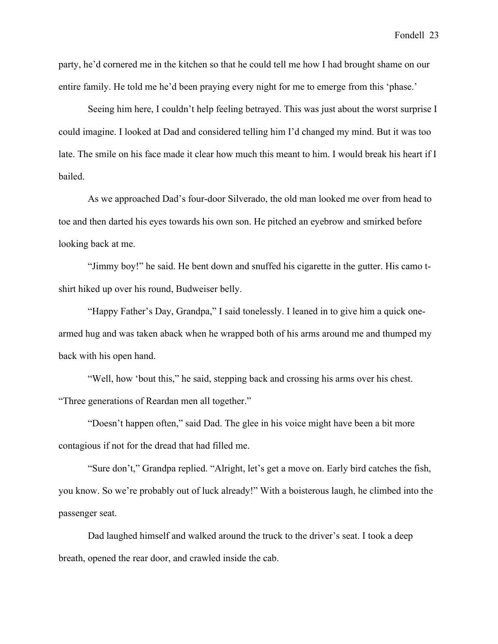party, he'd cornered me in the kitchen so that he could tell me how I had brought shame on our entire family. He told me he'd been praying every night for me to emerge from this 'phase.'

Seeing him here, I couldn't help feeling betrayed. This was just about the worst surprise I could imagine. I looked at Dad and considered telling him I'd changed my mind. But it was too late. The smile on his face made it clear how much this meant to him. I would break his heart if I bailed.

As we approached Dad's four-door Silverado, the old man looked me over from head to toe and then darted his eyes towards his own son. He pitched an eyebrow and smirked before looking back at me.

"Jimmy boy!" he said. He bent down and snuffed his cigarette in the gutter. His camo tshirt hiked up over his round, Budweiser belly.

"Happy Father's Day, Grandpa," I said tonelessly. I leaned in to give him a quick onearmed hug and was taken aback when he wrapped both of his arms around me and thumped my back with his open hand.

"Well, how 'bout this," he said, stepping back and crossing his arms over his chest. "Three generations of Reardan men all together."

"Doesn't happen often," said Dad. The glee in his voice might have been a bit more contagious if not for the dread that had filled me.

"Sure don't," Grandpa replied. "Alright, let's get a move on. Early bird catches the fish, you know. So we're probably out of luck already!" With a boisterous laugh, he climbed into the passenger seat.

Dad laughed himself and walked around the truck to the driver's seat. I took a deep breath, opened the rear door, and crawled inside the cab.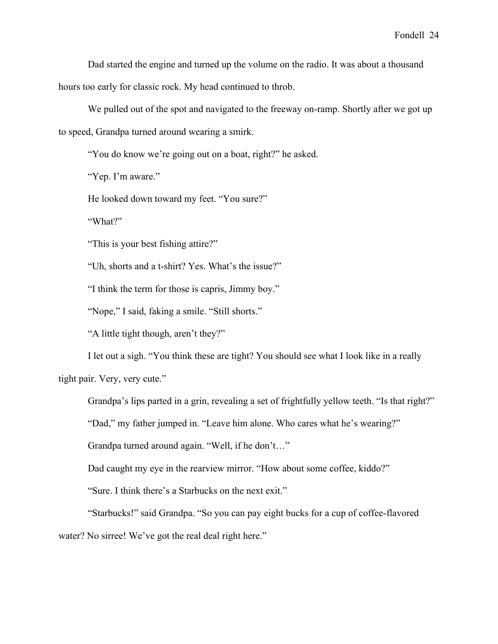Dad started the engine and turned up the volume on the radio. It was about a thousand hours too early for classic rock. My head continued to throb.

We pulled out of the spot and navigated to the freeway on-ramp. Shortly after we got up to speed, Grandpa turned around wearing a smirk.

"You do know we're going out on a boat, right?" he asked.

"Yep. I'm aware."

He looked down toward my feet. "You sure?"

"What?"

"This is your best fishing attire?"

"Uh, shorts and a t-shirt? Yes. What's the issue?"

"I think the term for those is capris, Jimmy boy."

"Nope," I said, faking a smile. "Still shorts."

"A little tight though, aren't they?"

I let out a sigh. "You think these are tight? You should see what I look like in a really tight pair. Very, very cute."

Grandpa's lips parted in a grin, revealing a set of frightfully yellow teeth. "Is that right?"

"Dad," my father jumped in. "Leave him alone. Who cares what he's wearing?"

Grandpa turned around again. "Well, if he don't…"

Dad caught my eye in the rearview mirror. "How about some coffee, kiddo?"

"Sure. I think there's a Starbucks on the next exit."

"Starbucks!" said Grandpa. "So you can pay eight bucks for a cup of coffee-flavored water? No sirree! We've got the real deal right here."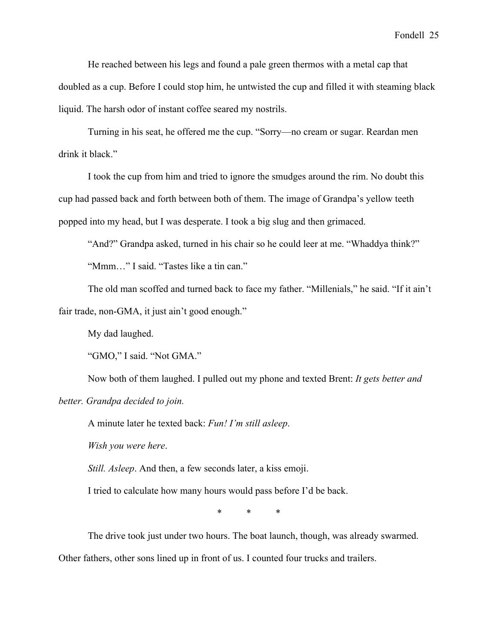He reached between his legs and found a pale green thermos with a metal cap that doubled as a cup. Before I could stop him, he untwisted the cup and filled it with steaming black liquid. The harsh odor of instant coffee seared my nostrils.

Turning in his seat, he offered me the cup. "Sorry—no cream or sugar. Reardan men drink it black."

I took the cup from him and tried to ignore the smudges around the rim. No doubt this cup had passed back and forth between both of them. The image of Grandpa's yellow teeth popped into my head, but I was desperate. I took a big slug and then grimaced.

"And?" Grandpa asked, turned in his chair so he could leer at me. "Whaddya think?"

"Mmm…" I said. "Tastes like a tin can."

The old man scoffed and turned back to face my father. "Millenials," he said. "If it ain't fair trade, non-GMA, it just ain't good enough."

My dad laughed.

"GMO," I said. "Not GMA."

Now both of them laughed. I pulled out my phone and texted Brent: *It gets better and* 

*better. Grandpa decided to join.*

A minute later he texted back: *Fun! I'm still asleep*.

*Wish you were here*.

*Still. Asleep*. And then, a few seconds later, a kiss emoji.

I tried to calculate how many hours would pass before I'd be back.

\* \* \*

The drive took just under two hours. The boat launch, though, was already swarmed.

Other fathers, other sons lined up in front of us. I counted four trucks and trailers.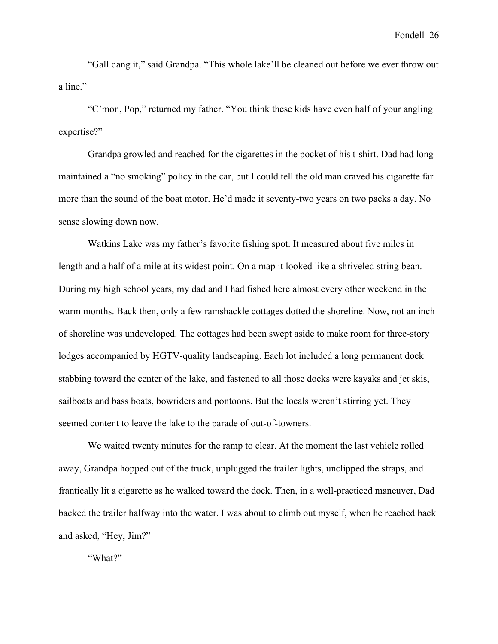"Gall dang it," said Grandpa. "This whole lake'll be cleaned out before we ever throw out a line."

"C'mon, Pop," returned my father. "You think these kids have even half of your angling expertise?"

Grandpa growled and reached for the cigarettes in the pocket of his t-shirt. Dad had long maintained a "no smoking" policy in the car, but I could tell the old man craved his cigarette far more than the sound of the boat motor. He'd made it seventy-two years on two packs a day. No sense slowing down now.

Watkins Lake was my father's favorite fishing spot. It measured about five miles in length and a half of a mile at its widest point. On a map it looked like a shriveled string bean. During my high school years, my dad and I had fished here almost every other weekend in the warm months. Back then, only a few ramshackle cottages dotted the shoreline. Now, not an inch of shoreline was undeveloped. The cottages had been swept aside to make room for three-story lodges accompanied by HGTV-quality landscaping. Each lot included a long permanent dock stabbing toward the center of the lake, and fastened to all those docks were kayaks and jet skis, sailboats and bass boats, bowriders and pontoons. But the locals weren't stirring yet. They seemed content to leave the lake to the parade of out-of-towners.

We waited twenty minutes for the ramp to clear. At the moment the last vehicle rolled away, Grandpa hopped out of the truck, unplugged the trailer lights, unclipped the straps, and frantically lit a cigarette as he walked toward the dock. Then, in a well-practiced maneuver, Dad backed the trailer halfway into the water. I was about to climb out myself, when he reached back and asked, "Hey, Jim?"

"What?"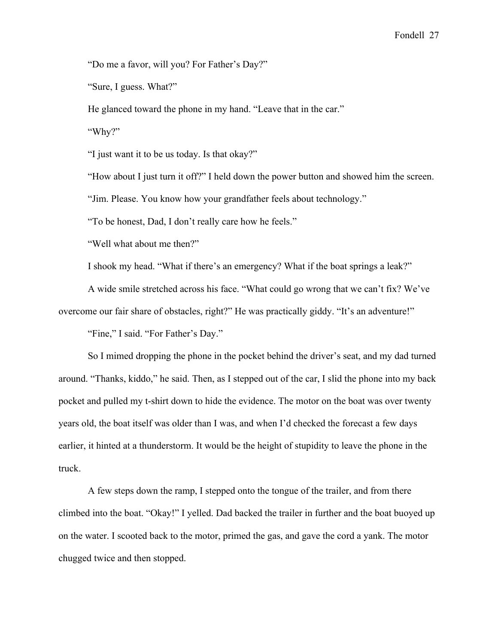"Do me a favor, will you? For Father's Day?"

"Sure, I guess. What?"

He glanced toward the phone in my hand. "Leave that in the car."

"Why?"

"I just want it to be us today. Is that okay?"

"How about I just turn it off?" I held down the power button and showed him the screen.

"Jim. Please. You know how your grandfather feels about technology."

"To be honest, Dad, I don't really care how he feels."

"Well what about me then?"

I shook my head. "What if there's an emergency? What if the boat springs a leak?"

A wide smile stretched across his face. "What could go wrong that we can't fix? We've overcome our fair share of obstacles, right?" He was practically giddy. "It's an adventure!"

"Fine," I said. "For Father's Day."

So I mimed dropping the phone in the pocket behind the driver's seat, and my dad turned around. "Thanks, kiddo," he said. Then, as I stepped out of the car, I slid the phone into my back pocket and pulled my t-shirt down to hide the evidence. The motor on the boat was over twenty years old, the boat itself was older than I was, and when I'd checked the forecast a few days earlier, it hinted at a thunderstorm. It would be the height of stupidity to leave the phone in the truck.

A few steps down the ramp, I stepped onto the tongue of the trailer, and from there climbed into the boat. "Okay!" I yelled. Dad backed the trailer in further and the boat buoyed up on the water. I scooted back to the motor, primed the gas, and gave the cord a yank. The motor chugged twice and then stopped.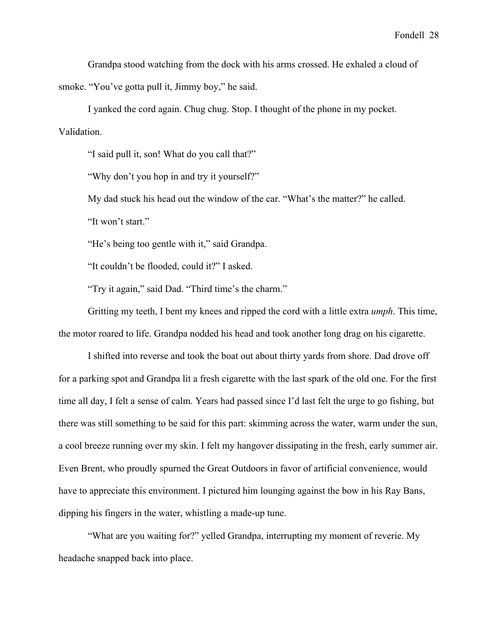Grandpa stood watching from the dock with his arms crossed. He exhaled a cloud of smoke. "You've gotta pull it, Jimmy boy," he said.

I yanked the cord again. Chug chug. Stop. I thought of the phone in my pocket. Validation.

"I said pull it, son! What do you call that?"

"Why don't you hop in and try it yourself?"

My dad stuck his head out the window of the car. "What's the matter?" he called.

"It won't start."

"He's being too gentle with it," said Grandpa.

"It couldn't be flooded, could it?" I asked.

"Try it again," said Dad. "Third time's the charm."

Gritting my teeth, I bent my knees and ripped the cord with a little extra *umph*. This time, the motor roared to life. Grandpa nodded his head and took another long drag on his cigarette.

I shifted into reverse and took the boat out about thirty yards from shore. Dad drove off for a parking spot and Grandpa lit a fresh cigarette with the last spark of the old one. For the first time all day, I felt a sense of calm. Years had passed since I'd last felt the urge to go fishing, but there was still something to be said for this part: skimming across the water, warm under the sun, a cool breeze running over my skin. I felt my hangover dissipating in the fresh, early summer air. Even Brent, who proudly spurned the Great Outdoors in favor of artificial convenience, would have to appreciate this environment. I pictured him lounging against the bow in his Ray Bans, dipping his fingers in the water, whistling a made-up tune.

"What are you waiting for?" yelled Grandpa, interrupting my moment of reverie. My headache snapped back into place.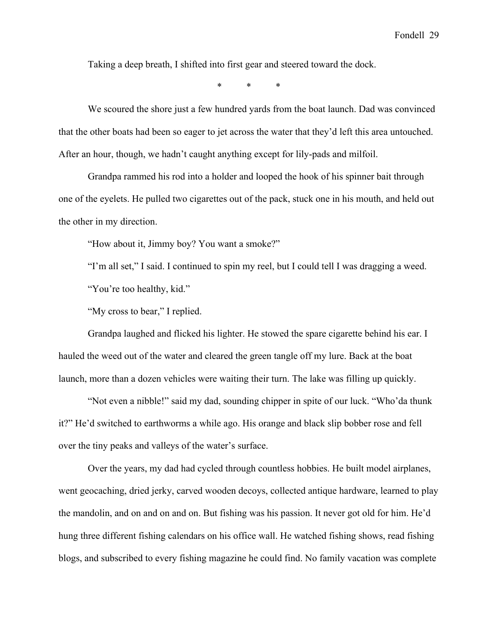Taking a deep breath, I shifted into first gear and steered toward the dock.

\* \* \*

We scoured the shore just a few hundred yards from the boat launch. Dad was convinced that the other boats had been so eager to jet across the water that they'd left this area untouched. After an hour, though, we hadn't caught anything except for lily-pads and milfoil.

Grandpa rammed his rod into a holder and looped the hook of his spinner bait through one of the eyelets. He pulled two cigarettes out of the pack, stuck one in his mouth, and held out the other in my direction.

"How about it, Jimmy boy? You want a smoke?"

"I'm all set," I said. I continued to spin my reel, but I could tell I was dragging a weed. "You're too healthy, kid."

"My cross to bear," I replied.

Grandpa laughed and flicked his lighter. He stowed the spare cigarette behind his ear. I hauled the weed out of the water and cleared the green tangle off my lure. Back at the boat launch, more than a dozen vehicles were waiting their turn. The lake was filling up quickly.

"Not even a nibble!" said my dad, sounding chipper in spite of our luck. "Who'da thunk it?" He'd switched to earthworms a while ago. His orange and black slip bobber rose and fell over the tiny peaks and valleys of the water's surface.

Over the years, my dad had cycled through countless hobbies. He built model airplanes, went geocaching, dried jerky, carved wooden decoys, collected antique hardware, learned to play the mandolin, and on and on and on. But fishing was his passion. It never got old for him. He'd hung three different fishing calendars on his office wall. He watched fishing shows, read fishing blogs, and subscribed to every fishing magazine he could find. No family vacation was complete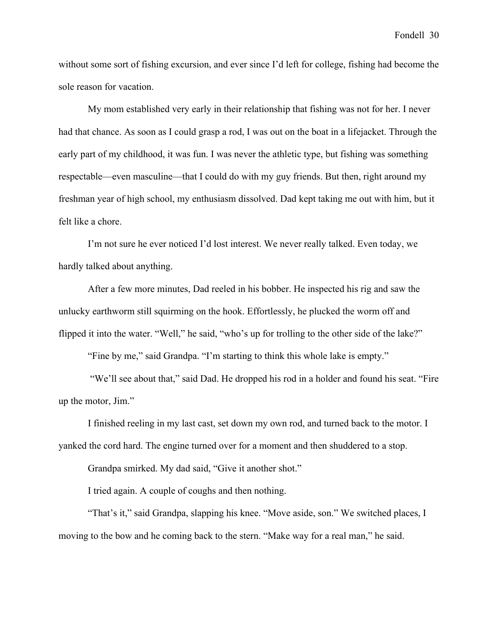without some sort of fishing excursion, and ever since I'd left for college, fishing had become the sole reason for vacation.

My mom established very early in their relationship that fishing was not for her. I never had that chance. As soon as I could grasp a rod, I was out on the boat in a lifejacket. Through the early part of my childhood, it was fun. I was never the athletic type, but fishing was something respectable—even masculine—that I could do with my guy friends. But then, right around my freshman year of high school, my enthusiasm dissolved. Dad kept taking me out with him, but it felt like a chore.

I'm not sure he ever noticed I'd lost interest. We never really talked. Even today, we hardly talked about anything.

After a few more minutes, Dad reeled in his bobber. He inspected his rig and saw the unlucky earthworm still squirming on the hook. Effortlessly, he plucked the worm off and flipped it into the water. "Well," he said, "who's up for trolling to the other side of the lake?"

"Fine by me," said Grandpa. "I'm starting to think this whole lake is empty."

"We'll see about that," said Dad. He dropped his rod in a holder and found his seat. "Fire up the motor, Jim."

I finished reeling in my last cast, set down my own rod, and turned back to the motor. I yanked the cord hard. The engine turned over for a moment and then shuddered to a stop.

Grandpa smirked. My dad said, "Give it another shot."

I tried again. A couple of coughs and then nothing.

"That's it," said Grandpa, slapping his knee. "Move aside, son." We switched places, I moving to the bow and he coming back to the stern. "Make way for a real man," he said.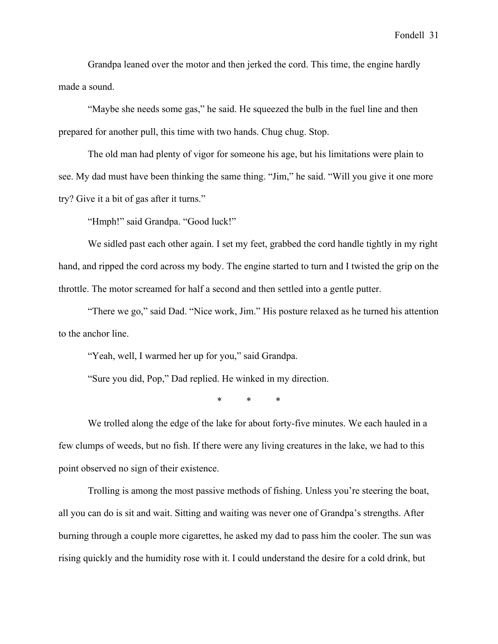Grandpa leaned over the motor and then jerked the cord. This time, the engine hardly made a sound.

"Maybe she needs some gas," he said. He squeezed the bulb in the fuel line and then prepared for another pull, this time with two hands. Chug chug. Stop.

The old man had plenty of vigor for someone his age, but his limitations were plain to see. My dad must have been thinking the same thing. "Jim," he said. "Will you give it one more try? Give it a bit of gas after it turns."

"Hmph!" said Grandpa. "Good luck!"

We sidled past each other again. I set my feet, grabbed the cord handle tightly in my right hand, and ripped the cord across my body. The engine started to turn and I twisted the grip on the throttle. The motor screamed for half a second and then settled into a gentle putter.

"There we go," said Dad. "Nice work, Jim." His posture relaxed as he turned his attention to the anchor line.

"Yeah, well, I warmed her up for you," said Grandpa.

"Sure you did, Pop," Dad replied. He winked in my direction.

\* \* \*

We trolled along the edge of the lake for about forty-five minutes. We each hauled in a few clumps of weeds, but no fish. If there were any living creatures in the lake, we had to this point observed no sign of their existence.

Trolling is among the most passive methods of fishing. Unless you're steering the boat, all you can do is sit and wait. Sitting and waiting was never one of Grandpa's strengths. After burning through a couple more cigarettes, he asked my dad to pass him the cooler. The sun was rising quickly and the humidity rose with it. I could understand the desire for a cold drink, but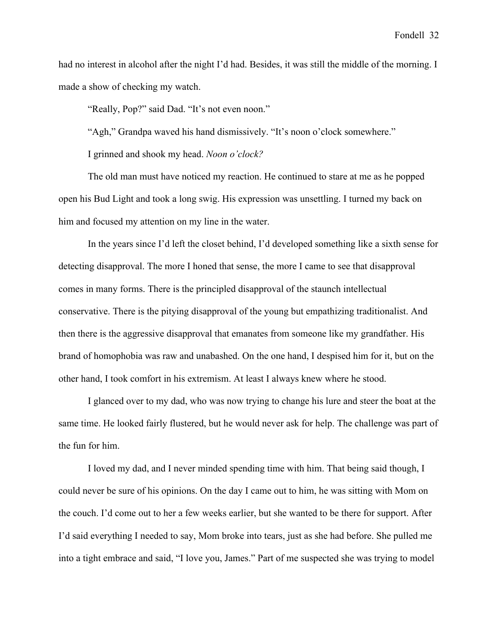had no interest in alcohol after the night I'd had. Besides, it was still the middle of the morning. I made a show of checking my watch.

"Really, Pop?" said Dad. "It's not even noon."

"Agh," Grandpa waved his hand dismissively. "It's noon o'clock somewhere."

I grinned and shook my head. *Noon o'clock?*

The old man must have noticed my reaction. He continued to stare at me as he popped open his Bud Light and took a long swig. His expression was unsettling. I turned my back on him and focused my attention on my line in the water.

In the years since I'd left the closet behind, I'd developed something like a sixth sense for detecting disapproval. The more I honed that sense, the more I came to see that disapproval comes in many forms. There is the principled disapproval of the staunch intellectual conservative. There is the pitying disapproval of the young but empathizing traditionalist. And then there is the aggressive disapproval that emanates from someone like my grandfather. His brand of homophobia was raw and unabashed. On the one hand, I despised him for it, but on the other hand, I took comfort in his extremism. At least I always knew where he stood.

I glanced over to my dad, who was now trying to change his lure and steer the boat at the same time. He looked fairly flustered, but he would never ask for help. The challenge was part of the fun for him.

I loved my dad, and I never minded spending time with him. That being said though, I could never be sure of his opinions. On the day I came out to him, he was sitting with Mom on the couch. I'd come out to her a few weeks earlier, but she wanted to be there for support. After I'd said everything I needed to say, Mom broke into tears, just as she had before. She pulled me into a tight embrace and said, "I love you, James." Part of me suspected she was trying to model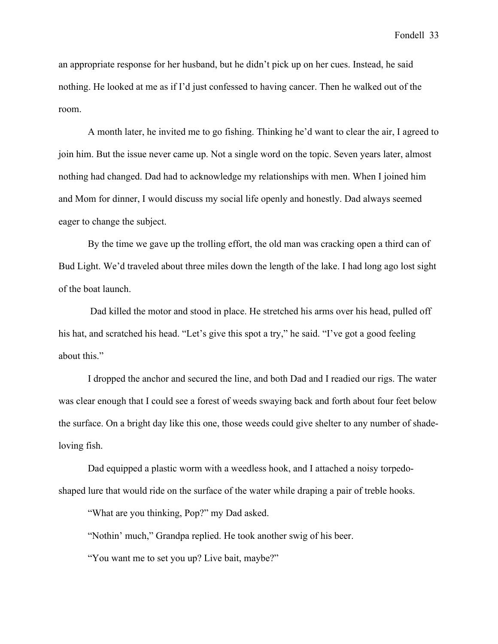an appropriate response for her husband, but he didn't pick up on her cues. Instead, he said nothing. He looked at me as if I'd just confessed to having cancer. Then he walked out of the room.

A month later, he invited me to go fishing. Thinking he'd want to clear the air, I agreed to join him. But the issue never came up. Not a single word on the topic. Seven years later, almost nothing had changed. Dad had to acknowledge my relationships with men. When I joined him and Mom for dinner, I would discuss my social life openly and honestly. Dad always seemed eager to change the subject.

By the time we gave up the trolling effort, the old man was cracking open a third can of Bud Light. We'd traveled about three miles down the length of the lake. I had long ago lost sight of the boat launch.

Dad killed the motor and stood in place. He stretched his arms over his head, pulled off his hat, and scratched his head. "Let's give this spot a try," he said. "I've got a good feeling about this."

I dropped the anchor and secured the line, and both Dad and I readied our rigs. The water was clear enough that I could see a forest of weeds swaying back and forth about four feet below the surface. On a bright day like this one, those weeds could give shelter to any number of shadeloving fish.

Dad equipped a plastic worm with a weedless hook, and I attached a noisy torpedoshaped lure that would ride on the surface of the water while draping a pair of treble hooks.

"What are you thinking, Pop?" my Dad asked.

"Nothin' much," Grandpa replied. He took another swig of his beer.

"You want me to set you up? Live bait, maybe?"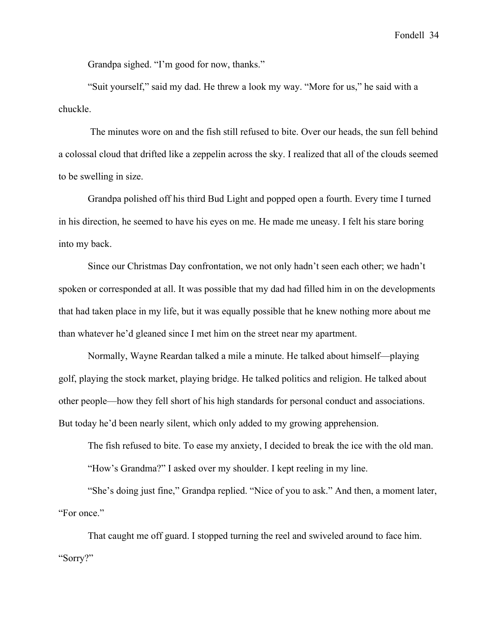Grandpa sighed. "I'm good for now, thanks."

"Suit yourself," said my dad. He threw a look my way. "More for us," he said with a chuckle.

The minutes wore on and the fish still refused to bite. Over our heads, the sun fell behind a colossal cloud that drifted like a zeppelin across the sky. I realized that all of the clouds seemed to be swelling in size.

Grandpa polished off his third Bud Light and popped open a fourth. Every time I turned in his direction, he seemed to have his eyes on me. He made me uneasy. I felt his stare boring into my back.

Since our Christmas Day confrontation, we not only hadn't seen each other; we hadn't spoken or corresponded at all. It was possible that my dad had filled him in on the developments that had taken place in my life, but it was equally possible that he knew nothing more about me than whatever he'd gleaned since I met him on the street near my apartment.

Normally, Wayne Reardan talked a mile a minute. He talked about himself—playing golf, playing the stock market, playing bridge. He talked politics and religion. He talked about other people—how they fell short of his high standards for personal conduct and associations. But today he'd been nearly silent, which only added to my growing apprehension.

The fish refused to bite. To ease my anxiety, I decided to break the ice with the old man. "How's Grandma?" I asked over my shoulder. I kept reeling in my line.

"She's doing just fine," Grandpa replied. "Nice of you to ask." And then, a moment later, "For once."

That caught me off guard. I stopped turning the reel and swiveled around to face him. "Sorry?"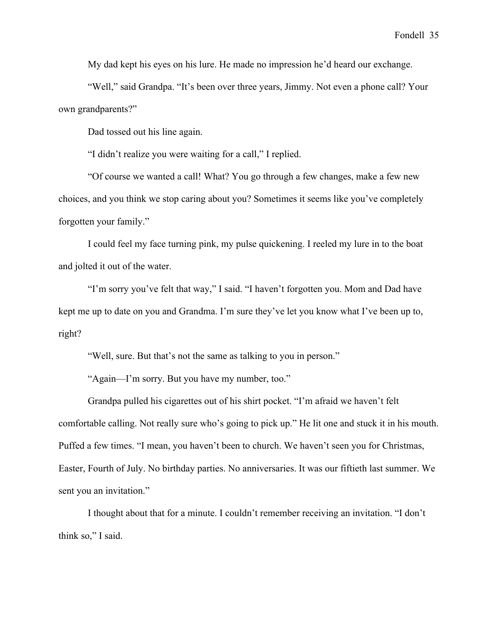My dad kept his eyes on his lure. He made no impression he'd heard our exchange.

"Well," said Grandpa. "It's been over three years, Jimmy. Not even a phone call? Your own grandparents?"

Dad tossed out his line again.

"I didn't realize you were waiting for a call," I replied.

"Of course we wanted a call! What? You go through a few changes, make a few new choices, and you think we stop caring about you? Sometimes it seems like you've completely forgotten your family."

I could feel my face turning pink, my pulse quickening. I reeled my lure in to the boat and jolted it out of the water.

"I'm sorry you've felt that way," I said. "I haven't forgotten you. Mom and Dad have kept me up to date on you and Grandma. I'm sure they've let you know what I've been up to, right?

"Well, sure. But that's not the same as talking to you in person."

"Again—I'm sorry. But you have my number, too."

Grandpa pulled his cigarettes out of his shirt pocket. "I'm afraid we haven't felt comfortable calling. Not really sure who's going to pick up." He lit one and stuck it in his mouth. Puffed a few times. "I mean, you haven't been to church. We haven't seen you for Christmas, Easter, Fourth of July. No birthday parties. No anniversaries. It was our fiftieth last summer. We sent you an invitation."

I thought about that for a minute. I couldn't remember receiving an invitation. "I don't think so," I said.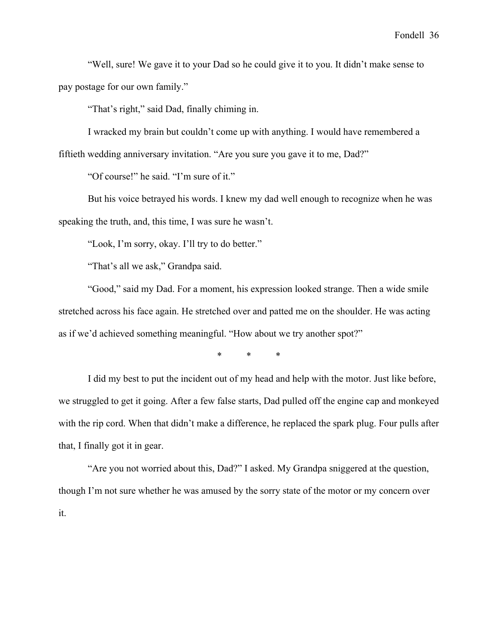"Well, sure! We gave it to your Dad so he could give it to you. It didn't make sense to pay postage for our own family."

"That's right," said Dad, finally chiming in.

I wracked my brain but couldn't come up with anything. I would have remembered a fiftieth wedding anniversary invitation. "Are you sure you gave it to me, Dad?"

"Of course!" he said. "I'm sure of it."

But his voice betrayed his words. I knew my dad well enough to recognize when he was speaking the truth, and, this time, I was sure he wasn't.

"Look, I'm sorry, okay. I'll try to do better."

"That's all we ask," Grandpa said.

"Good," said my Dad. For a moment, his expression looked strange. Then a wide smile stretched across his face again. He stretched over and patted me on the shoulder. He was acting as if we'd achieved something meaningful. "How about we try another spot?"

\* \* \*

I did my best to put the incident out of my head and help with the motor. Just like before, we struggled to get it going. After a few false starts, Dad pulled off the engine cap and monkeyed with the rip cord. When that didn't make a difference, he replaced the spark plug. Four pulls after that, I finally got it in gear.

"Are you not worried about this, Dad?" I asked. My Grandpa sniggered at the question, though I'm not sure whether he was amused by the sorry state of the motor or my concern over it.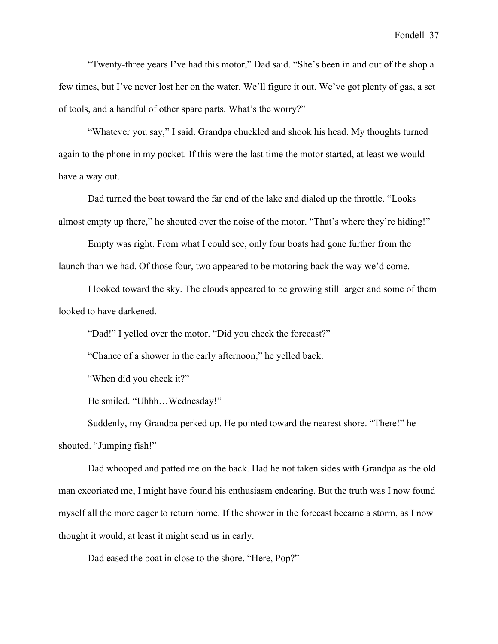"Twenty-three years I've had this motor," Dad said. "She's been in and out of the shop a few times, but I've never lost her on the water. We'll figure it out. We've got plenty of gas, a set of tools, and a handful of other spare parts. What's the worry?"

"Whatever you say," I said. Grandpa chuckled and shook his head. My thoughts turned again to the phone in my pocket. If this were the last time the motor started, at least we would have a way out.

Dad turned the boat toward the far end of the lake and dialed up the throttle. "Looks almost empty up there," he shouted over the noise of the motor. "That's where they're hiding!"

Empty was right. From what I could see, only four boats had gone further from the launch than we had. Of those four, two appeared to be motoring back the way we'd come.

I looked toward the sky. The clouds appeared to be growing still larger and some of them looked to have darkened.

"Dad!" I yelled over the motor. "Did you check the forecast?"

"Chance of a shower in the early afternoon," he yelled back.

"When did you check it?"

He smiled. "Uhhh…Wednesday!"

Suddenly, my Grandpa perked up. He pointed toward the nearest shore. "There!" he shouted. "Jumping fish!"

Dad whooped and patted me on the back. Had he not taken sides with Grandpa as the old man excoriated me, I might have found his enthusiasm endearing. But the truth was I now found myself all the more eager to return home. If the shower in the forecast became a storm, as I now thought it would, at least it might send us in early.

Dad eased the boat in close to the shore. "Here, Pop?"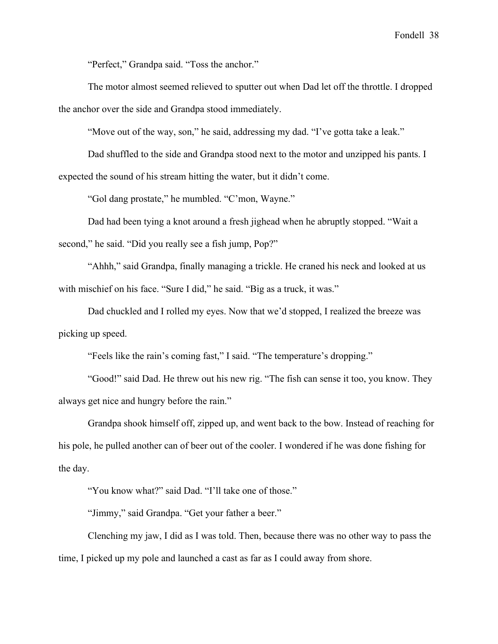"Perfect," Grandpa said. "Toss the anchor."

The motor almost seemed relieved to sputter out when Dad let off the throttle. I dropped the anchor over the side and Grandpa stood immediately.

"Move out of the way, son," he said, addressing my dad. "I've gotta take a leak."

Dad shuffled to the side and Grandpa stood next to the motor and unzipped his pants. I expected the sound of his stream hitting the water, but it didn't come.

"Gol dang prostate," he mumbled. "C'mon, Wayne."

Dad had been tying a knot around a fresh jighead when he abruptly stopped. "Wait a second," he said. "Did you really see a fish jump, Pop?"

"Ahhh," said Grandpa, finally managing a trickle. He craned his neck and looked at us with mischief on his face. "Sure I did," he said. "Big as a truck, it was."

Dad chuckled and I rolled my eyes. Now that we'd stopped, I realized the breeze was picking up speed.

"Feels like the rain's coming fast," I said. "The temperature's dropping."

"Good!" said Dad. He threw out his new rig. "The fish can sense it too, you know. They always get nice and hungry before the rain."

Grandpa shook himself off, zipped up, and went back to the bow. Instead of reaching for his pole, he pulled another can of beer out of the cooler. I wondered if he was done fishing for the day.

"You know what?" said Dad. "I'll take one of those."

"Jimmy," said Grandpa. "Get your father a beer."

Clenching my jaw, I did as I was told. Then, because there was no other way to pass the time, I picked up my pole and launched a cast as far as I could away from shore.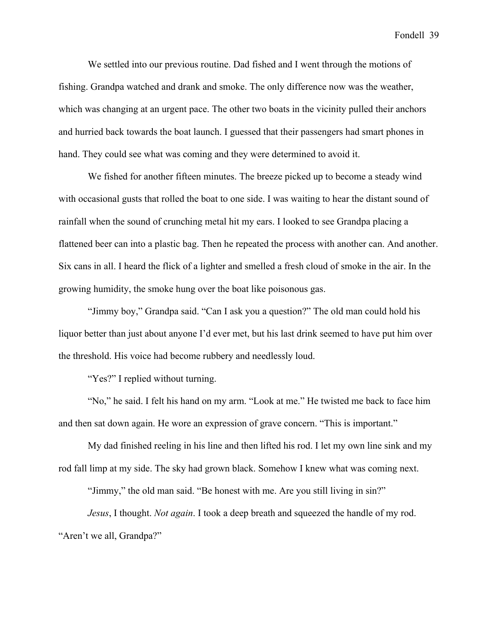We settled into our previous routine. Dad fished and I went through the motions of fishing. Grandpa watched and drank and smoke. The only difference now was the weather, which was changing at an urgent pace. The other two boats in the vicinity pulled their anchors and hurried back towards the boat launch. I guessed that their passengers had smart phones in hand. They could see what was coming and they were determined to avoid it.

We fished for another fifteen minutes. The breeze picked up to become a steady wind with occasional gusts that rolled the boat to one side. I was waiting to hear the distant sound of rainfall when the sound of crunching metal hit my ears. I looked to see Grandpa placing a flattened beer can into a plastic bag. Then he repeated the process with another can. And another. Six cans in all. I heard the flick of a lighter and smelled a fresh cloud of smoke in the air. In the growing humidity, the smoke hung over the boat like poisonous gas.

"Jimmy boy," Grandpa said. "Can I ask you a question?" The old man could hold his liquor better than just about anyone I'd ever met, but his last drink seemed to have put him over the threshold. His voice had become rubbery and needlessly loud.

"Yes?" I replied without turning.

"No," he said. I felt his hand on my arm. "Look at me." He twisted me back to face him and then sat down again. He wore an expression of grave concern. "This is important."

My dad finished reeling in his line and then lifted his rod. I let my own line sink and my rod fall limp at my side. The sky had grown black. Somehow I knew what was coming next.

"Jimmy," the old man said. "Be honest with me. Are you still living in sin?"

*Jesus*, I thought. *Not again*. I took a deep breath and squeezed the handle of my rod. "Aren't we all, Grandpa?"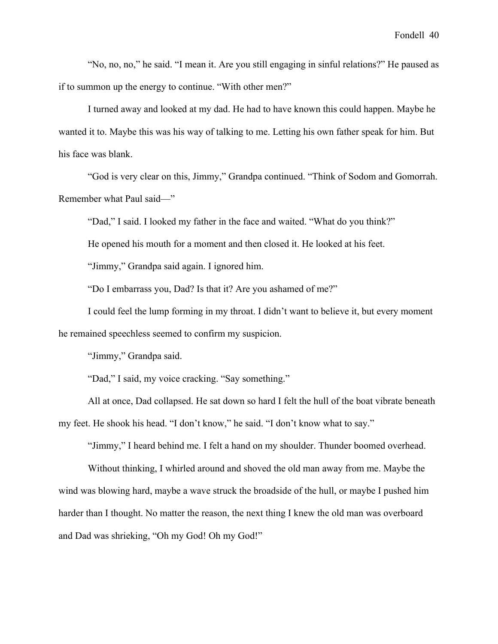"No, no, no," he said. "I mean it. Are you still engaging in sinful relations?" He paused as if to summon up the energy to continue. "With other men?"

I turned away and looked at my dad. He had to have known this could happen. Maybe he wanted it to. Maybe this was his way of talking to me. Letting his own father speak for him. But his face was blank.

"God is very clear on this, Jimmy," Grandpa continued. "Think of Sodom and Gomorrah. Remember what Paul said—"

"Dad," I said. I looked my father in the face and waited. "What do you think?"

He opened his mouth for a moment and then closed it. He looked at his feet.

"Jimmy," Grandpa said again. I ignored him.

"Do I embarrass you, Dad? Is that it? Are you ashamed of me?"

I could feel the lump forming in my throat. I didn't want to believe it, but every moment he remained speechless seemed to confirm my suspicion.

"Jimmy," Grandpa said.

"Dad," I said, my voice cracking. "Say something."

All at once, Dad collapsed. He sat down so hard I felt the hull of the boat vibrate beneath my feet. He shook his head. "I don't know," he said. "I don't know what to say."

"Jimmy," I heard behind me. I felt a hand on my shoulder. Thunder boomed overhead.

Without thinking, I whirled around and shoved the old man away from me. Maybe the wind was blowing hard, maybe a wave struck the broadside of the hull, or maybe I pushed him harder than I thought. No matter the reason, the next thing I knew the old man was overboard and Dad was shrieking, "Oh my God! Oh my God!"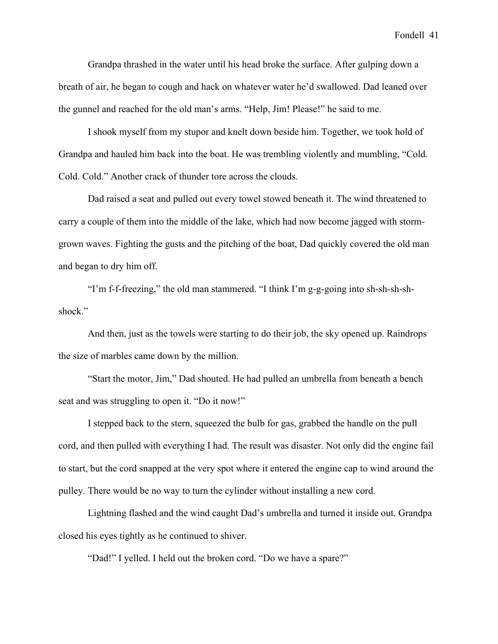Grandpa thrashed in the water until his head broke the surface. After gulping down a breath of air, he began to cough and hack on whatever water he'd swallowed. Dad leaned over the gunnel and reached for the old man's arms. "Help, Jim! Please!" he said to me.

I shook myself from my stupor and knelt down beside him. Together, we took hold of Grandpa and hauled him back into the boat. He was trembling violently and mumbling, "Cold. Cold. Cold." Another crack of thunder tore across the clouds.

Dad raised a seat and pulled out every towel stowed beneath it. The wind threatened to carry a couple of them into the middle of the lake, which had now become jagged with stormgrown waves. Fighting the gusts and the pitching of the boat, Dad quickly covered the old man and began to dry him off.

"I'm f-f-freezing," the old man stammered. "I think I'm g-g-going into sh-sh-sh-shshock."

And then, just as the towels were starting to do their job, the sky opened up. Raindrops the size of marbles came down by the million.

"Start the motor, Jim," Dad shouted. He had pulled an umbrella from beneath a bench seat and was struggling to open it. "Do it now!"

I stepped back to the stern, squeezed the bulb for gas, grabbed the handle on the pull cord, and then pulled with everything I had. The result was disaster. Not only did the engine fail to start, but the cord snapped at the very spot where it entered the engine cap to wind around the pulley. There would be no way to turn the cylinder without installing a new cord.

Lightning flashed and the wind caught Dad's umbrella and turned it inside out. Grandpa closed his eyes tightly as he continued to shiver.

"Dad!" I yelled. I held out the broken cord. "Do we have a spare?"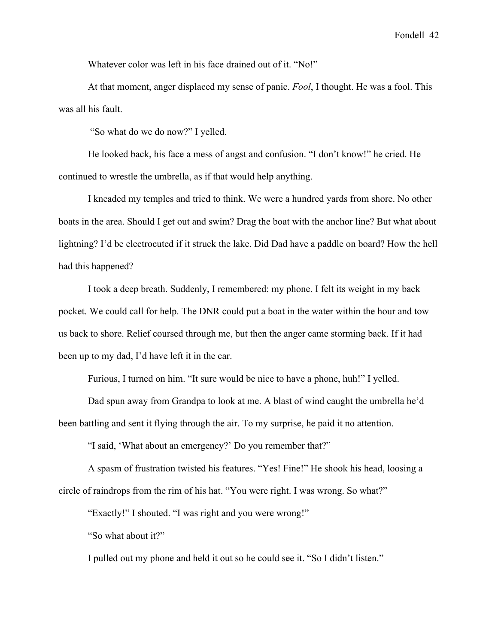Whatever color was left in his face drained out of it. "No!"

At that moment, anger displaced my sense of panic. *Fool*, I thought. He was a fool. This was all his fault.

"So what do we do now?" I yelled.

He looked back, his face a mess of angst and confusion. "I don't know!" he cried. He continued to wrestle the umbrella, as if that would help anything.

I kneaded my temples and tried to think. We were a hundred yards from shore. No other boats in the area. Should I get out and swim? Drag the boat with the anchor line? But what about lightning? I'd be electrocuted if it struck the lake. Did Dad have a paddle on board? How the hell had this happened?

I took a deep breath. Suddenly, I remembered: my phone. I felt its weight in my back pocket. We could call for help. The DNR could put a boat in the water within the hour and tow us back to shore. Relief coursed through me, but then the anger came storming back. If it had been up to my dad, I'd have left it in the car.

Furious, I turned on him. "It sure would be nice to have a phone, huh!" I yelled.

Dad spun away from Grandpa to look at me. A blast of wind caught the umbrella he'd been battling and sent it flying through the air. To my surprise, he paid it no attention.

"I said, 'What about an emergency?' Do you remember that?"

A spasm of frustration twisted his features. "Yes! Fine!" He shook his head, loosing a circle of raindrops from the rim of his hat. "You were right. I was wrong. So what?"

"Exactly!" I shouted. "I was right and you were wrong!"

"So what about it?"

I pulled out my phone and held it out so he could see it. "So I didn't listen."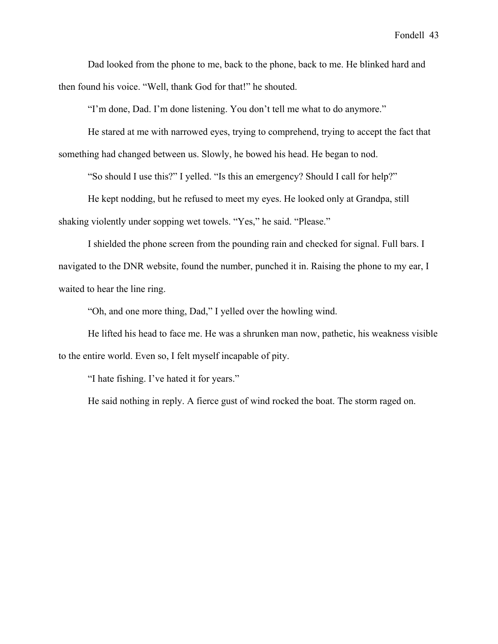Dad looked from the phone to me, back to the phone, back to me. He blinked hard and then found his voice. "Well, thank God for that!" he shouted.

"I'm done, Dad. I'm done listening. You don't tell me what to do anymore."

He stared at me with narrowed eyes, trying to comprehend, trying to accept the fact that something had changed between us. Slowly, he bowed his head. He began to nod.

"So should I use this?" I yelled. "Is this an emergency? Should I call for help?"

He kept nodding, but he refused to meet my eyes. He looked only at Grandpa, still shaking violently under sopping wet towels. "Yes," he said. "Please."

I shielded the phone screen from the pounding rain and checked for signal. Full bars. I navigated to the DNR website, found the number, punched it in. Raising the phone to my ear, I waited to hear the line ring.

"Oh, and one more thing, Dad," I yelled over the howling wind.

He lifted his head to face me. He was a shrunken man now, pathetic, his weakness visible to the entire world. Even so, I felt myself incapable of pity.

"I hate fishing. I've hated it for years."

He said nothing in reply. A fierce gust of wind rocked the boat. The storm raged on.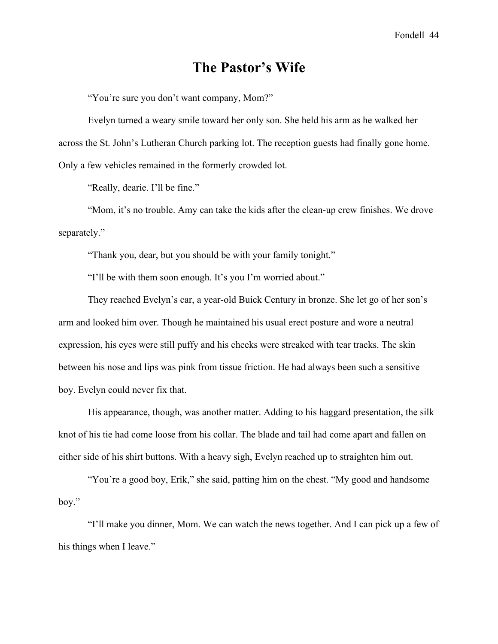## **The Pastor's Wife**

"You're sure you don't want company, Mom?"

Evelyn turned a weary smile toward her only son. She held his arm as he walked her across the St. John's Lutheran Church parking lot. The reception guests had finally gone home. Only a few vehicles remained in the formerly crowded lot.

"Really, dearie. I'll be fine."

"Mom, it's no trouble. Amy can take the kids after the clean-up crew finishes. We drove separately."

"Thank you, dear, but you should be with your family tonight."

"I'll be with them soon enough. It's you I'm worried about."

They reached Evelyn's car, a year-old Buick Century in bronze. She let go of her son's arm and looked him over. Though he maintained his usual erect posture and wore a neutral expression, his eyes were still puffy and his cheeks were streaked with tear tracks. The skin between his nose and lips was pink from tissue friction. He had always been such a sensitive boy. Evelyn could never fix that.

His appearance, though, was another matter. Adding to his haggard presentation, the silk knot of his tie had come loose from his collar. The blade and tail had come apart and fallen on either side of his shirt buttons. With a heavy sigh, Evelyn reached up to straighten him out.

"You're a good boy, Erik," she said, patting him on the chest. "My good and handsome boy."

"I'll make you dinner, Mom. We can watch the news together. And I can pick up a few of his things when I leave."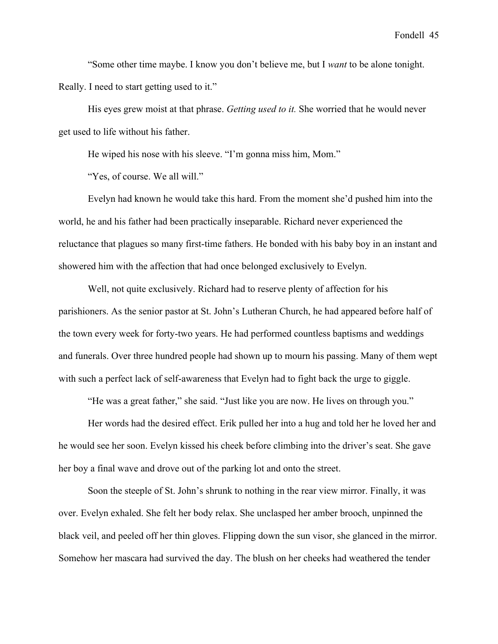"Some other time maybe. I know you don't believe me, but I *want* to be alone tonight. Really. I need to start getting used to it."

His eyes grew moist at that phrase. *Getting used to it.* She worried that he would never get used to life without his father.

He wiped his nose with his sleeve. "I'm gonna miss him, Mom."

"Yes, of course. We all will."

Evelyn had known he would take this hard. From the moment she'd pushed him into the world, he and his father had been practically inseparable. Richard never experienced the reluctance that plagues so many first-time fathers. He bonded with his baby boy in an instant and showered him with the affection that had once belonged exclusively to Evelyn.

Well, not quite exclusively. Richard had to reserve plenty of affection for his parishioners. As the senior pastor at St. John's Lutheran Church, he had appeared before half of the town every week for forty-two years. He had performed countless baptisms and weddings and funerals. Over three hundred people had shown up to mourn his passing. Many of them wept with such a perfect lack of self-awareness that Evelyn had to fight back the urge to giggle.

"He was a great father," she said. "Just like you are now. He lives on through you."

Her words had the desired effect. Erik pulled her into a hug and told her he loved her and he would see her soon. Evelyn kissed his cheek before climbing into the driver's seat. She gave her boy a final wave and drove out of the parking lot and onto the street.

Soon the steeple of St. John's shrunk to nothing in the rear view mirror. Finally, it was over. Evelyn exhaled. She felt her body relax. She unclasped her amber brooch, unpinned the black veil, and peeled off her thin gloves. Flipping down the sun visor, she glanced in the mirror. Somehow her mascara had survived the day. The blush on her cheeks had weathered the tender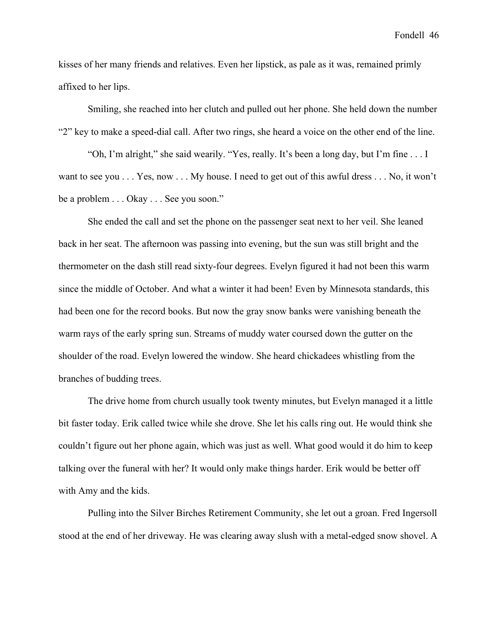kisses of her many friends and relatives. Even her lipstick, as pale as it was, remained primly affixed to her lips.

Smiling, she reached into her clutch and pulled out her phone. She held down the number "2" key to make a speed-dial call. After two rings, she heard a voice on the other end of the line.

"Oh, I'm alright," she said wearily. "Yes, really. It's been a long day, but I'm fine . . . I want to see you . . . Yes, now . . . My house. I need to get out of this awful dress . . . No, it won't be a problem . . . Okay . . . See you soon."

She ended the call and set the phone on the passenger seat next to her veil. She leaned back in her seat. The afternoon was passing into evening, but the sun was still bright and the thermometer on the dash still read sixty-four degrees. Evelyn figured it had not been this warm since the middle of October. And what a winter it had been! Even by Minnesota standards, this had been one for the record books. But now the gray snow banks were vanishing beneath the warm rays of the early spring sun. Streams of muddy water coursed down the gutter on the shoulder of the road. Evelyn lowered the window. She heard chickadees whistling from the branches of budding trees.

The drive home from church usually took twenty minutes, but Evelyn managed it a little bit faster today. Erik called twice while she drove. She let his calls ring out. He would think she couldn't figure out her phone again, which was just as well. What good would it do him to keep talking over the funeral with her? It would only make things harder. Erik would be better off with Amy and the kids.

Pulling into the Silver Birches Retirement Community, she let out a groan. Fred Ingersoll stood at the end of her driveway. He was clearing away slush with a metal-edged snow shovel. A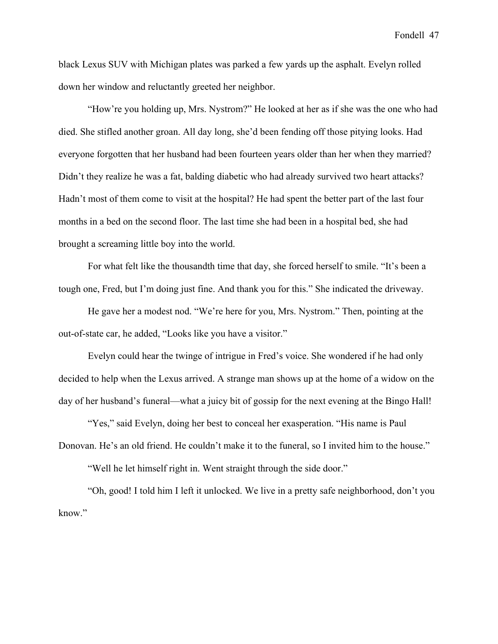black Lexus SUV with Michigan plates was parked a few yards up the asphalt. Evelyn rolled down her window and reluctantly greeted her neighbor.

"How're you holding up, Mrs. Nystrom?" He looked at her as if she was the one who had died. She stifled another groan. All day long, she'd been fending off those pitying looks. Had everyone forgotten that her husband had been fourteen years older than her when they married? Didn't they realize he was a fat, balding diabetic who had already survived two heart attacks? Hadn't most of them come to visit at the hospital? He had spent the better part of the last four months in a bed on the second floor. The last time she had been in a hospital bed, she had brought a screaming little boy into the world.

For what felt like the thousandth time that day, she forced herself to smile. "It's been a tough one, Fred, but I'm doing just fine. And thank you for this." She indicated the driveway.

He gave her a modest nod. "We're here for you, Mrs. Nystrom." Then, pointing at the out-of-state car, he added, "Looks like you have a visitor."

Evelyn could hear the twinge of intrigue in Fred's voice. She wondered if he had only decided to help when the Lexus arrived. A strange man shows up at the home of a widow on the day of her husband's funeral—what a juicy bit of gossip for the next evening at the Bingo Hall!

"Yes," said Evelyn, doing her best to conceal her exasperation. "His name is Paul Donovan. He's an old friend. He couldn't make it to the funeral, so I invited him to the house."

"Well he let himself right in. Went straight through the side door."

"Oh, good! I told him I left it unlocked. We live in a pretty safe neighborhood, don't you know."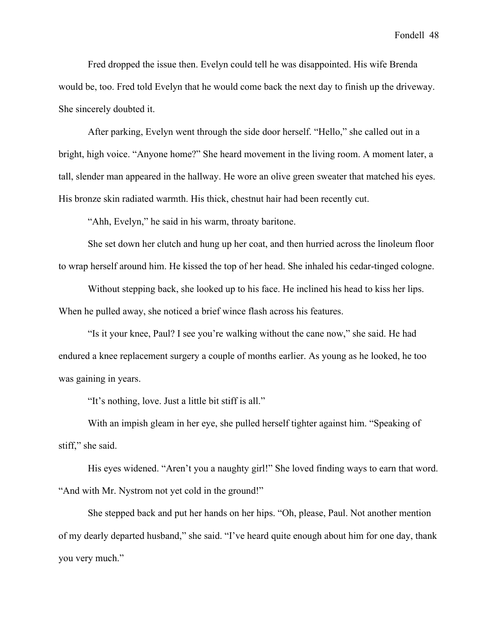Fred dropped the issue then. Evelyn could tell he was disappointed. His wife Brenda would be, too. Fred told Evelyn that he would come back the next day to finish up the driveway. She sincerely doubted it.

After parking, Evelyn went through the side door herself. "Hello," she called out in a bright, high voice. "Anyone home?" She heard movement in the living room. A moment later, a tall, slender man appeared in the hallway. He wore an olive green sweater that matched his eyes. His bronze skin radiated warmth. His thick, chestnut hair had been recently cut.

"Ahh, Evelyn," he said in his warm, throaty baritone.

She set down her clutch and hung up her coat, and then hurried across the linoleum floor to wrap herself around him. He kissed the top of her head. She inhaled his cedar-tinged cologne.

Without stepping back, she looked up to his face. He inclined his head to kiss her lips. When he pulled away, she noticed a brief wince flash across his features.

"Is it your knee, Paul? I see you're walking without the cane now," she said. He had endured a knee replacement surgery a couple of months earlier. As young as he looked, he too was gaining in years.

"It's nothing, love. Just a little bit stiff is all."

With an impish gleam in her eye, she pulled herself tighter against him. "Speaking of stiff," she said.

His eyes widened. "Aren't you a naughty girl!" She loved finding ways to earn that word. "And with Mr. Nystrom not yet cold in the ground!"

She stepped back and put her hands on her hips. "Oh, please, Paul. Not another mention of my dearly departed husband," she said. "I've heard quite enough about him for one day, thank you very much."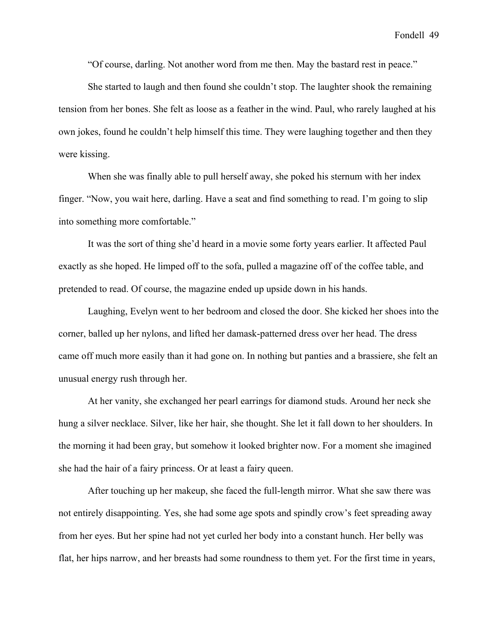"Of course, darling. Not another word from me then. May the bastard rest in peace."

She started to laugh and then found she couldn't stop. The laughter shook the remaining tension from her bones. She felt as loose as a feather in the wind. Paul, who rarely laughed at his own jokes, found he couldn't help himself this time. They were laughing together and then they were kissing.

When she was finally able to pull herself away, she poked his sternum with her index finger. "Now, you wait here, darling. Have a seat and find something to read. I'm going to slip into something more comfortable."

It was the sort of thing she'd heard in a movie some forty years earlier. It affected Paul exactly as she hoped. He limped off to the sofa, pulled a magazine off of the coffee table, and pretended to read. Of course, the magazine ended up upside down in his hands.

Laughing, Evelyn went to her bedroom and closed the door. She kicked her shoes into the corner, balled up her nylons, and lifted her damask-patterned dress over her head. The dress came off much more easily than it had gone on. In nothing but panties and a brassiere, she felt an unusual energy rush through her.

At her vanity, she exchanged her pearl earrings for diamond studs. Around her neck she hung a silver necklace. Silver, like her hair, she thought. She let it fall down to her shoulders. In the morning it had been gray, but somehow it looked brighter now. For a moment she imagined she had the hair of a fairy princess. Or at least a fairy queen.

After touching up her makeup, she faced the full-length mirror. What she saw there was not entirely disappointing. Yes, she had some age spots and spindly crow's feet spreading away from her eyes. But her spine had not yet curled her body into a constant hunch. Her belly was flat, her hips narrow, and her breasts had some roundness to them yet. For the first time in years,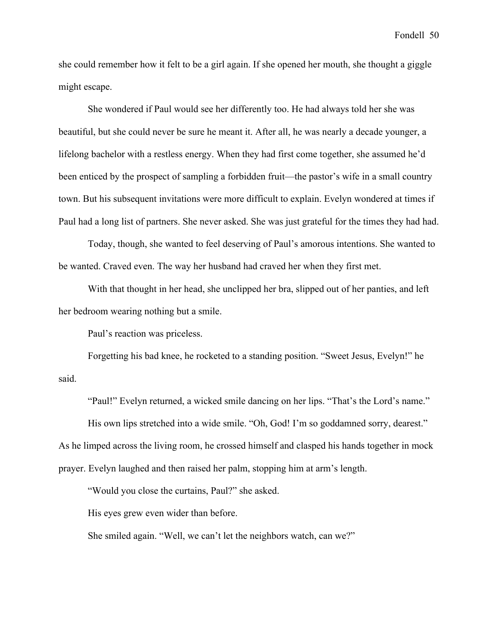she could remember how it felt to be a girl again. If she opened her mouth, she thought a giggle might escape.

She wondered if Paul would see her differently too. He had always told her she was beautiful, but she could never be sure he meant it. After all, he was nearly a decade younger, a lifelong bachelor with a restless energy. When they had first come together, she assumed he'd been enticed by the prospect of sampling a forbidden fruit—the pastor's wife in a small country town. But his subsequent invitations were more difficult to explain. Evelyn wondered at times if Paul had a long list of partners. She never asked. She was just grateful for the times they had had.

Today, though, she wanted to feel deserving of Paul's amorous intentions. She wanted to be wanted. Craved even. The way her husband had craved her when they first met.

With that thought in her head, she unclipped her bra, slipped out of her panties, and left her bedroom wearing nothing but a smile.

Paul's reaction was priceless.

Forgetting his bad knee, he rocketed to a standing position. "Sweet Jesus, Evelyn!" he said.

"Paul!" Evelyn returned, a wicked smile dancing on her lips. "That's the Lord's name."

His own lips stretched into a wide smile. "Oh, God! I'm so goddamned sorry, dearest." As he limped across the living room, he crossed himself and clasped his hands together in mock prayer. Evelyn laughed and then raised her palm, stopping him at arm's length.

"Would you close the curtains, Paul?" she asked.

His eyes grew even wider than before.

She smiled again. "Well, we can't let the neighbors watch, can we?"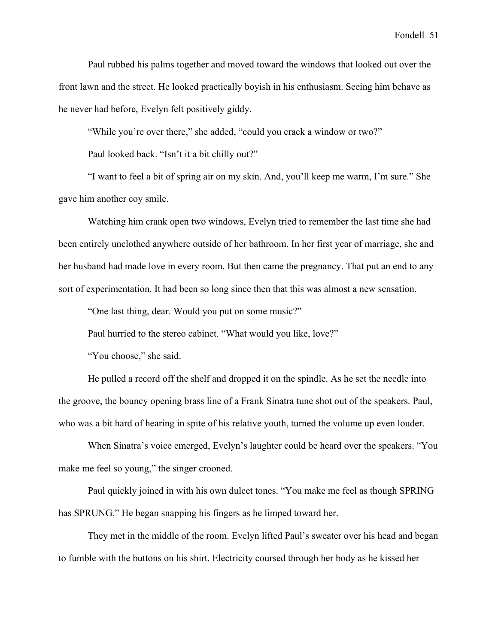Paul rubbed his palms together and moved toward the windows that looked out over the front lawn and the street. He looked practically boyish in his enthusiasm. Seeing him behave as he never had before, Evelyn felt positively giddy.

"While you're over there," she added, "could you crack a window or two?"

Paul looked back. "Isn't it a bit chilly out?"

"I want to feel a bit of spring air on my skin. And, you'll keep me warm, I'm sure." She gave him another coy smile.

Watching him crank open two windows, Evelyn tried to remember the last time she had been entirely unclothed anywhere outside of her bathroom. In her first year of marriage, she and her husband had made love in every room. But then came the pregnancy. That put an end to any sort of experimentation. It had been so long since then that this was almost a new sensation.

"One last thing, dear. Would you put on some music?"

Paul hurried to the stereo cabinet. "What would you like, love?"

"You choose," she said.

He pulled a record off the shelf and dropped it on the spindle. As he set the needle into the groove, the bouncy opening brass line of a Frank Sinatra tune shot out of the speakers. Paul, who was a bit hard of hearing in spite of his relative youth, turned the volume up even louder.

When Sinatra's voice emerged, Evelyn's laughter could be heard over the speakers. "You make me feel so young," the singer crooned.

Paul quickly joined in with his own dulcet tones. "You make me feel as though SPRING has SPRUNG." He began snapping his fingers as he limped toward her.

They met in the middle of the room. Evelyn lifted Paul's sweater over his head and began to fumble with the buttons on his shirt. Electricity coursed through her body as he kissed her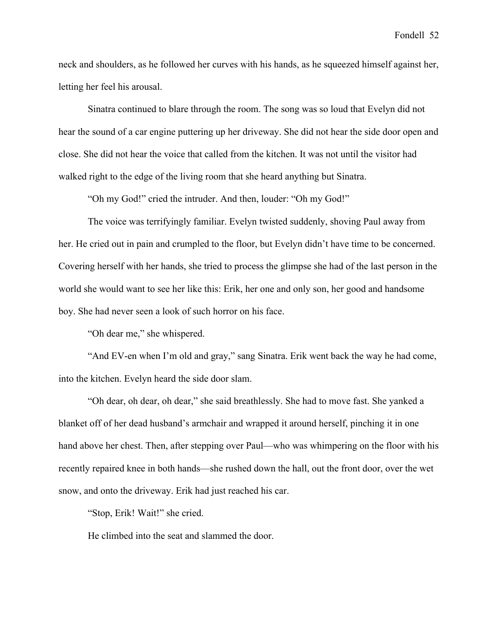neck and shoulders, as he followed her curves with his hands, as he squeezed himself against her, letting her feel his arousal.

Sinatra continued to blare through the room. The song was so loud that Evelyn did not hear the sound of a car engine puttering up her driveway. She did not hear the side door open and close. She did not hear the voice that called from the kitchen. It was not until the visitor had walked right to the edge of the living room that she heard anything but Sinatra.

"Oh my God!" cried the intruder. And then, louder: "Oh my God!"

The voice was terrifyingly familiar. Evelyn twisted suddenly, shoving Paul away from her. He cried out in pain and crumpled to the floor, but Evelyn didn't have time to be concerned. Covering herself with her hands, she tried to process the glimpse she had of the last person in the world she would want to see her like this: Erik, her one and only son, her good and handsome boy. She had never seen a look of such horror on his face.

"Oh dear me," she whispered.

"And EV-en when I'm old and gray," sang Sinatra. Erik went back the way he had come, into the kitchen. Evelyn heard the side door slam.

"Oh dear, oh dear, oh dear," she said breathlessly. She had to move fast. She yanked a blanket off of her dead husband's armchair and wrapped it around herself, pinching it in one hand above her chest. Then, after stepping over Paul—who was whimpering on the floor with his recently repaired knee in both hands—she rushed down the hall, out the front door, over the wet snow, and onto the driveway. Erik had just reached his car.

"Stop, Erik! Wait!" she cried.

He climbed into the seat and slammed the door.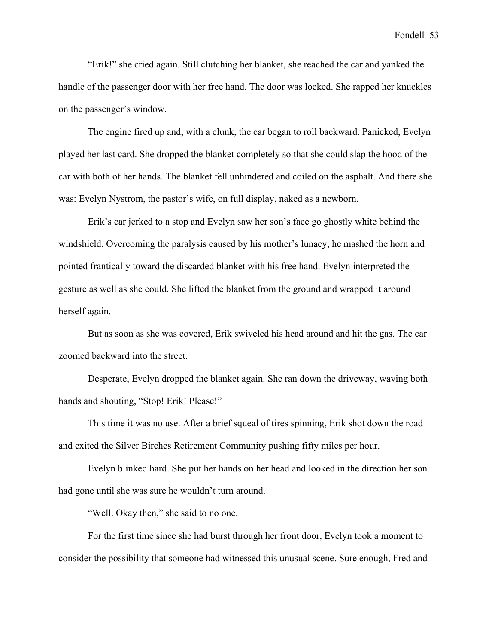"Erik!" she cried again. Still clutching her blanket, she reached the car and yanked the handle of the passenger door with her free hand. The door was locked. She rapped her knuckles on the passenger's window.

The engine fired up and, with a clunk, the car began to roll backward. Panicked, Evelyn played her last card. She dropped the blanket completely so that she could slap the hood of the car with both of her hands. The blanket fell unhindered and coiled on the asphalt. And there she was: Evelyn Nystrom, the pastor's wife, on full display, naked as a newborn.

Erik's car jerked to a stop and Evelyn saw her son's face go ghostly white behind the windshield. Overcoming the paralysis caused by his mother's lunacy, he mashed the horn and pointed frantically toward the discarded blanket with his free hand. Evelyn interpreted the gesture as well as she could. She lifted the blanket from the ground and wrapped it around herself again.

But as soon as she was covered, Erik swiveled his head around and hit the gas. The car zoomed backward into the street.

Desperate, Evelyn dropped the blanket again. She ran down the driveway, waving both hands and shouting, "Stop! Erik! Please!"

This time it was no use. After a brief squeal of tires spinning, Erik shot down the road and exited the Silver Birches Retirement Community pushing fifty miles per hour.

Evelyn blinked hard. She put her hands on her head and looked in the direction her son had gone until she was sure he wouldn't turn around.

"Well. Okay then," she said to no one.

For the first time since she had burst through her front door, Evelyn took a moment to consider the possibility that someone had witnessed this unusual scene. Sure enough, Fred and

Fondell 53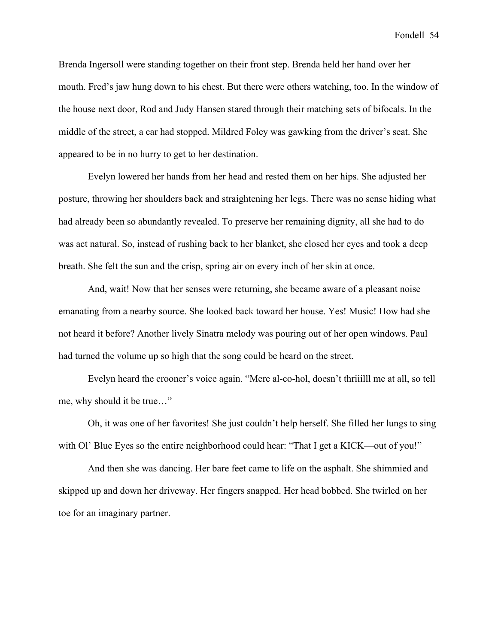Brenda Ingersoll were standing together on their front step. Brenda held her hand over her mouth. Fred's jaw hung down to his chest. But there were others watching, too. In the window of the house next door, Rod and Judy Hansen stared through their matching sets of bifocals. In the middle of the street, a car had stopped. Mildred Foley was gawking from the driver's seat. She appeared to be in no hurry to get to her destination.

Evelyn lowered her hands from her head and rested them on her hips. She adjusted her posture, throwing her shoulders back and straightening her legs. There was no sense hiding what had already been so abundantly revealed. To preserve her remaining dignity, all she had to do was act natural. So, instead of rushing back to her blanket, she closed her eyes and took a deep breath. She felt the sun and the crisp, spring air on every inch of her skin at once.

And, wait! Now that her senses were returning, she became aware of a pleasant noise emanating from a nearby source. She looked back toward her house. Yes! Music! How had she not heard it before? Another lively Sinatra melody was pouring out of her open windows. Paul had turned the volume up so high that the song could be heard on the street.

Evelyn heard the crooner's voice again. "Mere al-co-hol, doesn't thriiilll me at all, so tell me, why should it be true…"

Oh, it was one of her favorites! She just couldn't help herself. She filled her lungs to sing with Ol' Blue Eyes so the entire neighborhood could hear: "That I get a KICK—out of you!"

And then she was dancing. Her bare feet came to life on the asphalt. She shimmied and skipped up and down her driveway. Her fingers snapped. Her head bobbed. She twirled on her toe for an imaginary partner.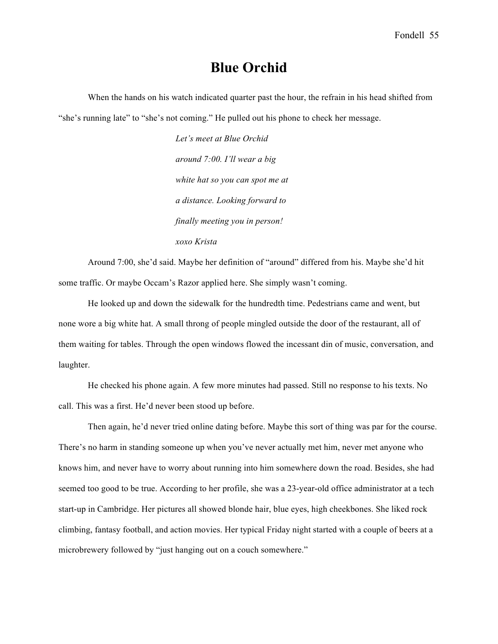## **Blue Orchid**

When the hands on his watch indicated quarter past the hour, the refrain in his head shifted from "she's running late" to "she's not coming." He pulled out his phone to check her message.

> *Let's meet at Blue Orchid around 7:00. I'll wear a big white hat so you can spot me at a distance. Looking forward to finally meeting you in person! xoxo Krista*

Around 7:00, she'd said. Maybe her definition of "around" differed from his. Maybe she'd hit some traffic. Or maybe Occam's Razor applied here. She simply wasn't coming.

He looked up and down the sidewalk for the hundredth time. Pedestrians came and went, but none wore a big white hat. A small throng of people mingled outside the door of the restaurant, all of them waiting for tables. Through the open windows flowed the incessant din of music, conversation, and laughter.

He checked his phone again. A few more minutes had passed. Still no response to his texts. No call. This was a first. He'd never been stood up before.

Then again, he'd never tried online dating before. Maybe this sort of thing was par for the course. There's no harm in standing someone up when you've never actually met him, never met anyone who knows him, and never have to worry about running into him somewhere down the road. Besides, she had seemed too good to be true. According to her profile, she was a 23-year-old office administrator at a tech start-up in Cambridge. Her pictures all showed blonde hair, blue eyes, high cheekbones. She liked rock climbing, fantasy football, and action movies. Her typical Friday night started with a couple of beers at a microbrewery followed by "just hanging out on a couch somewhere."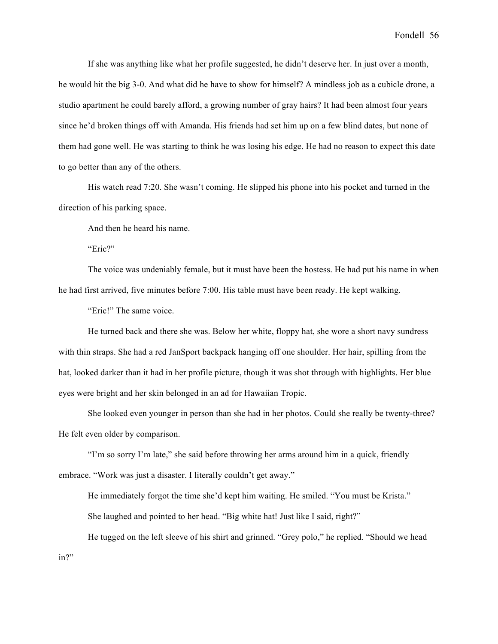If she was anything like what her profile suggested, he didn't deserve her. In just over a month, he would hit the big 3-0. And what did he have to show for himself? A mindless job as a cubicle drone, a studio apartment he could barely afford, a growing number of gray hairs? It had been almost four years since he'd broken things off with Amanda. His friends had set him up on a few blind dates, but none of them had gone well. He was starting to think he was losing his edge. He had no reason to expect this date to go better than any of the others.

His watch read 7:20. She wasn't coming. He slipped his phone into his pocket and turned in the direction of his parking space.

And then he heard his name.

"Eric?"

The voice was undeniably female, but it must have been the hostess. He had put his name in when he had first arrived, five minutes before 7:00. His table must have been ready. He kept walking.

"Eric!" The same voice.

He turned back and there she was. Below her white, floppy hat, she wore a short navy sundress with thin straps. She had a red JanSport backpack hanging off one shoulder. Her hair, spilling from the hat, looked darker than it had in her profile picture, though it was shot through with highlights. Her blue eyes were bright and her skin belonged in an ad for Hawaiian Tropic.

She looked even younger in person than she had in her photos. Could she really be twenty-three? He felt even older by comparison.

"I'm so sorry I'm late," she said before throwing her arms around him in a quick, friendly embrace. "Work was just a disaster. I literally couldn't get away."

He immediately forgot the time she'd kept him waiting. He smiled. "You must be Krista."

She laughed and pointed to her head. "Big white hat! Just like I said, right?"

He tugged on the left sleeve of his shirt and grinned. "Grey polo," he replied. "Should we head in?"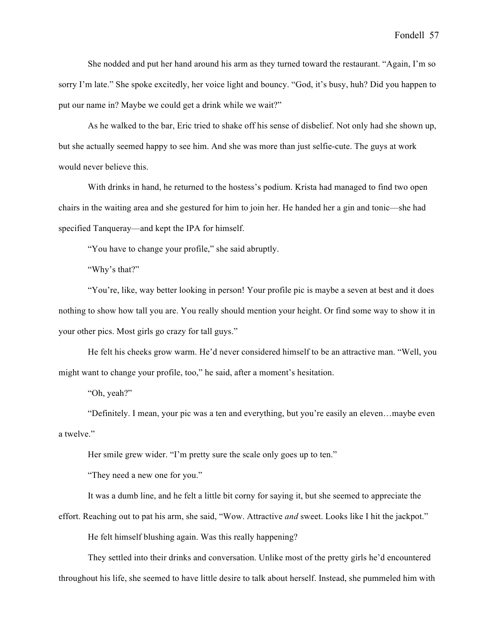She nodded and put her hand around his arm as they turned toward the restaurant. "Again, I'm so sorry I'm late." She spoke excitedly, her voice light and bouncy. "God, it's busy, huh? Did you happen to put our name in? Maybe we could get a drink while we wait?"

As he walked to the bar, Eric tried to shake off his sense of disbelief. Not only had she shown up, but she actually seemed happy to see him. And she was more than just selfie-cute. The guys at work would never believe this.

With drinks in hand, he returned to the hostess's podium. Krista had managed to find two open chairs in the waiting area and she gestured for him to join her. He handed her a gin and tonic—she had specified Tanqueray—and kept the IPA for himself.

"You have to change your profile," she said abruptly.

"Why's that?"

"You're, like, way better looking in person! Your profile pic is maybe a seven at best and it does nothing to show how tall you are. You really should mention your height. Or find some way to show it in your other pics. Most girls go crazy for tall guys."

He felt his cheeks grow warm. He'd never considered himself to be an attractive man. "Well, you might want to change your profile, too," he said, after a moment's hesitation.

"Oh, yeah?"

"Definitely. I mean, your pic was a ten and everything, but you're easily an eleven…maybe even a twelve."

Her smile grew wider. "I'm pretty sure the scale only goes up to ten."

"They need a new one for you."

It was a dumb line, and he felt a little bit corny for saying it, but she seemed to appreciate the

effort. Reaching out to pat his arm, she said, "Wow. Attractive *and* sweet. Looks like I hit the jackpot."

He felt himself blushing again. Was this really happening?

They settled into their drinks and conversation. Unlike most of the pretty girls he'd encountered throughout his life, she seemed to have little desire to talk about herself. Instead, she pummeled him with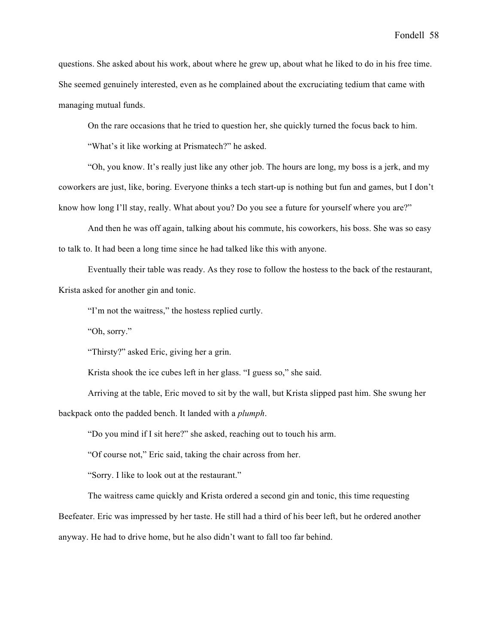questions. She asked about his work, about where he grew up, about what he liked to do in his free time. She seemed genuinely interested, even as he complained about the excruciating tedium that came with managing mutual funds.

On the rare occasions that he tried to question her, she quickly turned the focus back to him.

"What's it like working at Prismatech?" he asked.

"Oh, you know. It's really just like any other job. The hours are long, my boss is a jerk, and my coworkers are just, like, boring. Everyone thinks a tech start-up is nothing but fun and games, but I don't know how long I'll stay, really. What about you? Do you see a future for yourself where you are?"

And then he was off again, talking about his commute, his coworkers, his boss. She was so easy to talk to. It had been a long time since he had talked like this with anyone.

Eventually their table was ready. As they rose to follow the hostess to the back of the restaurant, Krista asked for another gin and tonic.

"I'm not the waitress," the hostess replied curtly.

"Oh, sorry."

"Thirsty?" asked Eric, giving her a grin.

Krista shook the ice cubes left in her glass. "I guess so," she said.

Arriving at the table, Eric moved to sit by the wall, but Krista slipped past him. She swung her backpack onto the padded bench. It landed with a *plumph*.

"Do you mind if I sit here?" she asked, reaching out to touch his arm.

"Of course not," Eric said, taking the chair across from her.

"Sorry. I like to look out at the restaurant."

The waitress came quickly and Krista ordered a second gin and tonic, this time requesting

Beefeater. Eric was impressed by her taste. He still had a third of his beer left, but he ordered another

anyway. He had to drive home, but he also didn't want to fall too far behind.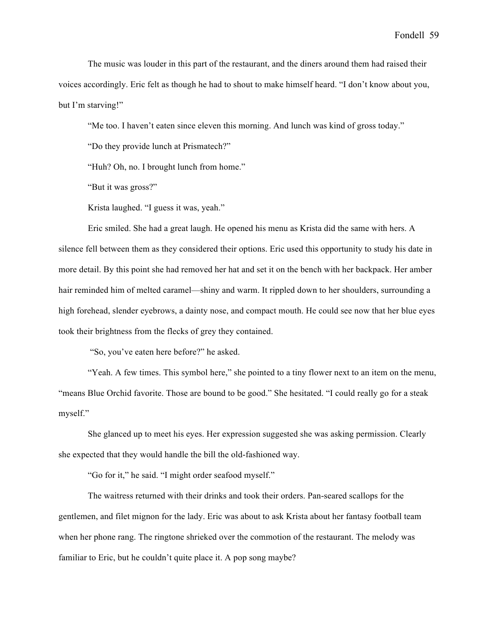The music was louder in this part of the restaurant, and the diners around them had raised their voices accordingly. Eric felt as though he had to shout to make himself heard. "I don't know about you, but I'm starving!"

"Me too. I haven't eaten since eleven this morning. And lunch was kind of gross today."

"Do they provide lunch at Prismatech?"

"Huh? Oh, no. I brought lunch from home."

"But it was gross?"

Krista laughed. "I guess it was, yeah."

Eric smiled. She had a great laugh. He opened his menu as Krista did the same with hers. A silence fell between them as they considered their options. Eric used this opportunity to study his date in more detail. By this point she had removed her hat and set it on the bench with her backpack. Her amber hair reminded him of melted caramel—shiny and warm. It rippled down to her shoulders, surrounding a high forehead, slender eyebrows, a dainty nose, and compact mouth. He could see now that her blue eyes took their brightness from the flecks of grey they contained.

"So, you've eaten here before?" he asked.

"Yeah. A few times. This symbol here," she pointed to a tiny flower next to an item on the menu, "means Blue Orchid favorite. Those are bound to be good." She hesitated. "I could really go for a steak myself."

She glanced up to meet his eyes. Her expression suggested she was asking permission. Clearly she expected that they would handle the bill the old-fashioned way.

"Go for it," he said. "I might order seafood myself."

The waitress returned with their drinks and took their orders. Pan-seared scallops for the gentlemen, and filet mignon for the lady. Eric was about to ask Krista about her fantasy football team when her phone rang. The ringtone shrieked over the commotion of the restaurant. The melody was familiar to Eric, but he couldn't quite place it. A pop song maybe?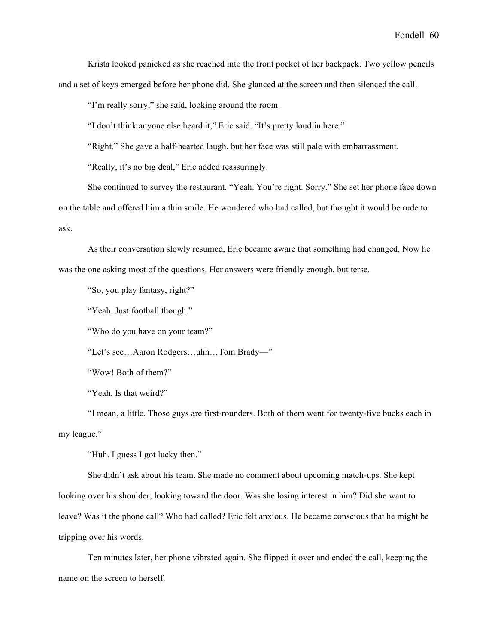Krista looked panicked as she reached into the front pocket of her backpack. Two yellow pencils and a set of keys emerged before her phone did. She glanced at the screen and then silenced the call.

"I'm really sorry," she said, looking around the room.

"I don't think anyone else heard it," Eric said. "It's pretty loud in here."

"Right." She gave a half-hearted laugh, but her face was still pale with embarrassment.

"Really, it's no big deal," Eric added reassuringly.

She continued to survey the restaurant. "Yeah. You're right. Sorry." She set her phone face down on the table and offered him a thin smile. He wondered who had called, but thought it would be rude to ask.

As their conversation slowly resumed, Eric became aware that something had changed. Now he was the one asking most of the questions. Her answers were friendly enough, but terse.

"So, you play fantasy, right?"

"Yeah. Just football though."

"Who do you have on your team?"

"Let's see…Aaron Rodgers…uhh…Tom Brady—"

"Wow! Both of them?"

"Yeah. Is that weird?"

"I mean, a little. Those guys are first-rounders. Both of them went for twenty-five bucks each in my league."

"Huh. I guess I got lucky then."

She didn't ask about his team. She made no comment about upcoming match-ups. She kept looking over his shoulder, looking toward the door. Was she losing interest in him? Did she want to leave? Was it the phone call? Who had called? Eric felt anxious. He became conscious that he might be tripping over his words.

Ten minutes later, her phone vibrated again. She flipped it over and ended the call, keeping the name on the screen to herself.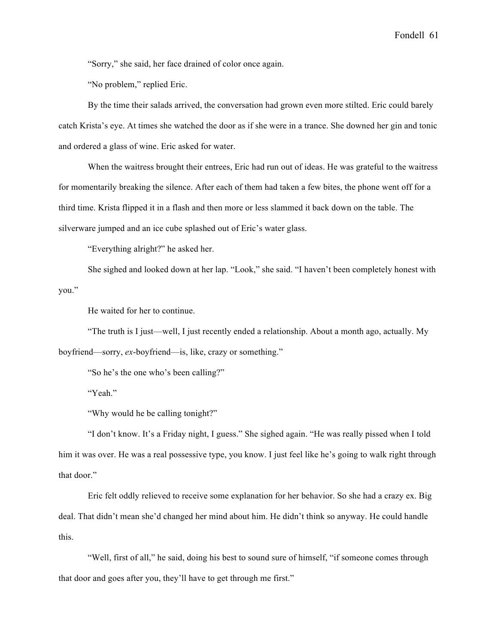"Sorry," she said, her face drained of color once again.

"No problem," replied Eric.

By the time their salads arrived, the conversation had grown even more stilted. Eric could barely catch Krista's eye. At times she watched the door as if she were in a trance. She downed her gin and tonic and ordered a glass of wine. Eric asked for water.

When the waitress brought their entrees, Eric had run out of ideas. He was grateful to the waitress for momentarily breaking the silence. After each of them had taken a few bites, the phone went off for a third time. Krista flipped it in a flash and then more or less slammed it back down on the table. The silverware jumped and an ice cube splashed out of Eric's water glass.

"Everything alright?" he asked her.

She sighed and looked down at her lap. "Look," she said. "I haven't been completely honest with you."

He waited for her to continue.

"The truth is I just—well, I just recently ended a relationship. About a month ago, actually. My boyfriend—sorry, *ex*-boyfriend—is, like, crazy or something."

"So he's the one who's been calling?"

"Yeah."

"Why would he be calling tonight?"

"I don't know. It's a Friday night, I guess." She sighed again. "He was really pissed when I told him it was over. He was a real possessive type, you know. I just feel like he's going to walk right through that door."

Eric felt oddly relieved to receive some explanation for her behavior. So she had a crazy ex. Big deal. That didn't mean she'd changed her mind about him. He didn't think so anyway. He could handle this.

"Well, first of all," he said, doing his best to sound sure of himself, "if someone comes through that door and goes after you, they'll have to get through me first."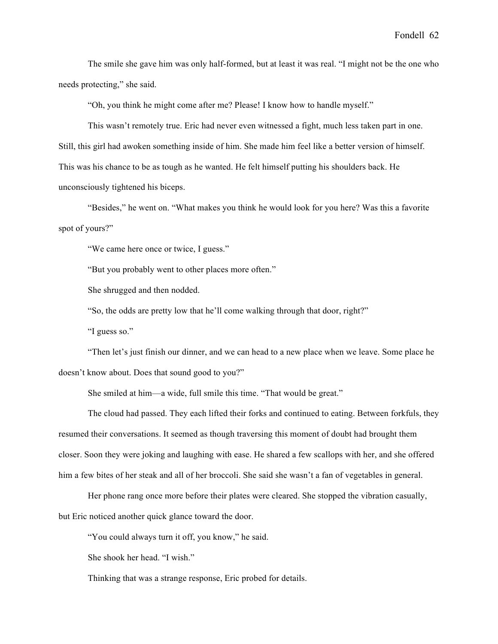The smile she gave him was only half-formed, but at least it was real. "I might not be the one who needs protecting," she said.

"Oh, you think he might come after me? Please! I know how to handle myself."

This wasn't remotely true. Eric had never even witnessed a fight, much less taken part in one. Still, this girl had awoken something inside of him. She made him feel like a better version of himself. This was his chance to be as tough as he wanted. He felt himself putting his shoulders back. He unconsciously tightened his biceps.

"Besides," he went on. "What makes you think he would look for you here? Was this a favorite spot of yours?"

"We came here once or twice, I guess."

"But you probably went to other places more often."

She shrugged and then nodded.

"So, the odds are pretty low that he'll come walking through that door, right?"

"I guess so."

"Then let's just finish our dinner, and we can head to a new place when we leave. Some place he doesn't know about. Does that sound good to you?"

She smiled at him—a wide, full smile this time. "That would be great."

The cloud had passed. They each lifted their forks and continued to eating. Between forkfuls, they resumed their conversations. It seemed as though traversing this moment of doubt had brought them closer. Soon they were joking and laughing with ease. He shared a few scallops with her, and she offered him a few bites of her steak and all of her broccoli. She said she wasn't a fan of vegetables in general.

Her phone rang once more before their plates were cleared. She stopped the vibration casually, but Eric noticed another quick glance toward the door.

"You could always turn it off, you know," he said.

She shook her head. "I wish."

Thinking that was a strange response, Eric probed for details.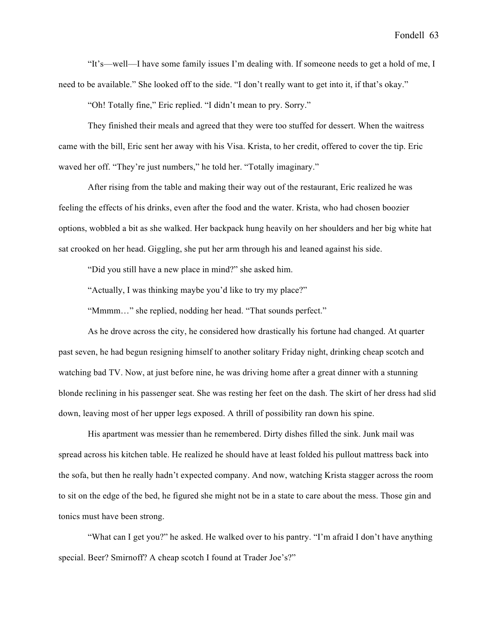"It's—well—I have some family issues I'm dealing with. If someone needs to get a hold of me, I need to be available." She looked off to the side. "I don't really want to get into it, if that's okay."

"Oh! Totally fine," Eric replied. "I didn't mean to pry. Sorry."

They finished their meals and agreed that they were too stuffed for dessert. When the waitress came with the bill, Eric sent her away with his Visa. Krista, to her credit, offered to cover the tip. Eric waved her off. "They're just numbers," he told her. "Totally imaginary."

After rising from the table and making their way out of the restaurant, Eric realized he was feeling the effects of his drinks, even after the food and the water. Krista, who had chosen boozier options, wobbled a bit as she walked. Her backpack hung heavily on her shoulders and her big white hat sat crooked on her head. Giggling, she put her arm through his and leaned against his side.

"Did you still have a new place in mind?" she asked him.

"Actually, I was thinking maybe you'd like to try my place?"

"Mmmm…" she replied, nodding her head. "That sounds perfect."

As he drove across the city, he considered how drastically his fortune had changed. At quarter past seven, he had begun resigning himself to another solitary Friday night, drinking cheap scotch and watching bad TV. Now, at just before nine, he was driving home after a great dinner with a stunning blonde reclining in his passenger seat. She was resting her feet on the dash. The skirt of her dress had slid down, leaving most of her upper legs exposed. A thrill of possibility ran down his spine.

His apartment was messier than he remembered. Dirty dishes filled the sink. Junk mail was spread across his kitchen table. He realized he should have at least folded his pullout mattress back into the sofa, but then he really hadn't expected company. And now, watching Krista stagger across the room to sit on the edge of the bed, he figured she might not be in a state to care about the mess. Those gin and tonics must have been strong.

"What can I get you?" he asked. He walked over to his pantry. "I'm afraid I don't have anything special. Beer? Smirnoff? A cheap scotch I found at Trader Joe's?"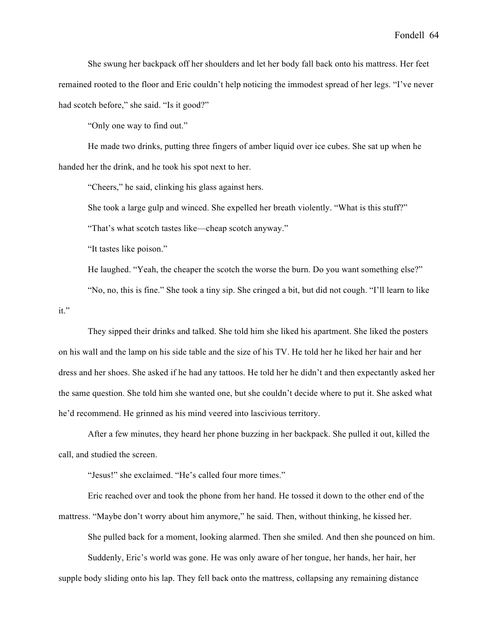She swung her backpack off her shoulders and let her body fall back onto his mattress. Her feet remained rooted to the floor and Eric couldn't help noticing the immodest spread of her legs. "I've never had scotch before," she said. "Is it good?"

"Only one way to find out."

He made two drinks, putting three fingers of amber liquid over ice cubes. She sat up when he handed her the drink, and he took his spot next to her.

"Cheers," he said, clinking his glass against hers.

She took a large gulp and winced. She expelled her breath violently. "What is this stuff?"

"That's what scotch tastes like—cheap scotch anyway."

"It tastes like poison."

He laughed. "Yeah, the cheaper the scotch the worse the burn. Do you want something else?"

"No, no, this is fine." She took a tiny sip. She cringed a bit, but did not cough. "I'll learn to like

it."

They sipped their drinks and talked. She told him she liked his apartment. She liked the posters on his wall and the lamp on his side table and the size of his TV. He told her he liked her hair and her dress and her shoes. She asked if he had any tattoos. He told her he didn't and then expectantly asked her the same question. She told him she wanted one, but she couldn't decide where to put it. She asked what he'd recommend. He grinned as his mind veered into lascivious territory.

After a few minutes, they heard her phone buzzing in her backpack. She pulled it out, killed the call, and studied the screen.

"Jesus!" she exclaimed. "He's called four more times."

Eric reached over and took the phone from her hand. He tossed it down to the other end of the mattress. "Maybe don't worry about him anymore," he said. Then, without thinking, he kissed her.

She pulled back for a moment, looking alarmed. Then she smiled. And then she pounced on him.

Suddenly, Eric's world was gone. He was only aware of her tongue, her hands, her hair, her supple body sliding onto his lap. They fell back onto the mattress, collapsing any remaining distance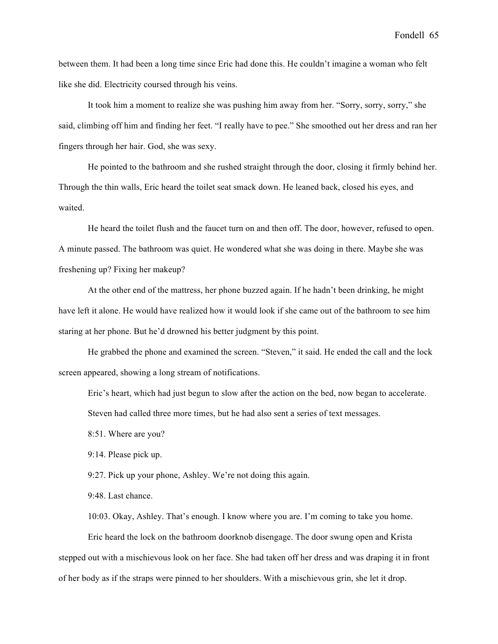between them. It had been a long time since Eric had done this. He couldn't imagine a woman who felt like she did. Electricity coursed through his veins.

It took him a moment to realize she was pushing him away from her. "Sorry, sorry, sorry," she said, climbing off him and finding her feet. "I really have to pee." She smoothed out her dress and ran her fingers through her hair. God, she was sexy.

He pointed to the bathroom and she rushed straight through the door, closing it firmly behind her. Through the thin walls, Eric heard the toilet seat smack down. He leaned back, closed his eyes, and waited.

He heard the toilet flush and the faucet turn on and then off. The door, however, refused to open. A minute passed. The bathroom was quiet. He wondered what she was doing in there. Maybe she was freshening up? Fixing her makeup?

At the other end of the mattress, her phone buzzed again. If he hadn't been drinking, he might have left it alone. He would have realized how it would look if she came out of the bathroom to see him staring at her phone. But he'd drowned his better judgment by this point.

He grabbed the phone and examined the screen. "Steven," it said. He ended the call and the lock screen appeared, showing a long stream of notifications.

Eric's heart, which had just begun to slow after the action on the bed, now began to accelerate.

Steven had called three more times, but he had also sent a series of text messages.

8:51. Where are you?

9:14. Please pick up.

9:27. Pick up your phone, Ashley. We're not doing this again.

9:48. Last chance.

10:03. Okay, Ashley. That's enough. I know where you are. I'm coming to take you home.

Eric heard the lock on the bathroom doorknob disengage. The door swung open and Krista stepped out with a mischievous look on her face. She had taken off her dress and was draping it in front of her body as if the straps were pinned to her shoulders. With a mischievous grin, she let it drop.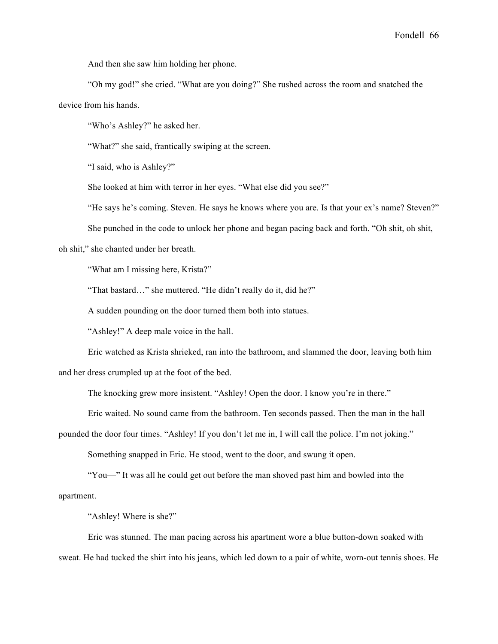And then she saw him holding her phone.

"Oh my god!" she cried. "What are you doing?" She rushed across the room and snatched the device from his hands.

"Who's Ashley?" he asked her.

"What?" she said, frantically swiping at the screen.

"I said, who is Ashley?"

She looked at him with terror in her eyes. "What else did you see?"

"He says he's coming. Steven. He says he knows where you are. Is that your ex's name? Steven?"

She punched in the code to unlock her phone and began pacing back and forth. "Oh shit, oh shit,

oh shit," she chanted under her breath.

"What am I missing here, Krista?"

"That bastard…" she muttered. "He didn't really do it, did he?"

A sudden pounding on the door turned them both into statues.

"Ashley!" A deep male voice in the hall.

Eric watched as Krista shrieked, ran into the bathroom, and slammed the door, leaving both him and her dress crumpled up at the foot of the bed.

The knocking grew more insistent. "Ashley! Open the door. I know you're in there."

Eric waited. No sound came from the bathroom. Ten seconds passed. Then the man in the hall

pounded the door four times. "Ashley! If you don't let me in, I will call the police. I'm not joking."

Something snapped in Eric. He stood, went to the door, and swung it open.

"You—" It was all he could get out before the man shoved past him and bowled into the apartment.

"Ashley! Where is she?"

Eric was stunned. The man pacing across his apartment wore a blue button-down soaked with sweat. He had tucked the shirt into his jeans, which led down to a pair of white, worn-out tennis shoes. He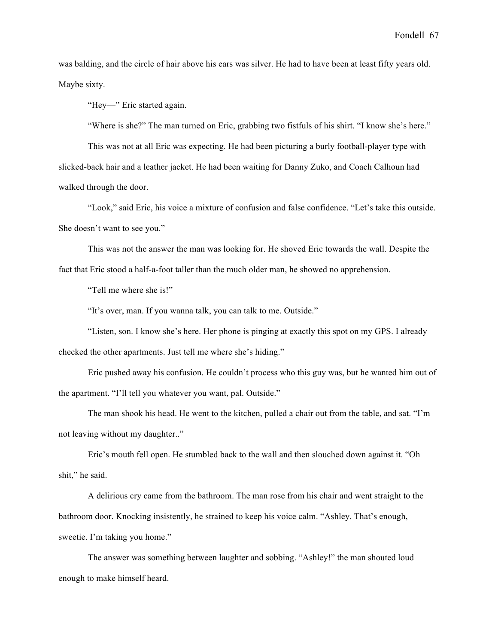was balding, and the circle of hair above his ears was silver. He had to have been at least fifty years old. Maybe sixty.

"Hey—" Eric started again.

"Where is she?" The man turned on Eric, grabbing two fistfuls of his shirt. "I know she's here."

This was not at all Eric was expecting. He had been picturing a burly football-player type with slicked-back hair and a leather jacket. He had been waiting for Danny Zuko, and Coach Calhoun had walked through the door.

"Look," said Eric, his voice a mixture of confusion and false confidence. "Let's take this outside. She doesn't want to see you."

This was not the answer the man was looking for. He shoved Eric towards the wall. Despite the fact that Eric stood a half-a-foot taller than the much older man, he showed no apprehension.

"Tell me where she is!"

"It's over, man. If you wanna talk, you can talk to me. Outside."

"Listen, son. I know she's here. Her phone is pinging at exactly this spot on my GPS. I already checked the other apartments. Just tell me where she's hiding."

Eric pushed away his confusion. He couldn't process who this guy was, but he wanted him out of the apartment. "I'll tell you whatever you want, pal. Outside."

The man shook his head. He went to the kitchen, pulled a chair out from the table, and sat. "I'm not leaving without my daughter.."

Eric's mouth fell open. He stumbled back to the wall and then slouched down against it. "Oh shit," he said.

A delirious cry came from the bathroom. The man rose from his chair and went straight to the bathroom door. Knocking insistently, he strained to keep his voice calm. "Ashley. That's enough, sweetie. I'm taking you home."

The answer was something between laughter and sobbing. "Ashley!" the man shouted loud enough to make himself heard.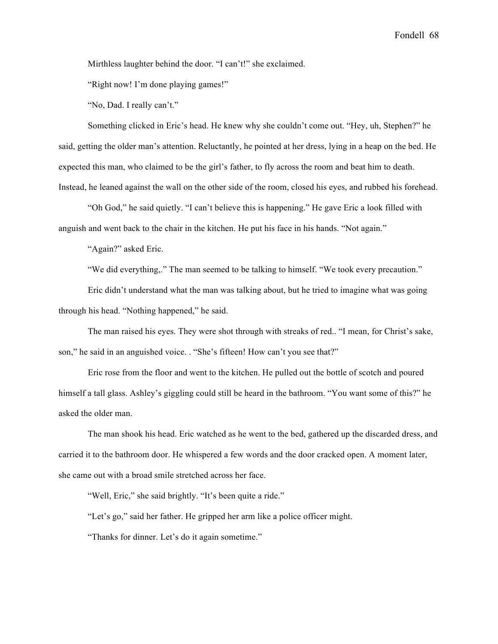Mirthless laughter behind the door. "I can't!" she exclaimed.

"Right now! I'm done playing games!"

"No, Dad. I really can't."

Something clicked in Eric's head. He knew why she couldn't come out. "Hey, uh, Stephen?" he said, getting the older man's attention. Reluctantly, he pointed at her dress, lying in a heap on the bed. He expected this man, who claimed to be the girl's father, to fly across the room and beat him to death. Instead, he leaned against the wall on the other side of the room, closed his eyes, and rubbed his forehead.

"Oh God," he said quietly. "I can't believe this is happening." He gave Eric a look filled with anguish and went back to the chair in the kitchen. He put his face in his hands. "Not again."

"Again?" asked Eric.

"We did everything,." The man seemed to be talking to himself. "We took every precaution."

Eric didn't understand what the man was talking about, but he tried to imagine what was going through his head. "Nothing happened," he said.

The man raised his eyes. They were shot through with streaks of red.. "I mean, for Christ's sake, son," he said in an anguished voice. . "She's fifteen! How can't you see that?"

Eric rose from the floor and went to the kitchen. He pulled out the bottle of scotch and poured himself a tall glass. Ashley's giggling could still be heard in the bathroom. "You want some of this?" he asked the older man.

The man shook his head. Eric watched as he went to the bed, gathered up the discarded dress, and carried it to the bathroom door. He whispered a few words and the door cracked open. A moment later, she came out with a broad smile stretched across her face.

"Well, Eric," she said brightly. "It's been quite a ride."

"Let's go," said her father. He gripped her arm like a police officer might.

"Thanks for dinner. Let's do it again sometime."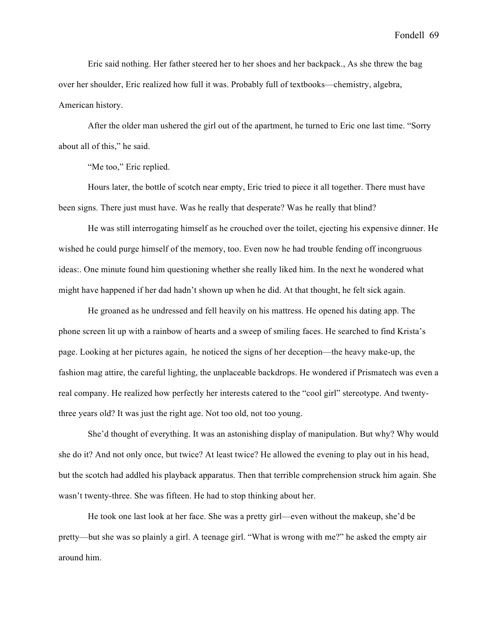Eric said nothing. Her father steered her to her shoes and her backpack., As she threw the bag over her shoulder, Eric realized how full it was. Probably full of textbooks—chemistry, algebra, American history.

After the older man ushered the girl out of the apartment, he turned to Eric one last time. "Sorry about all of this," he said.

"Me too," Eric replied.

Hours later, the bottle of scotch near empty, Eric tried to piece it all together. There must have been signs. There just must have. Was he really that desperate? Was he really that blind?

He was still interrogating himself as he crouched over the toilet, ejecting his expensive dinner. He wished he could purge himself of the memory, too. Even now he had trouble fending off incongruous ideas:. One minute found him questioning whether she really liked him. In the next he wondered what might have happened if her dad hadn't shown up when he did. At that thought, he felt sick again.

He groaned as he undressed and fell heavily on his mattress. He opened his dating app. The phone screen lit up with a rainbow of hearts and a sweep of smiling faces. He searched to find Krista's page. Looking at her pictures again, he noticed the signs of her deception—the heavy make-up, the fashion mag attire, the careful lighting, the unplaceable backdrops. He wondered if Prismatech was even a real company. He realized how perfectly her interests catered to the "cool girl" stereotype. And twentythree years old? It was just the right age. Not too old, not too young.

She'd thought of everything. It was an astonishing display of manipulation. But why? Why would she do it? And not only once, but twice? At least twice? He allowed the evening to play out in his head, but the scotch had addled his playback apparatus. Then that terrible comprehension struck him again. She wasn't twenty-three. She was fifteen. He had to stop thinking about her.

He took one last look at her face. She was a pretty girl—even without the makeup, she'd be pretty—but she was so plainly a girl. A teenage girl. "What is wrong with me?" he asked the empty air around him.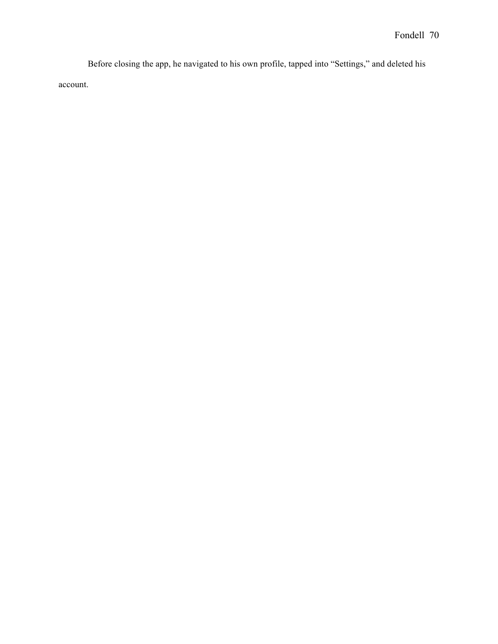Before closing the app, he navigated to his own profile, tapped into "Settings," and deleted his account.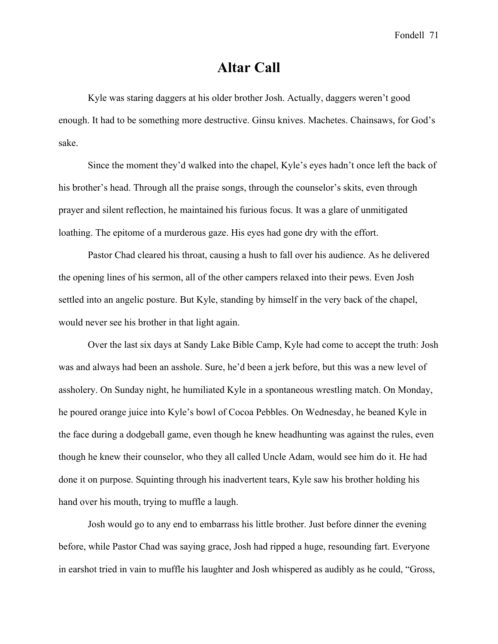## **Altar Call**

Kyle was staring daggers at his older brother Josh. Actually, daggers weren't good enough. It had to be something more destructive. Ginsu knives. Machetes. Chainsaws, for God's sake.

Since the moment they'd walked into the chapel, Kyle's eyes hadn't once left the back of his brother's head. Through all the praise songs, through the counselor's skits, even through prayer and silent reflection, he maintained his furious focus. It was a glare of unmitigated loathing. The epitome of a murderous gaze. His eyes had gone dry with the effort.

Pastor Chad cleared his throat, causing a hush to fall over his audience. As he delivered the opening lines of his sermon, all of the other campers relaxed into their pews. Even Josh settled into an angelic posture. But Kyle, standing by himself in the very back of the chapel, would never see his brother in that light again.

Over the last six days at Sandy Lake Bible Camp, Kyle had come to accept the truth: Josh was and always had been an asshole. Sure, he'd been a jerk before, but this was a new level of assholery. On Sunday night, he humiliated Kyle in a spontaneous wrestling match. On Monday, he poured orange juice into Kyle's bowl of Cocoa Pebbles. On Wednesday, he beaned Kyle in the face during a dodgeball game, even though he knew headhunting was against the rules, even though he knew their counselor, who they all called Uncle Adam, would see him do it. He had done it on purpose. Squinting through his inadvertent tears, Kyle saw his brother holding his hand over his mouth, trying to muffle a laugh.

Josh would go to any end to embarrass his little brother. Just before dinner the evening before, while Pastor Chad was saying grace, Josh had ripped a huge, resounding fart. Everyone in earshot tried in vain to muffle his laughter and Josh whispered as audibly as he could, "Gross,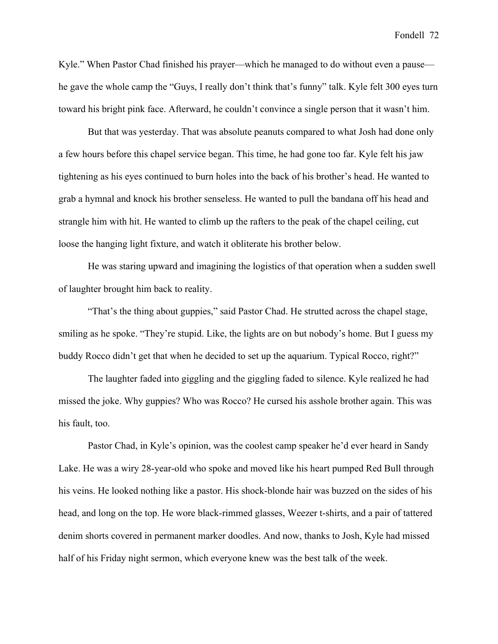Kyle." When Pastor Chad finished his prayer—which he managed to do without even a pause he gave the whole camp the "Guys, I really don't think that's funny" talk. Kyle felt 300 eyes turn toward his bright pink face. Afterward, he couldn't convince a single person that it wasn't him.

But that was yesterday. That was absolute peanuts compared to what Josh had done only a few hours before this chapel service began. This time, he had gone too far. Kyle felt his jaw tightening as his eyes continued to burn holes into the back of his brother's head. He wanted to grab a hymnal and knock his brother senseless. He wanted to pull the bandana off his head and strangle him with hit. He wanted to climb up the rafters to the peak of the chapel ceiling, cut loose the hanging light fixture, and watch it obliterate his brother below.

He was staring upward and imagining the logistics of that operation when a sudden swell of laughter brought him back to reality.

"That's the thing about guppies," said Pastor Chad. He strutted across the chapel stage, smiling as he spoke. "They're stupid. Like, the lights are on but nobody's home. But I guess my buddy Rocco didn't get that when he decided to set up the aquarium. Typical Rocco, right?"

The laughter faded into giggling and the giggling faded to silence. Kyle realized he had missed the joke. Why guppies? Who was Rocco? He cursed his asshole brother again. This was his fault, too.

Pastor Chad, in Kyle's opinion, was the coolest camp speaker he'd ever heard in Sandy Lake. He was a wiry 28-year-old who spoke and moved like his heart pumped Red Bull through his veins. He looked nothing like a pastor. His shock-blonde hair was buzzed on the sides of his head, and long on the top. He wore black-rimmed glasses, Weezer t-shirts, and a pair of tattered denim shorts covered in permanent marker doodles. And now, thanks to Josh, Kyle had missed half of his Friday night sermon, which everyone knew was the best talk of the week.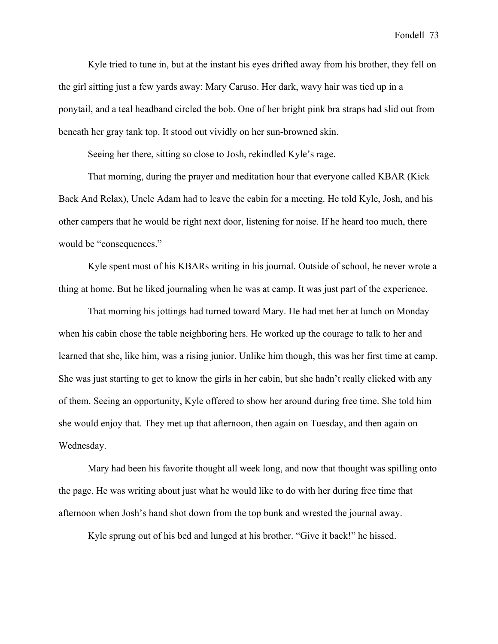Kyle tried to tune in, but at the instant his eyes drifted away from his brother, they fell on the girl sitting just a few yards away: Mary Caruso. Her dark, wavy hair was tied up in a ponytail, and a teal headband circled the bob. One of her bright pink bra straps had slid out from beneath her gray tank top. It stood out vividly on her sun-browned skin.

Seeing her there, sitting so close to Josh, rekindled Kyle's rage.

That morning, during the prayer and meditation hour that everyone called KBAR (Kick Back And Relax), Uncle Adam had to leave the cabin for a meeting. He told Kyle, Josh, and his other campers that he would be right next door, listening for noise. If he heard too much, there would be "consequences."

Kyle spent most of his KBARs writing in his journal. Outside of school, he never wrote a thing at home. But he liked journaling when he was at camp. It was just part of the experience.

That morning his jottings had turned toward Mary. He had met her at lunch on Monday when his cabin chose the table neighboring hers. He worked up the courage to talk to her and learned that she, like him, was a rising junior. Unlike him though, this was her first time at camp. She was just starting to get to know the girls in her cabin, but she hadn't really clicked with any of them. Seeing an opportunity, Kyle offered to show her around during free time. She told him she would enjoy that. They met up that afternoon, then again on Tuesday, and then again on Wednesday.

Mary had been his favorite thought all week long, and now that thought was spilling onto the page. He was writing about just what he would like to do with her during free time that afternoon when Josh's hand shot down from the top bunk and wrested the journal away.

Kyle sprung out of his bed and lunged at his brother. "Give it back!" he hissed.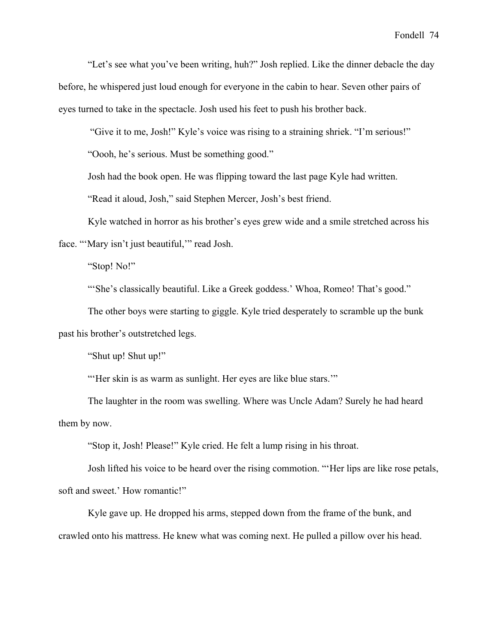"Let's see what you've been writing, huh?" Josh replied. Like the dinner debacle the day before, he whispered just loud enough for everyone in the cabin to hear. Seven other pairs of eyes turned to take in the spectacle. Josh used his feet to push his brother back.

"Give it to me, Josh!" Kyle's voice was rising to a straining shriek. "I'm serious!"

"Oooh, he's serious. Must be something good."

Josh had the book open. He was flipping toward the last page Kyle had written.

"Read it aloud, Josh," said Stephen Mercer, Josh's best friend.

Kyle watched in horror as his brother's eyes grew wide and a smile stretched across his

face. "'Mary isn't just beautiful,'" read Josh.

"Stop! No!"

"She's classically beautiful. Like a Greek goddess.' Whoa, Romeo! That's good."

The other boys were starting to giggle. Kyle tried desperately to scramble up the bunk past his brother's outstretched legs.

"Shut up! Shut up!"

"Her skin is as warm as sunlight. Her eyes are like blue stars.""

The laughter in the room was swelling. Where was Uncle Adam? Surely he had heard them by now.

"Stop it, Josh! Please!" Kyle cried. He felt a lump rising in his throat.

Josh lifted his voice to be heard over the rising commotion. "'Her lips are like rose petals, soft and sweet.' How romantic!"

Kyle gave up. He dropped his arms, stepped down from the frame of the bunk, and crawled onto his mattress. He knew what was coming next. He pulled a pillow over his head.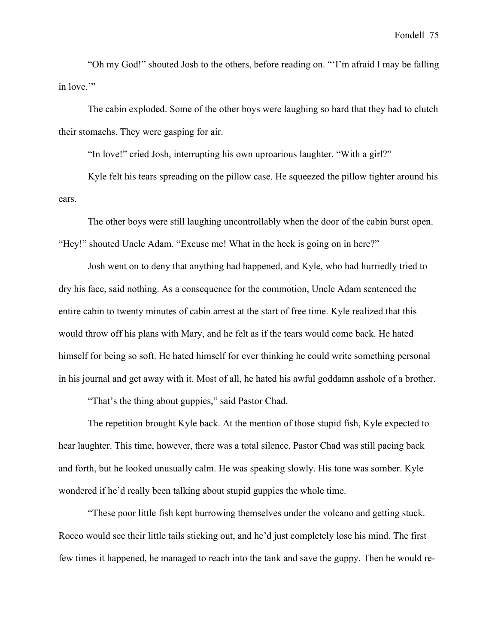"Oh my God!" shouted Josh to the others, before reading on. "'I'm afraid I may be falling in love.'"

The cabin exploded. Some of the other boys were laughing so hard that they had to clutch their stomachs. They were gasping for air.

"In love!" cried Josh, interrupting his own uproarious laughter. "With a girl?"

Kyle felt his tears spreading on the pillow case. He squeezed the pillow tighter around his ears.

The other boys were still laughing uncontrollably when the door of the cabin burst open. "Hey!" shouted Uncle Adam. "Excuse me! What in the heck is going on in here?"

Josh went on to deny that anything had happened, and Kyle, who had hurriedly tried to dry his face, said nothing. As a consequence for the commotion, Uncle Adam sentenced the entire cabin to twenty minutes of cabin arrest at the start of free time. Kyle realized that this would throw off his plans with Mary, and he felt as if the tears would come back. He hated himself for being so soft. He hated himself for ever thinking he could write something personal in his journal and get away with it. Most of all, he hated his awful goddamn asshole of a brother.

"That's the thing about guppies," said Pastor Chad.

The repetition brought Kyle back. At the mention of those stupid fish, Kyle expected to hear laughter. This time, however, there was a total silence. Pastor Chad was still pacing back and forth, but he looked unusually calm. He was speaking slowly. His tone was somber. Kyle wondered if he'd really been talking about stupid guppies the whole time.

"These poor little fish kept burrowing themselves under the volcano and getting stuck. Rocco would see their little tails sticking out, and he'd just completely lose his mind. The first few times it happened, he managed to reach into the tank and save the guppy. Then he would re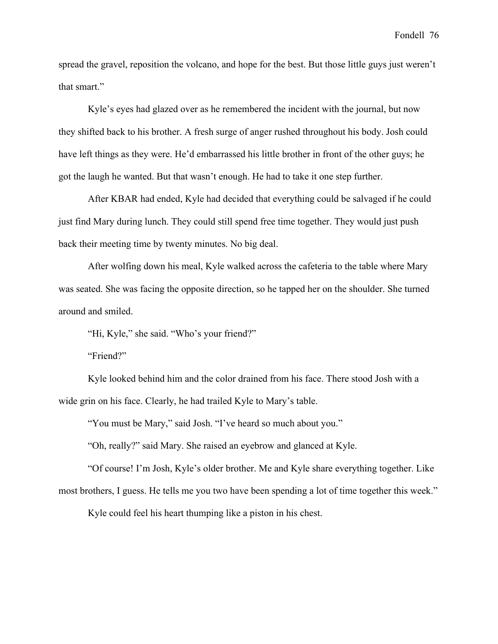spread the gravel, reposition the volcano, and hope for the best. But those little guys just weren't that smart."

Kyle's eyes had glazed over as he remembered the incident with the journal, but now they shifted back to his brother. A fresh surge of anger rushed throughout his body. Josh could have left things as they were. He'd embarrassed his little brother in front of the other guys; he got the laugh he wanted. But that wasn't enough. He had to take it one step further.

After KBAR had ended, Kyle had decided that everything could be salvaged if he could just find Mary during lunch. They could still spend free time together. They would just push back their meeting time by twenty minutes. No big deal.

After wolfing down his meal, Kyle walked across the cafeteria to the table where Mary was seated. She was facing the opposite direction, so he tapped her on the shoulder. She turned around and smiled.

"Hi, Kyle," she said. "Who's your friend?"

"Friend?"

Kyle looked behind him and the color drained from his face. There stood Josh with a wide grin on his face. Clearly, he had trailed Kyle to Mary's table.

"You must be Mary," said Josh. "I've heard so much about you."

"Oh, really?" said Mary. She raised an eyebrow and glanced at Kyle.

"Of course! I'm Josh, Kyle's older brother. Me and Kyle share everything together. Like most brothers, I guess. He tells me you two have been spending a lot of time together this week."

Kyle could feel his heart thumping like a piston in his chest.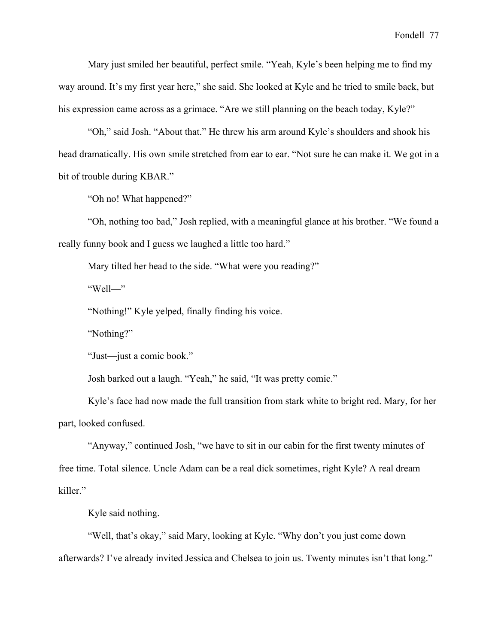Mary just smiled her beautiful, perfect smile. "Yeah, Kyle's been helping me to find my way around. It's my first year here," she said. She looked at Kyle and he tried to smile back, but his expression came across as a grimace. "Are we still planning on the beach today, Kyle?"

"Oh," said Josh. "About that." He threw his arm around Kyle's shoulders and shook his head dramatically. His own smile stretched from ear to ear. "Not sure he can make it. We got in a bit of trouble during KBAR."

"Oh no! What happened?"

"Oh, nothing too bad," Josh replied, with a meaningful glance at his brother. "We found a really funny book and I guess we laughed a little too hard."

Mary tilted her head to the side. "What were you reading?"

"Well—"

"Nothing!" Kyle yelped, finally finding his voice.

"Nothing?"

"Just—just a comic book."

Josh barked out a laugh. "Yeah," he said, "It was pretty comic."

Kyle's face had now made the full transition from stark white to bright red. Mary, for her part, looked confused.

"Anyway," continued Josh, "we have to sit in our cabin for the first twenty minutes of free time. Total silence. Uncle Adam can be a real dick sometimes, right Kyle? A real dream killer."

Kyle said nothing.

"Well, that's okay," said Mary, looking at Kyle. "Why don't you just come down afterwards? I've already invited Jessica and Chelsea to join us. Twenty minutes isn't that long."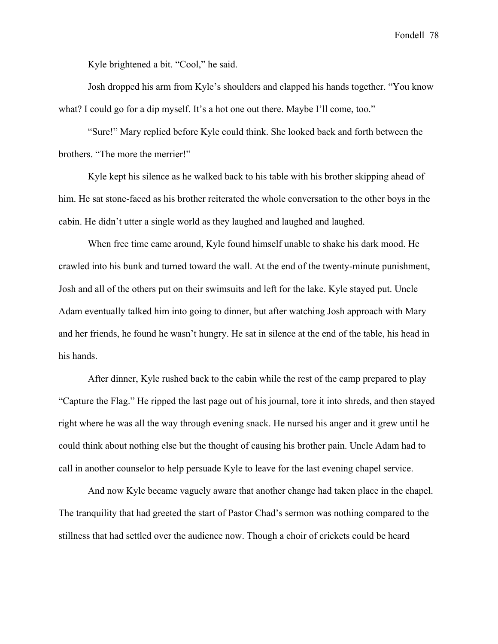Kyle brightened a bit. "Cool," he said.

Josh dropped his arm from Kyle's shoulders and clapped his hands together. "You know what? I could go for a dip myself. It's a hot one out there. Maybe I'll come, too."

"Sure!" Mary replied before Kyle could think. She looked back and forth between the brothers. "The more the merrier!"

Kyle kept his silence as he walked back to his table with his brother skipping ahead of him. He sat stone-faced as his brother reiterated the whole conversation to the other boys in the cabin. He didn't utter a single world as they laughed and laughed and laughed.

When free time came around, Kyle found himself unable to shake his dark mood. He crawled into his bunk and turned toward the wall. At the end of the twenty-minute punishment, Josh and all of the others put on their swimsuits and left for the lake. Kyle stayed put. Uncle Adam eventually talked him into going to dinner, but after watching Josh approach with Mary and her friends, he found he wasn't hungry. He sat in silence at the end of the table, his head in his hands.

After dinner, Kyle rushed back to the cabin while the rest of the camp prepared to play "Capture the Flag." He ripped the last page out of his journal, tore it into shreds, and then stayed right where he was all the way through evening snack. He nursed his anger and it grew until he could think about nothing else but the thought of causing his brother pain. Uncle Adam had to call in another counselor to help persuade Kyle to leave for the last evening chapel service.

And now Kyle became vaguely aware that another change had taken place in the chapel. The tranquility that had greeted the start of Pastor Chad's sermon was nothing compared to the stillness that had settled over the audience now. Though a choir of crickets could be heard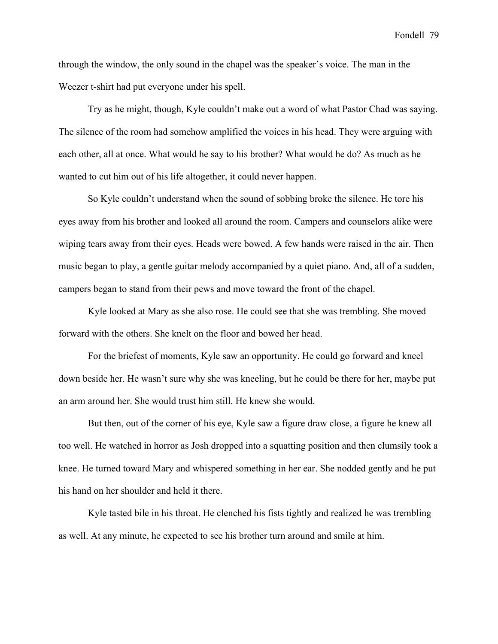through the window, the only sound in the chapel was the speaker's voice. The man in the Weezer t-shirt had put everyone under his spell.

Try as he might, though, Kyle couldn't make out a word of what Pastor Chad was saying. The silence of the room had somehow amplified the voices in his head. They were arguing with each other, all at once. What would he say to his brother? What would he do? As much as he wanted to cut him out of his life altogether, it could never happen.

So Kyle couldn't understand when the sound of sobbing broke the silence. He tore his eyes away from his brother and looked all around the room. Campers and counselors alike were wiping tears away from their eyes. Heads were bowed. A few hands were raised in the air. Then music began to play, a gentle guitar melody accompanied by a quiet piano. And, all of a sudden, campers began to stand from their pews and move toward the front of the chapel.

Kyle looked at Mary as she also rose. He could see that she was trembling. She moved forward with the others. She knelt on the floor and bowed her head.

For the briefest of moments, Kyle saw an opportunity. He could go forward and kneel down beside her. He wasn't sure why she was kneeling, but he could be there for her, maybe put an arm around her. She would trust him still. He knew she would.

But then, out of the corner of his eye, Kyle saw a figure draw close, a figure he knew all too well. He watched in horror as Josh dropped into a squatting position and then clumsily took a knee. He turned toward Mary and whispered something in her ear. She nodded gently and he put his hand on her shoulder and held it there.

Kyle tasted bile in his throat. He clenched his fists tightly and realized he was trembling as well. At any minute, he expected to see his brother turn around and smile at him.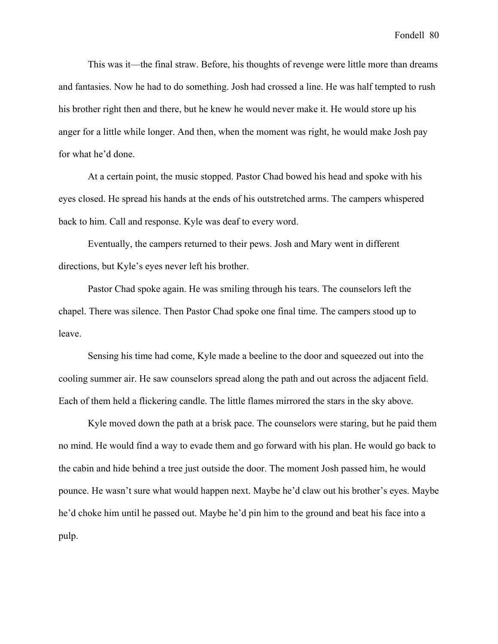This was it—the final straw. Before, his thoughts of revenge were little more than dreams and fantasies. Now he had to do something. Josh had crossed a line. He was half tempted to rush his brother right then and there, but he knew he would never make it. He would store up his anger for a little while longer. And then, when the moment was right, he would make Josh pay for what he'd done.

At a certain point, the music stopped. Pastor Chad bowed his head and spoke with his eyes closed. He spread his hands at the ends of his outstretched arms. The campers whispered back to him. Call and response. Kyle was deaf to every word.

Eventually, the campers returned to their pews. Josh and Mary went in different directions, but Kyle's eyes never left his brother.

Pastor Chad spoke again. He was smiling through his tears. The counselors left the chapel. There was silence. Then Pastor Chad spoke one final time. The campers stood up to leave.

Sensing his time had come, Kyle made a beeline to the door and squeezed out into the cooling summer air. He saw counselors spread along the path and out across the adjacent field. Each of them held a flickering candle. The little flames mirrored the stars in the sky above.

Kyle moved down the path at a brisk pace. The counselors were staring, but he paid them no mind. He would find a way to evade them and go forward with his plan. He would go back to the cabin and hide behind a tree just outside the door. The moment Josh passed him, he would pounce. He wasn't sure what would happen next. Maybe he'd claw out his brother's eyes. Maybe he'd choke him until he passed out. Maybe he'd pin him to the ground and beat his face into a pulp.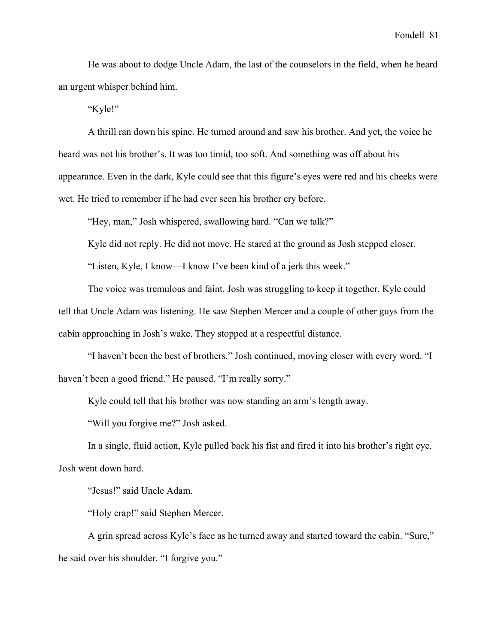He was about to dodge Uncle Adam, the last of the counselors in the field, when he heard an urgent whisper behind him.

"Kyle!"

A thrill ran down his spine. He turned around and saw his brother. And yet, the voice he heard was not his brother's. It was too timid, too soft. And something was off about his appearance. Even in the dark, Kyle could see that this figure's eyes were red and his cheeks were wet. He tried to remember if he had ever seen his brother cry before.

"Hey, man," Josh whispered, swallowing hard. "Can we talk?"

Kyle did not reply. He did not move. He stared at the ground as Josh stepped closer.

"Listen, Kyle, I know—I know I've been kind of a jerk this week."

The voice was tremulous and faint. Josh was struggling to keep it together. Kyle could tell that Uncle Adam was listening. He saw Stephen Mercer and a couple of other guys from the cabin approaching in Josh's wake. They stopped at a respectful distance.

"I haven't been the best of brothers," Josh continued, moving closer with every word. "I haven't been a good friend." He paused. "I'm really sorry."

Kyle could tell that his brother was now standing an arm's length away.

"Will you forgive me?" Josh asked.

In a single, fluid action, Kyle pulled back his fist and fired it into his brother's right eye. Josh went down hard.

"Jesus!" said Uncle Adam.

"Holy crap!" said Stephen Mercer.

A grin spread across Kyle's face as he turned away and started toward the cabin. "Sure," he said over his shoulder. "I forgive you."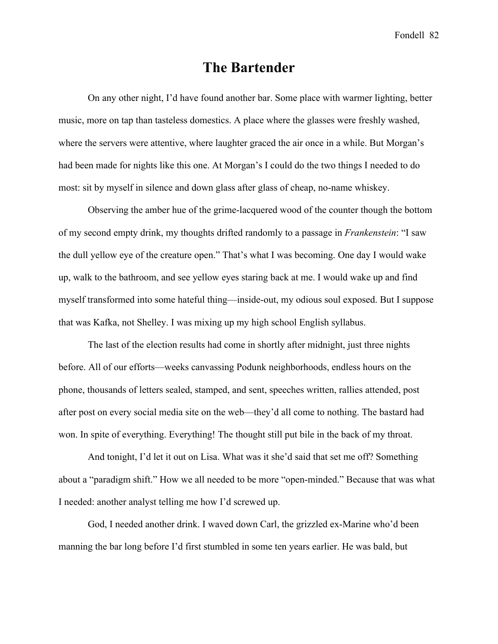## **The Bartender**

On any other night, I'd have found another bar. Some place with warmer lighting, better music, more on tap than tasteless domestics. A place where the glasses were freshly washed, where the servers were attentive, where laughter graced the air once in a while. But Morgan's had been made for nights like this one. At Morgan's I could do the two things I needed to do most: sit by myself in silence and down glass after glass of cheap, no-name whiskey.

Observing the amber hue of the grime-lacquered wood of the counter though the bottom of my second empty drink, my thoughts drifted randomly to a passage in *Frankenstein*: "I saw the dull yellow eye of the creature open." That's what I was becoming. One day I would wake up, walk to the bathroom, and see yellow eyes staring back at me. I would wake up and find myself transformed into some hateful thing—inside-out, my odious soul exposed. But I suppose that was Kafka, not Shelley. I was mixing up my high school English syllabus.

The last of the election results had come in shortly after midnight, just three nights before. All of our efforts—weeks canvassing Podunk neighborhoods, endless hours on the phone, thousands of letters sealed, stamped, and sent, speeches written, rallies attended, post after post on every social media site on the web—they'd all come to nothing. The bastard had won. In spite of everything. Everything! The thought still put bile in the back of my throat.

And tonight, I'd let it out on Lisa. What was it she'd said that set me off? Something about a "paradigm shift." How we all needed to be more "open-minded." Because that was what I needed: another analyst telling me how I'd screwed up.

God, I needed another drink. I waved down Carl, the grizzled ex-Marine who'd been manning the bar long before I'd first stumbled in some ten years earlier. He was bald, but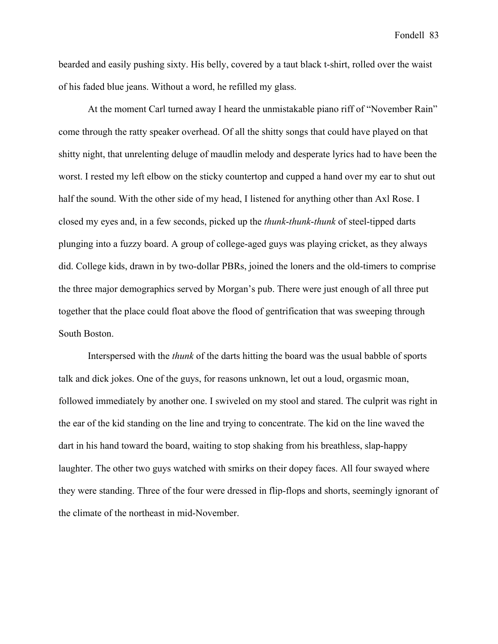bearded and easily pushing sixty. His belly, covered by a taut black t-shirt, rolled over the waist of his faded blue jeans. Without a word, he refilled my glass.

At the moment Carl turned away I heard the unmistakable piano riff of "November Rain" come through the ratty speaker overhead. Of all the shitty songs that could have played on that shitty night, that unrelenting deluge of maudlin melody and desperate lyrics had to have been the worst. I rested my left elbow on the sticky countertop and cupped a hand over my ear to shut out half the sound. With the other side of my head, I listened for anything other than Axl Rose. I closed my eyes and, in a few seconds, picked up the *thunk*-*thunk*-*thunk* of steel-tipped darts plunging into a fuzzy board. A group of college-aged guys was playing cricket, as they always did. College kids, drawn in by two-dollar PBRs, joined the loners and the old-timers to comprise the three major demographics served by Morgan's pub. There were just enough of all three put together that the place could float above the flood of gentrification that was sweeping through South Boston.

Interspersed with the *thunk* of the darts hitting the board was the usual babble of sports talk and dick jokes. One of the guys, for reasons unknown, let out a loud, orgasmic moan, followed immediately by another one. I swiveled on my stool and stared. The culprit was right in the ear of the kid standing on the line and trying to concentrate. The kid on the line waved the dart in his hand toward the board, waiting to stop shaking from his breathless, slap-happy laughter. The other two guys watched with smirks on their dopey faces. All four swayed where they were standing. Three of the four were dressed in flip-flops and shorts, seemingly ignorant of the climate of the northeast in mid-November.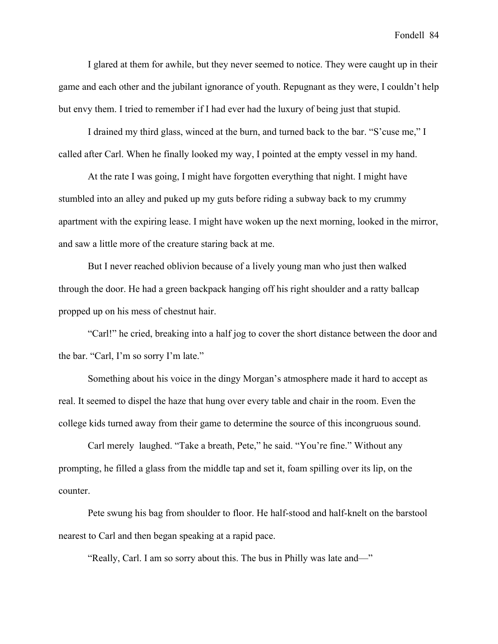I glared at them for awhile, but they never seemed to notice. They were caught up in their game and each other and the jubilant ignorance of youth. Repugnant as they were, I couldn't help but envy them. I tried to remember if I had ever had the luxury of being just that stupid.

I drained my third glass, winced at the burn, and turned back to the bar. "S'cuse me," I called after Carl. When he finally looked my way, I pointed at the empty vessel in my hand.

At the rate I was going, I might have forgotten everything that night. I might have stumbled into an alley and puked up my guts before riding a subway back to my crummy apartment with the expiring lease. I might have woken up the next morning, looked in the mirror, and saw a little more of the creature staring back at me.

But I never reached oblivion because of a lively young man who just then walked through the door. He had a green backpack hanging off his right shoulder and a ratty ballcap propped up on his mess of chestnut hair.

"Carl!" he cried, breaking into a half jog to cover the short distance between the door and the bar. "Carl, I'm so sorry I'm late."

Something about his voice in the dingy Morgan's atmosphere made it hard to accept as real. It seemed to dispel the haze that hung over every table and chair in the room. Even the college kids turned away from their game to determine the source of this incongruous sound.

Carl merely laughed. "Take a breath, Pete," he said. "You're fine." Without any prompting, he filled a glass from the middle tap and set it, foam spilling over its lip, on the counter.

Pete swung his bag from shoulder to floor. He half-stood and half-knelt on the barstool nearest to Carl and then began speaking at a rapid pace.

"Really, Carl. I am so sorry about this. The bus in Philly was late and—"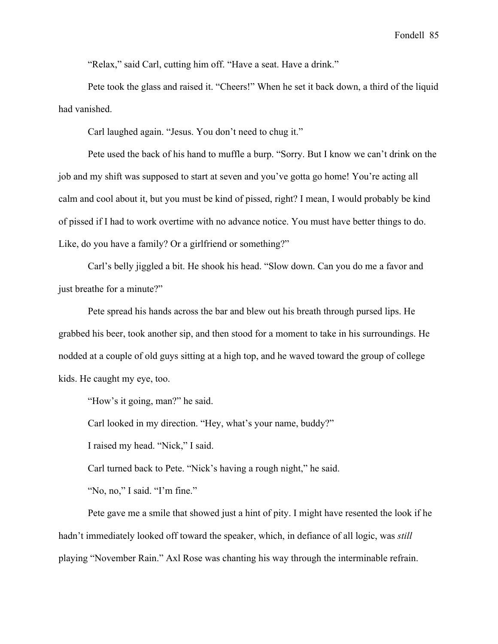"Relax," said Carl, cutting him off. "Have a seat. Have a drink."

Pete took the glass and raised it. "Cheers!" When he set it back down, a third of the liquid had vanished.

Carl laughed again. "Jesus. You don't need to chug it."

Pete used the back of his hand to muffle a burp. "Sorry. But I know we can't drink on the job and my shift was supposed to start at seven and you've gotta go home! You're acting all calm and cool about it, but you must be kind of pissed, right? I mean, I would probably be kind of pissed if I had to work overtime with no advance notice. You must have better things to do. Like, do you have a family? Or a girlfriend or something?"

Carl's belly jiggled a bit. He shook his head. "Slow down. Can you do me a favor and just breathe for a minute?"

Pete spread his hands across the bar and blew out his breath through pursed lips. He grabbed his beer, took another sip, and then stood for a moment to take in his surroundings. He nodded at a couple of old guys sitting at a high top, and he waved toward the group of college kids. He caught my eye, too.

"How's it going, man?" he said.

Carl looked in my direction. "Hey, what's your name, buddy?"

I raised my head. "Nick," I said.

Carl turned back to Pete. "Nick's having a rough night," he said.

"No, no," I said. "I'm fine."

Pete gave me a smile that showed just a hint of pity. I might have resented the look if he hadn't immediately looked off toward the speaker, which, in defiance of all logic, was *still*  playing "November Rain." Axl Rose was chanting his way through the interminable refrain.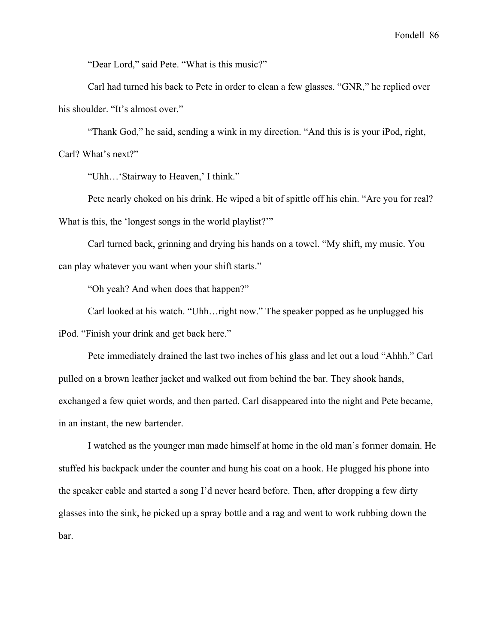"Dear Lord," said Pete. "What is this music?"

Carl had turned his back to Pete in order to clean a few glasses. "GNR," he replied over his shoulder. "It's almost over."

"Thank God," he said, sending a wink in my direction. "And this is is your iPod, right, Carl? What's next?"

"Uhh…'Stairway to Heaven,' I think."

Pete nearly choked on his drink. He wiped a bit of spittle off his chin. "Are you for real? What is this, the 'longest songs in the world playlist?'"

Carl turned back, grinning and drying his hands on a towel. "My shift, my music. You can play whatever you want when your shift starts."

"Oh yeah? And when does that happen?"

Carl looked at his watch. "Uhh…right now." The speaker popped as he unplugged his iPod. "Finish your drink and get back here."

Pete immediately drained the last two inches of his glass and let out a loud "Ahhh." Carl pulled on a brown leather jacket and walked out from behind the bar. They shook hands, exchanged a few quiet words, and then parted. Carl disappeared into the night and Pete became, in an instant, the new bartender.

I watched as the younger man made himself at home in the old man's former domain. He stuffed his backpack under the counter and hung his coat on a hook. He plugged his phone into the speaker cable and started a song I'd never heard before. Then, after dropping a few dirty glasses into the sink, he picked up a spray bottle and a rag and went to work rubbing down the bar.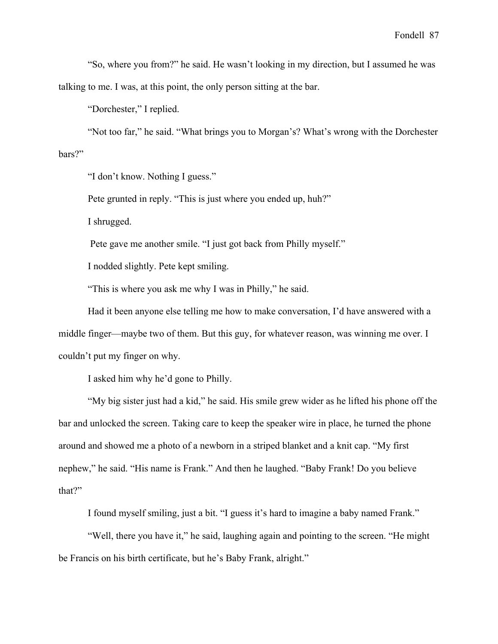"So, where you from?" he said. He wasn't looking in my direction, but I assumed he was talking to me. I was, at this point, the only person sitting at the bar.

"Dorchester," I replied.

"Not too far," he said. "What brings you to Morgan's? What's wrong with the Dorchester bars?"

"I don't know. Nothing I guess."

Pete grunted in reply. "This is just where you ended up, huh?"

I shrugged.

Pete gave me another smile. "I just got back from Philly myself."

I nodded slightly. Pete kept smiling.

"This is where you ask me why I was in Philly," he said.

Had it been anyone else telling me how to make conversation, I'd have answered with a middle finger—maybe two of them. But this guy, for whatever reason, was winning me over. I couldn't put my finger on why.

I asked him why he'd gone to Philly.

"My big sister just had a kid," he said. His smile grew wider as he lifted his phone off the bar and unlocked the screen. Taking care to keep the speaker wire in place, he turned the phone around and showed me a photo of a newborn in a striped blanket and a knit cap. "My first nephew," he said. "His name is Frank." And then he laughed. "Baby Frank! Do you believe that?"

I found myself smiling, just a bit. "I guess it's hard to imagine a baby named Frank."

"Well, there you have it," he said, laughing again and pointing to the screen. "He might be Francis on his birth certificate, but he's Baby Frank, alright."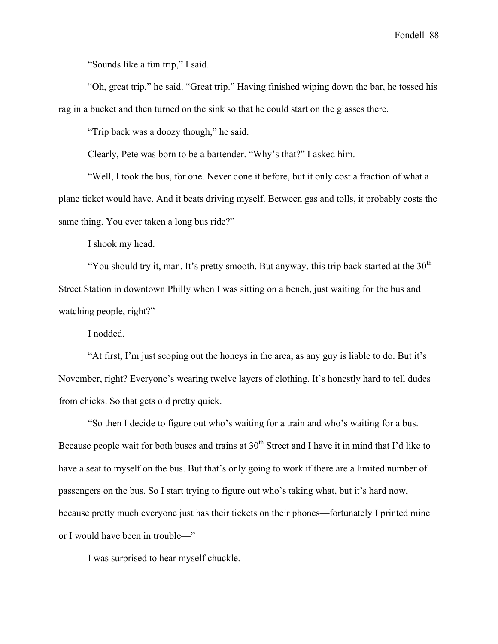"Sounds like a fun trip," I said.

"Oh, great trip," he said. "Great trip." Having finished wiping down the bar, he tossed his rag in a bucket and then turned on the sink so that he could start on the glasses there.

"Trip back was a doozy though," he said.

Clearly, Pete was born to be a bartender. "Why's that?" I asked him.

"Well, I took the bus, for one. Never done it before, but it only cost a fraction of what a plane ticket would have. And it beats driving myself. Between gas and tolls, it probably costs the same thing. You ever taken a long bus ride?"

I shook my head.

"You should try it, man. It's pretty smooth. But anyway, this trip back started at the  $30<sup>th</sup>$ Street Station in downtown Philly when I was sitting on a bench, just waiting for the bus and watching people, right?"

I nodded.

"At first, I'm just scoping out the honeys in the area, as any guy is liable to do. But it's November, right? Everyone's wearing twelve layers of clothing. It's honestly hard to tell dudes from chicks. So that gets old pretty quick.

"So then I decide to figure out who's waiting for a train and who's waiting for a bus. Because people wait for both buses and trains at  $30<sup>th</sup>$  Street and I have it in mind that I'd like to have a seat to myself on the bus. But that's only going to work if there are a limited number of passengers on the bus. So I start trying to figure out who's taking what, but it's hard now, because pretty much everyone just has their tickets on their phones—fortunately I printed mine or I would have been in trouble—"

I was surprised to hear myself chuckle.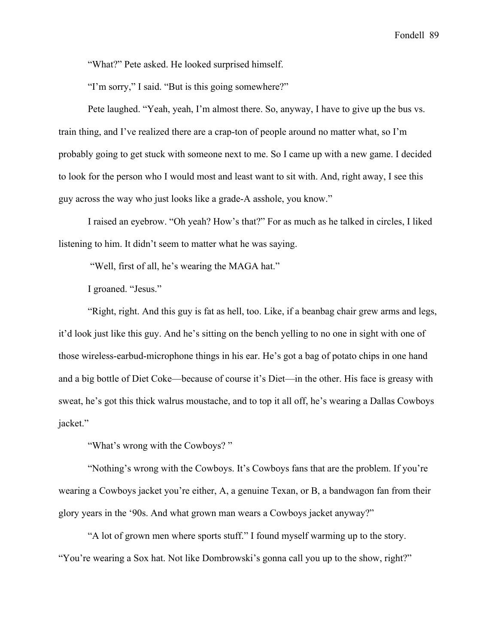"What?" Pete asked. He looked surprised himself.

"I'm sorry," I said. "But is this going somewhere?"

Pete laughed. "Yeah, yeah, I'm almost there. So, anyway, I have to give up the bus vs. train thing, and I've realized there are a crap-ton of people around no matter what, so I'm probably going to get stuck with someone next to me. So I came up with a new game. I decided to look for the person who I would most and least want to sit with. And, right away, I see this guy across the way who just looks like a grade-A asshole, you know."

I raised an eyebrow. "Oh yeah? How's that?" For as much as he talked in circles, I liked listening to him. It didn't seem to matter what he was saying.

"Well, first of all, he's wearing the MAGA hat."

I groaned. "Jesus."

"Right, right. And this guy is fat as hell, too. Like, if a beanbag chair grew arms and legs, it'd look just like this guy. And he's sitting on the bench yelling to no one in sight with one of those wireless-earbud-microphone things in his ear. He's got a bag of potato chips in one hand and a big bottle of Diet Coke—because of course it's Diet—in the other. His face is greasy with sweat, he's got this thick walrus moustache, and to top it all off, he's wearing a Dallas Cowboys jacket."

"What's wrong with the Cowboys? "

"Nothing's wrong with the Cowboys. It's Cowboys fans that are the problem. If you're wearing a Cowboys jacket you're either, A, a genuine Texan, or B, a bandwagon fan from their glory years in the '90s. And what grown man wears a Cowboys jacket anyway?"

"A lot of grown men where sports stuff." I found myself warming up to the story. "You're wearing a Sox hat. Not like Dombrowski's gonna call you up to the show, right?"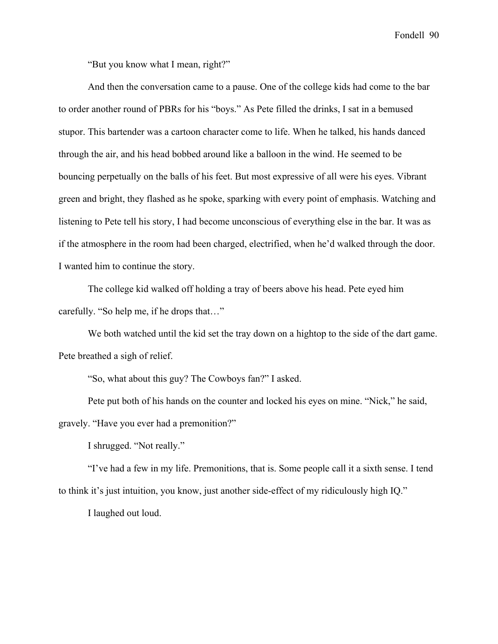"But you know what I mean, right?"

And then the conversation came to a pause. One of the college kids had come to the bar to order another round of PBRs for his "boys." As Pete filled the drinks, I sat in a bemused stupor. This bartender was a cartoon character come to life. When he talked, his hands danced through the air, and his head bobbed around like a balloon in the wind. He seemed to be bouncing perpetually on the balls of his feet. But most expressive of all were his eyes. Vibrant green and bright, they flashed as he spoke, sparking with every point of emphasis. Watching and listening to Pete tell his story, I had become unconscious of everything else in the bar. It was as if the atmosphere in the room had been charged, electrified, when he'd walked through the door. I wanted him to continue the story.

The college kid walked off holding a tray of beers above his head. Pete eyed him carefully. "So help me, if he drops that…"

We both watched until the kid set the tray down on a hightop to the side of the dart game. Pete breathed a sigh of relief.

"So, what about this guy? The Cowboys fan?" I asked.

Pete put both of his hands on the counter and locked his eyes on mine. "Nick," he said, gravely. "Have you ever had a premonition?"

I shrugged. "Not really."

"I've had a few in my life. Premonitions, that is. Some people call it a sixth sense. I tend to think it's just intuition, you know, just another side-effect of my ridiculously high IQ."

I laughed out loud.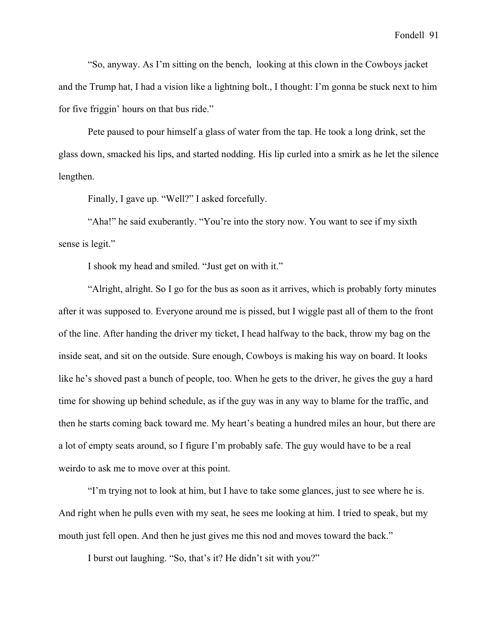"So, anyway. As I'm sitting on the bench, looking at this clown in the Cowboys jacket and the Trump hat, I had a vision like a lightning bolt., I thought: I'm gonna be stuck next to him for five friggin' hours on that bus ride."

Pete paused to pour himself a glass of water from the tap. He took a long drink, set the glass down, smacked his lips, and started nodding. His lip curled into a smirk as he let the silence lengthen.

Finally, I gave up. "Well?" I asked forcefully.

"Aha!" he said exuberantly. "You're into the story now. You want to see if my sixth sense is legit."

I shook my head and smiled. "Just get on with it."

"Alright, alright. So I go for the bus as soon as it arrives, which is probably forty minutes after it was supposed to. Everyone around me is pissed, but I wiggle past all of them to the front of the line. After handing the driver my ticket, I head halfway to the back, throw my bag on the inside seat, and sit on the outside. Sure enough, Cowboys is making his way on board. It looks like he's shoved past a bunch of people, too. When he gets to the driver, he gives the guy a hard time for showing up behind schedule, as if the guy was in any way to blame for the traffic, and then he starts coming back toward me. My heart's beating a hundred miles an hour, but there are a lot of empty seats around, so I figure I'm probably safe. The guy would have to be a real weirdo to ask me to move over at this point.

"I'm trying not to look at him, but I have to take some glances, just to see where he is. And right when he pulls even with my seat, he sees me looking at him. I tried to speak, but my mouth just fell open. And then he just gives me this nod and moves toward the back."

I burst out laughing. "So, that's it? He didn't sit with you?"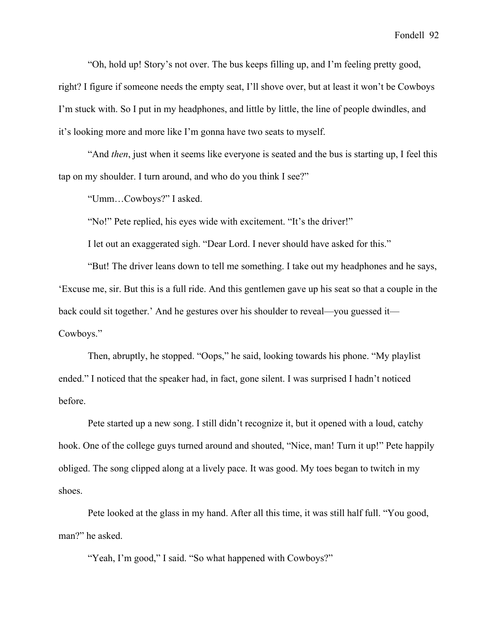"Oh, hold up! Story's not over. The bus keeps filling up, and I'm feeling pretty good, right? I figure if someone needs the empty seat, I'll shove over, but at least it won't be Cowboys I'm stuck with. So I put in my headphones, and little by little, the line of people dwindles, and it's looking more and more like I'm gonna have two seats to myself.

"And *then*, just when it seems like everyone is seated and the bus is starting up, I feel this tap on my shoulder. I turn around, and who do you think I see?"

"Umm…Cowboys?" I asked.

"No!" Pete replied, his eyes wide with excitement. "It's the driver!"

I let out an exaggerated sigh. "Dear Lord. I never should have asked for this."

"But! The driver leans down to tell me something. I take out my headphones and he says, 'Excuse me, sir. But this is a full ride. And this gentlemen gave up his seat so that a couple in the back could sit together.' And he gestures over his shoulder to reveal—you guessed it— Cowboys."

Then, abruptly, he stopped. "Oops," he said, looking towards his phone. "My playlist ended." I noticed that the speaker had, in fact, gone silent. I was surprised I hadn't noticed before.

Pete started up a new song. I still didn't recognize it, but it opened with a loud, catchy hook. One of the college guys turned around and shouted, "Nice, man! Turn it up!" Pete happily obliged. The song clipped along at a lively pace. It was good. My toes began to twitch in my shoes.

Pete looked at the glass in my hand. After all this time, it was still half full. "You good, man?" he asked.

"Yeah, I'm good," I said. "So what happened with Cowboys?"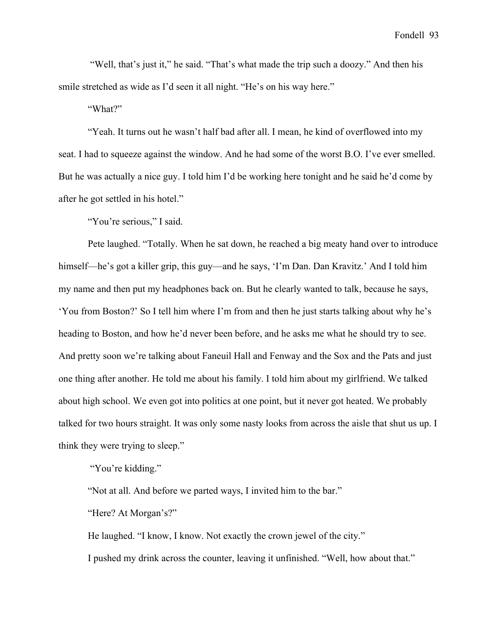"Well, that's just it," he said. "That's what made the trip such a doozy." And then his smile stretched as wide as I'd seen it all night. "He's on his way here."

"What?"

"Yeah. It turns out he wasn't half bad after all. I mean, he kind of overflowed into my seat. I had to squeeze against the window. And he had some of the worst B.O. I've ever smelled. But he was actually a nice guy. I told him I'd be working here tonight and he said he'd come by after he got settled in his hotel."

"You're serious," I said.

Pete laughed. "Totally. When he sat down, he reached a big meaty hand over to introduce himself—he's got a killer grip, this guy—and he says, 'I'm Dan. Dan Kravitz.' And I told him my name and then put my headphones back on. But he clearly wanted to talk, because he says, 'You from Boston?' So I tell him where I'm from and then he just starts talking about why he's heading to Boston, and how he'd never been before, and he asks me what he should try to see. And pretty soon we're talking about Faneuil Hall and Fenway and the Sox and the Pats and just one thing after another. He told me about his family. I told him about my girlfriend. We talked about high school. We even got into politics at one point, but it never got heated. We probably talked for two hours straight. It was only some nasty looks from across the aisle that shut us up. I think they were trying to sleep."

"You're kidding."

"Not at all. And before we parted ways, I invited him to the bar."

"Here? At Morgan's?"

He laughed. "I know, I know. Not exactly the crown jewel of the city."

I pushed my drink across the counter, leaving it unfinished. "Well, how about that."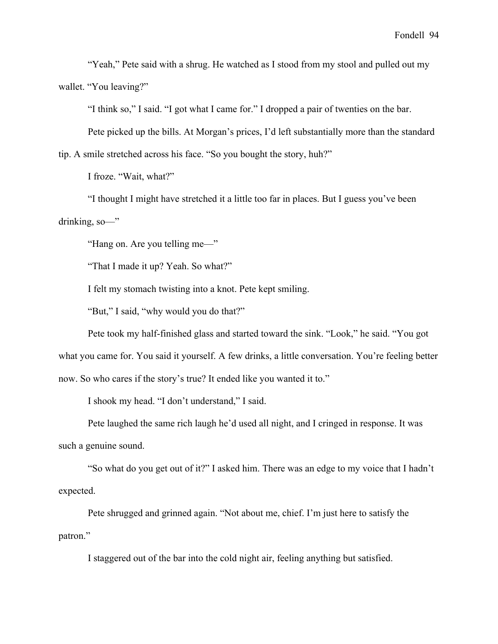"Yeah," Pete said with a shrug. He watched as I stood from my stool and pulled out my wallet. "You leaving?"

"I think so," I said. "I got what I came for." I dropped a pair of twenties on the bar.

Pete picked up the bills. At Morgan's prices, I'd left substantially more than the standard

tip. A smile stretched across his face. "So you bought the story, huh?"

I froze. "Wait, what?"

"I thought I might have stretched it a little too far in places. But I guess you've been drinking, so—"

"Hang on. Are you telling me—"

"That I made it up? Yeah. So what?"

I felt my stomach twisting into a knot. Pete kept smiling.

"But," I said, "why would you do that?"

Pete took my half-finished glass and started toward the sink. "Look," he said. "You got what you came for. You said it yourself. A few drinks, a little conversation. You're feeling better now. So who cares if the story's true? It ended like you wanted it to."

I shook my head. "I don't understand," I said.

Pete laughed the same rich laugh he'd used all night, and I cringed in response. It was such a genuine sound.

"So what do you get out of it?" I asked him. There was an edge to my voice that I hadn't expected.

Pete shrugged and grinned again. "Not about me, chief. I'm just here to satisfy the patron."

I staggered out of the bar into the cold night air, feeling anything but satisfied.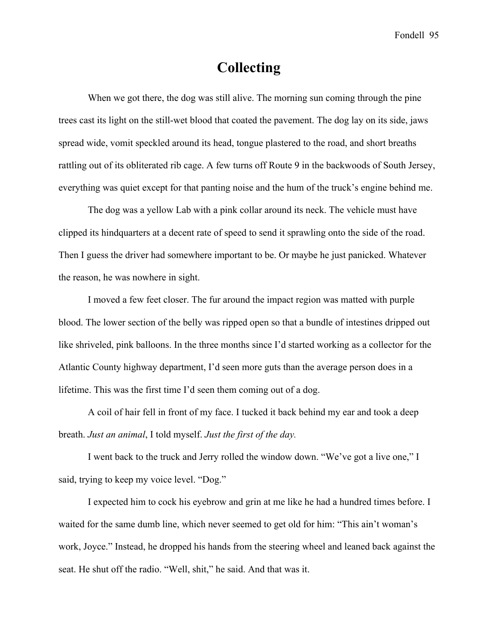## **Collecting**

When we got there, the dog was still alive. The morning sun coming through the pine trees cast its light on the still-wet blood that coated the pavement. The dog lay on its side, jaws spread wide, vomit speckled around its head, tongue plastered to the road, and short breaths rattling out of its obliterated rib cage. A few turns off Route 9 in the backwoods of South Jersey, everything was quiet except for that panting noise and the hum of the truck's engine behind me.

The dog was a yellow Lab with a pink collar around its neck. The vehicle must have clipped its hindquarters at a decent rate of speed to send it sprawling onto the side of the road. Then I guess the driver had somewhere important to be. Or maybe he just panicked. Whatever the reason, he was nowhere in sight.

I moved a few feet closer. The fur around the impact region was matted with purple blood. The lower section of the belly was ripped open so that a bundle of intestines dripped out like shriveled, pink balloons. In the three months since I'd started working as a collector for the Atlantic County highway department, I'd seen more guts than the average person does in a lifetime. This was the first time I'd seen them coming out of a dog.

A coil of hair fell in front of my face. I tucked it back behind my ear and took a deep breath. *Just an animal*, I told myself. *Just the first of the day.*

I went back to the truck and Jerry rolled the window down. "We've got a live one," I said, trying to keep my voice level. "Dog."

I expected him to cock his eyebrow and grin at me like he had a hundred times before. I waited for the same dumb line, which never seemed to get old for him: "This ain't woman's work, Joyce." Instead, he dropped his hands from the steering wheel and leaned back against the seat. He shut off the radio. "Well, shit," he said. And that was it.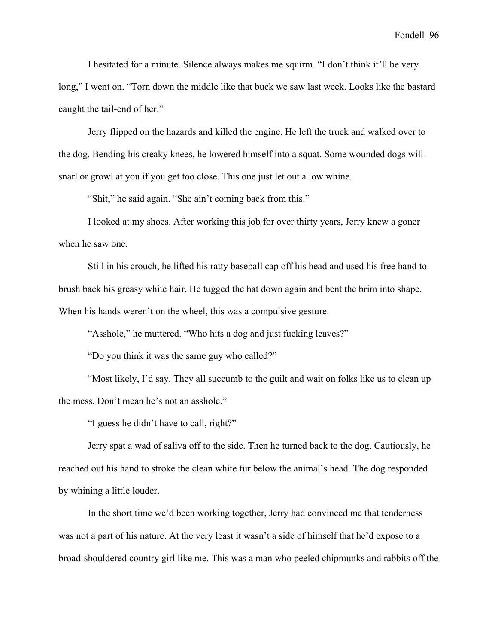I hesitated for a minute. Silence always makes me squirm. "I don't think it'll be very long," I went on. "Torn down the middle like that buck we saw last week. Looks like the bastard caught the tail-end of her."

Jerry flipped on the hazards and killed the engine. He left the truck and walked over to the dog. Bending his creaky knees, he lowered himself into a squat. Some wounded dogs will snarl or growl at you if you get too close. This one just let out a low whine.

"Shit," he said again. "She ain't coming back from this."

I looked at my shoes. After working this job for over thirty years, Jerry knew a goner when he saw one.

Still in his crouch, he lifted his ratty baseball cap off his head and used his free hand to brush back his greasy white hair. He tugged the hat down again and bent the brim into shape. When his hands weren't on the wheel, this was a compulsive gesture.

"Asshole," he muttered. "Who hits a dog and just fucking leaves?"

"Do you think it was the same guy who called?"

"Most likely, I'd say. They all succumb to the guilt and wait on folks like us to clean up the mess. Don't mean he's not an asshole."

"I guess he didn't have to call, right?"

Jerry spat a wad of saliva off to the side. Then he turned back to the dog. Cautiously, he reached out his hand to stroke the clean white fur below the animal's head. The dog responded by whining a little louder.

In the short time we'd been working together, Jerry had convinced me that tenderness was not a part of his nature. At the very least it wasn't a side of himself that he'd expose to a broad-shouldered country girl like me. This was a man who peeled chipmunks and rabbits off the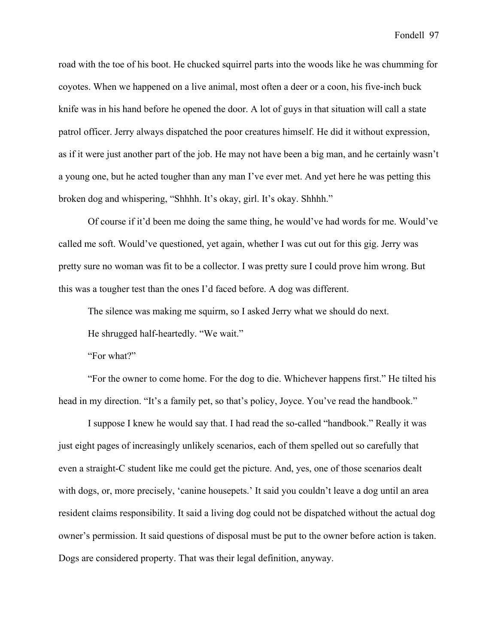road with the toe of his boot. He chucked squirrel parts into the woods like he was chumming for coyotes. When we happened on a live animal, most often a deer or a coon, his five-inch buck knife was in his hand before he opened the door. A lot of guys in that situation will call a state patrol officer. Jerry always dispatched the poor creatures himself. He did it without expression, as if it were just another part of the job. He may not have been a big man, and he certainly wasn't a young one, but he acted tougher than any man I've ever met. And yet here he was petting this broken dog and whispering, "Shhhh. It's okay, girl. It's okay. Shhhh."

Of course if it'd been me doing the same thing, he would've had words for me. Would've called me soft. Would've questioned, yet again, whether I was cut out for this gig. Jerry was pretty sure no woman was fit to be a collector. I was pretty sure I could prove him wrong. But this was a tougher test than the ones I'd faced before. A dog was different.

The silence was making me squirm, so I asked Jerry what we should do next.

He shrugged half-heartedly. "We wait."

"For what?"

"For the owner to come home. For the dog to die. Whichever happens first." He tilted his head in my direction. "It's a family pet, so that's policy, Joyce. You've read the handbook."

I suppose I knew he would say that. I had read the so-called "handbook." Really it was just eight pages of increasingly unlikely scenarios, each of them spelled out so carefully that even a straight-C student like me could get the picture. And, yes, one of those scenarios dealt with dogs, or, more precisely, 'canine housepets.' It said you couldn't leave a dog until an area resident claims responsibility. It said a living dog could not be dispatched without the actual dog owner's permission. It said questions of disposal must be put to the owner before action is taken. Dogs are considered property. That was their legal definition, anyway.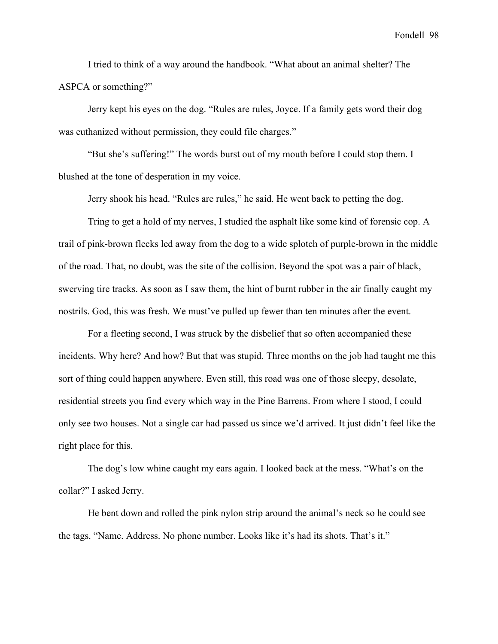I tried to think of a way around the handbook. "What about an animal shelter? The ASPCA or something?"

Jerry kept his eyes on the dog. "Rules are rules, Joyce. If a family gets word their dog was euthanized without permission, they could file charges."

"But she's suffering!" The words burst out of my mouth before I could stop them. I blushed at the tone of desperation in my voice.

Jerry shook his head. "Rules are rules," he said. He went back to petting the dog.

Tring to get a hold of my nerves, I studied the asphalt like some kind of forensic cop. A trail of pink-brown flecks led away from the dog to a wide splotch of purple-brown in the middle of the road. That, no doubt, was the site of the collision. Beyond the spot was a pair of black, swerving tire tracks. As soon as I saw them, the hint of burnt rubber in the air finally caught my nostrils. God, this was fresh. We must've pulled up fewer than ten minutes after the event.

For a fleeting second, I was struck by the disbelief that so often accompanied these incidents. Why here? And how? But that was stupid. Three months on the job had taught me this sort of thing could happen anywhere. Even still, this road was one of those sleepy, desolate, residential streets you find every which way in the Pine Barrens. From where I stood, I could only see two houses. Not a single car had passed us since we'd arrived. It just didn't feel like the right place for this.

The dog's low whine caught my ears again. I looked back at the mess. "What's on the collar?" I asked Jerry.

He bent down and rolled the pink nylon strip around the animal's neck so he could see the tags. "Name. Address. No phone number. Looks like it's had its shots. That's it."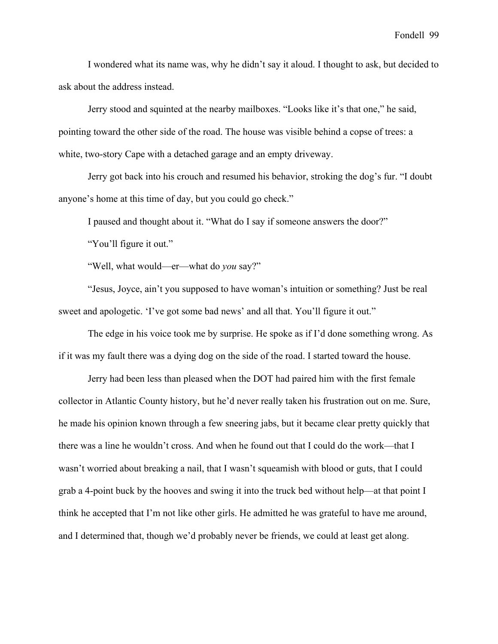I wondered what its name was, why he didn't say it aloud. I thought to ask, but decided to ask about the address instead.

Jerry stood and squinted at the nearby mailboxes. "Looks like it's that one," he said, pointing toward the other side of the road. The house was visible behind a copse of trees: a white, two-story Cape with a detached garage and an empty driveway.

Jerry got back into his crouch and resumed his behavior, stroking the dog's fur. "I doubt anyone's home at this time of day, but you could go check."

I paused and thought about it. "What do I say if someone answers the door?"

"You'll figure it out."

"Well, what would—er—what do *you* say?"

"Jesus, Joyce, ain't you supposed to have woman's intuition or something? Just be real sweet and apologetic. 'I've got some bad news' and all that. You'll figure it out."

The edge in his voice took me by surprise. He spoke as if I'd done something wrong. As if it was my fault there was a dying dog on the side of the road. I started toward the house.

Jerry had been less than pleased when the DOT had paired him with the first female collector in Atlantic County history, but he'd never really taken his frustration out on me. Sure, he made his opinion known through a few sneering jabs, but it became clear pretty quickly that there was a line he wouldn't cross. And when he found out that I could do the work—that I wasn't worried about breaking a nail, that I wasn't squeamish with blood or guts, that I could grab a 4-point buck by the hooves and swing it into the truck bed without help—at that point I think he accepted that I'm not like other girls. He admitted he was grateful to have me around, and I determined that, though we'd probably never be friends, we could at least get along.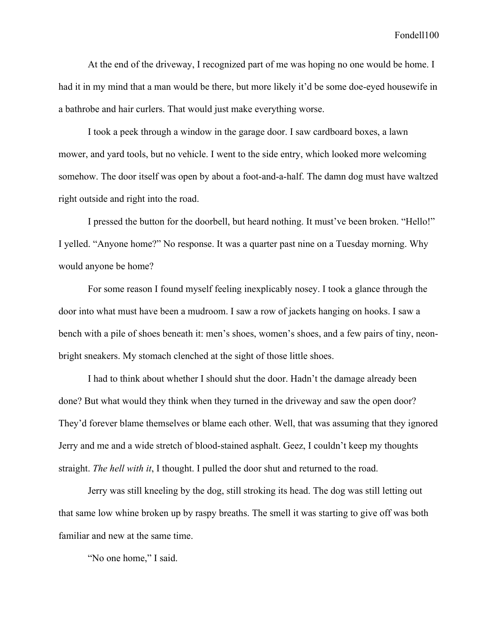At the end of the driveway, I recognized part of me was hoping no one would be home. I had it in my mind that a man would be there, but more likely it'd be some doe-eyed housewife in a bathrobe and hair curlers. That would just make everything worse.

I took a peek through a window in the garage door. I saw cardboard boxes, a lawn mower, and yard tools, but no vehicle. I went to the side entry, which looked more welcoming somehow. The door itself was open by about a foot-and-a-half. The damn dog must have waltzed right outside and right into the road.

I pressed the button for the doorbell, but heard nothing. It must've been broken. "Hello!" I yelled. "Anyone home?" No response. It was a quarter past nine on a Tuesday morning. Why would anyone be home?

For some reason I found myself feeling inexplicably nosey. I took a glance through the door into what must have been a mudroom. I saw a row of jackets hanging on hooks. I saw a bench with a pile of shoes beneath it: men's shoes, women's shoes, and a few pairs of tiny, neonbright sneakers. My stomach clenched at the sight of those little shoes.

I had to think about whether I should shut the door. Hadn't the damage already been done? But what would they think when they turned in the driveway and saw the open door? They'd forever blame themselves or blame each other. Well, that was assuming that they ignored Jerry and me and a wide stretch of blood-stained asphalt. Geez, I couldn't keep my thoughts straight. *The hell with it*, I thought. I pulled the door shut and returned to the road.

Jerry was still kneeling by the dog, still stroking its head. The dog was still letting out that same low whine broken up by raspy breaths. The smell it was starting to give off was both familiar and new at the same time.

"No one home," I said.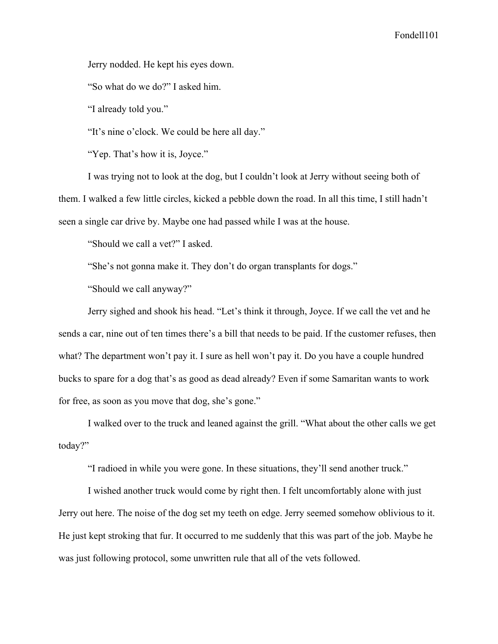Jerry nodded. He kept his eyes down.

"So what do we do?" I asked him.

"I already told you."

"It's nine o'clock. We could be here all day."

"Yep. That's how it is, Joyce."

I was trying not to look at the dog, but I couldn't look at Jerry without seeing both of them. I walked a few little circles, kicked a pebble down the road. In all this time, I still hadn't seen a single car drive by. Maybe one had passed while I was at the house.

"Should we call a vet?" I asked.

"She's not gonna make it. They don't do organ transplants for dogs."

"Should we call anyway?"

Jerry sighed and shook his head. "Let's think it through, Joyce. If we call the vet and he sends a car, nine out of ten times there's a bill that needs to be paid. If the customer refuses, then what? The department won't pay it. I sure as hell won't pay it. Do you have a couple hundred bucks to spare for a dog that's as good as dead already? Even if some Samaritan wants to work for free, as soon as you move that dog, she's gone."

I walked over to the truck and leaned against the grill. "What about the other calls we get today?"

"I radioed in while you were gone. In these situations, they'll send another truck."

I wished another truck would come by right then. I felt uncomfortably alone with just Jerry out here. The noise of the dog set my teeth on edge. Jerry seemed somehow oblivious to it. He just kept stroking that fur. It occurred to me suddenly that this was part of the job. Maybe he was just following protocol, some unwritten rule that all of the vets followed.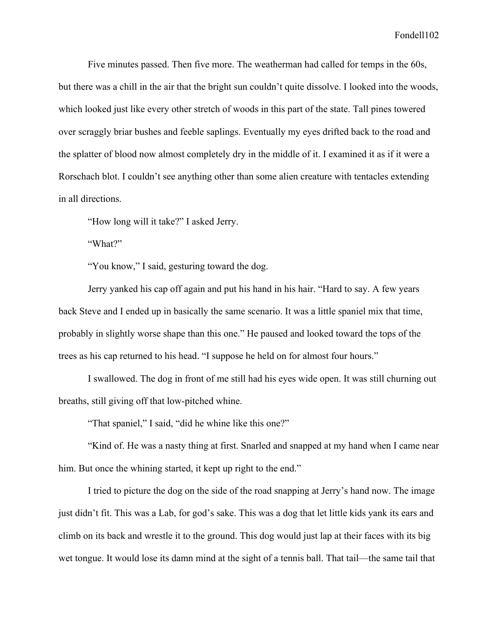Five minutes passed. Then five more. The weatherman had called for temps in the 60s, but there was a chill in the air that the bright sun couldn't quite dissolve. I looked into the woods, which looked just like every other stretch of woods in this part of the state. Tall pines towered over scraggly briar bushes and feeble saplings. Eventually my eyes drifted back to the road and the splatter of blood now almost completely dry in the middle of it. I examined it as if it were a Rorschach blot. I couldn't see anything other than some alien creature with tentacles extending in all directions.

"How long will it take?" I asked Jerry.

"What?"

"You know," I said, gesturing toward the dog.

Jerry yanked his cap off again and put his hand in his hair. "Hard to say. A few years back Steve and I ended up in basically the same scenario. It was a little spaniel mix that time, probably in slightly worse shape than this one." He paused and looked toward the tops of the trees as his cap returned to his head. "I suppose he held on for almost four hours."

I swallowed. The dog in front of me still had his eyes wide open. It was still churning out breaths, still giving off that low-pitched whine.

"That spaniel," I said, "did he whine like this one?"

"Kind of. He was a nasty thing at first. Snarled and snapped at my hand when I came near him. But once the whining started, it kept up right to the end."

I tried to picture the dog on the side of the road snapping at Jerry's hand now. The image just didn't fit. This was a Lab, for god's sake. This was a dog that let little kids yank its ears and climb on its back and wrestle it to the ground. This dog would just lap at their faces with its big wet tongue. It would lose its damn mind at the sight of a tennis ball. That tail—the same tail that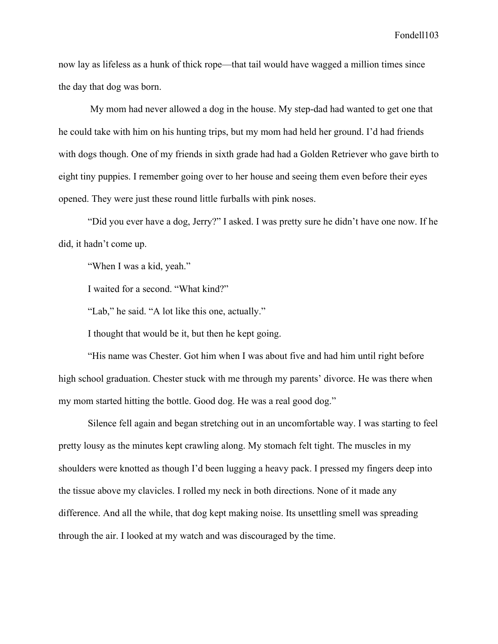now lay as lifeless as a hunk of thick rope—that tail would have wagged a million times since the day that dog was born.

My mom had never allowed a dog in the house. My step-dad had wanted to get one that he could take with him on his hunting trips, but my mom had held her ground. I'd had friends with dogs though. One of my friends in sixth grade had had a Golden Retriever who gave birth to eight tiny puppies. I remember going over to her house and seeing them even before their eyes opened. They were just these round little furballs with pink noses.

"Did you ever have a dog, Jerry?" I asked. I was pretty sure he didn't have one now. If he did, it hadn't come up.

"When I was a kid, yeah."

I waited for a second. "What kind?"

"Lab," he said. "A lot like this one, actually."

I thought that would be it, but then he kept going.

"His name was Chester. Got him when I was about five and had him until right before high school graduation. Chester stuck with me through my parents' divorce. He was there when my mom started hitting the bottle. Good dog. He was a real good dog."

Silence fell again and began stretching out in an uncomfortable way. I was starting to feel pretty lousy as the minutes kept crawling along. My stomach felt tight. The muscles in my shoulders were knotted as though I'd been lugging a heavy pack. I pressed my fingers deep into the tissue above my clavicles. I rolled my neck in both directions. None of it made any difference. And all the while, that dog kept making noise. Its unsettling smell was spreading through the air. I looked at my watch and was discouraged by the time.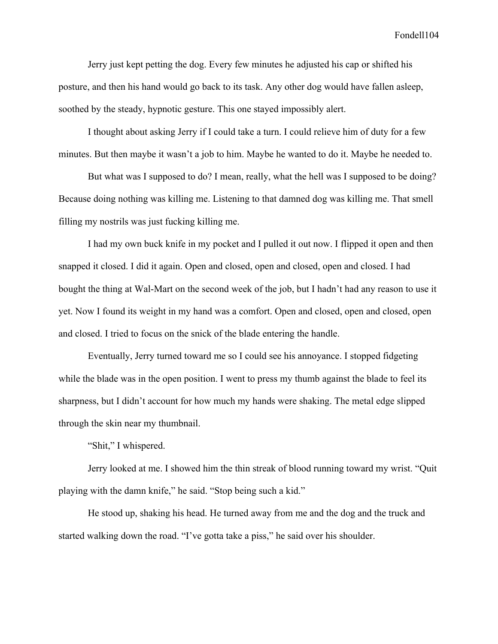Jerry just kept petting the dog. Every few minutes he adjusted his cap or shifted his posture, and then his hand would go back to its task. Any other dog would have fallen asleep, soothed by the steady, hypnotic gesture. This one stayed impossibly alert.

I thought about asking Jerry if I could take a turn. I could relieve him of duty for a few minutes. But then maybe it wasn't a job to him. Maybe he wanted to do it. Maybe he needed to.

But what was I supposed to do? I mean, really, what the hell was I supposed to be doing? Because doing nothing was killing me. Listening to that damned dog was killing me. That smell filling my nostrils was just fucking killing me.

I had my own buck knife in my pocket and I pulled it out now. I flipped it open and then snapped it closed. I did it again. Open and closed, open and closed, open and closed. I had bought the thing at Wal-Mart on the second week of the job, but I hadn't had any reason to use it yet. Now I found its weight in my hand was a comfort. Open and closed, open and closed, open and closed. I tried to focus on the snick of the blade entering the handle.

Eventually, Jerry turned toward me so I could see his annoyance. I stopped fidgeting while the blade was in the open position. I went to press my thumb against the blade to feel its sharpness, but I didn't account for how much my hands were shaking. The metal edge slipped through the skin near my thumbnail.

"Shit," I whispered.

Jerry looked at me. I showed him the thin streak of blood running toward my wrist. "Quit playing with the damn knife," he said. "Stop being such a kid."

He stood up, shaking his head. He turned away from me and the dog and the truck and started walking down the road. "I've gotta take a piss," he said over his shoulder.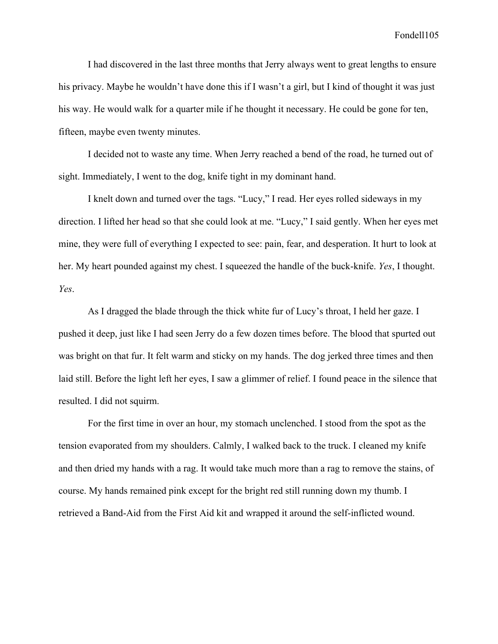I had discovered in the last three months that Jerry always went to great lengths to ensure his privacy. Maybe he wouldn't have done this if I wasn't a girl, but I kind of thought it was just his way. He would walk for a quarter mile if he thought it necessary. He could be gone for ten, fifteen, maybe even twenty minutes.

I decided not to waste any time. When Jerry reached a bend of the road, he turned out of sight. Immediately, I went to the dog, knife tight in my dominant hand.

I knelt down and turned over the tags. "Lucy," I read. Her eyes rolled sideways in my direction. I lifted her head so that she could look at me. "Lucy," I said gently. When her eyes met mine, they were full of everything I expected to see: pain, fear, and desperation. It hurt to look at her. My heart pounded against my chest. I squeezed the handle of the buck-knife. *Yes*, I thought. *Yes*.

As I dragged the blade through the thick white fur of Lucy's throat, I held her gaze. I pushed it deep, just like I had seen Jerry do a few dozen times before. The blood that spurted out was bright on that fur. It felt warm and sticky on my hands. The dog jerked three times and then laid still. Before the light left her eyes, I saw a glimmer of relief. I found peace in the silence that resulted. I did not squirm.

For the first time in over an hour, my stomach unclenched. I stood from the spot as the tension evaporated from my shoulders. Calmly, I walked back to the truck. I cleaned my knife and then dried my hands with a rag. It would take much more than a rag to remove the stains, of course. My hands remained pink except for the bright red still running down my thumb. I retrieved a Band-Aid from the First Aid kit and wrapped it around the self-inflicted wound.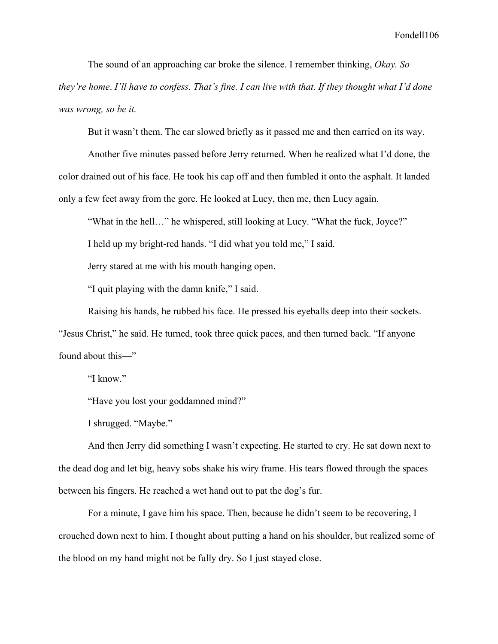The sound of an approaching car broke the silence. I remember thinking, *Okay. So* 

*they're home*. *I'll have to confess. That's fine. I can live with that. If they thought what I'd done was wrong, so be it.*

But it wasn't them. The car slowed briefly as it passed me and then carried on its way.

Another five minutes passed before Jerry returned. When he realized what I'd done, the color drained out of his face. He took his cap off and then fumbled it onto the asphalt. It landed only a few feet away from the gore. He looked at Lucy, then me, then Lucy again.

"What in the hell…" he whispered, still looking at Lucy. "What the fuck, Joyce?"

I held up my bright-red hands. "I did what you told me," I said.

Jerry stared at me with his mouth hanging open.

"I quit playing with the damn knife," I said.

Raising his hands, he rubbed his face. He pressed his eyeballs deep into their sockets.

"Jesus Christ," he said. He turned, took three quick paces, and then turned back. "If anyone found about this—"

"I know."

"Have you lost your goddamned mind?"

I shrugged. "Maybe."

And then Jerry did something I wasn't expecting. He started to cry. He sat down next to the dead dog and let big, heavy sobs shake his wiry frame. His tears flowed through the spaces between his fingers. He reached a wet hand out to pat the dog's fur.

For a minute, I gave him his space. Then, because he didn't seem to be recovering, I crouched down next to him. I thought about putting a hand on his shoulder, but realized some of the blood on my hand might not be fully dry. So I just stayed close.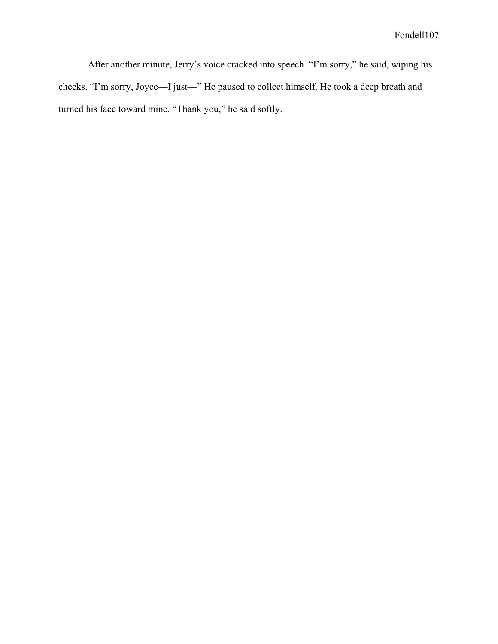After another minute, Jerry's voice cracked into speech. "I'm sorry," he said, wiping his cheeks. "I'm sorry, Joyce—I just—" He paused to collect himself. He took a deep breath and turned his face toward mine. "Thank you," he said softly.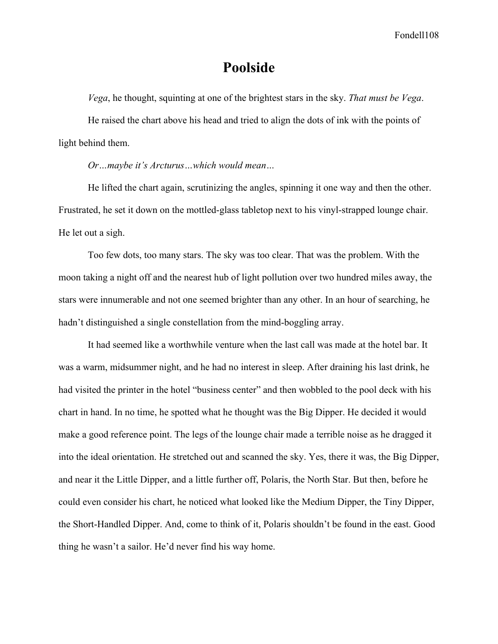## **Poolside**

*Vega*, he thought, squinting at one of the brightest stars in the sky. *That must be Vega*.

He raised the chart above his head and tried to align the dots of ink with the points of light behind them.

*Or…maybe it's Arcturus…which would mean…*

He lifted the chart again, scrutinizing the angles, spinning it one way and then the other. Frustrated, he set it down on the mottled-glass tabletop next to his vinyl-strapped lounge chair. He let out a sigh.

Too few dots, too many stars. The sky was too clear. That was the problem. With the moon taking a night off and the nearest hub of light pollution over two hundred miles away, the stars were innumerable and not one seemed brighter than any other. In an hour of searching, he hadn't distinguished a single constellation from the mind-boggling array.

It had seemed like a worthwhile venture when the last call was made at the hotel bar. It was a warm, midsummer night, and he had no interest in sleep. After draining his last drink, he had visited the printer in the hotel "business center" and then wobbled to the pool deck with his chart in hand. In no time, he spotted what he thought was the Big Dipper. He decided it would make a good reference point. The legs of the lounge chair made a terrible noise as he dragged it into the ideal orientation. He stretched out and scanned the sky. Yes, there it was, the Big Dipper, and near it the Little Dipper, and a little further off, Polaris, the North Star. But then, before he could even consider his chart, he noticed what looked like the Medium Dipper, the Tiny Dipper, the Short-Handled Dipper. And, come to think of it, Polaris shouldn't be found in the east. Good thing he wasn't a sailor. He'd never find his way home.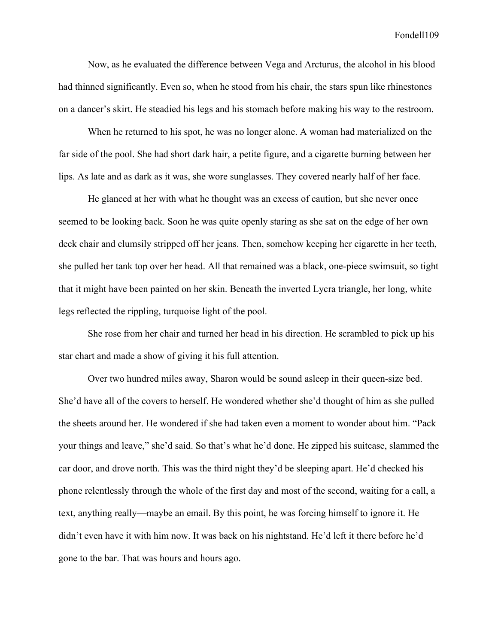Now, as he evaluated the difference between Vega and Arcturus, the alcohol in his blood had thinned significantly. Even so, when he stood from his chair, the stars spun like rhinestones on a dancer's skirt. He steadied his legs and his stomach before making his way to the restroom.

When he returned to his spot, he was no longer alone. A woman had materialized on the far side of the pool. She had short dark hair, a petite figure, and a cigarette burning between her lips. As late and as dark as it was, she wore sunglasses. They covered nearly half of her face.

He glanced at her with what he thought was an excess of caution, but she never once seemed to be looking back. Soon he was quite openly staring as she sat on the edge of her own deck chair and clumsily stripped off her jeans. Then, somehow keeping her cigarette in her teeth, she pulled her tank top over her head. All that remained was a black, one-piece swimsuit, so tight that it might have been painted on her skin. Beneath the inverted Lycra triangle, her long, white legs reflected the rippling, turquoise light of the pool.

She rose from her chair and turned her head in his direction. He scrambled to pick up his star chart and made a show of giving it his full attention.

Over two hundred miles away, Sharon would be sound asleep in their queen-size bed. She'd have all of the covers to herself. He wondered whether she'd thought of him as she pulled the sheets around her. He wondered if she had taken even a moment to wonder about him. "Pack your things and leave," she'd said. So that's what he'd done. He zipped his suitcase, slammed the car door, and drove north. This was the third night they'd be sleeping apart. He'd checked his phone relentlessly through the whole of the first day and most of the second, waiting for a call, a text, anything really—maybe an email. By this point, he was forcing himself to ignore it. He didn't even have it with him now. It was back on his nightstand. He'd left it there before he'd gone to the bar. That was hours and hours ago.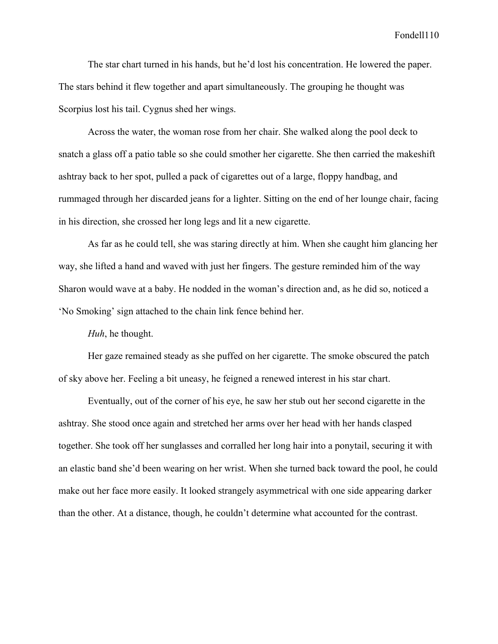The star chart turned in his hands, but he'd lost his concentration. He lowered the paper. The stars behind it flew together and apart simultaneously. The grouping he thought was Scorpius lost his tail. Cygnus shed her wings.

Across the water, the woman rose from her chair. She walked along the pool deck to snatch a glass off a patio table so she could smother her cigarette. She then carried the makeshift ashtray back to her spot, pulled a pack of cigarettes out of a large, floppy handbag, and rummaged through her discarded jeans for a lighter. Sitting on the end of her lounge chair, facing in his direction, she crossed her long legs and lit a new cigarette.

As far as he could tell, she was staring directly at him. When she caught him glancing her way, she lifted a hand and waved with just her fingers. The gesture reminded him of the way Sharon would wave at a baby. He nodded in the woman's direction and, as he did so, noticed a 'No Smoking' sign attached to the chain link fence behind her.

*Huh*, he thought.

Her gaze remained steady as she puffed on her cigarette. The smoke obscured the patch of sky above her. Feeling a bit uneasy, he feigned a renewed interest in his star chart.

Eventually, out of the corner of his eye, he saw her stub out her second cigarette in the ashtray. She stood once again and stretched her arms over her head with her hands clasped together. She took off her sunglasses and corralled her long hair into a ponytail, securing it with an elastic band she'd been wearing on her wrist. When she turned back toward the pool, he could make out her face more easily. It looked strangely asymmetrical with one side appearing darker than the other. At a distance, though, he couldn't determine what accounted for the contrast.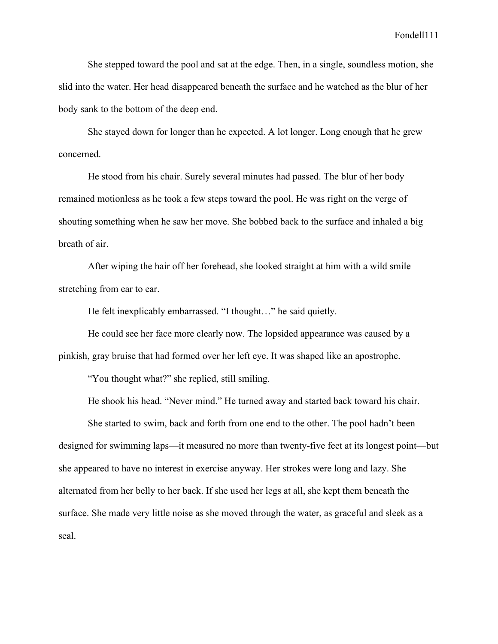She stepped toward the pool and sat at the edge. Then, in a single, soundless motion, she slid into the water. Her head disappeared beneath the surface and he watched as the blur of her body sank to the bottom of the deep end.

She stayed down for longer than he expected. A lot longer. Long enough that he grew concerned.

He stood from his chair. Surely several minutes had passed. The blur of her body remained motionless as he took a few steps toward the pool. He was right on the verge of shouting something when he saw her move. She bobbed back to the surface and inhaled a big breath of air.

After wiping the hair off her forehead, she looked straight at him with a wild smile stretching from ear to ear.

He felt inexplicably embarrassed. "I thought…" he said quietly.

He could see her face more clearly now. The lopsided appearance was caused by a pinkish, gray bruise that had formed over her left eye. It was shaped like an apostrophe.

"You thought what?" she replied, still smiling.

He shook his head. "Never mind." He turned away and started back toward his chair.

She started to swim, back and forth from one end to the other. The pool hadn't been designed for swimming laps—it measured no more than twenty-five feet at its longest point—but she appeared to have no interest in exercise anyway. Her strokes were long and lazy. She alternated from her belly to her back. If she used her legs at all, she kept them beneath the surface. She made very little noise as she moved through the water, as graceful and sleek as a seal.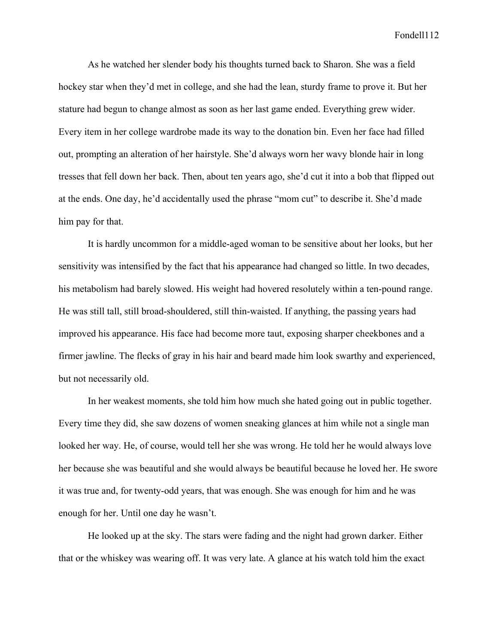As he watched her slender body his thoughts turned back to Sharon. She was a field hockey star when they'd met in college, and she had the lean, sturdy frame to prove it. But her stature had begun to change almost as soon as her last game ended. Everything grew wider. Every item in her college wardrobe made its way to the donation bin. Even her face had filled out, prompting an alteration of her hairstyle. She'd always worn her wavy blonde hair in long tresses that fell down her back. Then, about ten years ago, she'd cut it into a bob that flipped out at the ends. One day, he'd accidentally used the phrase "mom cut" to describe it. She'd made him pay for that.

It is hardly uncommon for a middle-aged woman to be sensitive about her looks, but her sensitivity was intensified by the fact that his appearance had changed so little. In two decades, his metabolism had barely slowed. His weight had hovered resolutely within a ten-pound range. He was still tall, still broad-shouldered, still thin-waisted. If anything, the passing years had improved his appearance. His face had become more taut, exposing sharper cheekbones and a firmer jawline. The flecks of gray in his hair and beard made him look swarthy and experienced, but not necessarily old.

In her weakest moments, she told him how much she hated going out in public together. Every time they did, she saw dozens of women sneaking glances at him while not a single man looked her way. He, of course, would tell her she was wrong. He told her he would always love her because she was beautiful and she would always be beautiful because he loved her. He swore it was true and, for twenty-odd years, that was enough. She was enough for him and he was enough for her. Until one day he wasn't.

He looked up at the sky. The stars were fading and the night had grown darker. Either that or the whiskey was wearing off. It was very late. A glance at his watch told him the exact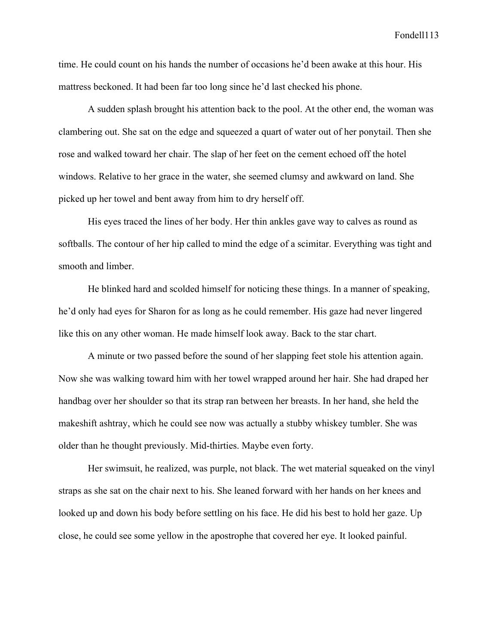time. He could count on his hands the number of occasions he'd been awake at this hour. His mattress beckoned. It had been far too long since he'd last checked his phone.

A sudden splash brought his attention back to the pool. At the other end, the woman was clambering out. She sat on the edge and squeezed a quart of water out of her ponytail. Then she rose and walked toward her chair. The slap of her feet on the cement echoed off the hotel windows. Relative to her grace in the water, she seemed clumsy and awkward on land. She picked up her towel and bent away from him to dry herself off.

His eyes traced the lines of her body. Her thin ankles gave way to calves as round as softballs. The contour of her hip called to mind the edge of a scimitar. Everything was tight and smooth and limber.

He blinked hard and scolded himself for noticing these things. In a manner of speaking, he'd only had eyes for Sharon for as long as he could remember. His gaze had never lingered like this on any other woman. He made himself look away. Back to the star chart.

A minute or two passed before the sound of her slapping feet stole his attention again. Now she was walking toward him with her towel wrapped around her hair. She had draped her handbag over her shoulder so that its strap ran between her breasts. In her hand, she held the makeshift ashtray, which he could see now was actually a stubby whiskey tumbler. She was older than he thought previously. Mid-thirties. Maybe even forty.

Her swimsuit, he realized, was purple, not black. The wet material squeaked on the vinyl straps as she sat on the chair next to his. She leaned forward with her hands on her knees and looked up and down his body before settling on his face. He did his best to hold her gaze. Up close, he could see some yellow in the apostrophe that covered her eye. It looked painful.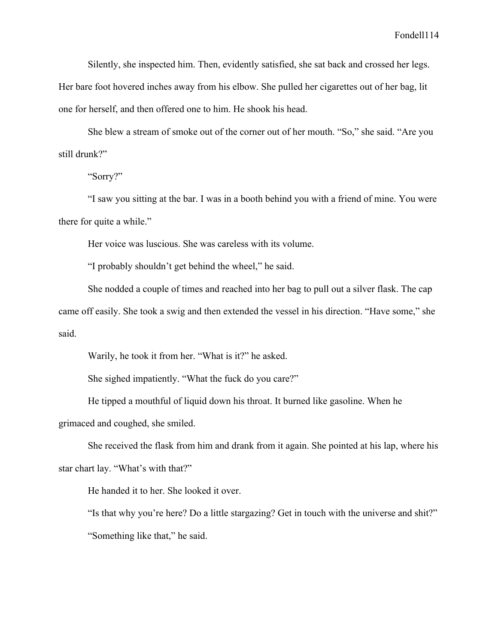Silently, she inspected him. Then, evidently satisfied, she sat back and crossed her legs.

Her bare foot hovered inches away from his elbow. She pulled her cigarettes out of her bag, lit one for herself, and then offered one to him. He shook his head.

She blew a stream of smoke out of the corner out of her mouth. "So," she said. "Are you still drunk?"

"Sorry?"

"I saw you sitting at the bar. I was in a booth behind you with a friend of mine. You were there for quite a while."

Her voice was luscious. She was careless with its volume.

"I probably shouldn't get behind the wheel," he said.

She nodded a couple of times and reached into her bag to pull out a silver flask. The cap came off easily. She took a swig and then extended the vessel in his direction. "Have some," she said.

Warily, he took it from her. "What is it?" he asked.

She sighed impatiently. "What the fuck do you care?"

He tipped a mouthful of liquid down his throat. It burned like gasoline. When he grimaced and coughed, she smiled.

She received the flask from him and drank from it again. She pointed at his lap, where his star chart lay. "What's with that?"

He handed it to her. She looked it over.

"Is that why you're here? Do a little stargazing? Get in touch with the universe and shit?" "Something like that," he said.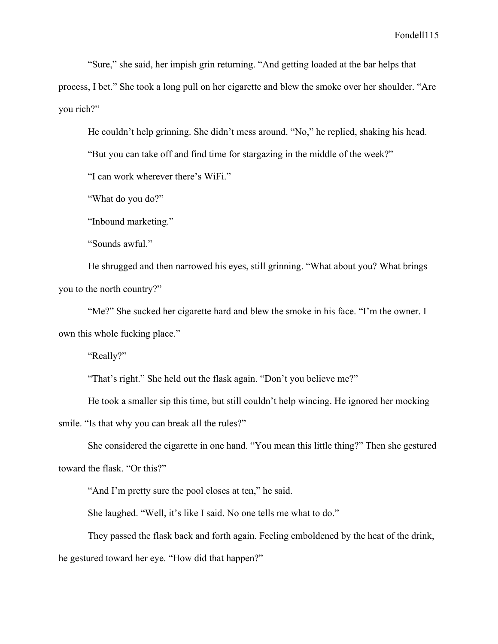"Sure," she said, her impish grin returning. "And getting loaded at the bar helps that

process, I bet." She took a long pull on her cigarette and blew the smoke over her shoulder. "Are you rich?"

He couldn't help grinning. She didn't mess around. "No," he replied, shaking his head.

"But you can take off and find time for stargazing in the middle of the week?"

"I can work wherever there's WiFi."

"What do you do?"

"Inbound marketing."

"Sounds awful."

He shrugged and then narrowed his eyes, still grinning. "What about you? What brings you to the north country?"

"Me?" She sucked her cigarette hard and blew the smoke in his face. "I'm the owner. I own this whole fucking place."

"Really?"

"That's right." She held out the flask again. "Don't you believe me?"

He took a smaller sip this time, but still couldn't help wincing. He ignored her mocking smile. "Is that why you can break all the rules?"

She considered the cigarette in one hand. "You mean this little thing?" Then she gestured toward the flask. "Or this?"

"And I'm pretty sure the pool closes at ten," he said.

She laughed. "Well, it's like I said. No one tells me what to do."

They passed the flask back and forth again. Feeling emboldened by the heat of the drink, he gestured toward her eye. "How did that happen?"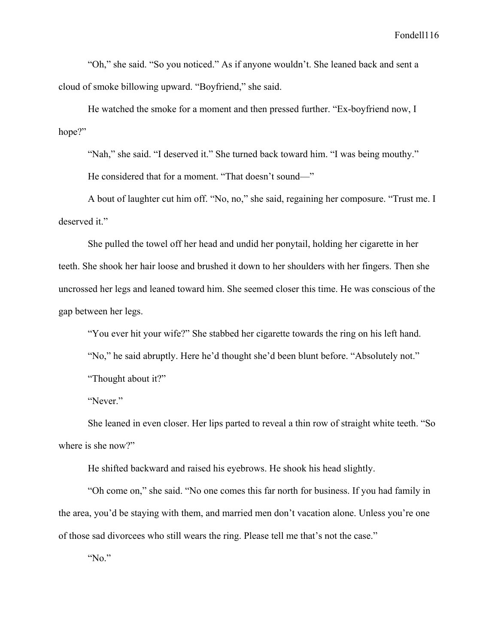"Oh," she said. "So you noticed." As if anyone wouldn't. She leaned back and sent a cloud of smoke billowing upward. "Boyfriend," she said.

He watched the smoke for a moment and then pressed further. "Ex-boyfriend now, I hope?"

"Nah," she said. "I deserved it." She turned back toward him. "I was being mouthy."

He considered that for a moment. "That doesn't sound—"

A bout of laughter cut him off. "No, no," she said, regaining her composure. "Trust me. I deserved it."

She pulled the towel off her head and undid her ponytail, holding her cigarette in her teeth. She shook her hair loose and brushed it down to her shoulders with her fingers. Then she uncrossed her legs and leaned toward him. She seemed closer this time. He was conscious of the gap between her legs.

"You ever hit your wife?" She stabbed her cigarette towards the ring on his left hand.

"No," he said abruptly. Here he'd thought she'd been blunt before. "Absolutely not."

"Thought about it?"

"Never."

She leaned in even closer. Her lips parted to reveal a thin row of straight white teeth. "So where is she now?"

He shifted backward and raised his eyebrows. He shook his head slightly.

"Oh come on," she said. "No one comes this far north for business. If you had family in the area, you'd be staying with them, and married men don't vacation alone. Unless you're one of those sad divorcees who still wears the ring. Please tell me that's not the case."

"No."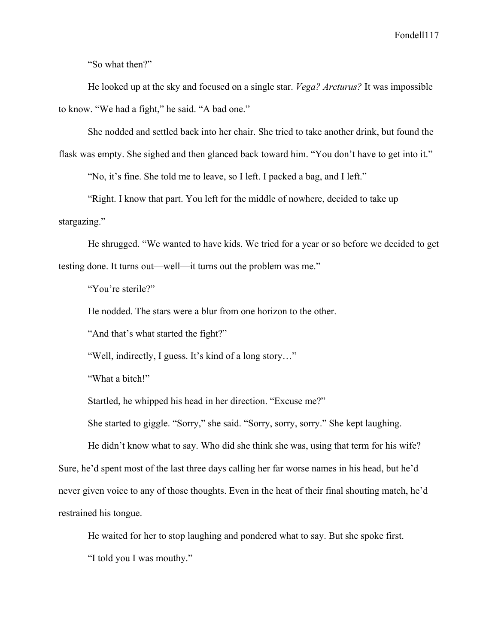"So what then?"

He looked up at the sky and focused on a single star. *Vega? Arcturus?* It was impossible to know. "We had a fight," he said. "A bad one."

She nodded and settled back into her chair. She tried to take another drink, but found the

flask was empty. She sighed and then glanced back toward him. "You don't have to get into it."

"No, it's fine. She told me to leave, so I left. I packed a bag, and I left."

"Right. I know that part. You left for the middle of nowhere, decided to take up stargazing."

He shrugged. "We wanted to have kids. We tried for a year or so before we decided to get testing done. It turns out—well—it turns out the problem was me."

"You're sterile?"

He nodded. The stars were a blur from one horizon to the other.

"And that's what started the fight?"

"Well, indirectly, I guess. It's kind of a long story…"

"What a bitch!"

Startled, he whipped his head in her direction. "Excuse me?"

She started to giggle. "Sorry," she said. "Sorry, sorry, sorry." She kept laughing.

He didn't know what to say. Who did she think she was, using that term for his wife? Sure, he'd spent most of the last three days calling her far worse names in his head, but he'd never given voice to any of those thoughts. Even in the heat of their final shouting match, he'd restrained his tongue.

He waited for her to stop laughing and pondered what to say. But she spoke first.

"I told you I was mouthy."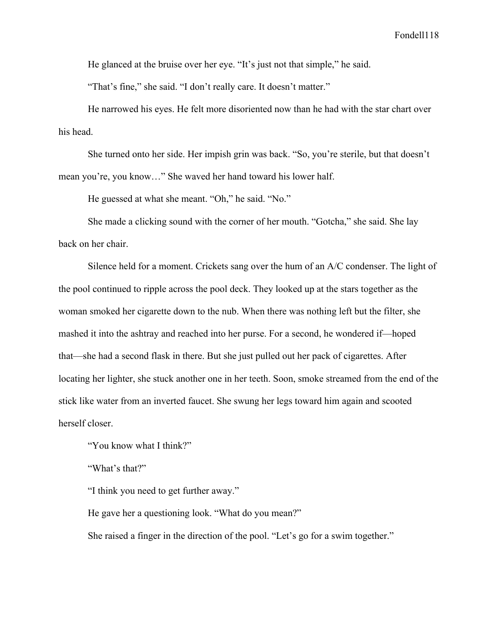He glanced at the bruise over her eye. "It's just not that simple," he said.

"That's fine," she said. "I don't really care. It doesn't matter."

He narrowed his eyes. He felt more disoriented now than he had with the star chart over his head.

She turned onto her side. Her impish grin was back. "So, you're sterile, but that doesn't mean you're, you know…" She waved her hand toward his lower half.

He guessed at what she meant. "Oh," he said. "No."

She made a clicking sound with the corner of her mouth. "Gotcha," she said. She lay back on her chair.

Silence held for a moment. Crickets sang over the hum of an A/C condenser. The light of the pool continued to ripple across the pool deck. They looked up at the stars together as the woman smoked her cigarette down to the nub. When there was nothing left but the filter, she mashed it into the ashtray and reached into her purse. For a second, he wondered if—hoped that—she had a second flask in there. But she just pulled out her pack of cigarettes. After locating her lighter, she stuck another one in her teeth. Soon, smoke streamed from the end of the stick like water from an inverted faucet. She swung her legs toward him again and scooted herself closer.

"You know what I think?"

"What's that?"

"I think you need to get further away."

He gave her a questioning look. "What do you mean?"

She raised a finger in the direction of the pool. "Let's go for a swim together."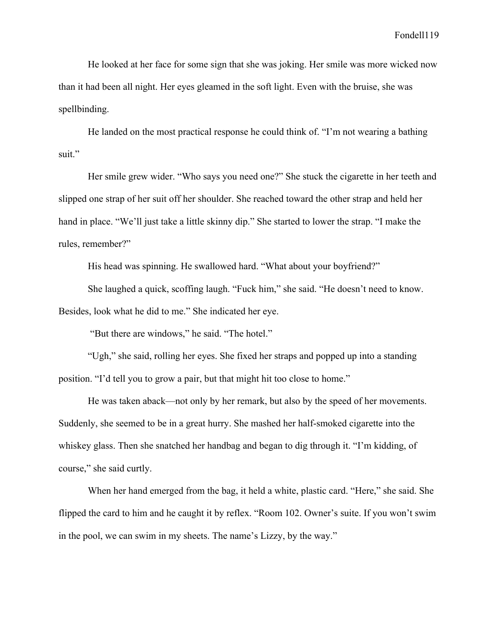He looked at her face for some sign that she was joking. Her smile was more wicked now than it had been all night. Her eyes gleamed in the soft light. Even with the bruise, she was spellbinding.

He landed on the most practical response he could think of. "I'm not wearing a bathing suit."

Her smile grew wider. "Who says you need one?" She stuck the cigarette in her teeth and slipped one strap of her suit off her shoulder. She reached toward the other strap and held her hand in place. "We'll just take a little skinny dip." She started to lower the strap. "I make the rules, remember?"

His head was spinning. He swallowed hard. "What about your boyfriend?"

She laughed a quick, scoffing laugh. "Fuck him," she said. "He doesn't need to know. Besides, look what he did to me." She indicated her eye.

"But there are windows," he said. "The hotel."

"Ugh," she said, rolling her eyes. She fixed her straps and popped up into a standing position. "I'd tell you to grow a pair, but that might hit too close to home."

He was taken aback—not only by her remark, but also by the speed of her movements. Suddenly, she seemed to be in a great hurry. She mashed her half-smoked cigarette into the whiskey glass. Then she snatched her handbag and began to dig through it. "I'm kidding, of course," she said curtly.

When her hand emerged from the bag, it held a white, plastic card. "Here," she said. She flipped the card to him and he caught it by reflex. "Room 102. Owner's suite. If you won't swim in the pool, we can swim in my sheets. The name's Lizzy, by the way."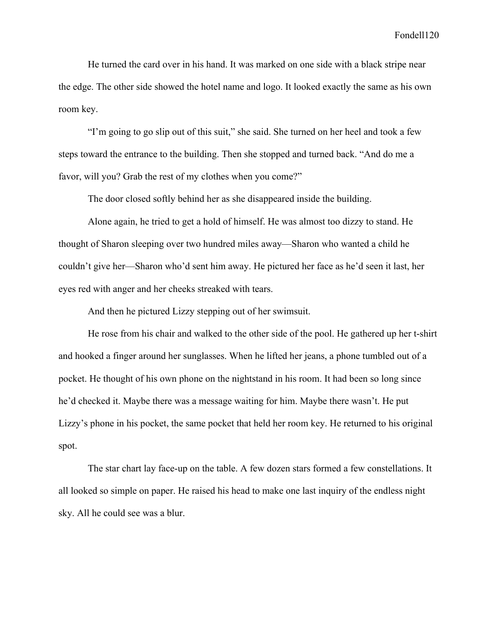He turned the card over in his hand. It was marked on one side with a black stripe near the edge. The other side showed the hotel name and logo. It looked exactly the same as his own room key.

"I'm going to go slip out of this suit," she said. She turned on her heel and took a few steps toward the entrance to the building. Then she stopped and turned back. "And do me a favor, will you? Grab the rest of my clothes when you come?"

The door closed softly behind her as she disappeared inside the building.

Alone again, he tried to get a hold of himself. He was almost too dizzy to stand. He thought of Sharon sleeping over two hundred miles away—Sharon who wanted a child he couldn't give her—Sharon who'd sent him away. He pictured her face as he'd seen it last, her eyes red with anger and her cheeks streaked with tears.

And then he pictured Lizzy stepping out of her swimsuit.

He rose from his chair and walked to the other side of the pool. He gathered up her t-shirt and hooked a finger around her sunglasses. When he lifted her jeans, a phone tumbled out of a pocket. He thought of his own phone on the nightstand in his room. It had been so long since he'd checked it. Maybe there was a message waiting for him. Maybe there wasn't. He put Lizzy's phone in his pocket, the same pocket that held her room key. He returned to his original spot.

The star chart lay face-up on the table. A few dozen stars formed a few constellations. It all looked so simple on paper. He raised his head to make one last inquiry of the endless night sky. All he could see was a blur.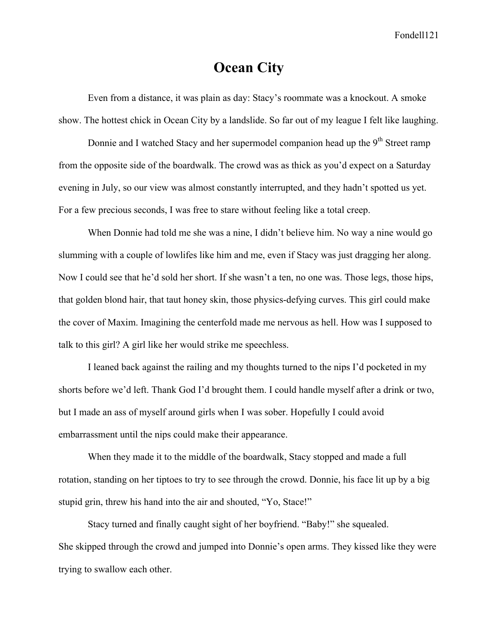## **Ocean City**

Even from a distance, it was plain as day: Stacy's roommate was a knockout. A smoke show. The hottest chick in Ocean City by a landslide. So far out of my league I felt like laughing.

Donnie and I watched Stacy and her supermodel companion head up the 9<sup>th</sup> Street ramp from the opposite side of the boardwalk. The crowd was as thick as you'd expect on a Saturday evening in July, so our view was almost constantly interrupted, and they hadn't spotted us yet. For a few precious seconds, I was free to stare without feeling like a total creep.

When Donnie had told me she was a nine, I didn't believe him. No way a nine would go slumming with a couple of lowlifes like him and me, even if Stacy was just dragging her along. Now I could see that he'd sold her short. If she wasn't a ten, no one was. Those legs, those hips, that golden blond hair, that taut honey skin, those physics-defying curves. This girl could make the cover of Maxim. Imagining the centerfold made me nervous as hell. How was I supposed to talk to this girl? A girl like her would strike me speechless.

I leaned back against the railing and my thoughts turned to the nips I'd pocketed in my shorts before we'd left. Thank God I'd brought them. I could handle myself after a drink or two, but I made an ass of myself around girls when I was sober. Hopefully I could avoid embarrassment until the nips could make their appearance.

When they made it to the middle of the boardwalk, Stacy stopped and made a full rotation, standing on her tiptoes to try to see through the crowd. Donnie, his face lit up by a big stupid grin, threw his hand into the air and shouted, "Yo, Stace!"

Stacy turned and finally caught sight of her boyfriend. "Baby!" she squealed. She skipped through the crowd and jumped into Donnie's open arms. They kissed like they were trying to swallow each other.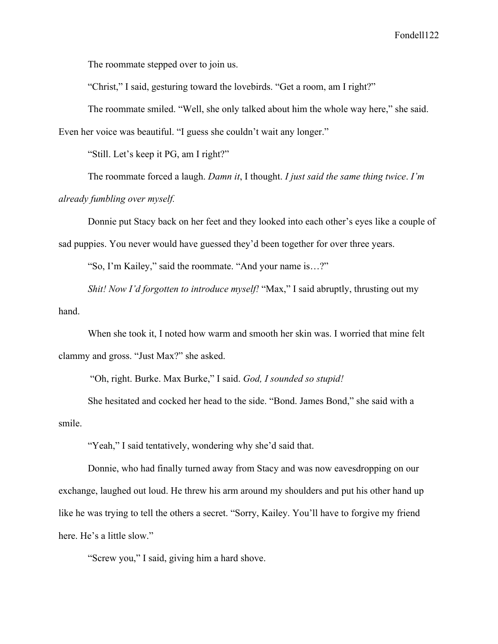The roommate stepped over to join us.

"Christ," I said, gesturing toward the lovebirds. "Get a room, am I right?"

The roommate smiled. "Well, she only talked about him the whole way here," she said.

Even her voice was beautiful. "I guess she couldn't wait any longer."

"Still. Let's keep it PG, am I right?"

The roommate forced a laugh. *Damn it*, I thought. *I just said the same thing twice*. *I'm already fumbling over myself.*

Donnie put Stacy back on her feet and they looked into each other's eyes like a couple of sad puppies. You never would have guessed they'd been together for over three years.

"So, I'm Kailey," said the roommate. "And your name is…?"

*Shit! Now I'd forgotten to introduce myself!* "Max," I said abruptly, thrusting out my hand.

When she took it, I noted how warm and smooth her skin was. I worried that mine felt clammy and gross. "Just Max?" she asked.

"Oh, right. Burke. Max Burke," I said. *God, I sounded so stupid!*

She hesitated and cocked her head to the side. "Bond. James Bond," she said with a smile.

"Yeah," I said tentatively, wondering why she'd said that.

Donnie, who had finally turned away from Stacy and was now eavesdropping on our exchange, laughed out loud. He threw his arm around my shoulders and put his other hand up like he was trying to tell the others a secret. "Sorry, Kailey. You'll have to forgive my friend here. He's a little slow."

"Screw you," I said, giving him a hard shove.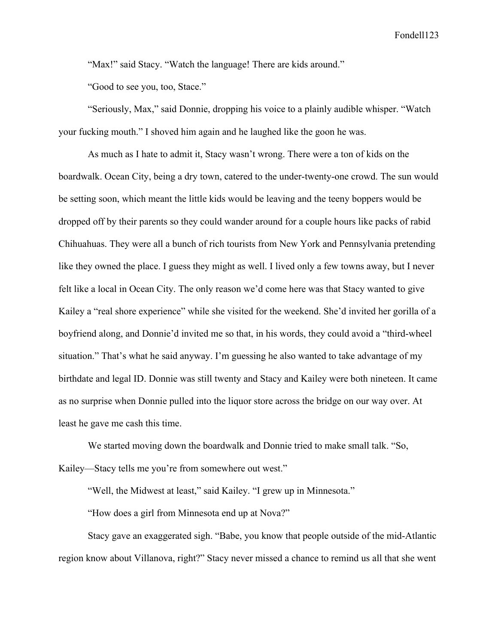"Max!" said Stacy. "Watch the language! There are kids around."

"Good to see you, too, Stace."

"Seriously, Max," said Donnie, dropping his voice to a plainly audible whisper. "Watch your fucking mouth." I shoved him again and he laughed like the goon he was.

As much as I hate to admit it, Stacy wasn't wrong. There were a ton of kids on the boardwalk. Ocean City, being a dry town, catered to the under-twenty-one crowd. The sun would be setting soon, which meant the little kids would be leaving and the teeny boppers would be dropped off by their parents so they could wander around for a couple hours like packs of rabid Chihuahuas. They were all a bunch of rich tourists from New York and Pennsylvania pretending like they owned the place. I guess they might as well. I lived only a few towns away, but I never felt like a local in Ocean City. The only reason we'd come here was that Stacy wanted to give Kailey a "real shore experience" while she visited for the weekend. She'd invited her gorilla of a boyfriend along, and Donnie'd invited me so that, in his words, they could avoid a "third-wheel situation." That's what he said anyway. I'm guessing he also wanted to take advantage of my birthdate and legal ID. Donnie was still twenty and Stacy and Kailey were both nineteen. It came as no surprise when Donnie pulled into the liquor store across the bridge on our way over. At least he gave me cash this time.

We started moving down the boardwalk and Donnie tried to make small talk. "So, Kailey—Stacy tells me you're from somewhere out west."

"Well, the Midwest at least," said Kailey. "I grew up in Minnesota."

"How does a girl from Minnesota end up at Nova?"

Stacy gave an exaggerated sigh. "Babe, you know that people outside of the mid-Atlantic region know about Villanova, right?" Stacy never missed a chance to remind us all that she went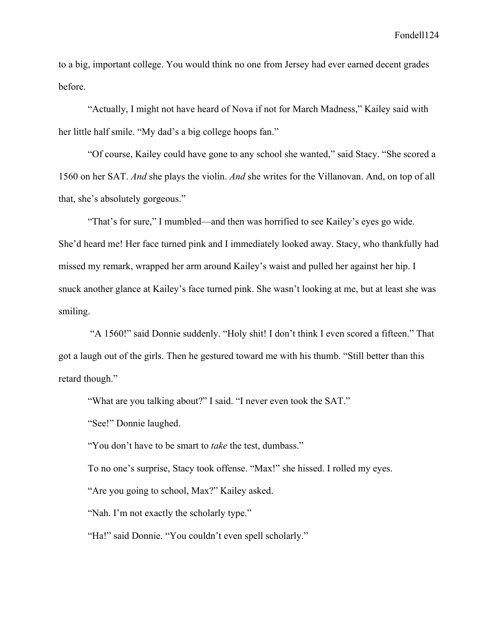to a big, important college. You would think no one from Jersey had ever earned decent grades before.

"Actually, I might not have heard of Nova if not for March Madness," Kailey said with her little half smile. "My dad's a big college hoops fan."

"Of course, Kailey could have gone to any school she wanted," said Stacy. "She scored a 1560 on her SAT. *And* she plays the violin. *And* she writes for the Villanovan. And, on top of all that, she's absolutely gorgeous."

"That's for sure," I mumbled—and then was horrified to see Kailey's eyes go wide. She'd heard me! Her face turned pink and I immediately looked away. Stacy, who thankfully had missed my remark, wrapped her arm around Kailey's waist and pulled her against her hip. I snuck another glance at Kailey's face turned pink. She wasn't looking at me, but at least she was smiling.

"A 1560!" said Donnie suddenly. "Holy shit! I don't think I even scored a fifteen." That got a laugh out of the girls. Then he gestured toward me with his thumb. "Still better than this retard though."

"What are you talking about?" I said. "I never even took the SAT."

"See!" Donnie laughed.

"You don't have to be smart to *take* the test, dumbass."

To no one's surprise, Stacy took offense. "Max!" she hissed. I rolled my eyes.

"Are you going to school, Max?" Kailey asked.

"Nah. I'm not exactly the scholarly type."

"Ha!" said Donnie. "You couldn't even spell scholarly."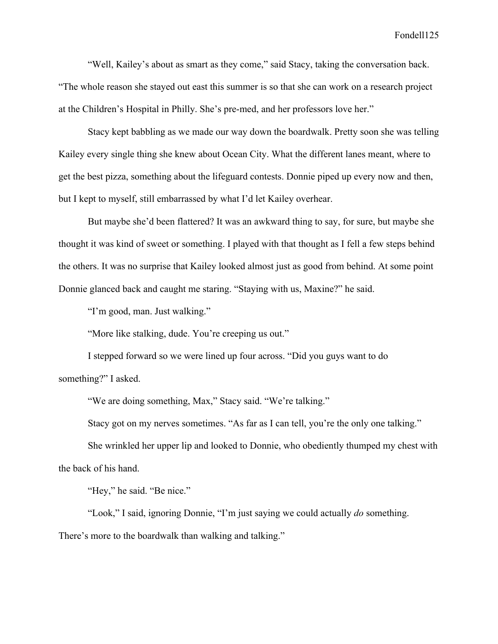"Well, Kailey's about as smart as they come," said Stacy, taking the conversation back. "The whole reason she stayed out east this summer is so that she can work on a research project at the Children's Hospital in Philly. She's pre-med, and her professors love her."

Stacy kept babbling as we made our way down the boardwalk. Pretty soon she was telling Kailey every single thing she knew about Ocean City. What the different lanes meant, where to get the best pizza, something about the lifeguard contests. Donnie piped up every now and then, but I kept to myself, still embarrassed by what I'd let Kailey overhear.

But maybe she'd been flattered? It was an awkward thing to say, for sure, but maybe she thought it was kind of sweet or something. I played with that thought as I fell a few steps behind the others. It was no surprise that Kailey looked almost just as good from behind. At some point Donnie glanced back and caught me staring. "Staying with us, Maxine?" he said.

"I'm good, man. Just walking."

"More like stalking, dude. You're creeping us out."

I stepped forward so we were lined up four across. "Did you guys want to do something?" I asked.

"We are doing something, Max," Stacy said. "We're talking."

Stacy got on my nerves sometimes. "As far as I can tell, you're the only one talking."

She wrinkled her upper lip and looked to Donnie, who obediently thumped my chest with the back of his hand.

"Hey," he said. "Be nice."

"Look," I said, ignoring Donnie, "I'm just saying we could actually *do* something. There's more to the boardwalk than walking and talking."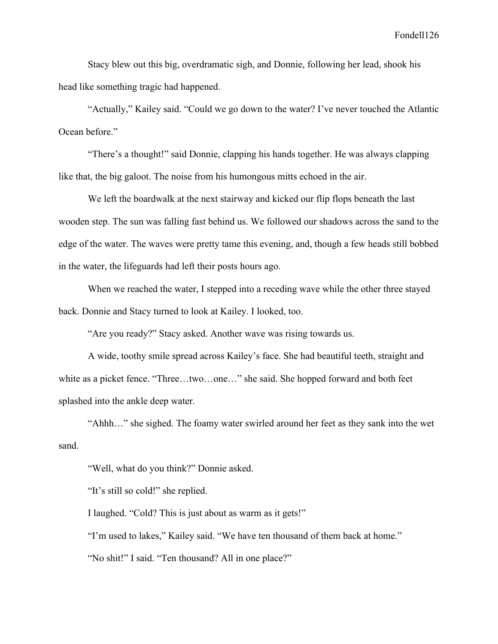Stacy blew out this big, overdramatic sigh, and Donnie, following her lead, shook his head like something tragic had happened.

"Actually," Kailey said. "Could we go down to the water? I've never touched the Atlantic Ocean before."

"There's a thought!" said Donnie, clapping his hands together. He was always clapping like that, the big galoot. The noise from his humongous mitts echoed in the air.

We left the boardwalk at the next stairway and kicked our flip flops beneath the last wooden step. The sun was falling fast behind us. We followed our shadows across the sand to the edge of the water. The waves were pretty tame this evening, and, though a few heads still bobbed in the water, the lifeguards had left their posts hours ago.

When we reached the water, I stepped into a receding wave while the other three stayed back. Donnie and Stacy turned to look at Kailey. I looked, too.

"Are you ready?" Stacy asked. Another wave was rising towards us.

A wide, toothy smile spread across Kailey's face. She had beautiful teeth, straight and white as a picket fence. "Three...two...one..." she said. She hopped forward and both feet splashed into the ankle deep water.

"Ahhh…" she sighed. The foamy water swirled around her feet as they sank into the wet sand.

"Well, what do you think?" Donnie asked.

"It's still so cold!" she replied.

I laughed. "Cold? This is just about as warm as it gets!"

"I'm used to lakes," Kailey said. "We have ten thousand of them back at home."

"No shit!" I said. "Ten thousand? All in one place?"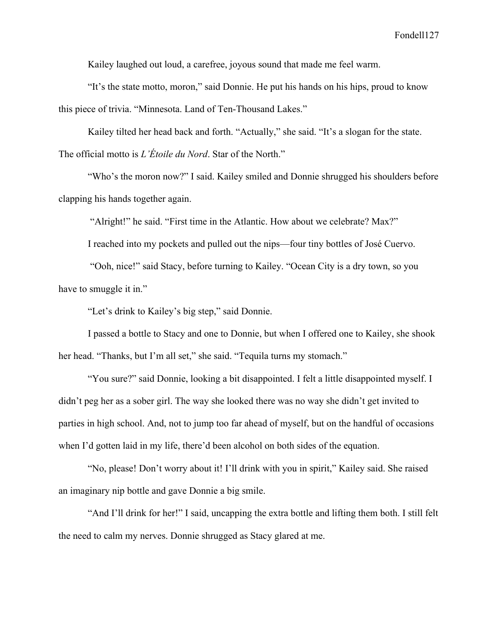Kailey laughed out loud, a carefree, joyous sound that made me feel warm.

"It's the state motto, moron," said Donnie. He put his hands on his hips, proud to know this piece of trivia. "Minnesota. Land of Ten-Thousand Lakes."

Kailey tilted her head back and forth. "Actually," she said. "It's a slogan for the state. The official motto is *L'Étoile du Nord*. Star of the North."

"Who's the moron now?" I said. Kailey smiled and Donnie shrugged his shoulders before clapping his hands together again.

"Alright!" he said. "First time in the Atlantic. How about we celebrate? Max?"

I reached into my pockets and pulled out the nips—four tiny bottles of José Cuervo.

"Ooh, nice!" said Stacy, before turning to Kailey. "Ocean City is a dry town, so you have to smuggle it in."

"Let's drink to Kailey's big step," said Donnie.

I passed a bottle to Stacy and one to Donnie, but when I offered one to Kailey, she shook her head. "Thanks, but I'm all set," she said. "Tequila turns my stomach."

"You sure?" said Donnie, looking a bit disappointed. I felt a little disappointed myself. I didn't peg her as a sober girl. The way she looked there was no way she didn't get invited to parties in high school. And, not to jump too far ahead of myself, but on the handful of occasions when I'd gotten laid in my life, there'd been alcohol on both sides of the equation.

"No, please! Don't worry about it! I'll drink with you in spirit," Kailey said. She raised an imaginary nip bottle and gave Donnie a big smile.

"And I'll drink for her!" I said, uncapping the extra bottle and lifting them both. I still felt the need to calm my nerves. Donnie shrugged as Stacy glared at me.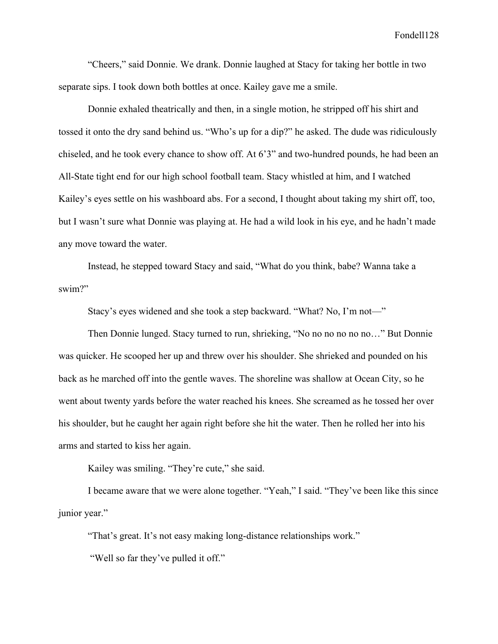"Cheers," said Donnie. We drank. Donnie laughed at Stacy for taking her bottle in two separate sips. I took down both bottles at once. Kailey gave me a smile.

Donnie exhaled theatrically and then, in a single motion, he stripped off his shirt and tossed it onto the dry sand behind us. "Who's up for a dip?" he asked. The dude was ridiculously chiseled, and he took every chance to show off. At 6'3" and two-hundred pounds, he had been an All-State tight end for our high school football team. Stacy whistled at him, and I watched Kailey's eyes settle on his washboard abs. For a second, I thought about taking my shirt off, too, but I wasn't sure what Donnie was playing at. He had a wild look in his eye, and he hadn't made any move toward the water.

Instead, he stepped toward Stacy and said, "What do you think, babe? Wanna take a swim?"

Stacy's eyes widened and she took a step backward. "What? No, I'm not—"

Then Donnie lunged. Stacy turned to run, shrieking, "No no no no no no…" But Donnie was quicker. He scooped her up and threw over his shoulder. She shrieked and pounded on his back as he marched off into the gentle waves. The shoreline was shallow at Ocean City, so he went about twenty yards before the water reached his knees. She screamed as he tossed her over his shoulder, but he caught her again right before she hit the water. Then he rolled her into his arms and started to kiss her again.

Kailey was smiling. "They're cute," she said.

I became aware that we were alone together. "Yeah," I said. "They've been like this since junior year."

"That's great. It's not easy making long-distance relationships work."

"Well so far they've pulled it off."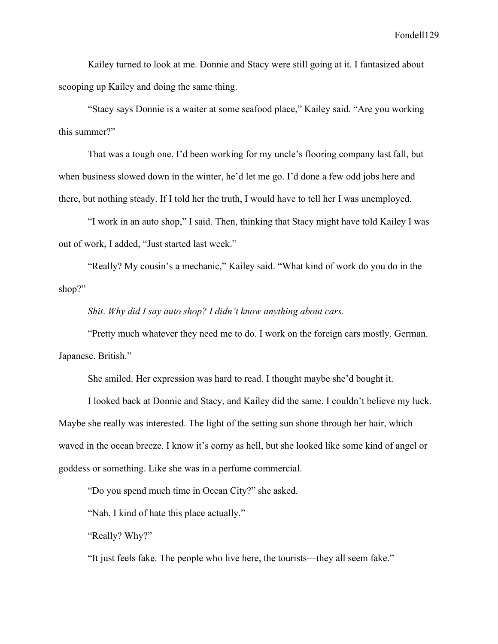Kailey turned to look at me. Donnie and Stacy were still going at it. I fantasized about scooping up Kailey and doing the same thing.

"Stacy says Donnie is a waiter at some seafood place," Kailey said. "Are you working this summer?"

That was a tough one. I'd been working for my uncle's flooring company last fall, but when business slowed down in the winter, he'd let me go. I'd done a few odd jobs here and there, but nothing steady. If I told her the truth, I would have to tell her I was unemployed.

"I work in an auto shop," I said. Then, thinking that Stacy might have told Kailey I was out of work, I added, "Just started last week."

"Really? My cousin's a mechanic," Kailey said. "What kind of work do you do in the shop?"

*Shit*. *Why did I say auto shop? I didn't know anything about cars.*

"Pretty much whatever they need me to do. I work on the foreign cars mostly. German. Japanese. British."

She smiled. Her expression was hard to read. I thought maybe she'd bought it.

I looked back at Donnie and Stacy, and Kailey did the same. I couldn't believe my luck. Maybe she really was interested. The light of the setting sun shone through her hair, which waved in the ocean breeze. I know it's corny as hell, but she looked like some kind of angel or goddess or something. Like she was in a perfume commercial.

"Do you spend much time in Ocean City?" she asked.

"Nah. I kind of hate this place actually."

"Really? Why?"

"It just feels fake. The people who live here, the tourists—they all seem fake."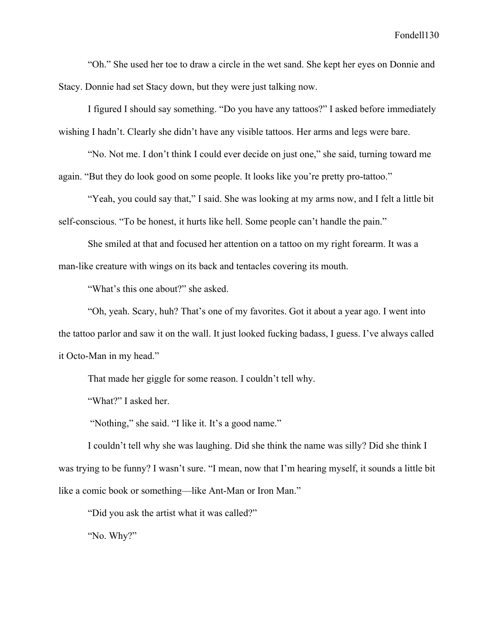"Oh." She used her toe to draw a circle in the wet sand. She kept her eyes on Donnie and Stacy. Donnie had set Stacy down, but they were just talking now.

I figured I should say something. "Do you have any tattoos?" I asked before immediately wishing I hadn't. Clearly she didn't have any visible tattoos. Her arms and legs were bare.

"No. Not me. I don't think I could ever decide on just one," she said, turning toward me again. "But they do look good on some people. It looks like you're pretty pro-tattoo."

"Yeah, you could say that," I said. She was looking at my arms now, and I felt a little bit self-conscious. "To be honest, it hurts like hell. Some people can't handle the pain."

She smiled at that and focused her attention on a tattoo on my right forearm. It was a man-like creature with wings on its back and tentacles covering its mouth.

"What's this one about?" she asked.

"Oh, yeah. Scary, huh? That's one of my favorites. Got it about a year ago. I went into the tattoo parlor and saw it on the wall. It just looked fucking badass, I guess. I've always called it Octo-Man in my head."

That made her giggle for some reason. I couldn't tell why.

"What?" I asked her.

"Nothing," she said. "I like it. It's a good name."

I couldn't tell why she was laughing. Did she think the name was silly? Did she think I was trying to be funny? I wasn't sure. "I mean, now that I'm hearing myself, it sounds a little bit like a comic book or something—like Ant-Man or Iron Man."

"Did you ask the artist what it was called?"

"No. Why?"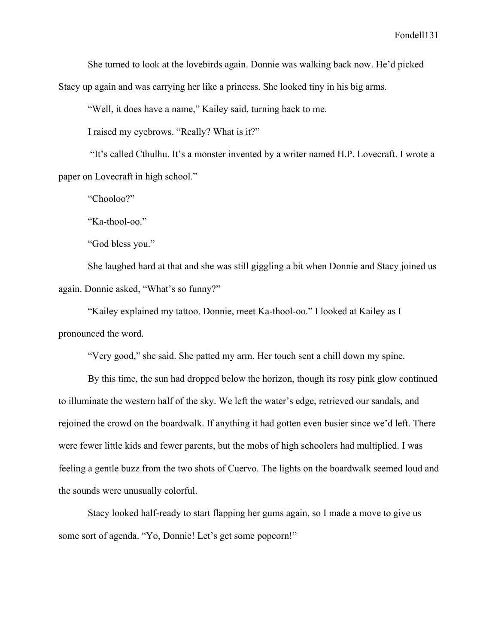She turned to look at the lovebirds again. Donnie was walking back now. He'd picked Stacy up again and was carrying her like a princess. She looked tiny in his big arms.

"Well, it does have a name," Kailey said, turning back to me.

I raised my eyebrows. "Really? What is it?"

"It's called Cthulhu. It's a monster invented by a writer named H.P. Lovecraft. I wrote a paper on Lovecraft in high school."

"Chooloo?"

"Ka-thool-oo."

"God bless you."

She laughed hard at that and she was still giggling a bit when Donnie and Stacy joined us again. Donnie asked, "What's so funny?"

"Kailey explained my tattoo. Donnie, meet Ka-thool-oo." I looked at Kailey as I pronounced the word.

"Very good," she said. She patted my arm. Her touch sent a chill down my spine.

By this time, the sun had dropped below the horizon, though its rosy pink glow continued to illuminate the western half of the sky. We left the water's edge, retrieved our sandals, and rejoined the crowd on the boardwalk. If anything it had gotten even busier since we'd left. There were fewer little kids and fewer parents, but the mobs of high schoolers had multiplied. I was feeling a gentle buzz from the two shots of Cuervo. The lights on the boardwalk seemed loud and the sounds were unusually colorful.

Stacy looked half-ready to start flapping her gums again, so I made a move to give us some sort of agenda. "Yo, Donnie! Let's get some popcorn!"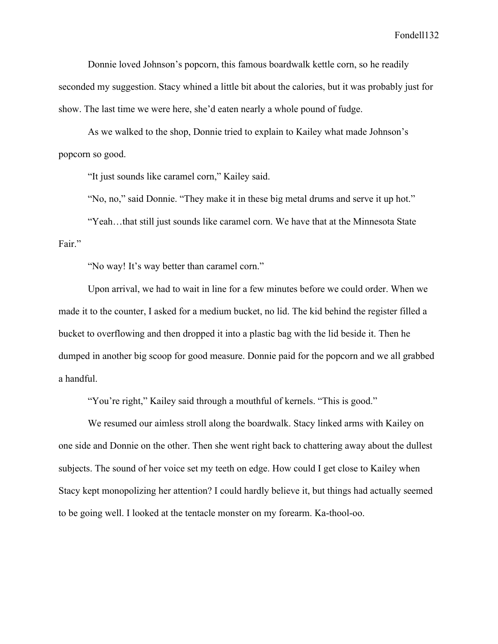Donnie loved Johnson's popcorn, this famous boardwalk kettle corn, so he readily seconded my suggestion. Stacy whined a little bit about the calories, but it was probably just for show. The last time we were here, she'd eaten nearly a whole pound of fudge.

As we walked to the shop, Donnie tried to explain to Kailey what made Johnson's popcorn so good.

"It just sounds like caramel corn," Kailey said.

"No, no," said Donnie. "They make it in these big metal drums and serve it up hot."

"Yeah…that still just sounds like caramel corn. We have that at the Minnesota State Fair."

"No way! It's way better than caramel corn."

Upon arrival, we had to wait in line for a few minutes before we could order. When we made it to the counter, I asked for a medium bucket, no lid. The kid behind the register filled a bucket to overflowing and then dropped it into a plastic bag with the lid beside it. Then he dumped in another big scoop for good measure. Donnie paid for the popcorn and we all grabbed a handful.

"You're right," Kailey said through a mouthful of kernels. "This is good."

We resumed our aimless stroll along the boardwalk. Stacy linked arms with Kailey on one side and Donnie on the other. Then she went right back to chattering away about the dullest subjects. The sound of her voice set my teeth on edge. How could I get close to Kailey when Stacy kept monopolizing her attention? I could hardly believe it, but things had actually seemed to be going well. I looked at the tentacle monster on my forearm. Ka-thool-oo.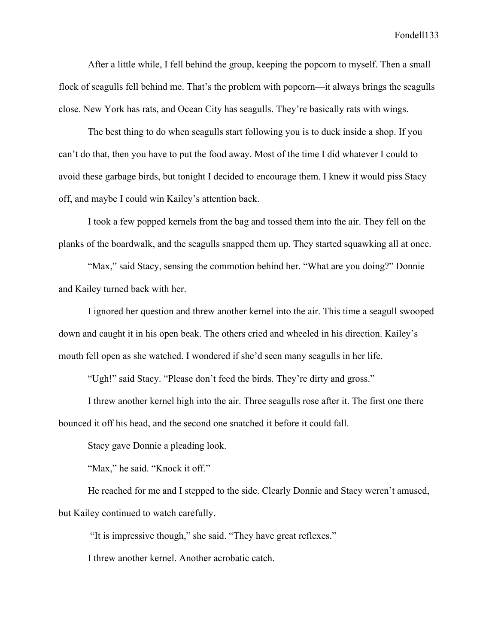After a little while, I fell behind the group, keeping the popcorn to myself. Then a small flock of seagulls fell behind me. That's the problem with popcorn—it always brings the seagulls close. New York has rats, and Ocean City has seagulls. They're basically rats with wings.

The best thing to do when seagulls start following you is to duck inside a shop. If you can't do that, then you have to put the food away. Most of the time I did whatever I could to avoid these garbage birds, but tonight I decided to encourage them. I knew it would piss Stacy off, and maybe I could win Kailey's attention back.

I took a few popped kernels from the bag and tossed them into the air. They fell on the planks of the boardwalk, and the seagulls snapped them up. They started squawking all at once.

"Max," said Stacy, sensing the commotion behind her. "What are you doing?" Donnie and Kailey turned back with her.

I ignored her question and threw another kernel into the air. This time a seagull swooped down and caught it in his open beak. The others cried and wheeled in his direction. Kailey's mouth fell open as she watched. I wondered if she'd seen many seagulls in her life.

"Ugh!" said Stacy. "Please don't feed the birds. They're dirty and gross."

I threw another kernel high into the air. Three seagulls rose after it. The first one there bounced it off his head, and the second one snatched it before it could fall.

Stacy gave Donnie a pleading look.

"Max," he said. "Knock it off."

He reached for me and I stepped to the side. Clearly Donnie and Stacy weren't amused, but Kailey continued to watch carefully.

"It is impressive though," she said. "They have great reflexes."

I threw another kernel. Another acrobatic catch.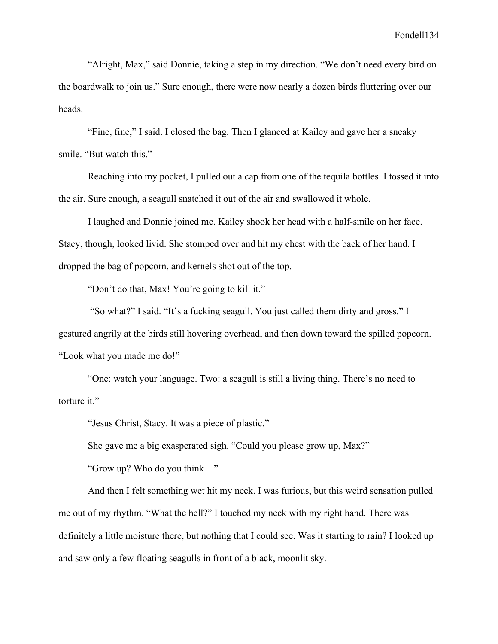"Alright, Max," said Donnie, taking a step in my direction. "We don't need every bird on the boardwalk to join us." Sure enough, there were now nearly a dozen birds fluttering over our heads.

"Fine, fine," I said. I closed the bag. Then I glanced at Kailey and gave her a sneaky smile. "But watch this."

Reaching into my pocket, I pulled out a cap from one of the tequila bottles. I tossed it into the air. Sure enough, a seagull snatched it out of the air and swallowed it whole.

I laughed and Donnie joined me. Kailey shook her head with a half-smile on her face. Stacy, though, looked livid. She stomped over and hit my chest with the back of her hand. I dropped the bag of popcorn, and kernels shot out of the top.

"Don't do that, Max! You're going to kill it."

"So what?" I said. "It's a fucking seagull. You just called them dirty and gross." I gestured angrily at the birds still hovering overhead, and then down toward the spilled popcorn. "Look what you made me do!"

"One: watch your language. Two: a seagull is still a living thing. There's no need to torture it."

"Jesus Christ, Stacy. It was a piece of plastic."

She gave me a big exasperated sigh. "Could you please grow up, Max?"

"Grow up? Who do you think—"

And then I felt something wet hit my neck. I was furious, but this weird sensation pulled me out of my rhythm. "What the hell?" I touched my neck with my right hand. There was definitely a little moisture there, but nothing that I could see. Was it starting to rain? I looked up and saw only a few floating seagulls in front of a black, moonlit sky.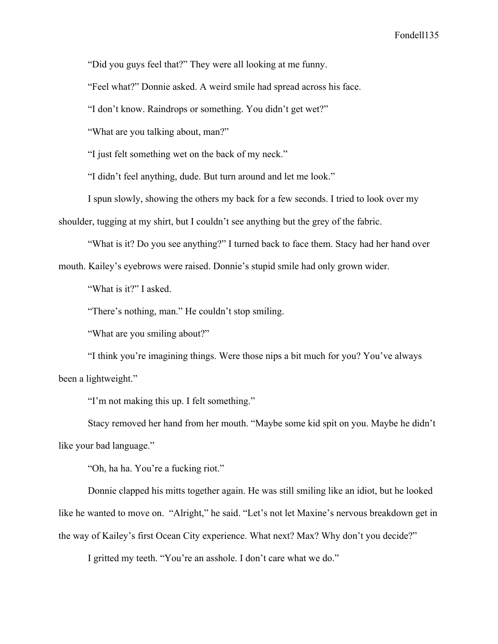"Did you guys feel that?" They were all looking at me funny.

"Feel what?" Donnie asked. A weird smile had spread across his face.

"I don't know. Raindrops or something. You didn't get wet?"

"What are you talking about, man?"

"I just felt something wet on the back of my neck."

"I didn't feel anything, dude. But turn around and let me look."

I spun slowly, showing the others my back for a few seconds. I tried to look over my

shoulder, tugging at my shirt, but I couldn't see anything but the grey of the fabric.

"What is it? Do you see anything?" I turned back to face them. Stacy had her hand over

mouth. Kailey's eyebrows were raised. Donnie's stupid smile had only grown wider.

"What is it?" I asked.

"There's nothing, man." He couldn't stop smiling.

"What are you smiling about?"

"I think you're imagining things. Were those nips a bit much for you? You've always been a lightweight."

"I'm not making this up. I felt something."

Stacy removed her hand from her mouth. "Maybe some kid spit on you. Maybe he didn't like your bad language."

"Oh, ha ha. You're a fucking riot."

Donnie clapped his mitts together again. He was still smiling like an idiot, but he looked like he wanted to move on. "Alright," he said. "Let's not let Maxine's nervous breakdown get in the way of Kailey's first Ocean City experience. What next? Max? Why don't you decide?"

I gritted my teeth. "You're an asshole. I don't care what we do."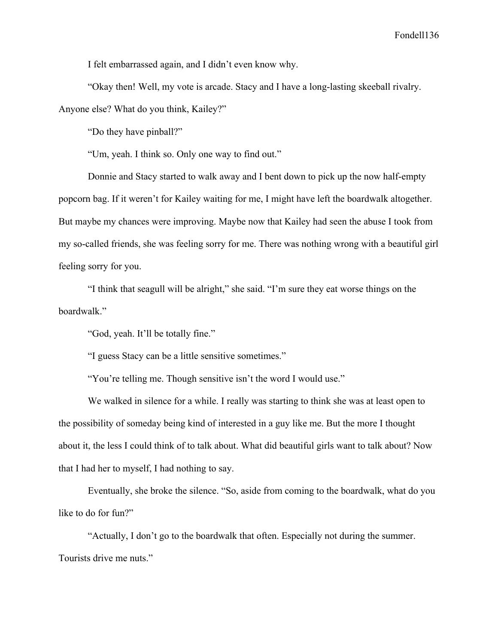I felt embarrassed again, and I didn't even know why.

"Okay then! Well, my vote is arcade. Stacy and I have a long-lasting skeeball rivalry. Anyone else? What do you think, Kailey?"

"Do they have pinball?"

"Um, yeah. I think so. Only one way to find out."

Donnie and Stacy started to walk away and I bent down to pick up the now half-empty popcorn bag. If it weren't for Kailey waiting for me, I might have left the boardwalk altogether. But maybe my chances were improving. Maybe now that Kailey had seen the abuse I took from my so-called friends, she was feeling sorry for me. There was nothing wrong with a beautiful girl feeling sorry for you.

"I think that seagull will be alright," she said. "I'm sure they eat worse things on the boardwalk."

"God, yeah. It'll be totally fine."

"I guess Stacy can be a little sensitive sometimes."

"You're telling me. Though sensitive isn't the word I would use."

We walked in silence for a while. I really was starting to think she was at least open to the possibility of someday being kind of interested in a guy like me. But the more I thought about it, the less I could think of to talk about. What did beautiful girls want to talk about? Now that I had her to myself, I had nothing to say.

Eventually, she broke the silence. "So, aside from coming to the boardwalk, what do you like to do for fun?"

"Actually, I don't go to the boardwalk that often. Especially not during the summer. Tourists drive me nuts."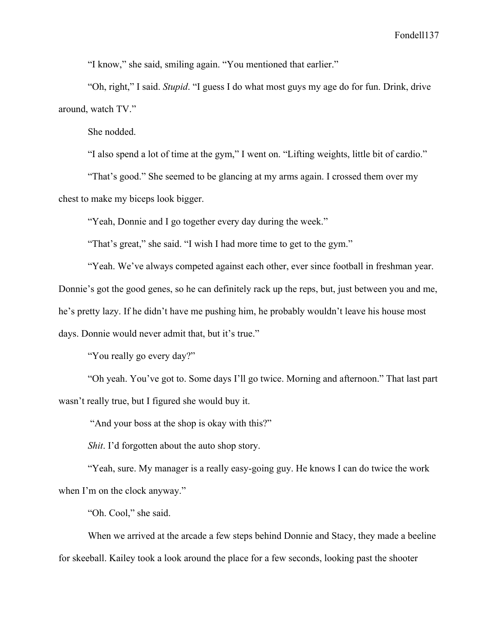"I know," she said, smiling again. "You mentioned that earlier."

"Oh, right," I said. *Stupid*. "I guess I do what most guys my age do for fun. Drink, drive around, watch TV."

She nodded.

"I also spend a lot of time at the gym," I went on. "Lifting weights, little bit of cardio."

"That's good." She seemed to be glancing at my arms again. I crossed them over my chest to make my biceps look bigger.

"Yeah, Donnie and I go together every day during the week."

"That's great," she said. "I wish I had more time to get to the gym."

"Yeah. We've always competed against each other, ever since football in freshman year. Donnie's got the good genes, so he can definitely rack up the reps, but, just between you and me, he's pretty lazy. If he didn't have me pushing him, he probably wouldn't leave his house most days. Donnie would never admit that, but it's true."

"You really go every day?"

"Oh yeah. You've got to. Some days I'll go twice. Morning and afternoon." That last part wasn't really true, but I figured she would buy it.

"And your boss at the shop is okay with this?"

*Shit*. I'd forgotten about the auto shop story.

"Yeah, sure. My manager is a really easy-going guy. He knows I can do twice the work when I'm on the clock anyway."

"Oh. Cool," she said.

When we arrived at the arcade a few steps behind Donnie and Stacy, they made a beeline for skeeball. Kailey took a look around the place for a few seconds, looking past the shooter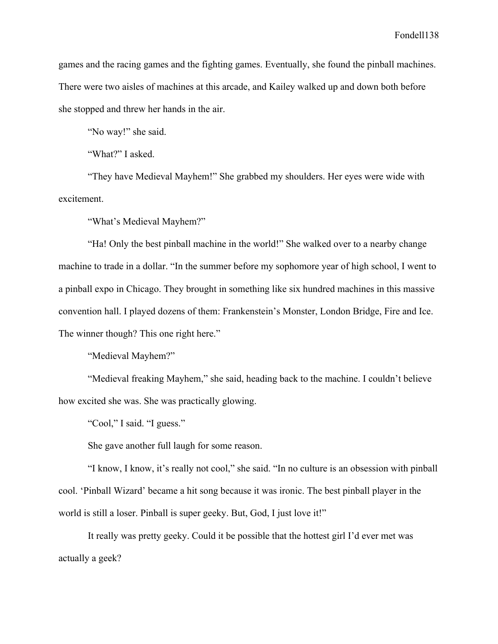games and the racing games and the fighting games. Eventually, she found the pinball machines. There were two aisles of machines at this arcade, and Kailey walked up and down both before she stopped and threw her hands in the air.

"No way!" she said.

"What?" I asked.

"They have Medieval Mayhem!" She grabbed my shoulders. Her eyes were wide with excitement.

"What's Medieval Mayhem?"

"Ha! Only the best pinball machine in the world!" She walked over to a nearby change machine to trade in a dollar. "In the summer before my sophomore year of high school, I went to a pinball expo in Chicago. They brought in something like six hundred machines in this massive convention hall. I played dozens of them: Frankenstein's Monster, London Bridge, Fire and Ice. The winner though? This one right here."

"Medieval Mayhem?"

"Medieval freaking Mayhem," she said, heading back to the machine. I couldn't believe how excited she was. She was practically glowing.

"Cool," I said. "I guess."

She gave another full laugh for some reason.

"I know, I know, it's really not cool," she said. "In no culture is an obsession with pinball cool. 'Pinball Wizard' became a hit song because it was ironic. The best pinball player in the world is still a loser. Pinball is super geeky. But, God, I just love it!"

It really was pretty geeky. Could it be possible that the hottest girl I'd ever met was actually a geek?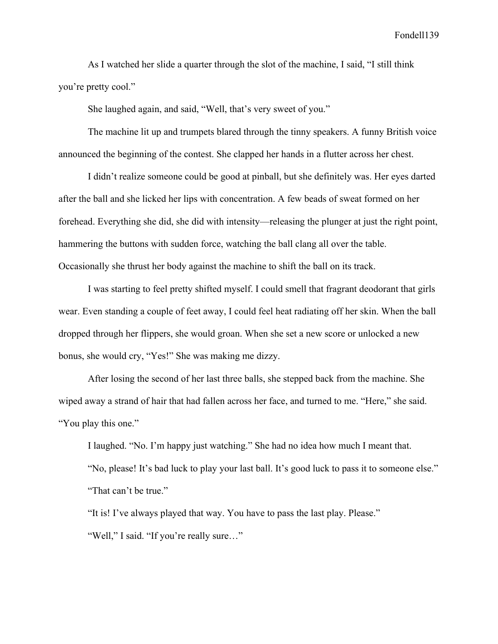As I watched her slide a quarter through the slot of the machine, I said, "I still think you're pretty cool."

She laughed again, and said, "Well, that's very sweet of you."

The machine lit up and trumpets blared through the tinny speakers. A funny British voice announced the beginning of the contest. She clapped her hands in a flutter across her chest.

I didn't realize someone could be good at pinball, but she definitely was. Her eyes darted after the ball and she licked her lips with concentration. A few beads of sweat formed on her forehead. Everything she did, she did with intensity—releasing the plunger at just the right point, hammering the buttons with sudden force, watching the ball clang all over the table. Occasionally she thrust her body against the machine to shift the ball on its track.

I was starting to feel pretty shifted myself. I could smell that fragrant deodorant that girls wear. Even standing a couple of feet away, I could feel heat radiating off her skin. When the ball dropped through her flippers, she would groan. When she set a new score or unlocked a new bonus, she would cry, "Yes!" She was making me dizzy.

After losing the second of her last three balls, she stepped back from the machine. She wiped away a strand of hair that had fallen across her face, and turned to me. "Here," she said. "You play this one."

I laughed. "No. I'm happy just watching." She had no idea how much I meant that.

"No, please! It's bad luck to play your last ball. It's good luck to pass it to someone else." "That can't be true."

"It is! I've always played that way. You have to pass the last play. Please."

"Well," I said. "If you're really sure…"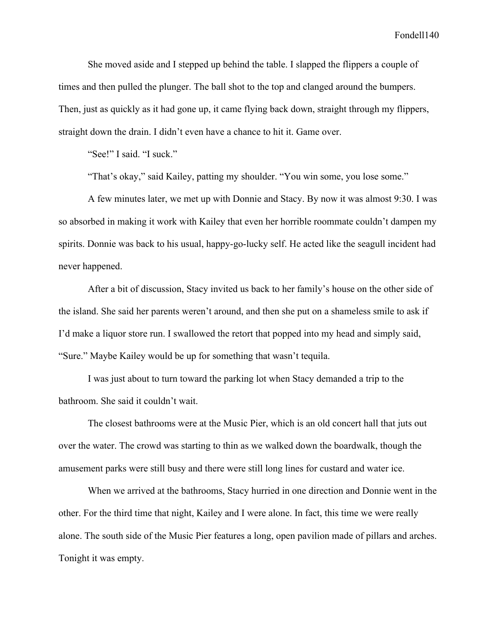She moved aside and I stepped up behind the table. I slapped the flippers a couple of times and then pulled the plunger. The ball shot to the top and clanged around the bumpers. Then, just as quickly as it had gone up, it came flying back down, straight through my flippers, straight down the drain. I didn't even have a chance to hit it. Game over.

"See!" I said. "I suck."

"That's okay," said Kailey, patting my shoulder. "You win some, you lose some."

A few minutes later, we met up with Donnie and Stacy. By now it was almost 9:30. I was so absorbed in making it work with Kailey that even her horrible roommate couldn't dampen my spirits. Donnie was back to his usual, happy-go-lucky self. He acted like the seagull incident had never happened.

After a bit of discussion, Stacy invited us back to her family's house on the other side of the island. She said her parents weren't around, and then she put on a shameless smile to ask if I'd make a liquor store run. I swallowed the retort that popped into my head and simply said, "Sure." Maybe Kailey would be up for something that wasn't tequila.

I was just about to turn toward the parking lot when Stacy demanded a trip to the bathroom. She said it couldn't wait.

The closest bathrooms were at the Music Pier, which is an old concert hall that juts out over the water. The crowd was starting to thin as we walked down the boardwalk, though the amusement parks were still busy and there were still long lines for custard and water ice.

When we arrived at the bathrooms, Stacy hurried in one direction and Donnie went in the other. For the third time that night, Kailey and I were alone. In fact, this time we were really alone. The south side of the Music Pier features a long, open pavilion made of pillars and arches. Tonight it was empty.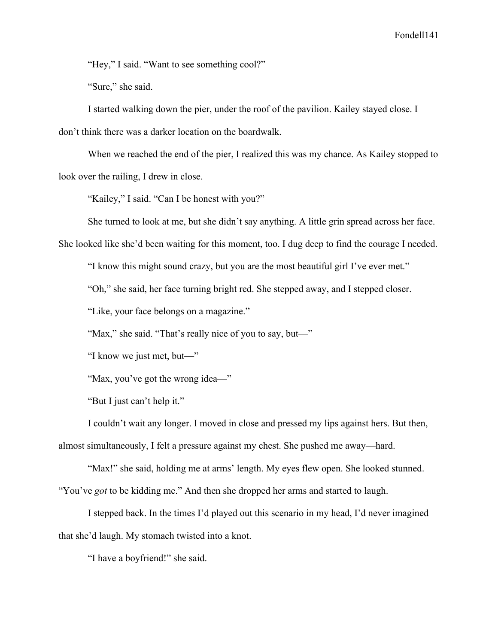"Hey," I said. "Want to see something cool?"

"Sure," she said.

I started walking down the pier, under the roof of the pavilion. Kailey stayed close. I

don't think there was a darker location on the boardwalk.

When we reached the end of the pier, I realized this was my chance. As Kailey stopped to look over the railing, I drew in close.

"Kailey," I said. "Can I be honest with you?"

She turned to look at me, but she didn't say anything. A little grin spread across her face.

She looked like she'd been waiting for this moment, too. I dug deep to find the courage I needed.

"I know this might sound crazy, but you are the most beautiful girl I've ever met."

"Oh," she said, her face turning bright red. She stepped away, and I stepped closer.

"Like, your face belongs on a magazine."

"Max," she said. "That's really nice of you to say, but—"

"I know we just met, but—"

"Max, you've got the wrong idea—"

"But I just can't help it."

I couldn't wait any longer. I moved in close and pressed my lips against hers. But then, almost simultaneously, I felt a pressure against my chest. She pushed me away—hard.

"Max!" she said, holding me at arms' length. My eyes flew open. She looked stunned. "You've *got* to be kidding me." And then she dropped her arms and started to laugh.

I stepped back. In the times I'd played out this scenario in my head, I'd never imagined that she'd laugh. My stomach twisted into a knot.

"I have a boyfriend!" she said.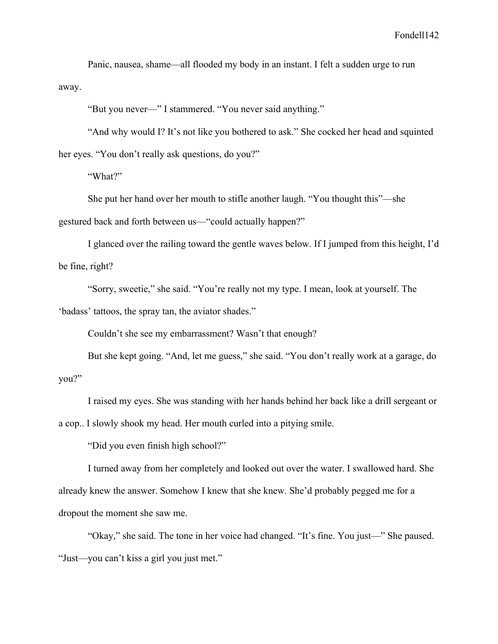Panic, nausea, shame—all flooded my body in an instant. I felt a sudden urge to run away.

"But you never—" I stammered. "You never said anything."

"And why would I? It's not like you bothered to ask." She cocked her head and squinted her eyes. "You don't really ask questions, do you?"

"What?"

She put her hand over her mouth to stifle another laugh. "You thought this"—she gestured back and forth between us—"could actually happen?"

I glanced over the railing toward the gentle waves below. If I jumped from this height, I'd be fine, right?

"Sorry, sweetie," she said. "You're really not my type. I mean, look at yourself. The 'badass' tattoos, the spray tan, the aviator shades."

Couldn't she see my embarrassment? Wasn't that enough?

But she kept going. "And, let me guess," she said. "You don't really work at a garage, do you?"

I raised my eyes. She was standing with her hands behind her back like a drill sergeant or a cop.. I slowly shook my head. Her mouth curled into a pitying smile.

"Did you even finish high school?"

I turned away from her completely and looked out over the water. I swallowed hard. She already knew the answer. Somehow I knew that she knew. She'd probably pegged me for a dropout the moment she saw me.

"Okay," she said. The tone in her voice had changed. "It's fine. You just—" She paused. "Just—you can't kiss a girl you just met."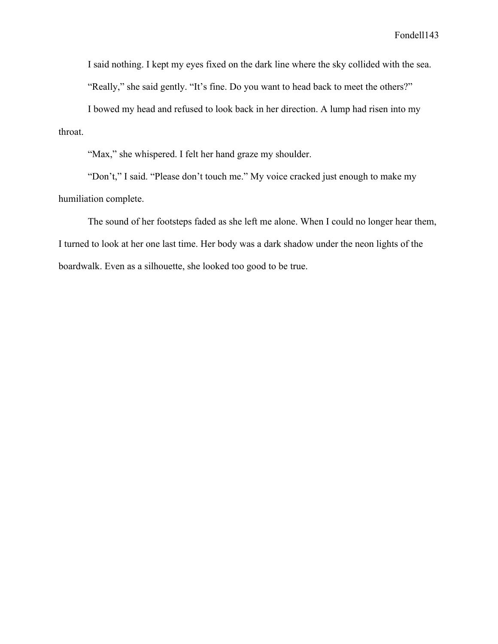I said nothing. I kept my eyes fixed on the dark line where the sky collided with the sea. "Really," she said gently. "It's fine. Do you want to head back to meet the others?"

I bowed my head and refused to look back in her direction. A lump had risen into my throat.

"Max," she whispered. I felt her hand graze my shoulder.

"Don't," I said. "Please don't touch me." My voice cracked just enough to make my humiliation complete.

The sound of her footsteps faded as she left me alone. When I could no longer hear them, I turned to look at her one last time. Her body was a dark shadow under the neon lights of the boardwalk. Even as a silhouette, she looked too good to be true.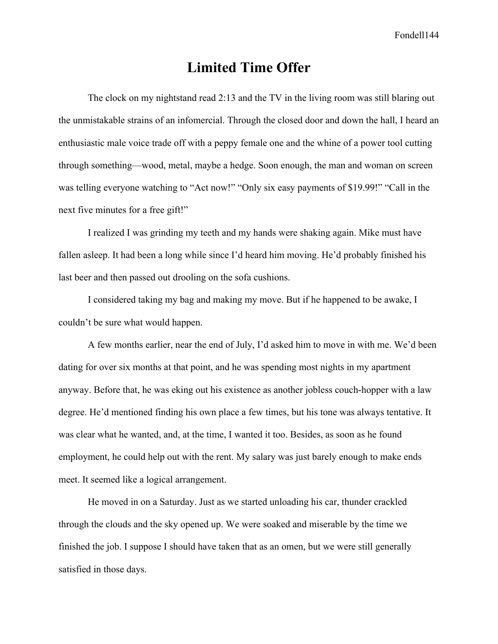## **Limited Time Offer**

The clock on my nightstand read 2:13 and the TV in the living room was still blaring out the unmistakable strains of an infomercial. Through the closed door and down the hall, I heard an enthusiastic male voice trade off with a peppy female one and the whine of a power tool cutting through something—wood, metal, maybe a hedge. Soon enough, the man and woman on screen was telling everyone watching to "Act now!" "Only six easy payments of \$19.99!" "Call in the next five minutes for a free gift!"

I realized I was grinding my teeth and my hands were shaking again. Mike must have fallen asleep. It had been a long while since I'd heard him moving. He'd probably finished his last beer and then passed out drooling on the sofa cushions.

I considered taking my bag and making my move. But if he happened to be awake, I couldn't be sure what would happen.

A few months earlier, near the end of July, I'd asked him to move in with me. We'd been dating for over six months at that point, and he was spending most nights in my apartment anyway. Before that, he was eking out his existence as another jobless couch-hopper with a law degree. He'd mentioned finding his own place a few times, but his tone was always tentative. It was clear what he wanted, and, at the time, I wanted it too. Besides, as soon as he found employment, he could help out with the rent. My salary was just barely enough to make ends meet. It seemed like a logical arrangement.

He moved in on a Saturday. Just as we started unloading his car, thunder crackled through the clouds and the sky opened up. We were soaked and miserable by the time we finished the job. I suppose I should have taken that as an omen, but we were still generally satisfied in those days.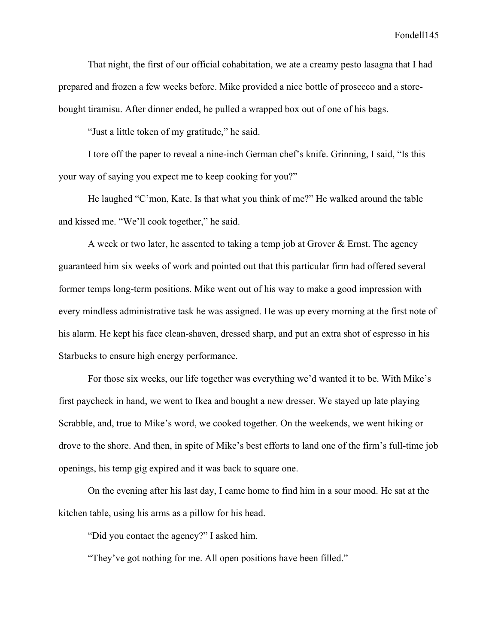That night, the first of our official cohabitation, we ate a creamy pesto lasagna that I had prepared and frozen a few weeks before. Mike provided a nice bottle of prosecco and a storebought tiramisu. After dinner ended, he pulled a wrapped box out of one of his bags.

"Just a little token of my gratitude," he said.

I tore off the paper to reveal a nine-inch German chef's knife. Grinning, I said, "Is this your way of saying you expect me to keep cooking for you?"

He laughed "C'mon, Kate. Is that what you think of me?" He walked around the table and kissed me. "We'll cook together," he said.

A week or two later, he assented to taking a temp job at Grover & Ernst. The agency guaranteed him six weeks of work and pointed out that this particular firm had offered several former temps long-term positions. Mike went out of his way to make a good impression with every mindless administrative task he was assigned. He was up every morning at the first note of his alarm. He kept his face clean-shaven, dressed sharp, and put an extra shot of espresso in his Starbucks to ensure high energy performance.

For those six weeks, our life together was everything we'd wanted it to be. With Mike's first paycheck in hand, we went to Ikea and bought a new dresser. We stayed up late playing Scrabble, and, true to Mike's word, we cooked together. On the weekends, we went hiking or drove to the shore. And then, in spite of Mike's best efforts to land one of the firm's full-time job openings, his temp gig expired and it was back to square one.

On the evening after his last day, I came home to find him in a sour mood. He sat at the kitchen table, using his arms as a pillow for his head.

"Did you contact the agency?" I asked him.

"They've got nothing for me. All open positions have been filled."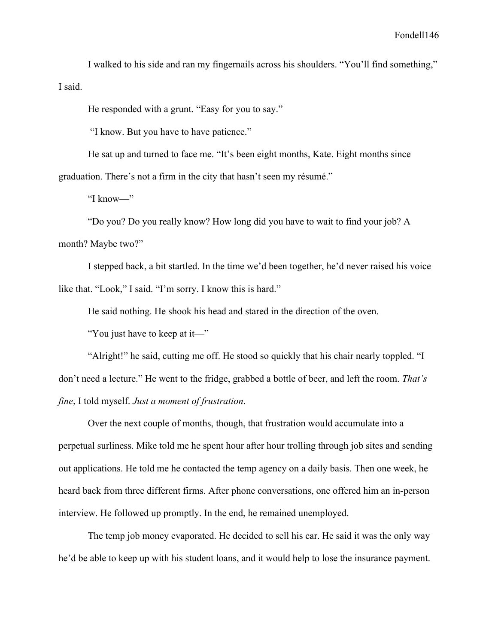I walked to his side and ran my fingernails across his shoulders. "You'll find something," I said.

He responded with a grunt. "Easy for you to say."

"I know. But you have to have patience."

He sat up and turned to face me. "It's been eight months, Kate. Eight months since graduation. There's not a firm in the city that hasn't seen my résumé."

"I know—"

"Do you? Do you really know? How long did you have to wait to find your job? A month? Maybe two?"

I stepped back, a bit startled. In the time we'd been together, he'd never raised his voice like that. "Look," I said. "I'm sorry. I know this is hard."

He said nothing. He shook his head and stared in the direction of the oven.

"You just have to keep at it—"

"Alright!" he said, cutting me off. He stood so quickly that his chair nearly toppled. "I don't need a lecture." He went to the fridge, grabbed a bottle of beer, and left the room. *That's fine*, I told myself. *Just a moment of frustration*.

Over the next couple of months, though, that frustration would accumulate into a perpetual surliness. Mike told me he spent hour after hour trolling through job sites and sending out applications. He told me he contacted the temp agency on a daily basis. Then one week, he heard back from three different firms. After phone conversations, one offered him an in-person interview. He followed up promptly. In the end, he remained unemployed.

The temp job money evaporated. He decided to sell his car. He said it was the only way he'd be able to keep up with his student loans, and it would help to lose the insurance payment.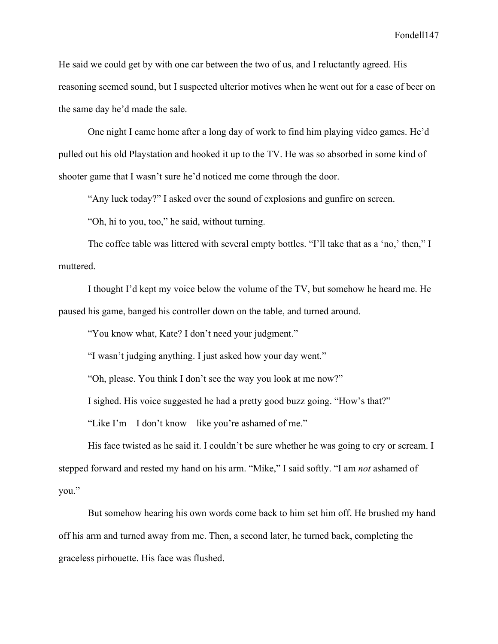He said we could get by with one car between the two of us, and I reluctantly agreed. His reasoning seemed sound, but I suspected ulterior motives when he went out for a case of beer on the same day he'd made the sale.

One night I came home after a long day of work to find him playing video games. He'd pulled out his old Playstation and hooked it up to the TV. He was so absorbed in some kind of shooter game that I wasn't sure he'd noticed me come through the door.

"Any luck today?" I asked over the sound of explosions and gunfire on screen.

"Oh, hi to you, too," he said, without turning.

The coffee table was littered with several empty bottles. "I'll take that as a 'no,' then," I muttered.

I thought I'd kept my voice below the volume of the TV, but somehow he heard me. He paused his game, banged his controller down on the table, and turned around.

"You know what, Kate? I don't need your judgment."

"I wasn't judging anything. I just asked how your day went."

"Oh, please. You think I don't see the way you look at me now?"

I sighed. His voice suggested he had a pretty good buzz going. "How's that?"

"Like I'm—I don't know—like you're ashamed of me."

His face twisted as he said it. I couldn't be sure whether he was going to cry or scream. I stepped forward and rested my hand on his arm. "Mike," I said softly. "I am *not* ashamed of you."

But somehow hearing his own words come back to him set him off. He brushed my hand off his arm and turned away from me. Then, a second later, he turned back, completing the graceless pirhouette. His face was flushed.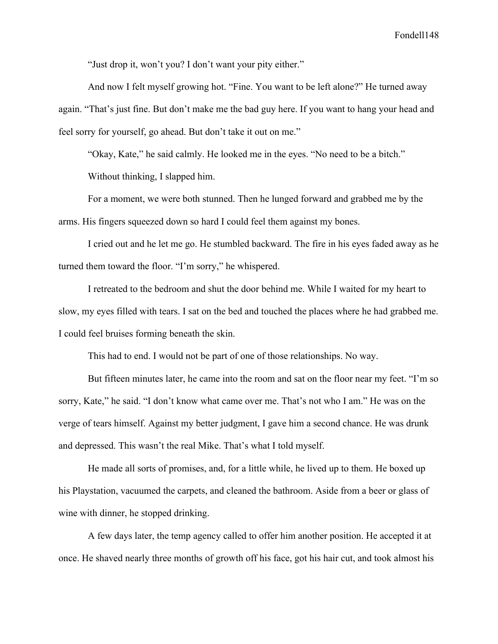"Just drop it, won't you? I don't want your pity either."

And now I felt myself growing hot. "Fine. You want to be left alone?" He turned away again. "That's just fine. But don't make me the bad guy here. If you want to hang your head and feel sorry for yourself, go ahead. But don't take it out on me."

"Okay, Kate," he said calmly. He looked me in the eyes. "No need to be a bitch."

Without thinking, I slapped him.

For a moment, we were both stunned. Then he lunged forward and grabbed me by the arms. His fingers squeezed down so hard I could feel them against my bones.

I cried out and he let me go. He stumbled backward. The fire in his eyes faded away as he turned them toward the floor. "I'm sorry," he whispered.

I retreated to the bedroom and shut the door behind me. While I waited for my heart to slow, my eyes filled with tears. I sat on the bed and touched the places where he had grabbed me. I could feel bruises forming beneath the skin.

This had to end. I would not be part of one of those relationships. No way.

But fifteen minutes later, he came into the room and sat on the floor near my feet. "I'm so sorry, Kate," he said. "I don't know what came over me. That's not who I am." He was on the verge of tears himself. Against my better judgment, I gave him a second chance. He was drunk and depressed. This wasn't the real Mike. That's what I told myself.

He made all sorts of promises, and, for a little while, he lived up to them. He boxed up his Playstation, vacuumed the carpets, and cleaned the bathroom. Aside from a beer or glass of wine with dinner, he stopped drinking.

A few days later, the temp agency called to offer him another position. He accepted it at once. He shaved nearly three months of growth off his face, got his hair cut, and took almost his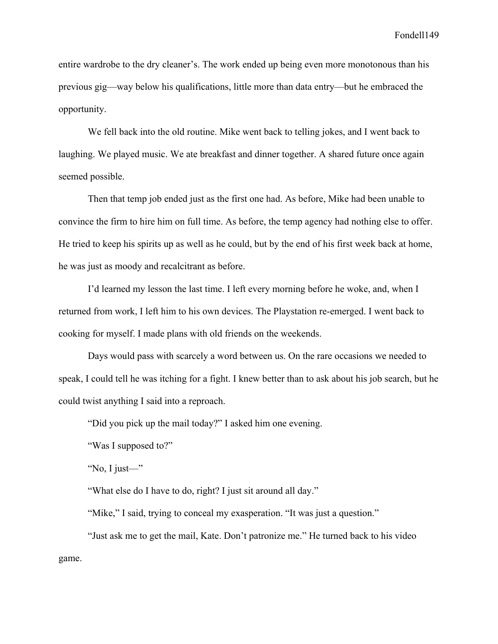entire wardrobe to the dry cleaner's. The work ended up being even more monotonous than his previous gig—way below his qualifications, little more than data entry—but he embraced the opportunity.

We fell back into the old routine. Mike went back to telling jokes, and I went back to laughing. We played music. We ate breakfast and dinner together. A shared future once again seemed possible.

Then that temp job ended just as the first one had. As before, Mike had been unable to convince the firm to hire him on full time. As before, the temp agency had nothing else to offer. He tried to keep his spirits up as well as he could, but by the end of his first week back at home, he was just as moody and recalcitrant as before.

I'd learned my lesson the last time. I left every morning before he woke, and, when I returned from work, I left him to his own devices. The Playstation re-emerged. I went back to cooking for myself. I made plans with old friends on the weekends.

Days would pass with scarcely a word between us. On the rare occasions we needed to speak, I could tell he was itching for a fight. I knew better than to ask about his job search, but he could twist anything I said into a reproach.

"Did you pick up the mail today?" I asked him one evening.

"Was I supposed to?"

"No, I just—"

"What else do I have to do, right? I just sit around all day."

"Mike," I said, trying to conceal my exasperation. "It was just a question."

"Just ask me to get the mail, Kate. Don't patronize me." He turned back to his video game.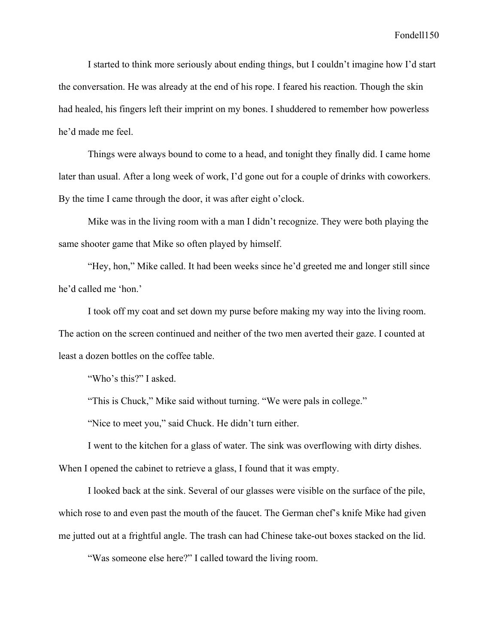I started to think more seriously about ending things, but I couldn't imagine how I'd start the conversation. He was already at the end of his rope. I feared his reaction. Though the skin had healed, his fingers left their imprint on my bones. I shuddered to remember how powerless he'd made me feel.

Things were always bound to come to a head, and tonight they finally did. I came home later than usual. After a long week of work, I'd gone out for a couple of drinks with coworkers. By the time I came through the door, it was after eight o'clock.

Mike was in the living room with a man I didn't recognize. They were both playing the same shooter game that Mike so often played by himself.

"Hey, hon," Mike called. It had been weeks since he'd greeted me and longer still since he'd called me 'hon.'

I took off my coat and set down my purse before making my way into the living room. The action on the screen continued and neither of the two men averted their gaze. I counted at least a dozen bottles on the coffee table.

"Who's this?" I asked.

"This is Chuck," Mike said without turning. "We were pals in college."

"Nice to meet you," said Chuck. He didn't turn either.

I went to the kitchen for a glass of water. The sink was overflowing with dirty dishes. When I opened the cabinet to retrieve a glass, I found that it was empty.

I looked back at the sink. Several of our glasses were visible on the surface of the pile, which rose to and even past the mouth of the faucet. The German chef's knife Mike had given me jutted out at a frightful angle. The trash can had Chinese take-out boxes stacked on the lid.

"Was someone else here?" I called toward the living room.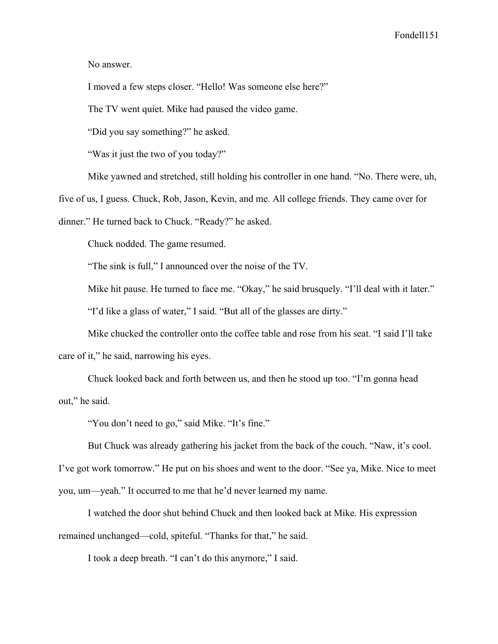No answer.

I moved a few steps closer. "Hello! Was someone else here?"

The TV went quiet. Mike had paused the video game.

"Did you say something?" he asked.

"Was it just the two of you today?"

Mike yawned and stretched, still holding his controller in one hand. "No. There were, uh,

five of us, I guess. Chuck, Rob, Jason, Kevin, and me. All college friends. They came over for

dinner." He turned back to Chuck. "Ready?" he asked.

Chuck nodded. The game resumed.

"The sink is full," I announced over the noise of the TV.

Mike hit pause. He turned to face me. "Okay," he said brusquely. "I'll deal with it later."

"I'd like a glass of water," I said. "But all of the glasses are dirty."

Mike chucked the controller onto the coffee table and rose from his seat. "I said I'll take care of it," he said, narrowing his eyes.

Chuck looked back and forth between us, and then he stood up too. "I'm gonna head out," he said.

"You don't need to go," said Mike. "It's fine."

But Chuck was already gathering his jacket from the back of the couch. "Naw, it's cool.

I've got work tomorrow." He put on his shoes and went to the door. "See ya, Mike. Nice to meet you, um—yeah." It occurred to me that he'd never learned my name.

I watched the door shut behind Chuck and then looked back at Mike. His expression remained unchanged—cold, spiteful. "Thanks for that," he said.

I took a deep breath. "I can't do this anymore," I said.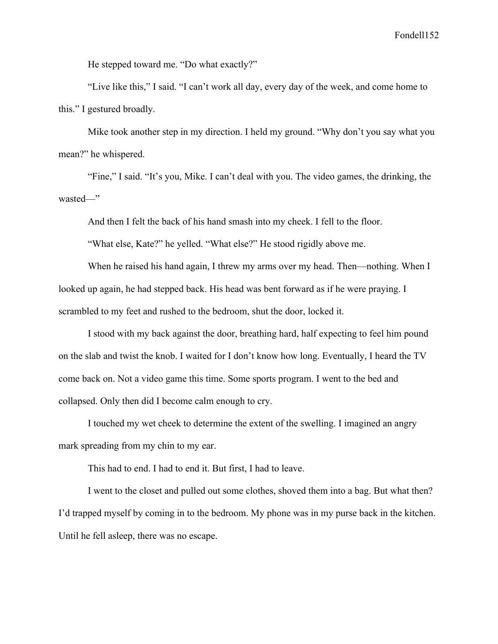He stepped toward me. "Do what exactly?"

"Live like this," I said. "I can't work all day, every day of the week, and come home to this." I gestured broadly.

Mike took another step in my direction. I held my ground. "Why don't you say what you mean?" he whispered.

"Fine," I said. "It's you, Mike. I can't deal with you. The video games, the drinking, the wasted—"

And then I felt the back of his hand smash into my cheek. I fell to the floor.

"What else, Kate?" he yelled. "What else?" He stood rigidly above me.

When he raised his hand again, I threw my arms over my head. Then—nothing. When I looked up again, he had stepped back. His head was bent forward as if he were praying. I scrambled to my feet and rushed to the bedroom, shut the door, locked it.

I stood with my back against the door, breathing hard, half expecting to feel him pound on the slab and twist the knob. I waited for I don't know how long. Eventually, I heard the TV come back on. Not a video game this time. Some sports program. I went to the bed and collapsed. Only then did I become calm enough to cry.

I touched my wet cheek to determine the extent of the swelling. I imagined an angry mark spreading from my chin to my ear.

This had to end. I had to end it. But first, I had to leave.

I went to the closet and pulled out some clothes, shoved them into a bag. But what then? I'd trapped myself by coming in to the bedroom. My phone was in my purse back in the kitchen. Until he fell asleep, there was no escape.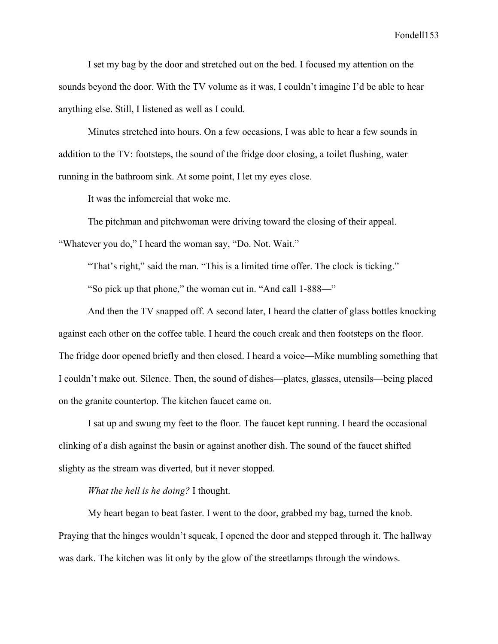I set my bag by the door and stretched out on the bed. I focused my attention on the sounds beyond the door. With the TV volume as it was, I couldn't imagine I'd be able to hear anything else. Still, I listened as well as I could.

Minutes stretched into hours. On a few occasions, I was able to hear a few sounds in addition to the TV: footsteps, the sound of the fridge door closing, a toilet flushing, water running in the bathroom sink. At some point, I let my eyes close.

It was the infomercial that woke me.

The pitchman and pitchwoman were driving toward the closing of their appeal.

"Whatever you do," I heard the woman say, "Do. Not. Wait."

"That's right," said the man. "This is a limited time offer. The clock is ticking."

"So pick up that phone," the woman cut in. "And call 1-888—"

And then the TV snapped off. A second later, I heard the clatter of glass bottles knocking against each other on the coffee table. I heard the couch creak and then footsteps on the floor. The fridge door opened briefly and then closed. I heard a voice—Mike mumbling something that I couldn't make out. Silence. Then, the sound of dishes—plates, glasses, utensils—being placed on the granite countertop. The kitchen faucet came on.

I sat up and swung my feet to the floor. The faucet kept running. I heard the occasional clinking of a dish against the basin or against another dish. The sound of the faucet shifted slighty as the stream was diverted, but it never stopped.

*What the hell is he doing?* I thought.

My heart began to beat faster. I went to the door, grabbed my bag, turned the knob. Praying that the hinges wouldn't squeak, I opened the door and stepped through it. The hallway was dark. The kitchen was lit only by the glow of the streetlamps through the windows.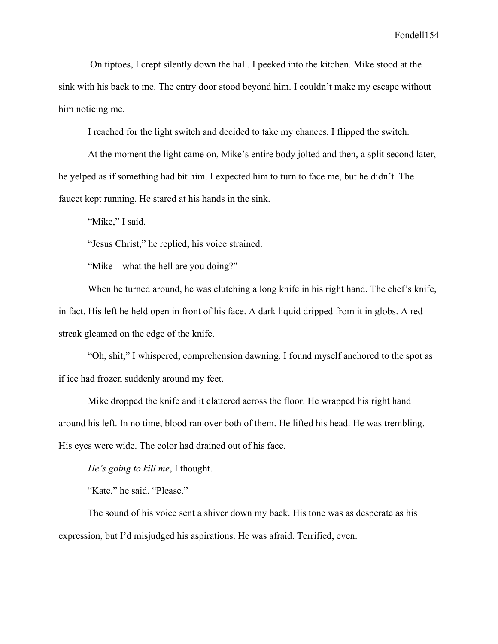On tiptoes, I crept silently down the hall. I peeked into the kitchen. Mike stood at the sink with his back to me. The entry door stood beyond him. I couldn't make my escape without him noticing me.

I reached for the light switch and decided to take my chances. I flipped the switch.

At the moment the light came on, Mike's entire body jolted and then, a split second later, he yelped as if something had bit him. I expected him to turn to face me, but he didn't. The faucet kept running. He stared at his hands in the sink.

"Mike," I said.

"Jesus Christ," he replied, his voice strained.

"Mike—what the hell are you doing?"

When he turned around, he was clutching a long knife in his right hand. The chef's knife, in fact. His left he held open in front of his face. A dark liquid dripped from it in globs. A red streak gleamed on the edge of the knife.

"Oh, shit," I whispered, comprehension dawning. I found myself anchored to the spot as if ice had frozen suddenly around my feet.

Mike dropped the knife and it clattered across the floor. He wrapped his right hand around his left. In no time, blood ran over both of them. He lifted his head. He was trembling. His eyes were wide. The color had drained out of his face.

*He's going to kill me*, I thought.

"Kate," he said. "Please."

The sound of his voice sent a shiver down my back. His tone was as desperate as his expression, but I'd misjudged his aspirations. He was afraid. Terrified, even.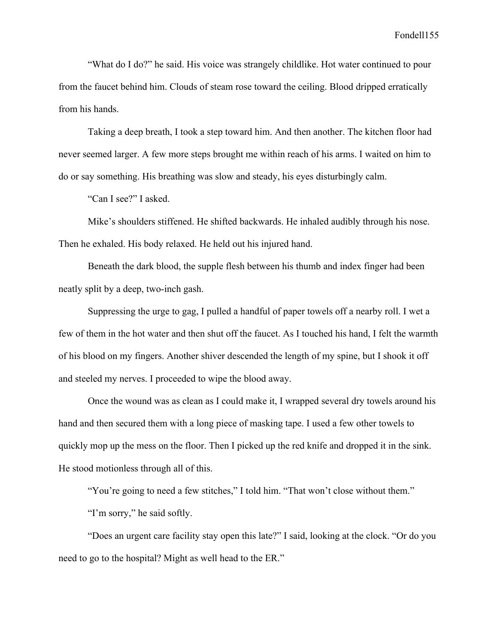"What do I do?" he said. His voice was strangely childlike. Hot water continued to pour from the faucet behind him. Clouds of steam rose toward the ceiling. Blood dripped erratically from his hands.

Taking a deep breath, I took a step toward him. And then another. The kitchen floor had never seemed larger. A few more steps brought me within reach of his arms. I waited on him to do or say something. His breathing was slow and steady, his eyes disturbingly calm.

"Can I see?" I asked.

Mike's shoulders stiffened. He shifted backwards. He inhaled audibly through his nose. Then he exhaled. His body relaxed. He held out his injured hand.

Beneath the dark blood, the supple flesh between his thumb and index finger had been neatly split by a deep, two-inch gash.

Suppressing the urge to gag, I pulled a handful of paper towels off a nearby roll. I wet a few of them in the hot water and then shut off the faucet. As I touched his hand, I felt the warmth of his blood on my fingers. Another shiver descended the length of my spine, but I shook it off and steeled my nerves. I proceeded to wipe the blood away.

Once the wound was as clean as I could make it, I wrapped several dry towels around his hand and then secured them with a long piece of masking tape. I used a few other towels to quickly mop up the mess on the floor. Then I picked up the red knife and dropped it in the sink. He stood motionless through all of this.

"You're going to need a few stitches," I told him. "That won't close without them."

"I'm sorry," he said softly.

"Does an urgent care facility stay open this late?" I said, looking at the clock. "Or do you need to go to the hospital? Might as well head to the ER."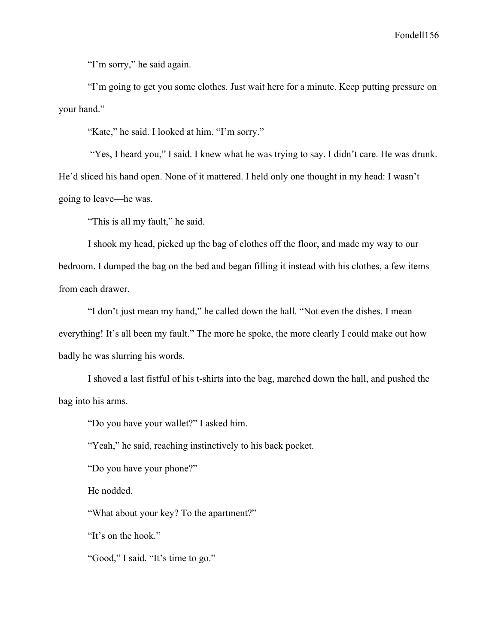"I'm sorry," he said again.

"I'm going to get you some clothes. Just wait here for a minute. Keep putting pressure on your hand."

"Kate," he said. I looked at him. "I'm sorry."

"Yes, I heard you," I said. I knew what he was trying to say. I didn't care. He was drunk. He'd sliced his hand open. None of it mattered. I held only one thought in my head: I wasn't going to leave—he was.

"This is all my fault," he said.

I shook my head, picked up the bag of clothes off the floor, and made my way to our bedroom. I dumped the bag on the bed and began filling it instead with his clothes, a few items from each drawer.

"I don't just mean my hand," he called down the hall. "Not even the dishes. I mean everything! It's all been my fault." The more he spoke, the more clearly I could make out how badly he was slurring his words.

I shoved a last fistful of his t-shirts into the bag, marched down the hall, and pushed the bag into his arms.

"Do you have your wallet?" I asked him.

"Yeah," he said, reaching instinctively to his back pocket.

"Do you have your phone?"

He nodded.

"What about your key? To the apartment?"

"It's on the hook."

"Good," I said. "It's time to go."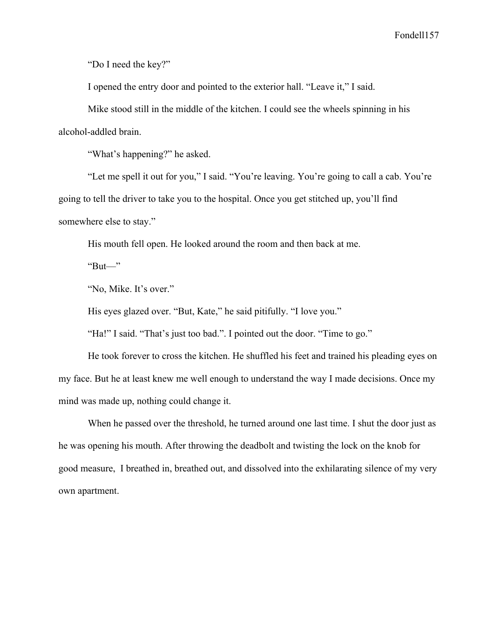"Do I need the key?"

I opened the entry door and pointed to the exterior hall. "Leave it," I said.

Mike stood still in the middle of the kitchen. I could see the wheels spinning in his alcohol-addled brain.

"What's happening?" he asked.

"Let me spell it out for you," I said. "You're leaving. You're going to call a cab. You're going to tell the driver to take you to the hospital. Once you get stitched up, you'll find somewhere else to stay."

His mouth fell open. He looked around the room and then back at me.

" $But$ "

"No, Mike. It's over."

His eyes glazed over. "But, Kate," he said pitifully. "I love you."

"Ha!" I said. "That's just too bad.". I pointed out the door. "Time to go."

He took forever to cross the kitchen. He shuffled his feet and trained his pleading eyes on my face. But he at least knew me well enough to understand the way I made decisions. Once my mind was made up, nothing could change it.

When he passed over the threshold, he turned around one last time. I shut the door just as he was opening his mouth. After throwing the deadbolt and twisting the lock on the knob for good measure, I breathed in, breathed out, and dissolved into the exhilarating silence of my very own apartment.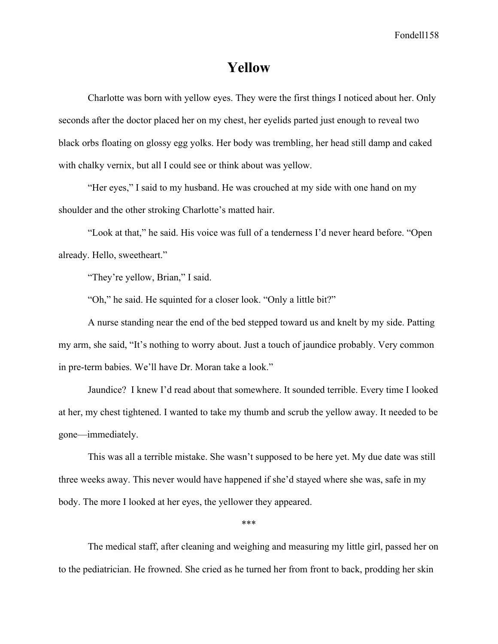## **Yellow**

Charlotte was born with yellow eyes. They were the first things I noticed about her. Only seconds after the doctor placed her on my chest, her eyelids parted just enough to reveal two black orbs floating on glossy egg yolks. Her body was trembling, her head still damp and caked with chalky vernix, but all I could see or think about was yellow.

"Her eyes," I said to my husband. He was crouched at my side with one hand on my shoulder and the other stroking Charlotte's matted hair.

"Look at that," he said. His voice was full of a tenderness I'd never heard before. "Open already. Hello, sweetheart."

"They're yellow, Brian," I said.

"Oh," he said. He squinted for a closer look. "Only a little bit?"

A nurse standing near the end of the bed stepped toward us and knelt by my side. Patting my arm, she said, "It's nothing to worry about. Just a touch of jaundice probably. Very common in pre-term babies. We'll have Dr. Moran take a look."

Jaundice? I knew I'd read about that somewhere. It sounded terrible. Every time I looked at her, my chest tightened. I wanted to take my thumb and scrub the yellow away. It needed to be gone—immediately.

This was all a terrible mistake. She wasn't supposed to be here yet. My due date was still three weeks away. This never would have happened if she'd stayed where she was, safe in my body. The more I looked at her eyes, the yellower they appeared.

\*\*\*

The medical staff, after cleaning and weighing and measuring my little girl, passed her on to the pediatrician. He frowned. She cried as he turned her from front to back, prodding her skin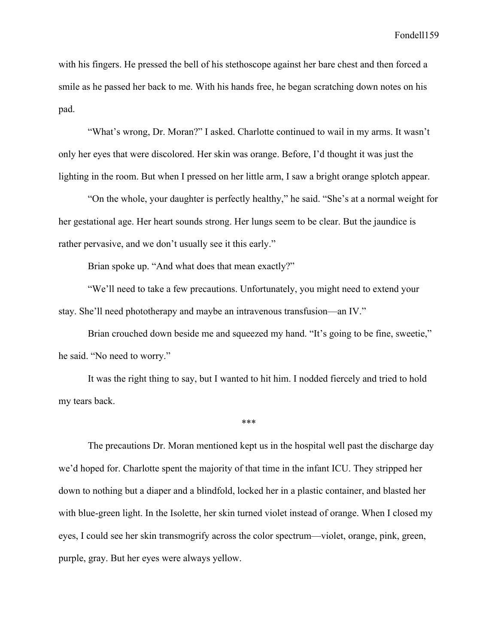with his fingers. He pressed the bell of his stethoscope against her bare chest and then forced a smile as he passed her back to me. With his hands free, he began scratching down notes on his pad.

"What's wrong, Dr. Moran?" I asked. Charlotte continued to wail in my arms. It wasn't only her eyes that were discolored. Her skin was orange. Before, I'd thought it was just the lighting in the room. But when I pressed on her little arm, I saw a bright orange splotch appear.

"On the whole, your daughter is perfectly healthy," he said. "She's at a normal weight for her gestational age. Her heart sounds strong. Her lungs seem to be clear. But the jaundice is rather pervasive, and we don't usually see it this early."

Brian spoke up. "And what does that mean exactly?"

"We'll need to take a few precautions. Unfortunately, you might need to extend your stay. She'll need phototherapy and maybe an intravenous transfusion—an IV."

Brian crouched down beside me and squeezed my hand. "It's going to be fine, sweetie," he said. "No need to worry."

It was the right thing to say, but I wanted to hit him. I nodded fiercely and tried to hold my tears back.

\*\*\*

The precautions Dr. Moran mentioned kept us in the hospital well past the discharge day we'd hoped for. Charlotte spent the majority of that time in the infant ICU. They stripped her down to nothing but a diaper and a blindfold, locked her in a plastic container, and blasted her with blue-green light. In the Isolette, her skin turned violet instead of orange. When I closed my eyes, I could see her skin transmogrify across the color spectrum—violet, orange, pink, green, purple, gray. But her eyes were always yellow.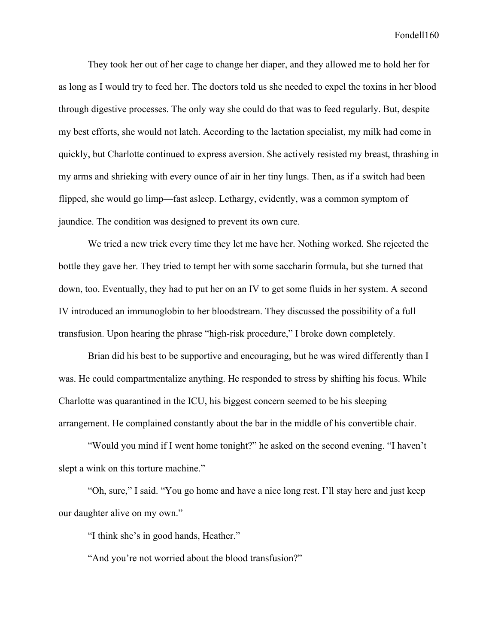They took her out of her cage to change her diaper, and they allowed me to hold her for as long as I would try to feed her. The doctors told us she needed to expel the toxins in her blood through digestive processes. The only way she could do that was to feed regularly. But, despite my best efforts, she would not latch. According to the lactation specialist, my milk had come in quickly, but Charlotte continued to express aversion. She actively resisted my breast, thrashing in my arms and shrieking with every ounce of air in her tiny lungs. Then, as if a switch had been flipped, she would go limp—fast asleep. Lethargy, evidently, was a common symptom of jaundice. The condition was designed to prevent its own cure.

We tried a new trick every time they let me have her. Nothing worked. She rejected the bottle they gave her. They tried to tempt her with some saccharin formula, but she turned that down, too. Eventually, they had to put her on an IV to get some fluids in her system. A second IV introduced an immunoglobin to her bloodstream. They discussed the possibility of a full transfusion. Upon hearing the phrase "high-risk procedure," I broke down completely.

Brian did his best to be supportive and encouraging, but he was wired differently than I was. He could compartmentalize anything. He responded to stress by shifting his focus. While Charlotte was quarantined in the ICU, his biggest concern seemed to be his sleeping arrangement. He complained constantly about the bar in the middle of his convertible chair.

"Would you mind if I went home tonight?" he asked on the second evening. "I haven't slept a wink on this torture machine."

"Oh, sure," I said. "You go home and have a nice long rest. I'll stay here and just keep our daughter alive on my own."

"I think she's in good hands, Heather."

"And you're not worried about the blood transfusion?"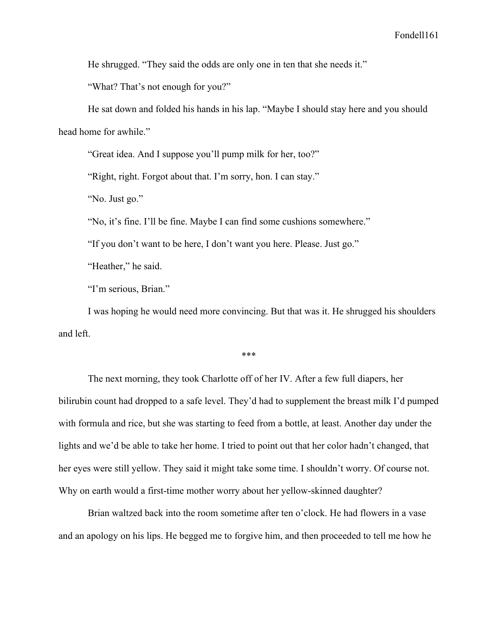He shrugged. "They said the odds are only one in ten that she needs it."

"What? That's not enough for you?"

He sat down and folded his hands in his lap. "Maybe I should stay here and you should head home for awhile."

"Great idea. And I suppose you'll pump milk for her, too?"

"Right, right. Forgot about that. I'm sorry, hon. I can stay."

"No. Just go."

"No, it's fine. I'll be fine. Maybe I can find some cushions somewhere."

"If you don't want to be here, I don't want you here. Please. Just go."

"Heather," he said.

"I'm serious, Brian."

I was hoping he would need more convincing. But that was it. He shrugged his shoulders and left.

## \*\*\*

The next morning, they took Charlotte off of her IV. After a few full diapers, her bilirubin count had dropped to a safe level. They'd had to supplement the breast milk I'd pumped with formula and rice, but she was starting to feed from a bottle, at least. Another day under the lights and we'd be able to take her home. I tried to point out that her color hadn't changed, that her eyes were still yellow. They said it might take some time. I shouldn't worry. Of course not. Why on earth would a first-time mother worry about her yellow-skinned daughter?

Brian waltzed back into the room sometime after ten o'clock. He had flowers in a vase and an apology on his lips. He begged me to forgive him, and then proceeded to tell me how he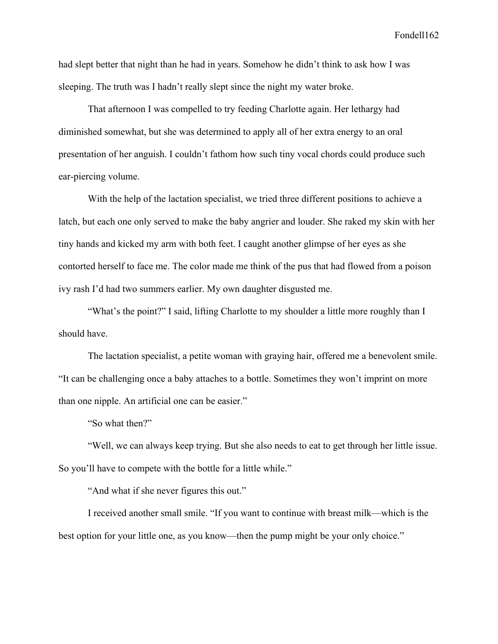had slept better that night than he had in years. Somehow he didn't think to ask how I was sleeping. The truth was I hadn't really slept since the night my water broke.

That afternoon I was compelled to try feeding Charlotte again. Her lethargy had diminished somewhat, but she was determined to apply all of her extra energy to an oral presentation of her anguish. I couldn't fathom how such tiny vocal chords could produce such ear-piercing volume.

With the help of the lactation specialist, we tried three different positions to achieve a latch, but each one only served to make the baby angrier and louder. She raked my skin with her tiny hands and kicked my arm with both feet. I caught another glimpse of her eyes as she contorted herself to face me. The color made me think of the pus that had flowed from a poison ivy rash I'd had two summers earlier. My own daughter disgusted me.

"What's the point?" I said, lifting Charlotte to my shoulder a little more roughly than I should have.

The lactation specialist, a petite woman with graying hair, offered me a benevolent smile. "It can be challenging once a baby attaches to a bottle. Sometimes they won't imprint on more than one nipple. An artificial one can be easier."

"So what then?"

"Well, we can always keep trying. But she also needs to eat to get through her little issue. So you'll have to compete with the bottle for a little while."

"And what if she never figures this out."

I received another small smile. "If you want to continue with breast milk—which is the best option for your little one, as you know—then the pump might be your only choice."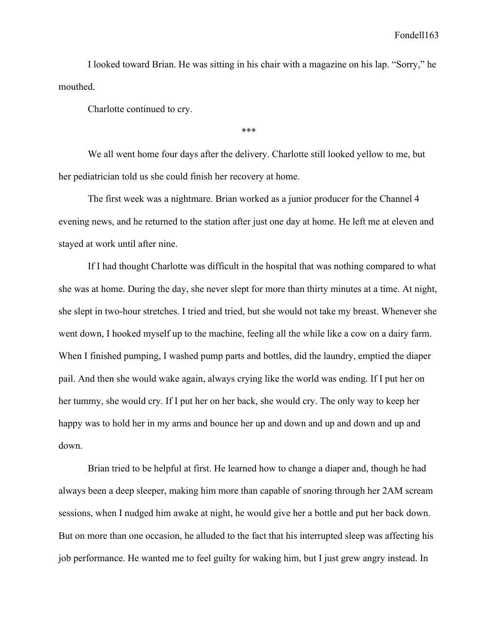I looked toward Brian. He was sitting in his chair with a magazine on his lap. "Sorry," he mouthed.

Charlotte continued to cry.

\*\*\*

We all went home four days after the delivery. Charlotte still looked yellow to me, but her pediatrician told us she could finish her recovery at home.

The first week was a nightmare. Brian worked as a junior producer for the Channel 4 evening news, and he returned to the station after just one day at home. He left me at eleven and stayed at work until after nine.

If I had thought Charlotte was difficult in the hospital that was nothing compared to what she was at home. During the day, she never slept for more than thirty minutes at a time. At night, she slept in two-hour stretches. I tried and tried, but she would not take my breast. Whenever she went down, I hooked myself up to the machine, feeling all the while like a cow on a dairy farm. When I finished pumping, I washed pump parts and bottles, did the laundry, emptied the diaper pail. And then she would wake again, always crying like the world was ending. If I put her on her tummy, she would cry. If I put her on her back, she would cry. The only way to keep her happy was to hold her in my arms and bounce her up and down and up and down and up and down.

Brian tried to be helpful at first. He learned how to change a diaper and, though he had always been a deep sleeper, making him more than capable of snoring through her 2AM scream sessions, when I nudged him awake at night, he would give her a bottle and put her back down. But on more than one occasion, he alluded to the fact that his interrupted sleep was affecting his job performance. He wanted me to feel guilty for waking him, but I just grew angry instead. In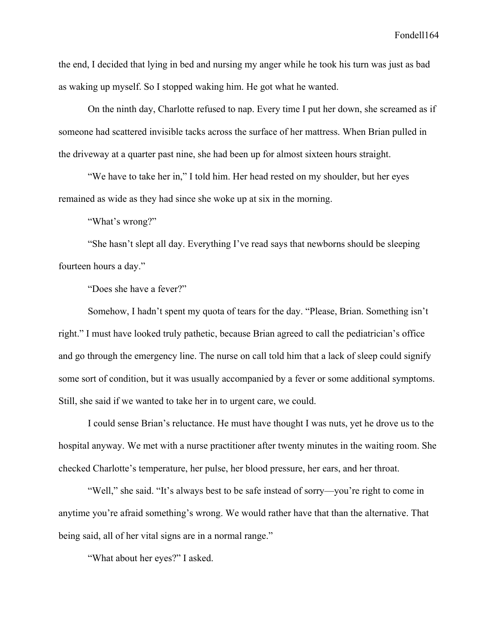the end, I decided that lying in bed and nursing my anger while he took his turn was just as bad as waking up myself. So I stopped waking him. He got what he wanted.

On the ninth day, Charlotte refused to nap. Every time I put her down, she screamed as if someone had scattered invisible tacks across the surface of her mattress. When Brian pulled in the driveway at a quarter past nine, she had been up for almost sixteen hours straight.

"We have to take her in," I told him. Her head rested on my shoulder, but her eyes remained as wide as they had since she woke up at six in the morning.

"What's wrong?"

"She hasn't slept all day. Everything I've read says that newborns should be sleeping fourteen hours a day."

"Does she have a fever?"

Somehow, I hadn't spent my quota of tears for the day. "Please, Brian. Something isn't right." I must have looked truly pathetic, because Brian agreed to call the pediatrician's office and go through the emergency line. The nurse on call told him that a lack of sleep could signify some sort of condition, but it was usually accompanied by a fever or some additional symptoms. Still, she said if we wanted to take her in to urgent care, we could.

I could sense Brian's reluctance. He must have thought I was nuts, yet he drove us to the hospital anyway. We met with a nurse practitioner after twenty minutes in the waiting room. She checked Charlotte's temperature, her pulse, her blood pressure, her ears, and her throat.

"Well," she said. "It's always best to be safe instead of sorry—you're right to come in anytime you're afraid something's wrong. We would rather have that than the alternative. That being said, all of her vital signs are in a normal range."

"What about her eyes?" I asked.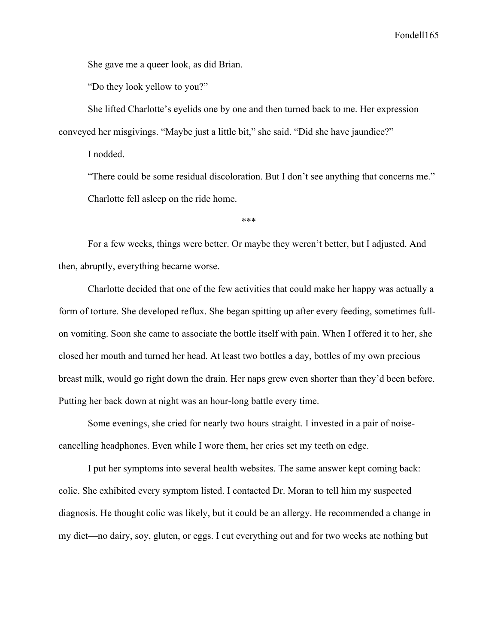She gave me a queer look, as did Brian.

"Do they look yellow to you?"

She lifted Charlotte's eyelids one by one and then turned back to me. Her expression conveyed her misgivings. "Maybe just a little bit," she said. "Did she have jaundice?"

I nodded.

"There could be some residual discoloration. But I don't see anything that concerns me." Charlotte fell asleep on the ride home.

For a few weeks, things were better. Or maybe they weren't better, but I adjusted. And then, abruptly, everything became worse.

\*\*\*

Charlotte decided that one of the few activities that could make her happy was actually a form of torture. She developed reflux. She began spitting up after every feeding, sometimes fullon vomiting. Soon she came to associate the bottle itself with pain. When I offered it to her, she closed her mouth and turned her head. At least two bottles a day, bottles of my own precious breast milk, would go right down the drain. Her naps grew even shorter than they'd been before. Putting her back down at night was an hour-long battle every time.

Some evenings, she cried for nearly two hours straight. I invested in a pair of noisecancelling headphones. Even while I wore them, her cries set my teeth on edge.

I put her symptoms into several health websites. The same answer kept coming back: colic. She exhibited every symptom listed. I contacted Dr. Moran to tell him my suspected diagnosis. He thought colic was likely, but it could be an allergy. He recommended a change in my diet—no dairy, soy, gluten, or eggs. I cut everything out and for two weeks ate nothing but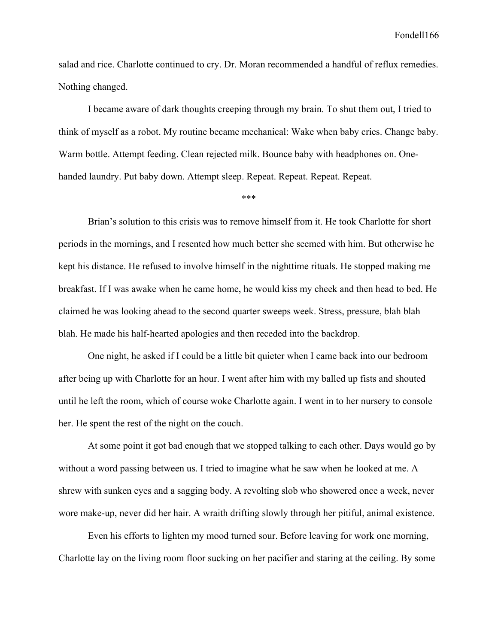salad and rice. Charlotte continued to cry. Dr. Moran recommended a handful of reflux remedies. Nothing changed.

I became aware of dark thoughts creeping through my brain. To shut them out, I tried to think of myself as a robot. My routine became mechanical: Wake when baby cries. Change baby. Warm bottle. Attempt feeding. Clean rejected milk. Bounce baby with headphones on. Onehanded laundry. Put baby down. Attempt sleep. Repeat. Repeat. Repeat. Repeat.

\*\*\*

Brian's solution to this crisis was to remove himself from it. He took Charlotte for short periods in the mornings, and I resented how much better she seemed with him. But otherwise he kept his distance. He refused to involve himself in the nighttime rituals. He stopped making me breakfast. If I was awake when he came home, he would kiss my cheek and then head to bed. He claimed he was looking ahead to the second quarter sweeps week. Stress, pressure, blah blah blah. He made his half-hearted apologies and then receded into the backdrop.

One night, he asked if I could be a little bit quieter when I came back into our bedroom after being up with Charlotte for an hour. I went after him with my balled up fists and shouted until he left the room, which of course woke Charlotte again. I went in to her nursery to console her. He spent the rest of the night on the couch.

At some point it got bad enough that we stopped talking to each other. Days would go by without a word passing between us. I tried to imagine what he saw when he looked at me. A shrew with sunken eyes and a sagging body. A revolting slob who showered once a week, never wore make-up, never did her hair. A wraith drifting slowly through her pitiful, animal existence.

Even his efforts to lighten my mood turned sour. Before leaving for work one morning, Charlotte lay on the living room floor sucking on her pacifier and staring at the ceiling. By some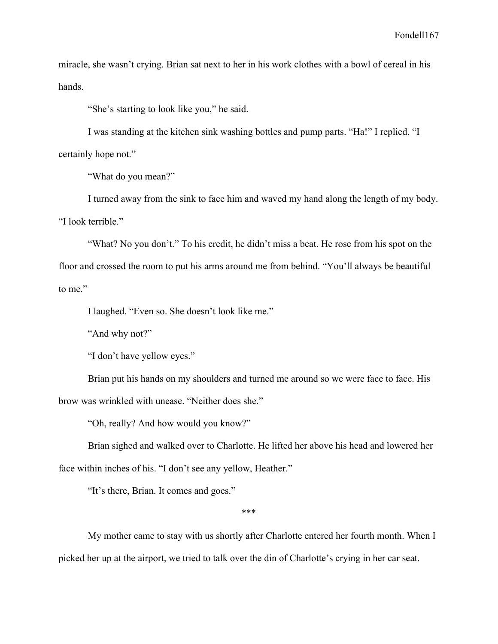miracle, she wasn't crying. Brian sat next to her in his work clothes with a bowl of cereal in his hands.

"She's starting to look like you," he said.

I was standing at the kitchen sink washing bottles and pump parts. "Ha!" I replied. "I certainly hope not."

"What do you mean?"

I turned away from the sink to face him and waved my hand along the length of my body. "I look terrible."

"What? No you don't." To his credit, he didn't miss a beat. He rose from his spot on the floor and crossed the room to put his arms around me from behind. "You'll always be beautiful to me."

I laughed. "Even so. She doesn't look like me."

"And why not?"

"I don't have yellow eyes."

Brian put his hands on my shoulders and turned me around so we were face to face. His brow was wrinkled with unease. "Neither does she."

"Oh, really? And how would you know?"

Brian sighed and walked over to Charlotte. He lifted her above his head and lowered her face within inches of his. "I don't see any yellow, Heather."

"It's there, Brian. It comes and goes."

\*\*\*

My mother came to stay with us shortly after Charlotte entered her fourth month. When I picked her up at the airport, we tried to talk over the din of Charlotte's crying in her car seat.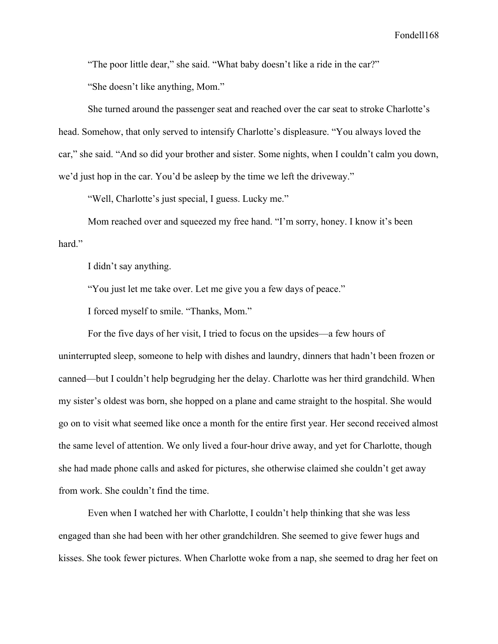"The poor little dear," she said. "What baby doesn't like a ride in the car?"

"She doesn't like anything, Mom."

She turned around the passenger seat and reached over the car seat to stroke Charlotte's head. Somehow, that only served to intensify Charlotte's displeasure. "You always loved the car," she said. "And so did your brother and sister. Some nights, when I couldn't calm you down, we'd just hop in the car. You'd be asleep by the time we left the driveway."

"Well, Charlotte's just special, I guess. Lucky me."

Mom reached over and squeezed my free hand. "I'm sorry, honey. I know it's been hard."

I didn't say anything.

"You just let me take over. Let me give you a few days of peace."

I forced myself to smile. "Thanks, Mom."

For the five days of her visit, I tried to focus on the upsides—a few hours of uninterrupted sleep, someone to help with dishes and laundry, dinners that hadn't been frozen or canned—but I couldn't help begrudging her the delay. Charlotte was her third grandchild. When my sister's oldest was born, she hopped on a plane and came straight to the hospital. She would go on to visit what seemed like once a month for the entire first year. Her second received almost the same level of attention. We only lived a four-hour drive away, and yet for Charlotte, though she had made phone calls and asked for pictures, she otherwise claimed she couldn't get away from work. She couldn't find the time.

Even when I watched her with Charlotte, I couldn't help thinking that she was less engaged than she had been with her other grandchildren. She seemed to give fewer hugs and kisses. She took fewer pictures. When Charlotte woke from a nap, she seemed to drag her feet on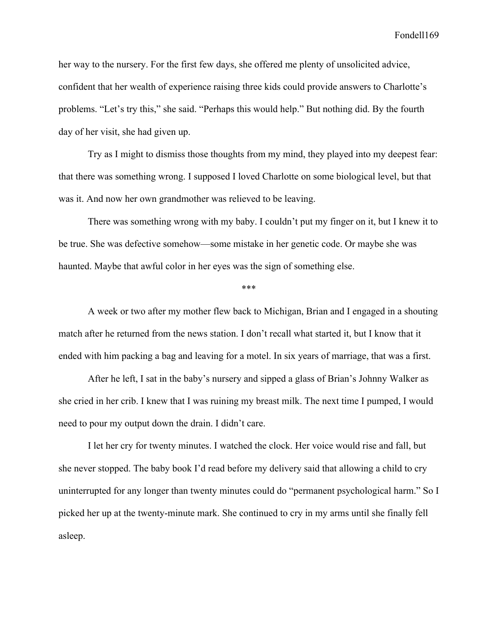her way to the nursery. For the first few days, she offered me plenty of unsolicited advice, confident that her wealth of experience raising three kids could provide answers to Charlotte's problems. "Let's try this," she said. "Perhaps this would help." But nothing did. By the fourth day of her visit, she had given up.

Try as I might to dismiss those thoughts from my mind, they played into my deepest fear: that there was something wrong. I supposed I loved Charlotte on some biological level, but that was it. And now her own grandmother was relieved to be leaving.

There was something wrong with my baby. I couldn't put my finger on it, but I knew it to be true. She was defective somehow—some mistake in her genetic code. Or maybe she was haunted. Maybe that awful color in her eyes was the sign of something else.

\*\*\*

A week or two after my mother flew back to Michigan, Brian and I engaged in a shouting match after he returned from the news station. I don't recall what started it, but I know that it ended with him packing a bag and leaving for a motel. In six years of marriage, that was a first.

After he left, I sat in the baby's nursery and sipped a glass of Brian's Johnny Walker as she cried in her crib. I knew that I was ruining my breast milk. The next time I pumped, I would need to pour my output down the drain. I didn't care.

I let her cry for twenty minutes. I watched the clock. Her voice would rise and fall, but she never stopped. The baby book I'd read before my delivery said that allowing a child to cry uninterrupted for any longer than twenty minutes could do "permanent psychological harm." So I picked her up at the twenty-minute mark. She continued to cry in my arms until she finally fell asleep.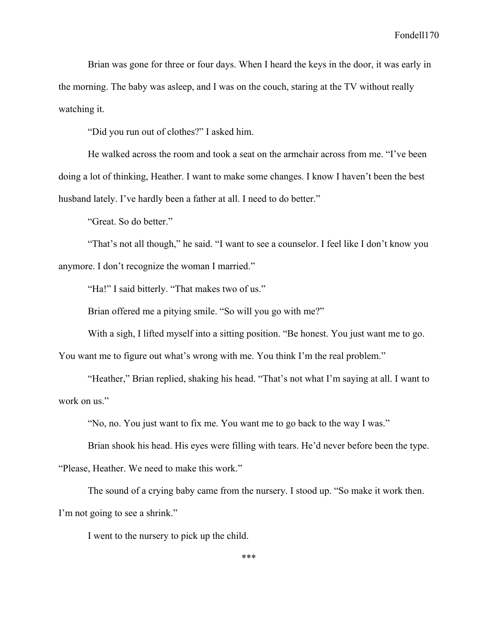Brian was gone for three or four days. When I heard the keys in the door, it was early in the morning. The baby was asleep, and I was on the couch, staring at the TV without really watching it.

"Did you run out of clothes?" I asked him.

He walked across the room and took a seat on the armchair across from me. "I've been doing a lot of thinking, Heather. I want to make some changes. I know I haven't been the best husband lately. I've hardly been a father at all. I need to do better."

"Great. So do better."

"That's not all though," he said. "I want to see a counselor. I feel like I don't know you anymore. I don't recognize the woman I married."

"Ha!" I said bitterly. "That makes two of us."

Brian offered me a pitying smile. "So will you go with me?"

With a sigh, I lifted myself into a sitting position. "Be honest. You just want me to go.

You want me to figure out what's wrong with me. You think I'm the real problem."

"Heather," Brian replied, shaking his head. "That's not what I'm saying at all. I want to work on us."

"No, no. You just want to fix me. You want me to go back to the way I was."

Brian shook his head. His eyes were filling with tears. He'd never before been the type.

"Please, Heather. We need to make this work."

The sound of a crying baby came from the nursery. I stood up. "So make it work then. I'm not going to see a shrink."

I went to the nursery to pick up the child.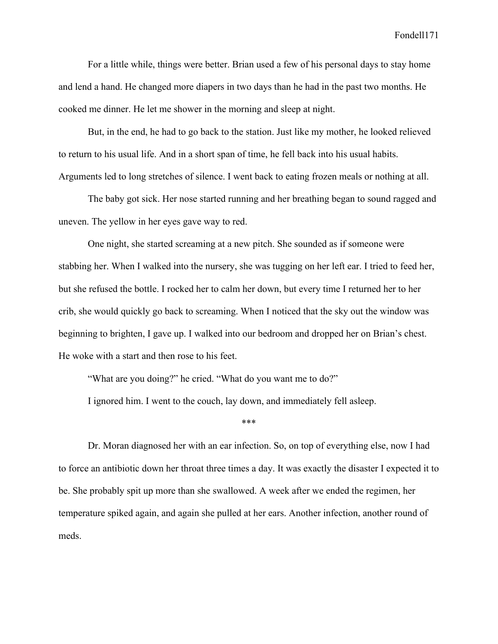For a little while, things were better. Brian used a few of his personal days to stay home and lend a hand. He changed more diapers in two days than he had in the past two months. He cooked me dinner. He let me shower in the morning and sleep at night.

But, in the end, he had to go back to the station. Just like my mother, he looked relieved to return to his usual life. And in a short span of time, he fell back into his usual habits. Arguments led to long stretches of silence. I went back to eating frozen meals or nothing at all.

The baby got sick. Her nose started running and her breathing began to sound ragged and uneven. The yellow in her eyes gave way to red.

One night, she started screaming at a new pitch. She sounded as if someone were stabbing her. When I walked into the nursery, she was tugging on her left ear. I tried to feed her, but she refused the bottle. I rocked her to calm her down, but every time I returned her to her crib, she would quickly go back to screaming. When I noticed that the sky out the window was beginning to brighten, I gave up. I walked into our bedroom and dropped her on Brian's chest. He woke with a start and then rose to his feet.

"What are you doing?" he cried. "What do you want me to do?"

I ignored him. I went to the couch, lay down, and immediately fell asleep.

#### \*\*\*

Dr. Moran diagnosed her with an ear infection. So, on top of everything else, now I had to force an antibiotic down her throat three times a day. It was exactly the disaster I expected it to be. She probably spit up more than she swallowed. A week after we ended the regimen, her temperature spiked again, and again she pulled at her ears. Another infection, another round of meds.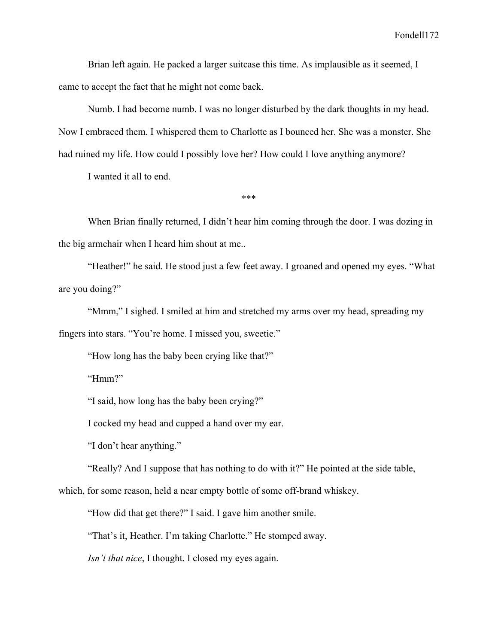Brian left again. He packed a larger suitcase this time. As implausible as it seemed, I came to accept the fact that he might not come back.

Numb. I had become numb. I was no longer disturbed by the dark thoughts in my head. Now I embraced them. I whispered them to Charlotte as I bounced her. She was a monster. She had ruined my life. How could I possibly love her? How could I love anything anymore?

I wanted it all to end.

### \*\*\*

When Brian finally returned, I didn't hear him coming through the door. I was dozing in the big armchair when I heard him shout at me..

"Heather!" he said. He stood just a few feet away. I groaned and opened my eyes. "What are you doing?"

"Mmm," I sighed. I smiled at him and stretched my arms over my head, spreading my fingers into stars. "You're home. I missed you, sweetie."

"How long has the baby been crying like that?"

"Hmm?"

"I said, how long has the baby been crying?"

I cocked my head and cupped a hand over my ear.

"I don't hear anything."

"Really? And I suppose that has nothing to do with it?" He pointed at the side table,

which, for some reason, held a near empty bottle of some off-brand whiskey.

"How did that get there?" I said. I gave him another smile.

"That's it, Heather. I'm taking Charlotte." He stomped away.

*Isn't that nice*, I thought. I closed my eyes again.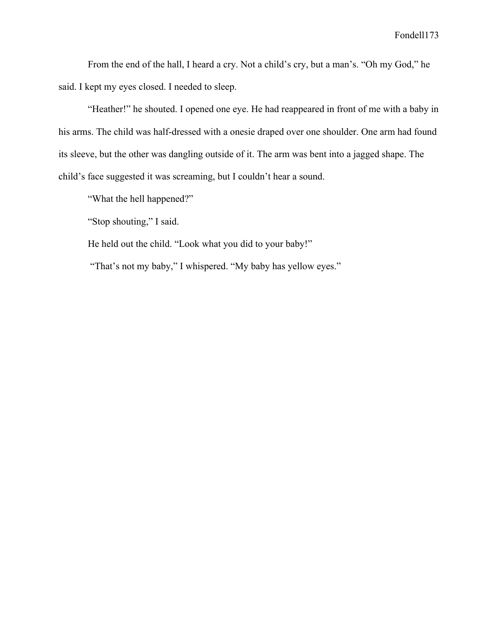From the end of the hall, I heard a cry. Not a child's cry, but a man's. "Oh my God," he said. I kept my eyes closed. I needed to sleep.

"Heather!" he shouted. I opened one eye. He had reappeared in front of me with a baby in his arms. The child was half-dressed with a onesie draped over one shoulder. One arm had found its sleeve, but the other was dangling outside of it. The arm was bent into a jagged shape. The child's face suggested it was screaming, but I couldn't hear a sound.

"What the hell happened?"

"Stop shouting," I said.

He held out the child. "Look what you did to your baby!"

"That's not my baby," I whispered. "My baby has yellow eyes."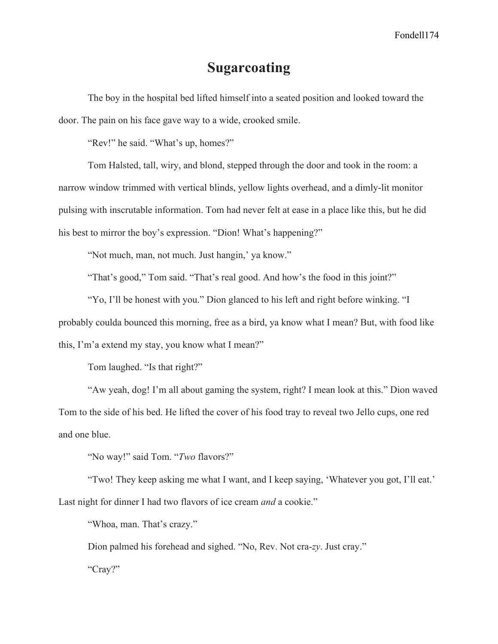# **Sugarcoating**

The boy in the hospital bed lifted himself into a seated position and looked toward the door. The pain on his face gave way to a wide, crooked smile.

"Rev!" he said. "What's up, homes?"

Tom Halsted, tall, wiry, and blond, stepped through the door and took in the room: a narrow window trimmed with vertical blinds, yellow lights overhead, and a dimly-lit monitor pulsing with inscrutable information. Tom had never felt at ease in a place like this, but he did his best to mirror the boy's expression. "Dion! What's happening?"

"Not much, man, not much. Just hangin,' ya know."

"That's good," Tom said. "That's real good. And how's the food in this joint?"

"Yo, I'll be honest with you." Dion glanced to his left and right before winking. "I probably coulda bounced this morning, free as a bird, ya know what I mean? But, with food like this, I'm'a extend my stay, you know what I mean?"

Tom laughed. "Is that right?"

"Aw yeah, dog! I'm all about gaming the system, right? I mean look at this." Dion waved Tom to the side of his bed. He lifted the cover of his food tray to reveal two Jello cups, one red and one blue.

"No way!" said Tom. "*Two* flavors?"

"Two! They keep asking me what I want, and I keep saying, 'Whatever you got, I'll eat.' Last night for dinner I had two flavors of ice cream *and* a cookie."

"Whoa, man. That's crazy."

Dion palmed his forehead and sighed. "No, Rev. Not cra-*zy*. Just cray."

"Cray?"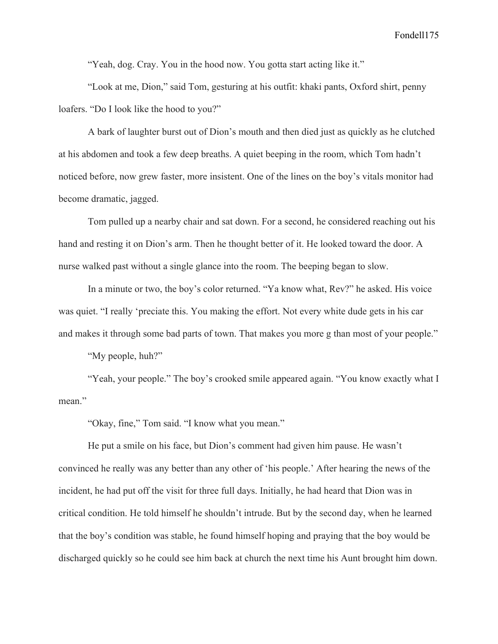"Yeah, dog. Cray. You in the hood now. You gotta start acting like it."

"Look at me, Dion," said Tom, gesturing at his outfit: khaki pants, Oxford shirt, penny loafers. "Do I look like the hood to you?"

A bark of laughter burst out of Dion's mouth and then died just as quickly as he clutched at his abdomen and took a few deep breaths. A quiet beeping in the room, which Tom hadn't noticed before, now grew faster, more insistent. One of the lines on the boy's vitals monitor had become dramatic, jagged.

Tom pulled up a nearby chair and sat down. For a second, he considered reaching out his hand and resting it on Dion's arm. Then he thought better of it. He looked toward the door. A nurse walked past without a single glance into the room. The beeping began to slow.

In a minute or two, the boy's color returned. "Ya know what, Rev?" he asked. His voice was quiet. "I really 'preciate this. You making the effort. Not every white dude gets in his car and makes it through some bad parts of town. That makes you more g than most of your people."

"My people, huh?"

"Yeah, your people." The boy's crooked smile appeared again. "You know exactly what I mean."

"Okay, fine," Tom said. "I know what you mean."

He put a smile on his face, but Dion's comment had given him pause. He wasn't convinced he really was any better than any other of 'his people.' After hearing the news of the incident, he had put off the visit for three full days. Initially, he had heard that Dion was in critical condition. He told himself he shouldn't intrude. But by the second day, when he learned that the boy's condition was stable, he found himself hoping and praying that the boy would be discharged quickly so he could see him back at church the next time his Aunt brought him down.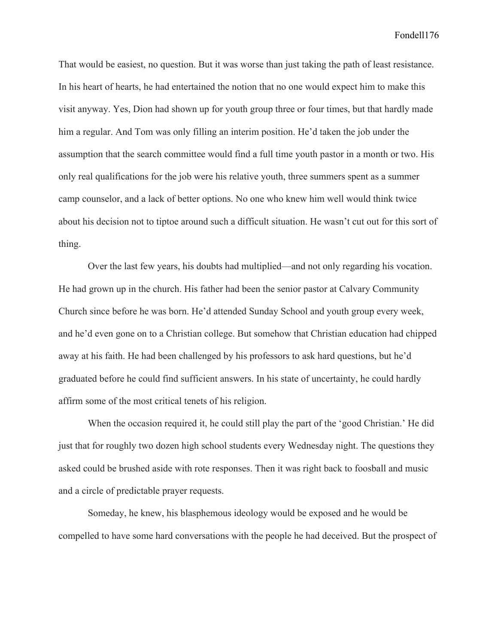That would be easiest, no question. But it was worse than just taking the path of least resistance. In his heart of hearts, he had entertained the notion that no one would expect him to make this visit anyway. Yes, Dion had shown up for youth group three or four times, but that hardly made him a regular. And Tom was only filling an interim position. He'd taken the job under the assumption that the search committee would find a full time youth pastor in a month or two. His only real qualifications for the job were his relative youth, three summers spent as a summer camp counselor, and a lack of better options. No one who knew him well would think twice about his decision not to tiptoe around such a difficult situation. He wasn't cut out for this sort of thing.

Over the last few years, his doubts had multiplied—and not only regarding his vocation. He had grown up in the church. His father had been the senior pastor at Calvary Community Church since before he was born. He'd attended Sunday School and youth group every week, and he'd even gone on to a Christian college. But somehow that Christian education had chipped away at his faith. He had been challenged by his professors to ask hard questions, but he'd graduated before he could find sufficient answers. In his state of uncertainty, he could hardly affirm some of the most critical tenets of his religion.

When the occasion required it, he could still play the part of the 'good Christian.' He did just that for roughly two dozen high school students every Wednesday night. The questions they asked could be brushed aside with rote responses. Then it was right back to foosball and music and a circle of predictable prayer requests.

Someday, he knew, his blasphemous ideology would be exposed and he would be compelled to have some hard conversations with the people he had deceived. But the prospect of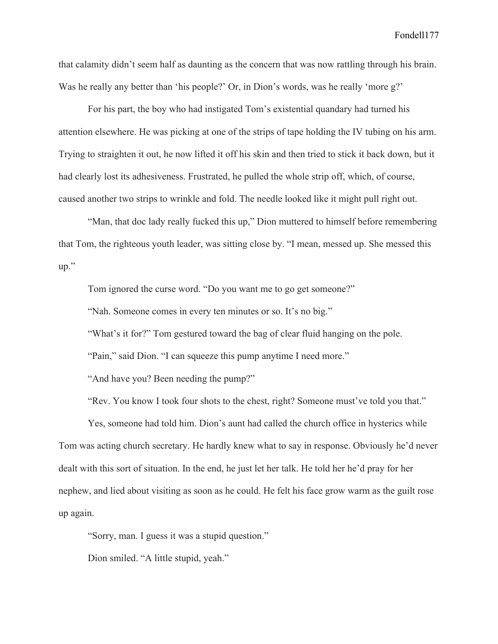that calamity didn't seem half as daunting as the concern that was now rattling through his brain. Was he really any better than 'his people?' Or, in Dion's words, was he really 'more g?'

For his part, the boy who had instigated Tom's existential quandary had turned his attention elsewhere. He was picking at one of the strips of tape holding the IV tubing on his arm. Trying to straighten it out, he now lifted it off his skin and then tried to stick it back down, but it had clearly lost its adhesiveness. Frustrated, he pulled the whole strip off, which, of course, caused another two strips to wrinkle and fold. The needle looked like it might pull right out.

"Man, that doc lady really fucked this up," Dion muttered to himself before remembering that Tom, the righteous youth leader, was sitting close by. "I mean, messed up. She messed this up."

Tom ignored the curse word. "Do you want me to go get someone?"

"Nah. Someone comes in every ten minutes or so. It's no big."

"What's it for?" Tom gestured toward the bag of clear fluid hanging on the pole.

"Pain," said Dion. "I can squeeze this pump anytime I need more."

"And have you? Been needing the pump?"

"Rev. You know I took four shots to the chest, right? Someone must've told you that."

Yes, someone had told him. Dion's aunt had called the church office in hysterics while Tom was acting church secretary. He hardly knew what to say in response. Obviously he'd never dealt with this sort of situation. In the end, he just let her talk. He told her he'd pray for her nephew, and lied about visiting as soon as he could. He felt his face grow warm as the guilt rose up again.

"Sorry, man. I guess it was a stupid question."

Dion smiled. "A little stupid, yeah."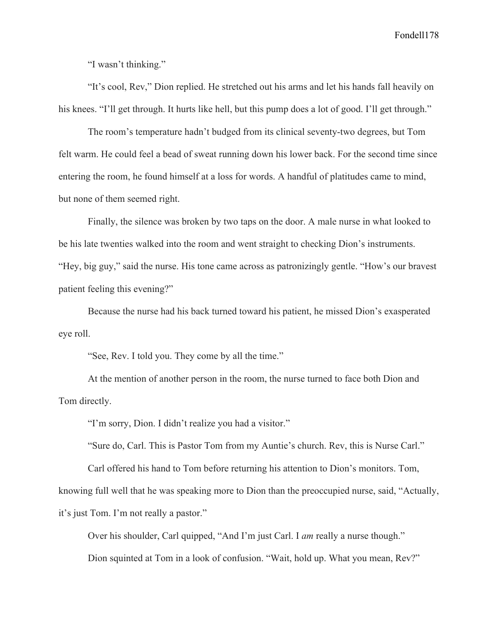"I wasn't thinking."

"It's cool, Rev," Dion replied. He stretched out his arms and let his hands fall heavily on his knees. "I'll get through. It hurts like hell, but this pump does a lot of good. I'll get through."

The room's temperature hadn't budged from its clinical seventy-two degrees, but Tom felt warm. He could feel a bead of sweat running down his lower back. For the second time since entering the room, he found himself at a loss for words. A handful of platitudes came to mind, but none of them seemed right.

Finally, the silence was broken by two taps on the door. A male nurse in what looked to be his late twenties walked into the room and went straight to checking Dion's instruments. "Hey, big guy," said the nurse. His tone came across as patronizingly gentle. "How's our bravest patient feeling this evening?"

Because the nurse had his back turned toward his patient, he missed Dion's exasperated eye roll.

"See, Rev. I told you. They come by all the time."

At the mention of another person in the room, the nurse turned to face both Dion and Tom directly.

"I'm sorry, Dion. I didn't realize you had a visitor."

"Sure do, Carl. This is Pastor Tom from my Auntie's church. Rev, this is Nurse Carl."

Carl offered his hand to Tom before returning his attention to Dion's monitors. Tom, knowing full well that he was speaking more to Dion than the preoccupied nurse, said, "Actually, it's just Tom. I'm not really a pastor."

Over his shoulder, Carl quipped, "And I'm just Carl. I *am* really a nurse though." Dion squinted at Tom in a look of confusion. "Wait, hold up. What you mean, Rev?"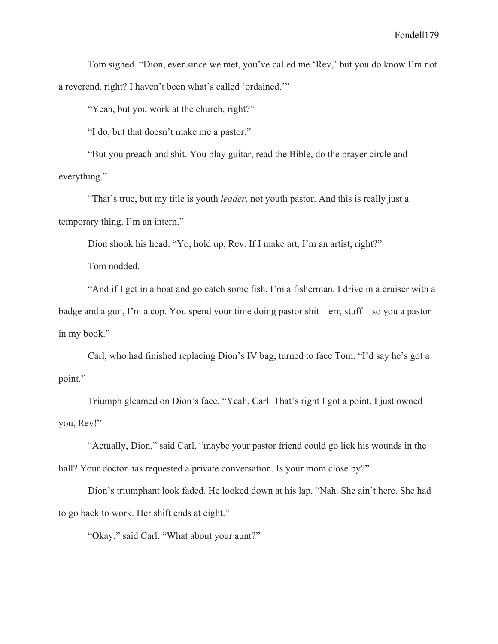Tom sighed. "Dion, ever since we met, you've called me 'Rev,' but you do know I'm not a reverend, right? I haven't been what's called 'ordained.'"

"Yeah, but you work at the church, right?"

"I do, but that doesn't make me a pastor."

"But you preach and shit. You play guitar, read the Bible, do the prayer circle and everything."

"That's true, but my title is youth *leader*, not youth pastor. And this is really just a temporary thing. I'm an intern."

Dion shook his head. "Yo, hold up, Rev. If I make art, I'm an artist, right?"

Tom nodded.

"And if I get in a boat and go catch some fish, I'm a fisherman. I drive in a cruiser with a badge and a gun, I'm a cop. You spend your time doing pastor shit—err, stuff—so you a pastor in my book."

Carl, who had finished replacing Dion's IV bag, turned to face Tom. "I'd say he's got a point."

Triumph gleamed on Dion's face. "Yeah, Carl. That's right I got a point. I just owned you, Rev!"

"Actually, Dion," said Carl, "maybe your pastor friend could go lick his wounds in the hall? Your doctor has requested a private conversation. Is your mom close by?"

Dion's triumphant look faded. He looked down at his lap. "Nah. She ain't here. She had to go back to work. Her shift ends at eight."

"Okay," said Carl. "What about your aunt?"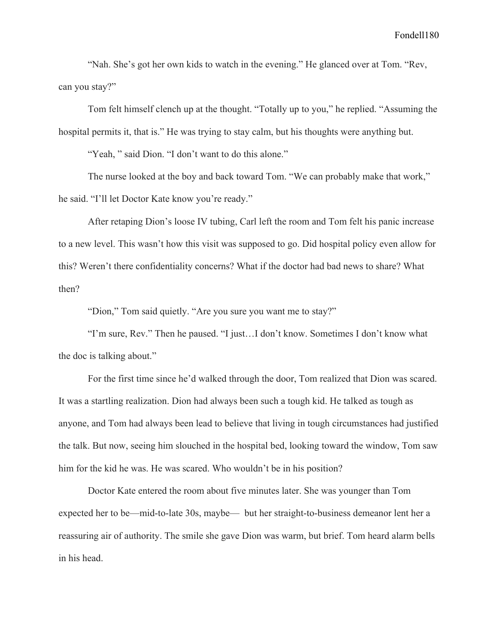"Nah. She's got her own kids to watch in the evening." He glanced over at Tom. "Rev, can you stay?"

Tom felt himself clench up at the thought. "Totally up to you," he replied. "Assuming the hospital permits it, that is." He was trying to stay calm, but his thoughts were anything but.

"Yeah, " said Dion. "I don't want to do this alone."

The nurse looked at the boy and back toward Tom. "We can probably make that work," he said. "I'll let Doctor Kate know you're ready."

After retaping Dion's loose IV tubing, Carl left the room and Tom felt his panic increase to a new level. This wasn't how this visit was supposed to go. Did hospital policy even allow for this? Weren't there confidentiality concerns? What if the doctor had bad news to share? What then?

"Dion," Tom said quietly. "Are you sure you want me to stay?"

"I'm sure, Rev." Then he paused. "I just…I don't know. Sometimes I don't know what the doc is talking about."

For the first time since he'd walked through the door, Tom realized that Dion was scared. It was a startling realization. Dion had always been such a tough kid. He talked as tough as anyone, and Tom had always been lead to believe that living in tough circumstances had justified the talk. But now, seeing him slouched in the hospital bed, looking toward the window, Tom saw him for the kid he was. He was scared. Who wouldn't be in his position?

Doctor Kate entered the room about five minutes later. She was younger than Tom expected her to be—mid-to-late 30s, maybe— but her straight-to-business demeanor lent her a reassuring air of authority. The smile she gave Dion was warm, but brief. Tom heard alarm bells in his head.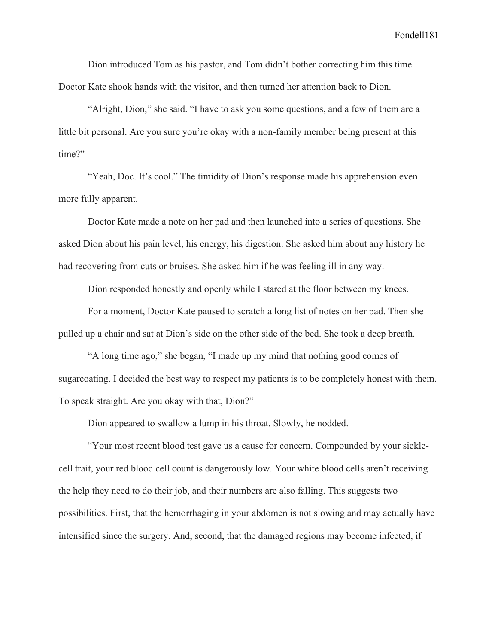Dion introduced Tom as his pastor, and Tom didn't bother correcting him this time. Doctor Kate shook hands with the visitor, and then turned her attention back to Dion.

"Alright, Dion," she said. "I have to ask you some questions, and a few of them are a little bit personal. Are you sure you're okay with a non-family member being present at this time?"

"Yeah, Doc. It's cool." The timidity of Dion's response made his apprehension even more fully apparent.

Doctor Kate made a note on her pad and then launched into a series of questions. She asked Dion about his pain level, his energy, his digestion. She asked him about any history he had recovering from cuts or bruises. She asked him if he was feeling ill in any way.

Dion responded honestly and openly while I stared at the floor between my knees.

For a moment, Doctor Kate paused to scratch a long list of notes on her pad. Then she pulled up a chair and sat at Dion's side on the other side of the bed. She took a deep breath.

"A long time ago," she began, "I made up my mind that nothing good comes of sugarcoating. I decided the best way to respect my patients is to be completely honest with them. To speak straight. Are you okay with that, Dion?"

Dion appeared to swallow a lump in his throat. Slowly, he nodded.

"Your most recent blood test gave us a cause for concern. Compounded by your sicklecell trait, your red blood cell count is dangerously low. Your white blood cells aren't receiving the help they need to do their job, and their numbers are also falling. This suggests two possibilities. First, that the hemorrhaging in your abdomen is not slowing and may actually have intensified since the surgery. And, second, that the damaged regions may become infected, if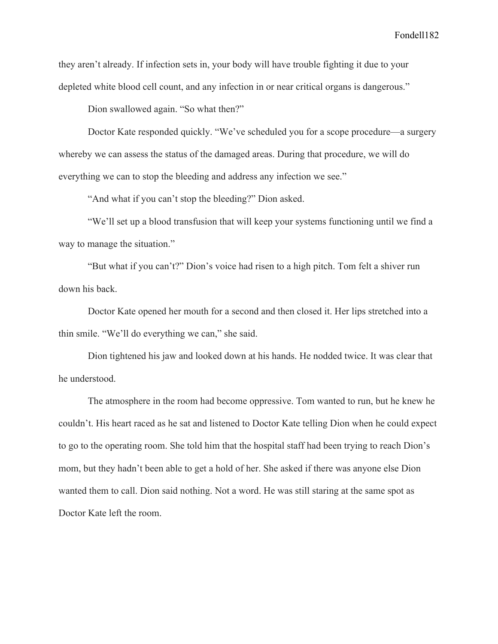they aren't already. If infection sets in, your body will have trouble fighting it due to your depleted white blood cell count, and any infection in or near critical organs is dangerous."

Dion swallowed again. "So what then?"

Doctor Kate responded quickly. "We've scheduled you for a scope procedure—a surgery whereby we can assess the status of the damaged areas. During that procedure, we will do everything we can to stop the bleeding and address any infection we see."

"And what if you can't stop the bleeding?" Dion asked.

"We'll set up a blood transfusion that will keep your systems functioning until we find a way to manage the situation."

"But what if you can't?" Dion's voice had risen to a high pitch. Tom felt a shiver run down his back.

Doctor Kate opened her mouth for a second and then closed it. Her lips stretched into a thin smile. "We'll do everything we can," she said.

Dion tightened his jaw and looked down at his hands. He nodded twice. It was clear that he understood.

The atmosphere in the room had become oppressive. Tom wanted to run, but he knew he couldn't. His heart raced as he sat and listened to Doctor Kate telling Dion when he could expect to go to the operating room. She told him that the hospital staff had been trying to reach Dion's mom, but they hadn't been able to get a hold of her. She asked if there was anyone else Dion wanted them to call. Dion said nothing. Not a word. He was still staring at the same spot as Doctor Kate left the room.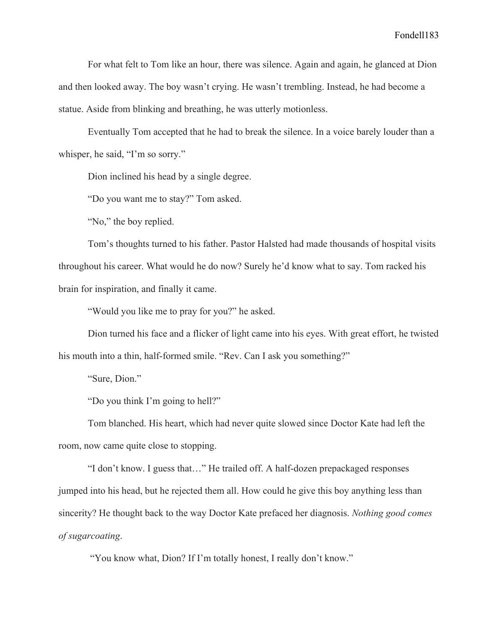For what felt to Tom like an hour, there was silence. Again and again, he glanced at Dion and then looked away. The boy wasn't crying. He wasn't trembling. Instead, he had become a statue. Aside from blinking and breathing, he was utterly motionless.

Eventually Tom accepted that he had to break the silence. In a voice barely louder than a whisper, he said, "I'm so sorry."

Dion inclined his head by a single degree.

"Do you want me to stay?" Tom asked.

"No," the boy replied.

Tom's thoughts turned to his father. Pastor Halsted had made thousands of hospital visits throughout his career. What would he do now? Surely he'd know what to say. Tom racked his brain for inspiration, and finally it came.

"Would you like me to pray for you?" he asked.

Dion turned his face and a flicker of light came into his eyes. With great effort, he twisted his mouth into a thin, half-formed smile. "Rev. Can I ask you something?"

"Sure, Dion."

"Do you think I'm going to hell?"

Tom blanched. His heart, which had never quite slowed since Doctor Kate had left the room, now came quite close to stopping.

"I don't know. I guess that…" He trailed off. A half-dozen prepackaged responses jumped into his head, but he rejected them all. How could he give this boy anything less than sincerity? He thought back to the way Doctor Kate prefaced her diagnosis. *Nothing good comes of sugarcoating*.

"You know what, Dion? If I'm totally honest, I really don't know."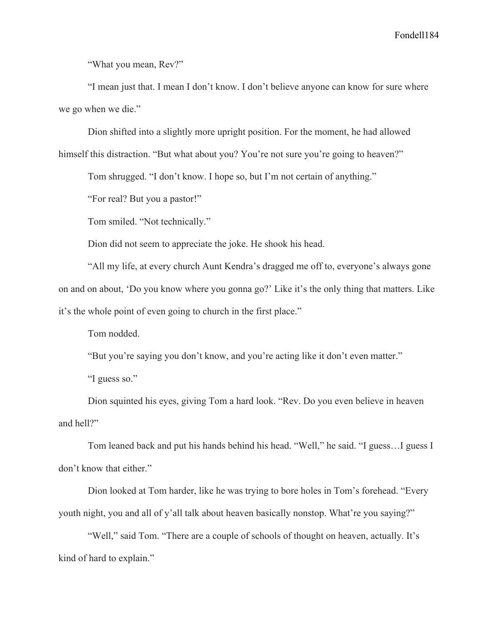"What you mean, Rev?"

"I mean just that. I mean I don't know. I don't believe anyone can know for sure where we go when we die."

Dion shifted into a slightly more upright position. For the moment, he had allowed himself this distraction. "But what about you? You're not sure you're going to heaven?"

Tom shrugged. "I don't know. I hope so, but I'm not certain of anything."

"For real? But you a pastor!"

Tom smiled. "Not technically."

Dion did not seem to appreciate the joke. He shook his head.

"All my life, at every church Aunt Kendra's dragged me off to, everyone's always gone on and on about, 'Do you know where you gonna go?' Like it's the only thing that matters. Like it's the whole point of even going to church in the first place."

Tom nodded.

"But you're saying you don't know, and you're acting like it don't even matter."

"I guess so."

Dion squinted his eyes, giving Tom a hard look. "Rev. Do you even believe in heaven and hell?"

Tom leaned back and put his hands behind his head. "Well," he said. "I guess…I guess I don't know that either."

Dion looked at Tom harder, like he was trying to bore holes in Tom's forehead. "Every youth night, you and all of y'all talk about heaven basically nonstop. What're you saying?"

"Well," said Tom. "There are a couple of schools of thought on heaven, actually. It's kind of hard to explain."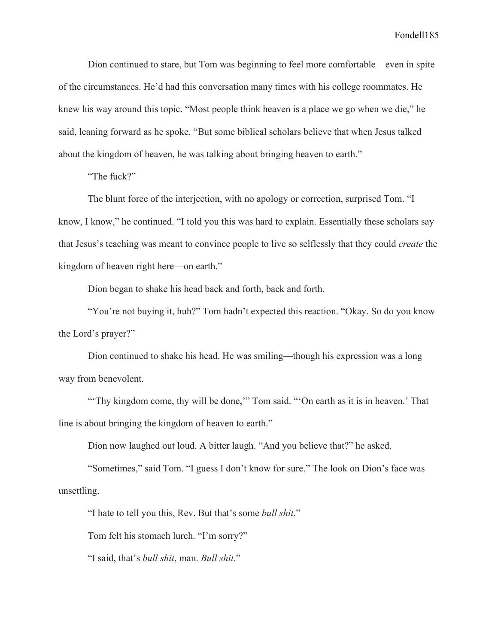Dion continued to stare, but Tom was beginning to feel more comfortable—even in spite of the circumstances. He'd had this conversation many times with his college roommates. He knew his way around this topic. "Most people think heaven is a place we go when we die," he said, leaning forward as he spoke. "But some biblical scholars believe that when Jesus talked about the kingdom of heaven, he was talking about bringing heaven to earth."

"The fuck?"

The blunt force of the interjection, with no apology or correction, surprised Tom. "I know, I know," he continued. "I told you this was hard to explain. Essentially these scholars say that Jesus's teaching was meant to convince people to live so selflessly that they could *create* the kingdom of heaven right here—on earth."

Dion began to shake his head back and forth, back and forth.

"You're not buying it, huh?" Tom hadn't expected this reaction. "Okay. So do you know the Lord's prayer?"

Dion continued to shake his head. He was smiling—though his expression was a long way from benevolent.

"Thy kingdom come, thy will be done," Tom said. "'On earth as it is in heaven.' That line is about bringing the kingdom of heaven to earth."

Dion now laughed out loud. A bitter laugh. "And you believe that?" he asked.

"Sometimes," said Tom. "I guess I don't know for sure." The look on Dion's face was unsettling.

"I hate to tell you this, Rev. But that's some *bull shit*."

Tom felt his stomach lurch. "I'm sorry?"

"I said, that's *bull shit*, man. *Bull shit*."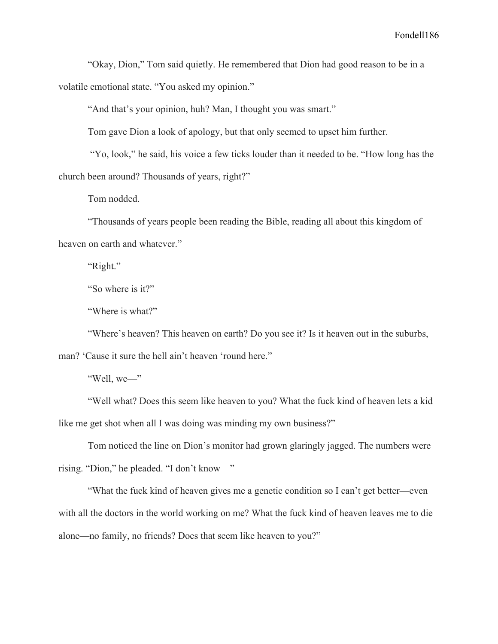"Okay, Dion," Tom said quietly. He remembered that Dion had good reason to be in a volatile emotional state. "You asked my opinion."

"And that's your opinion, huh? Man, I thought you was smart."

Tom gave Dion a look of apology, but that only seemed to upset him further.

"Yo, look," he said, his voice a few ticks louder than it needed to be. "How long has the church been around? Thousands of years, right?"

Tom nodded.

"Thousands of years people been reading the Bible, reading all about this kingdom of heaven on earth and whatever."

"Right."

"So where is it?"

"Where is what?"

"Where's heaven? This heaven on earth? Do you see it? Is it heaven out in the suburbs, man? 'Cause it sure the hell ain't heaven 'round here."

"Well, we—"

"Well what? Does this seem like heaven to you? What the fuck kind of heaven lets a kid like me get shot when all I was doing was minding my own business?"

Tom noticed the line on Dion's monitor had grown glaringly jagged. The numbers were rising. "Dion," he pleaded. "I don't know—"

"What the fuck kind of heaven gives me a genetic condition so I can't get better—even with all the doctors in the world working on me? What the fuck kind of heaven leaves me to die alone—no family, no friends? Does that seem like heaven to you?"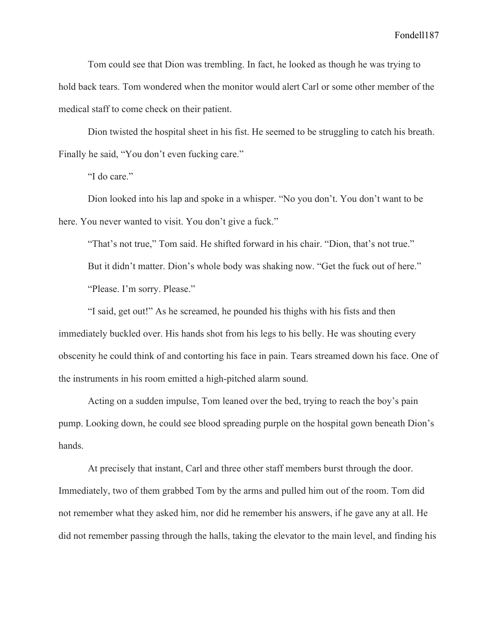Tom could see that Dion was trembling. In fact, he looked as though he was trying to hold back tears. Tom wondered when the monitor would alert Carl or some other member of the medical staff to come check on their patient.

Dion twisted the hospital sheet in his fist. He seemed to be struggling to catch his breath. Finally he said, "You don't even fucking care."

"I do care."

Dion looked into his lap and spoke in a whisper. "No you don't. You don't want to be here. You never wanted to visit. You don't give a fuck."

"That's not true," Tom said. He shifted forward in his chair. "Dion, that's not true." But it didn't matter. Dion's whole body was shaking now. "Get the fuck out of here." "Please. I'm sorry. Please."

"I said, get out!" As he screamed, he pounded his thighs with his fists and then immediately buckled over. His hands shot from his legs to his belly. He was shouting every obscenity he could think of and contorting his face in pain. Tears streamed down his face. One of the instruments in his room emitted a high-pitched alarm sound.

Acting on a sudden impulse, Tom leaned over the bed, trying to reach the boy's pain pump. Looking down, he could see blood spreading purple on the hospital gown beneath Dion's hands.

At precisely that instant, Carl and three other staff members burst through the door. Immediately, two of them grabbed Tom by the arms and pulled him out of the room. Tom did not remember what they asked him, nor did he remember his answers, if he gave any at all. He did not remember passing through the halls, taking the elevator to the main level, and finding his